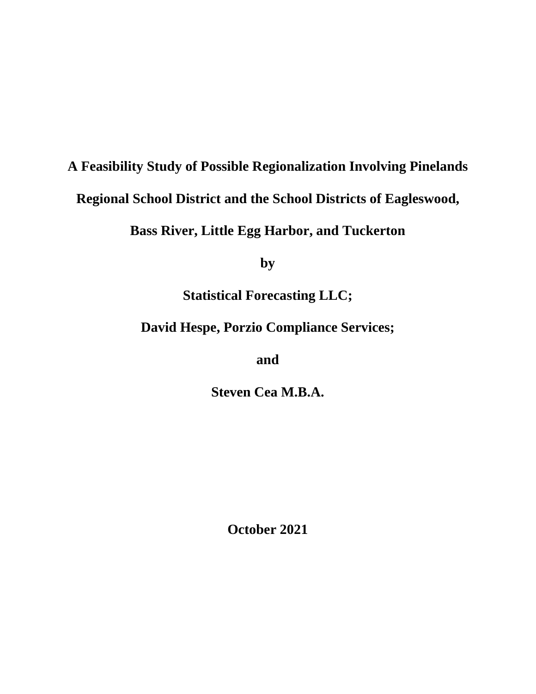# **A Feasibility Study of Possible Regionalization Involving Pinelands Regional School District and the School Districts of Eagleswood,**

**Bass River, Little Egg Harbor, and Tuckerton** 

**by** 

**Statistical Forecasting LLC;** 

**David Hespe, Porzio Compliance Services;** 

**and** 

**Steven Cea M.B.A.** 

**October 2021**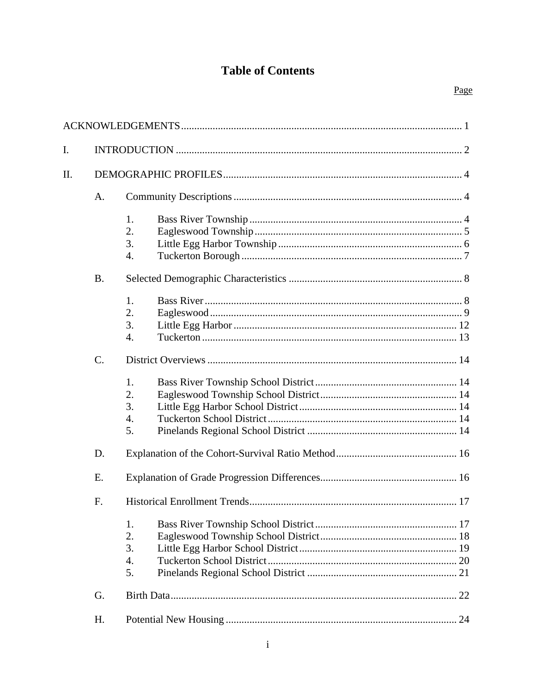# **Table of Contents**

| I. |           |                                          |  |  |  |  |
|----|-----------|------------------------------------------|--|--|--|--|
| Π. |           |                                          |  |  |  |  |
|    | A.        |                                          |  |  |  |  |
|    |           | 1.<br>2.<br>3.<br>4.                     |  |  |  |  |
|    | <b>B.</b> |                                          |  |  |  |  |
|    |           | 1.<br>2.<br>3.<br>$\overline{4}$ .       |  |  |  |  |
|    | $C$ .     |                                          |  |  |  |  |
|    |           | 1.<br>2.<br>3.<br>4.<br>5.               |  |  |  |  |
|    | D.        |                                          |  |  |  |  |
|    | E.        |                                          |  |  |  |  |
|    | F.        |                                          |  |  |  |  |
|    |           | 1.<br>2.<br>3.<br>$\overline{4}$ .<br>5. |  |  |  |  |
|    | G.        |                                          |  |  |  |  |
|    | H.        |                                          |  |  |  |  |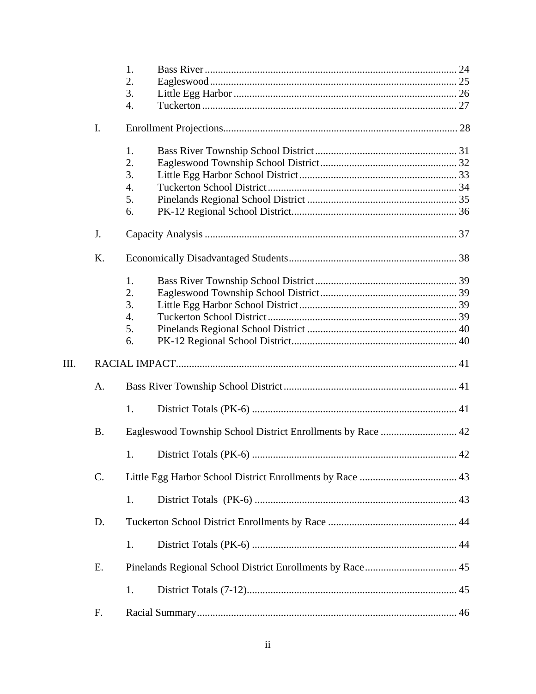|    |           | 1.                                                          |  |
|----|-----------|-------------------------------------------------------------|--|
|    |           | 2.                                                          |  |
|    |           | 3.                                                          |  |
|    |           | 4.                                                          |  |
|    | I.        |                                                             |  |
|    |           | 1.                                                          |  |
|    |           | 2.                                                          |  |
|    |           | 3.                                                          |  |
|    |           | 4.                                                          |  |
|    |           | 5.                                                          |  |
|    |           | 6.                                                          |  |
|    | J.        |                                                             |  |
|    | K.        |                                                             |  |
|    |           | 1.                                                          |  |
|    |           | 2.                                                          |  |
|    |           | 3.                                                          |  |
|    |           | 4.                                                          |  |
|    |           | 5.                                                          |  |
|    |           | 6.                                                          |  |
| Ш. |           |                                                             |  |
|    | A.        |                                                             |  |
|    |           | 1.                                                          |  |
|    | <b>B.</b> | Eagleswood Township School District Enrollments by Race  42 |  |
|    |           |                                                             |  |
|    | C.        |                                                             |  |
|    |           | 1.                                                          |  |
|    | D.        |                                                             |  |
|    |           | 1.                                                          |  |
|    | Ε.        |                                                             |  |
|    |           | 1.                                                          |  |
|    |           |                                                             |  |
|    | F.        |                                                             |  |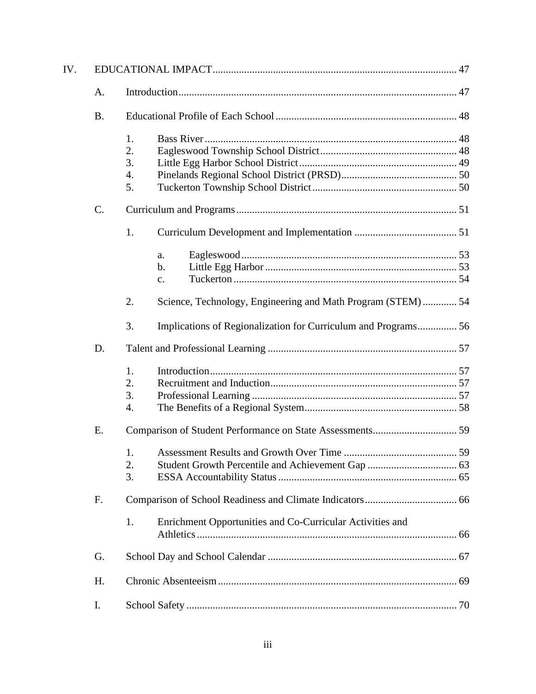| IV. |           |    |                                                                |  |  |  |  |
|-----|-----------|----|----------------------------------------------------------------|--|--|--|--|
|     | A.        |    |                                                                |  |  |  |  |
|     | <b>B.</b> |    |                                                                |  |  |  |  |
|     |           | 1. |                                                                |  |  |  |  |
|     |           | 2. |                                                                |  |  |  |  |
|     |           | 3. |                                                                |  |  |  |  |
|     |           | 4. |                                                                |  |  |  |  |
|     |           | 5. |                                                                |  |  |  |  |
|     | C.        |    |                                                                |  |  |  |  |
|     |           | 1. |                                                                |  |  |  |  |
|     |           |    | a.                                                             |  |  |  |  |
|     |           |    | b.                                                             |  |  |  |  |
|     |           |    | c.                                                             |  |  |  |  |
|     |           | 2. | Science, Technology, Engineering and Math Program (STEM) 54    |  |  |  |  |
|     |           | 3. | Implications of Regionalization for Curriculum and Programs 56 |  |  |  |  |
|     | D.        |    |                                                                |  |  |  |  |
|     |           | 1. |                                                                |  |  |  |  |
|     |           | 2. |                                                                |  |  |  |  |
|     |           | 3. |                                                                |  |  |  |  |
|     |           | 4. |                                                                |  |  |  |  |
|     | Ε.        |    |                                                                |  |  |  |  |
|     |           |    |                                                                |  |  |  |  |
|     |           | 2. |                                                                |  |  |  |  |
|     |           | 3. |                                                                |  |  |  |  |
|     | F.        |    |                                                                |  |  |  |  |
|     |           | 1. | Enrichment Opportunities and Co-Curricular Activities and      |  |  |  |  |
|     | G.        |    |                                                                |  |  |  |  |
|     | Η.        |    |                                                                |  |  |  |  |
|     | I.        |    |                                                                |  |  |  |  |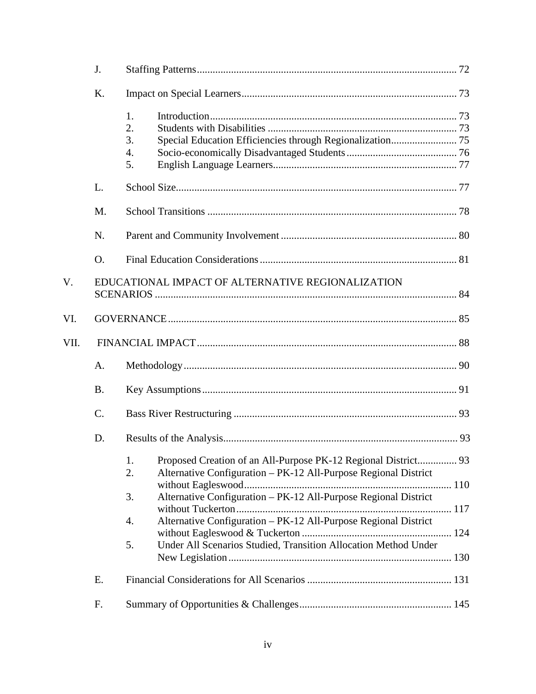|      | J.              |                                                                             |  |
|------|-----------------|-----------------------------------------------------------------------------|--|
|      | K.              |                                                                             |  |
|      |                 | 1.<br>2.<br>3.<br>4.<br>5.                                                  |  |
|      | L.              |                                                                             |  |
|      | M.              |                                                                             |  |
|      | N.              |                                                                             |  |
|      | O.              |                                                                             |  |
| V.   |                 | EDUCATIONAL IMPACT OF ALTERNATIVE REGIONALIZATION                           |  |
| VI.  |                 |                                                                             |  |
| VII. |                 |                                                                             |  |
|      | A.              |                                                                             |  |
|      | <b>B.</b>       |                                                                             |  |
|      | $\mathcal{C}$ . |                                                                             |  |
|      | D.              |                                                                             |  |
|      |                 | 1.<br>2.<br>Alternative Configuration - PK-12 All-Purpose Regional District |  |
|      |                 | Alternative Configuration - PK-12 All-Purpose Regional District<br>3.       |  |
|      |                 | Alternative Configuration - PK-12 All-Purpose Regional District<br>4.       |  |
|      |                 | Under All Scenarios Studied, Transition Allocation Method Under<br>5.       |  |
|      | E.              |                                                                             |  |
|      | F.              |                                                                             |  |
|      |                 |                                                                             |  |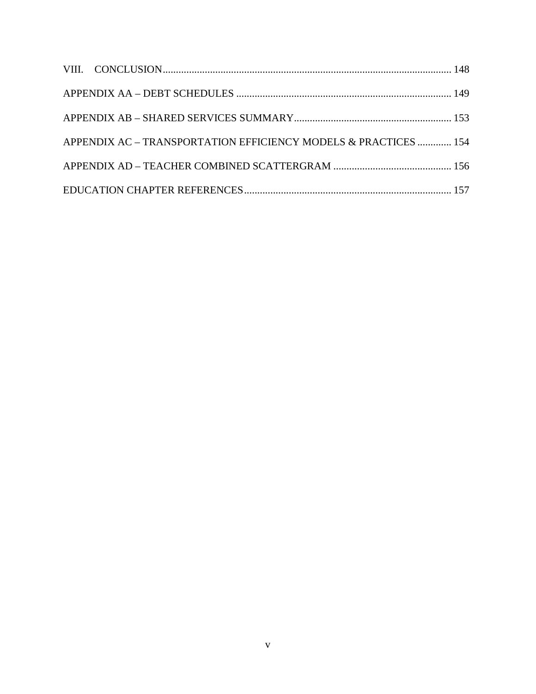| APPENDIX AC - TRANSPORTATION EFFICIENCY MODELS & PRACTICES  154 |  |
|-----------------------------------------------------------------|--|
|                                                                 |  |
|                                                                 |  |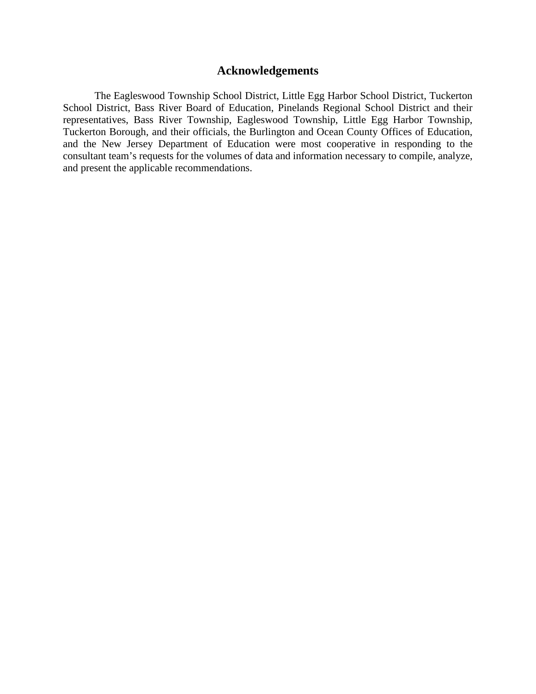# **Acknowledgements**

The Eagleswood Township School District, Little Egg Harbor School District, Tuckerton School District, Bass River Board of Education, Pinelands Regional School District and their representatives, Bass River Township, Eagleswood Township, Little Egg Harbor Township, Tuckerton Borough, and their officials, the Burlington and Ocean County Offices of Education, and the New Jersey Department of Education were most cooperative in responding to the consultant team's requests for the volumes of data and information necessary to compile, analyze, and present the applicable recommendations.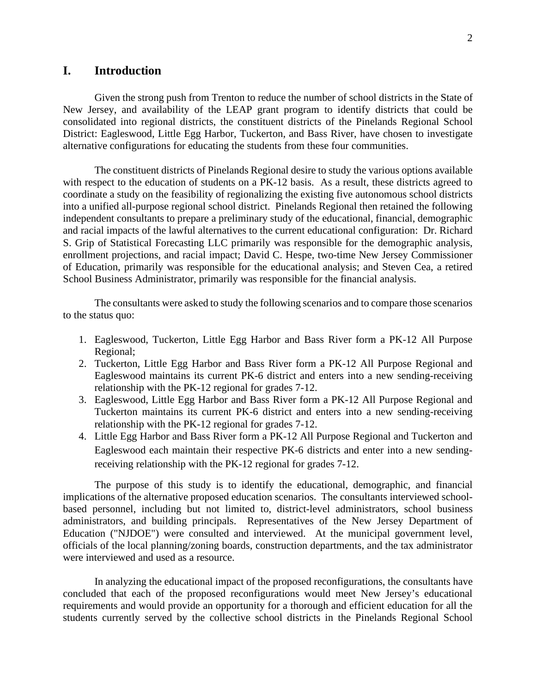# **I. Introduction**

Given the strong push from Trenton to reduce the number of school districts in the State of New Jersey, and availability of the LEAP grant program to identify districts that could be consolidated into regional districts, the constituent districts of the Pinelands Regional School District: Eagleswood, Little Egg Harbor, Tuckerton, and Bass River, have chosen to investigate alternative configurations for educating the students from these four communities.

The constituent districts of Pinelands Regional desire to study the various options available with respect to the education of students on a PK-12 basis. As a result, these districts agreed to coordinate a study on the feasibility of regionalizing the existing five autonomous school districts into a unified all-purpose regional school district. Pinelands Regional then retained the following independent consultants to prepare a preliminary study of the educational, financial, demographic and racial impacts of the lawful alternatives to the current educational configuration: Dr. Richard S. Grip of Statistical Forecasting LLC primarily was responsible for the demographic analysis, enrollment projections, and racial impact; David C. Hespe, two-time New Jersey Commissioner of Education, primarily was responsible for the educational analysis; and Steven Cea, a retired School Business Administrator, primarily was responsible for the financial analysis.

The consultants were asked to study the following scenarios and to compare those scenarios to the status quo:

- 1. Eagleswood, Tuckerton, Little Egg Harbor and Bass River form a PK-12 All Purpose Regional;
- 2. Tuckerton, Little Egg Harbor and Bass River form a PK-12 All Purpose Regional and Eagleswood maintains its current PK-6 district and enters into a new sending-receiving relationship with the PK-12 regional for grades 7-12.
- 3. Eagleswood, Little Egg Harbor and Bass River form a PK-12 All Purpose Regional and Tuckerton maintains its current PK-6 district and enters into a new sending-receiving relationship with the PK-12 regional for grades 7-12.
- 4. Little Egg Harbor and Bass River form a PK-12 All Purpose Regional and Tuckerton and Eagleswood each maintain their respective PK-6 districts and enter into a new sendingreceiving relationship with the PK-12 regional for grades 7-12.

The purpose of this study is to identify the educational, demographic, and financial implications of the alternative proposed education scenarios. The consultants interviewed schoolbased personnel, including but not limited to, district-level administrators, school business administrators, and building principals. Representatives of the New Jersey Department of Education ("NJDOE") were consulted and interviewed. At the municipal government level, officials of the local planning/zoning boards, construction departments, and the tax administrator were interviewed and used as a resource.

In analyzing the educational impact of the proposed reconfigurations, the consultants have concluded that each of the proposed reconfigurations would meet New Jersey's educational requirements and would provide an opportunity for a thorough and efficient education for all the students currently served by the collective school districts in the Pinelands Regional School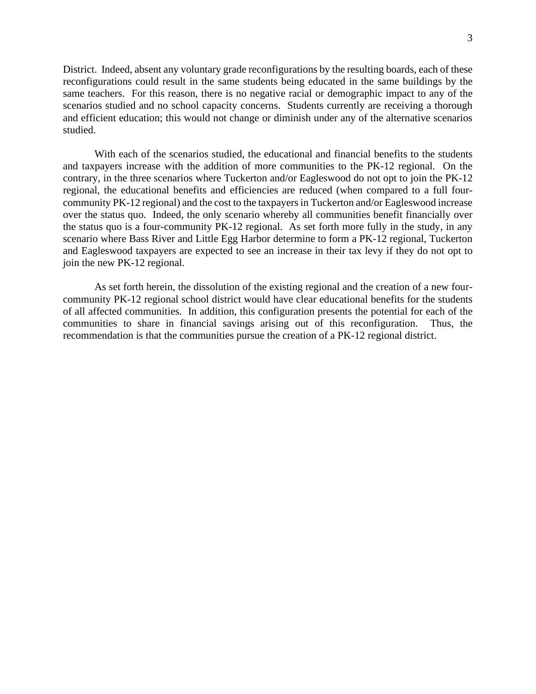3

District. Indeed, absent any voluntary grade reconfigurations by the resulting boards, each of these reconfigurations could result in the same students being educated in the same buildings by the same teachers. For this reason, there is no negative racial or demographic impact to any of the scenarios studied and no school capacity concerns. Students currently are receiving a thorough and efficient education; this would not change or diminish under any of the alternative scenarios studied.

With each of the scenarios studied, the educational and financial benefits to the students and taxpayers increase with the addition of more communities to the PK-12 regional. On the contrary, in the three scenarios where Tuckerton and/or Eagleswood do not opt to join the PK-12 regional, the educational benefits and efficiencies are reduced (when compared to a full fourcommunity PK-12 regional) and the cost to the taxpayers in Tuckerton and/or Eagleswood increase over the status quo. Indeed, the only scenario whereby all communities benefit financially over the status quo is a four-community PK-12 regional. As set forth more fully in the study, in any scenario where Bass River and Little Egg Harbor determine to form a PK-12 regional, Tuckerton and Eagleswood taxpayers are expected to see an increase in their tax levy if they do not opt to join the new PK-12 regional.

As set forth herein, the dissolution of the existing regional and the creation of a new fourcommunity PK-12 regional school district would have clear educational benefits for the students of all affected communities. In addition, this configuration presents the potential for each of the communities to share in financial savings arising out of this reconfiguration. Thus, the recommendation is that the communities pursue the creation of a PK-12 regional district.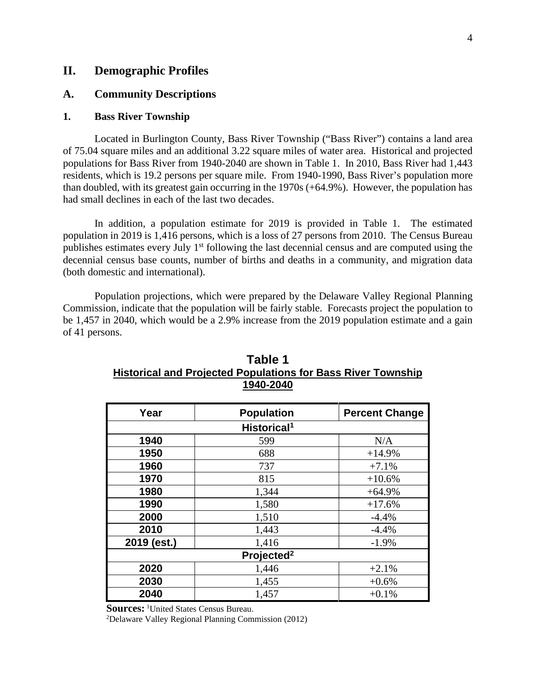# **II. Demographic Profiles**

# **A. Community Descriptions**

## **1. Bass River Township**

Located in Burlington County, Bass River Township ("Bass River") contains a land area of 75.04 square miles and an additional 3.22 square miles of water area. Historical and projected populations for Bass River from 1940-2040 are shown in Table 1. In 2010, Bass River had 1,443 residents, which is 19.2 persons per square mile. From 1940-1990, Bass River's population more than doubled, with its greatest gain occurring in the 1970s (+64.9%). However, the population has had small declines in each of the last two decades.

In addition, a population estimate for 2019 is provided in Table 1. The estimated population in 2019 is 1,416 persons, which is a loss of 27 persons from 2010. The Census Bureau publishes estimates every July 1<sup>st</sup> following the last decennial census and are computed using the decennial census base counts, number of births and deaths in a community, and migration data (both domestic and international).

Population projections, which were prepared by the Delaware Valley Regional Planning Commission, indicate that the population will be fairly stable. Forecasts project the population to be 1,457 in 2040, which would be a 2.9% increase from the 2019 population estimate and a gain of 41 persons.

| Year        | <b>Population</b>       | <b>Percent Change</b> |
|-------------|-------------------------|-----------------------|
|             | Historical <sup>1</sup> |                       |
| 1940        | 599                     | N/A                   |
| 1950        | 688                     | $+14.9%$              |
| 1960        | 737                     | $+7.1%$               |
| 1970        | 815                     | $+10.6%$              |
| 1980        | 1,344                   | $+64.9%$              |
| 1990        | 1,580                   | $+17.6%$              |
| 2000        | 1,510                   | $-4.4%$               |
| 2010        | 1,443                   | $-4.4%$               |
| 2019 (est.) | 1,416                   | $-1.9%$               |
|             | Projected <sup>2</sup>  |                       |
| 2020        | 1,446                   | $+2.1%$               |
| 2030        | 1,455                   | $+0.6%$               |
| 2040        | 1,457                   | $+0.1%$               |

# **Table 1 Historical and Projected Populations for Bass River Township 1940-2040**

**Sources:** <sup>1</sup>United States Census Bureau.

2Delaware Valley Regional Planning Commission (2012)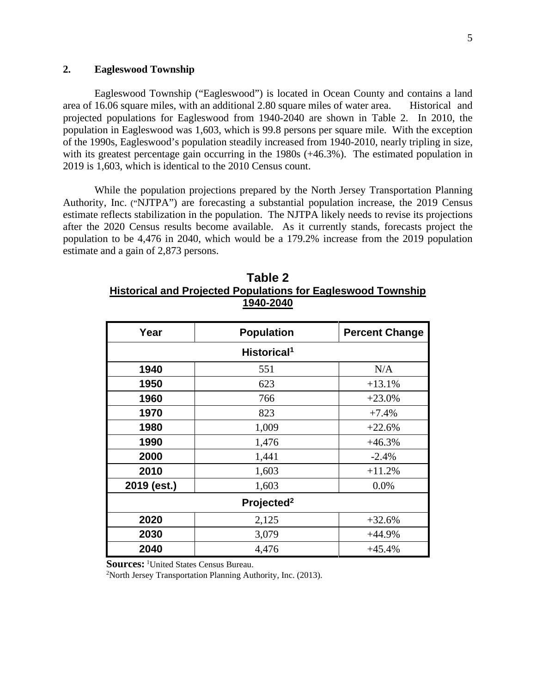# **2. Eagleswood Township**

Eagleswood Township ("Eagleswood") is located in Ocean County and contains a land area of 16.06 square miles, with an additional 2.80 square miles of water area. Historical and projected populations for Eagleswood from 1940-2040 are shown in Table 2. In 2010, the population in Eagleswood was 1,603, which is 99.8 persons per square mile. With the exception of the 1990s, Eagleswood's population steadily increased from 1940-2010, nearly tripling in size, with its greatest percentage gain occurring in the 1980s (+46.3%). The estimated population in 2019 is 1,603, which is identical to the 2010 Census count.

While the population projections prepared by the North Jersey Transportation Planning Authority, Inc. ("NJTPA") are forecasting a substantial population increase, the 2019 Census estimate reflects stabilization in the population. The NJTPA likely needs to revise its projections after the 2020 Census results become available. As it currently stands, forecasts project the population to be 4,476 in 2040, which would be a 179.2% increase from the 2019 population estimate and a gain of 2,873 persons.

| Table 2                                                             |
|---------------------------------------------------------------------|
| <b>Historical and Projected Populations for Eagleswood Township</b> |
| 1940-2040                                                           |

| Year                    | <b>Population</b>      | <b>Percent Change</b> |  |  |  |
|-------------------------|------------------------|-----------------------|--|--|--|
| Historical <sup>1</sup> |                        |                       |  |  |  |
| 1940                    | 551                    | N/A                   |  |  |  |
| 1950                    | 623                    | $+13.1%$              |  |  |  |
| 1960                    | 766                    | $+23.0%$              |  |  |  |
| 1970                    | 823                    | $+7.4%$               |  |  |  |
| 1980                    | 1,009                  | $+22.6%$              |  |  |  |
| 1990                    | 1,476                  | $+46.3%$              |  |  |  |
| 2000                    | 1,441                  | $-2.4%$               |  |  |  |
| 2010                    | 1,603                  | $+11.2%$              |  |  |  |
| 2019 (est.)             | 1,603                  | 0.0%                  |  |  |  |
|                         | Projected <sup>2</sup> |                       |  |  |  |
| 2020                    | 2,125                  | $+32.6%$              |  |  |  |
| 2030                    | 3,079                  | $+44.9%$              |  |  |  |
| 2040                    | 4,476                  | $+45.4%$              |  |  |  |

**Sources:** <sup>1</sup>United States Census Bureau.

 $2$ North Jersey Transportation Planning Authority, Inc. (2013).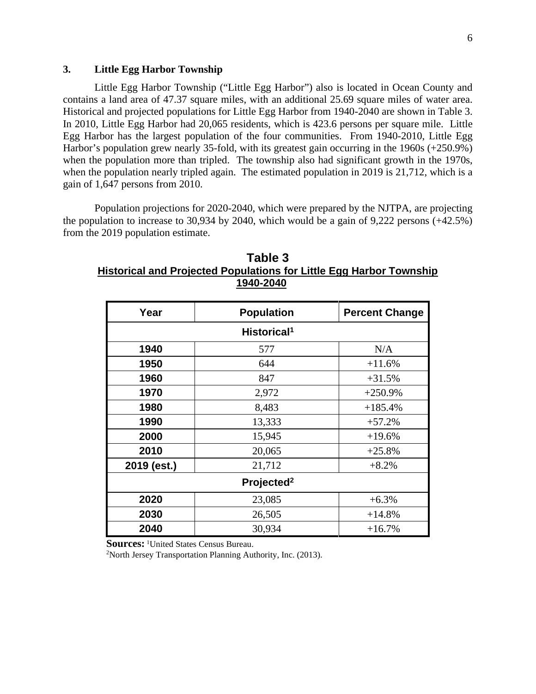# **3. Little Egg Harbor Township**

Little Egg Harbor Township ("Little Egg Harbor") also is located in Ocean County and contains a land area of 47.37 square miles, with an additional 25.69 square miles of water area. Historical and projected populations for Little Egg Harbor from 1940-2040 are shown in Table 3. In 2010, Little Egg Harbor had 20,065 residents, which is 423.6 persons per square mile. Little Egg Harbor has the largest population of the four communities. From 1940-2010, Little Egg Harbor's population grew nearly 35-fold, with its greatest gain occurring in the 1960s (+250.9%) when the population more than tripled. The township also had significant growth in the 1970s, when the population nearly tripled again. The estimated population in 2019 is 21,712, which is a gain of 1,647 persons from 2010.

Population projections for 2020-2040, which were prepared by the NJTPA, are projecting the population to increase to 30,934 by 2040, which would be a gain of 9,222 persons (+42.5%) from the 2019 population estimate.

| Year                    | <b>Population</b>      | <b>Percent Change</b> |  |  |  |  |
|-------------------------|------------------------|-----------------------|--|--|--|--|
| Historical <sup>1</sup> |                        |                       |  |  |  |  |
| 1940                    | 577                    | N/A                   |  |  |  |  |
| 1950                    | 644                    | $+11.6%$              |  |  |  |  |
| 1960                    | 847                    | $+31.5%$              |  |  |  |  |
| 1970                    | 2,972                  | $+250.9%$             |  |  |  |  |
| 1980                    | 8,483                  | $+185.4%$             |  |  |  |  |
| 1990                    | 13,333                 | $+57.2%$              |  |  |  |  |
| 2000                    | 15,945                 | $+19.6%$              |  |  |  |  |
| 2010                    | 20,065                 | $+25.8%$              |  |  |  |  |
| 2019 (est.)             | 21,712                 | $+8.2%$               |  |  |  |  |
|                         | Projected <sup>2</sup> |                       |  |  |  |  |
| 2020                    | 23,085                 | $+6.3%$               |  |  |  |  |
| 2030                    | 26,505                 | $+14.8%$              |  |  |  |  |
| 2040                    | 30,934                 | $+16.7%$              |  |  |  |  |

**Table 3 Historical and Projected Populations for Little Egg Harbor Township 1940-2040**

**Sources:** <sup>1</sup>United States Census Bureau.

2North Jersey Transportation Planning Authority, Inc. (2013).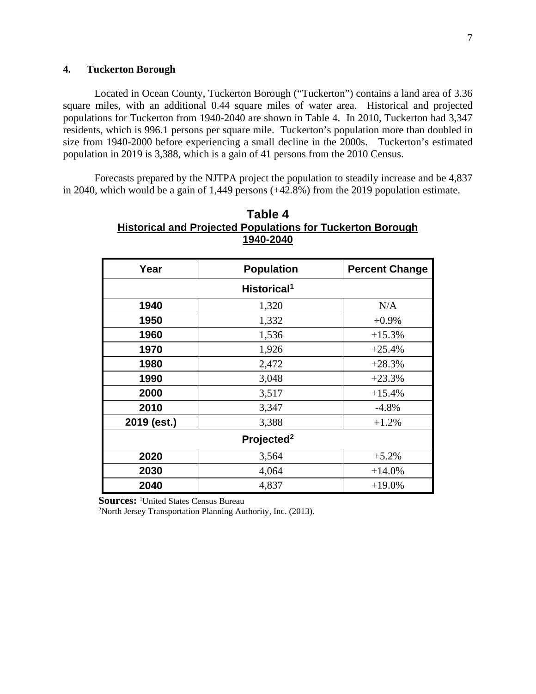# **4. Tuckerton Borough**

Located in Ocean County, Tuckerton Borough ("Tuckerton") contains a land area of 3.36 square miles, with an additional 0.44 square miles of water area. Historical and projected populations for Tuckerton from 1940-2040 are shown in Table 4. In 2010, Tuckerton had 3,347 residents, which is 996.1 persons per square mile. Tuckerton's population more than doubled in size from 1940-2000 before experiencing a small decline in the 2000s. Tuckerton's estimated population in 2019 is 3,388, which is a gain of 41 persons from the 2010 Census.

Forecasts prepared by the NJTPA project the population to steadily increase and be 4,837 in 2040, which would be a gain of 1,449 persons (+42.8%) from the 2019 population estimate.

| Year        | <b>Population</b>       | <b>Percent Change</b> |
|-------------|-------------------------|-----------------------|
|             | Historical <sup>1</sup> |                       |
| 1940        | 1,320                   | N/A                   |
| 1950        | 1,332                   | $+0.9%$               |
| 1960        | 1,536                   | $+15.3%$              |
| 1970        | 1,926                   | $+25.4%$              |
| 1980        | 2,472                   | $+28.3%$              |
| 1990        | 3,048                   | $+23.3%$              |
| 2000        | 3,517                   | $+15.4%$              |
| 2010        | 3,347                   | $-4.8%$               |
| 2019 (est.) | 3,388                   | $+1.2%$               |
|             | Projected <sup>2</sup>  |                       |
| 2020        | 3,564                   | $+5.2%$               |
| 2030        | 4,064                   | $+14.0%$              |
| 2040        | 4,837                   | $+19.0%$              |

| Table 4                                                           |
|-------------------------------------------------------------------|
| <b>Historical and Projected Populations for Tuckerton Borough</b> |
| 1940-2040                                                         |

**Sources: <sup>1</sup>United States Census Bureau** 

2North Jersey Transportation Planning Authority, Inc. (2013).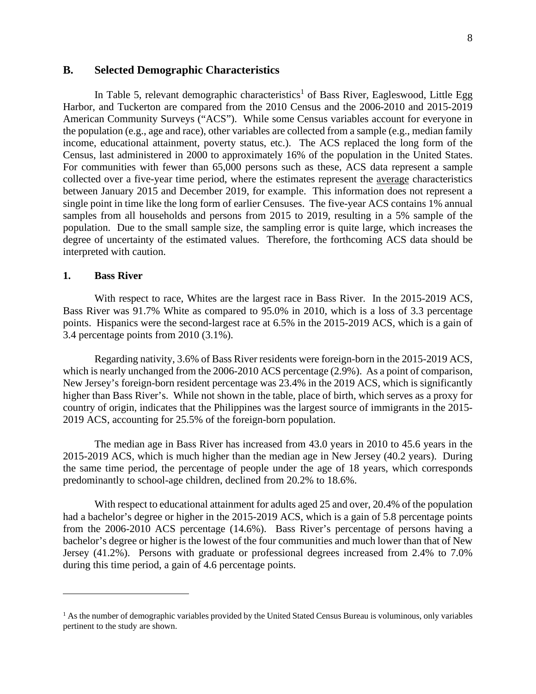# **B. Selected Demographic Characteristics**

In Table 5, relevant demographic characteristics<sup>1</sup> of Bass River, Eagleswood, Little Egg Harbor, and Tuckerton are compared from the 2010 Census and the 2006-2010 and 2015-2019 American Community Surveys ("ACS"). While some Census variables account for everyone in the population (e.g., age and race), other variables are collected from a sample (e.g., median family income, educational attainment, poverty status, etc.). The ACS replaced the long form of the Census, last administered in 2000 to approximately 16% of the population in the United States. For communities with fewer than 65,000 persons such as these, ACS data represent a sample collected over a five-year time period, where the estimates represent the average characteristics between January 2015 and December 2019, for example. This information does not represent a single point in time like the long form of earlier Censuses. The five-year ACS contains 1% annual samples from all households and persons from 2015 to 2019, resulting in a 5% sample of the population. Due to the small sample size, the sampling error is quite large, which increases the degree of uncertainty of the estimated values. Therefore, the forthcoming ACS data should be interpreted with caution.

#### **1. Bass River**

With respect to race, Whites are the largest race in Bass River. In the 2015-2019 ACS, Bass River was 91.7% White as compared to 95.0% in 2010, which is a loss of 3.3 percentage points. Hispanics were the second-largest race at 6.5% in the 2015-2019 ACS, which is a gain of 3.4 percentage points from 2010 (3.1%).

Regarding nativity, 3.6% of Bass River residents were foreign-born in the 2015-2019 ACS, which is nearly unchanged from the 2006-2010 ACS percentage (2.9%). As a point of comparison, New Jersey's foreign-born resident percentage was 23.4% in the 2019 ACS, which is significantly higher than Bass River's. While not shown in the table, place of birth, which serves as a proxy for country of origin, indicates that the Philippines was the largest source of immigrants in the 2015- 2019 ACS, accounting for 25.5% of the foreign-born population.

The median age in Bass River has increased from 43.0 years in 2010 to 45.6 years in the 2015-2019 ACS, which is much higher than the median age in New Jersey (40.2 years). During the same time period, the percentage of people under the age of 18 years, which corresponds predominantly to school-age children, declined from 20.2% to 18.6%.

With respect to educational attainment for adults aged 25 and over, 20.4% of the population had a bachelor's degree or higher in the 2015-2019 ACS, which is a gain of 5.8 percentage points from the 2006-2010 ACS percentage (14.6%). Bass River's percentage of persons having a bachelor's degree or higher is the lowest of the four communities and much lower than that of New Jersey (41.2%). Persons with graduate or professional degrees increased from 2.4% to 7.0% during this time period, a gain of 4.6 percentage points.

<sup>&</sup>lt;sup>1</sup> As the number of demographic variables provided by the United Stated Census Bureau is voluminous, only variables pertinent to the study are shown.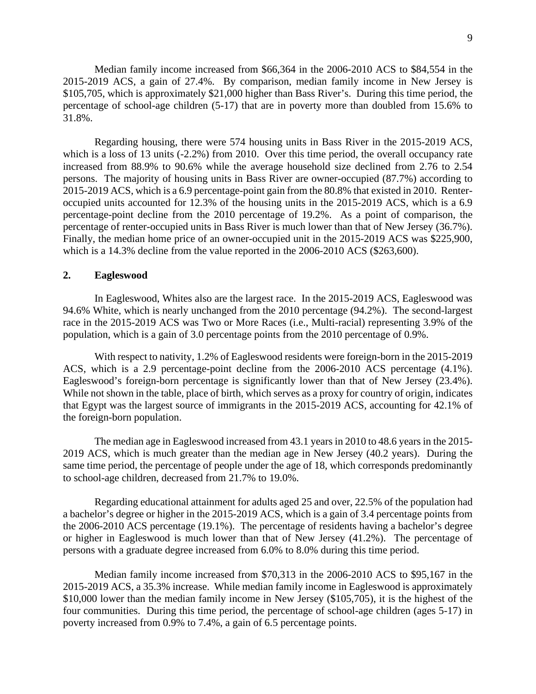Median family income increased from \$66,364 in the 2006-2010 ACS to \$84,554 in the 2015-2019 ACS, a gain of 27.4%. By comparison, median family income in New Jersey is \$105,705, which is approximately \$21,000 higher than Bass River's. During this time period, the percentage of school-age children (5-17) that are in poverty more than doubled from 15.6% to 31.8%.

Regarding housing, there were 574 housing units in Bass River in the 2015-2019 ACS, which is a loss of 13 units (-2.2%) from 2010. Over this time period, the overall occupancy rate increased from 88.9% to 90.6% while the average household size declined from 2.76 to 2.54 persons. The majority of housing units in Bass River are owner-occupied (87.7%) according to 2015-2019 ACS, which is a 6.9 percentage-point gain from the 80.8% that existed in 2010. Renteroccupied units accounted for 12.3% of the housing units in the 2015-2019 ACS, which is a 6.9 percentage-point decline from the 2010 percentage of 19.2%. As a point of comparison, the percentage of renter-occupied units in Bass River is much lower than that of New Jersey (36.7%). Finally, the median home price of an owner-occupied unit in the 2015-2019 ACS was \$225,900, which is a 14.3% decline from the value reported in the 2006-2010 ACS (\$263,600).

# **2. Eagleswood**

In Eagleswood, Whites also are the largest race. In the 2015-2019 ACS, Eagleswood was 94.6% White, which is nearly unchanged from the 2010 percentage (94.2%). The second-largest race in the 2015-2019 ACS was Two or More Races (i.e., Multi-racial) representing 3.9% of the population, which is a gain of 3.0 percentage points from the 2010 percentage of 0.9%.

With respect to nativity, 1.2% of Eagleswood residents were foreign-born in the 2015-2019 ACS, which is a 2.9 percentage-point decline from the 2006-2010 ACS percentage (4.1%). Eagleswood's foreign-born percentage is significantly lower than that of New Jersey (23.4%). While not shown in the table, place of birth, which serves as a proxy for country of origin, indicates that Egypt was the largest source of immigrants in the 2015-2019 ACS, accounting for 42.1% of the foreign-born population.

The median age in Eagleswood increased from 43.1 years in 2010 to 48.6 years in the 2015- 2019 ACS, which is much greater than the median age in New Jersey (40.2 years). During the same time period, the percentage of people under the age of 18, which corresponds predominantly to school-age children, decreased from 21.7% to 19.0%.

Regarding educational attainment for adults aged 25 and over, 22.5% of the population had a bachelor's degree or higher in the 2015-2019 ACS, which is a gain of 3.4 percentage points from the 2006-2010 ACS percentage (19.1%). The percentage of residents having a bachelor's degree or higher in Eagleswood is much lower than that of New Jersey (41.2%). The percentage of persons with a graduate degree increased from 6.0% to 8.0% during this time period.

Median family income increased from \$70,313 in the 2006-2010 ACS to \$95,167 in the 2015-2019 ACS, a 35.3% increase. While median family income in Eagleswood is approximately \$10,000 lower than the median family income in New Jersey (\$105,705), it is the highest of the four communities. During this time period, the percentage of school-age children (ages 5-17) in poverty increased from 0.9% to 7.4%, a gain of 6.5 percentage points.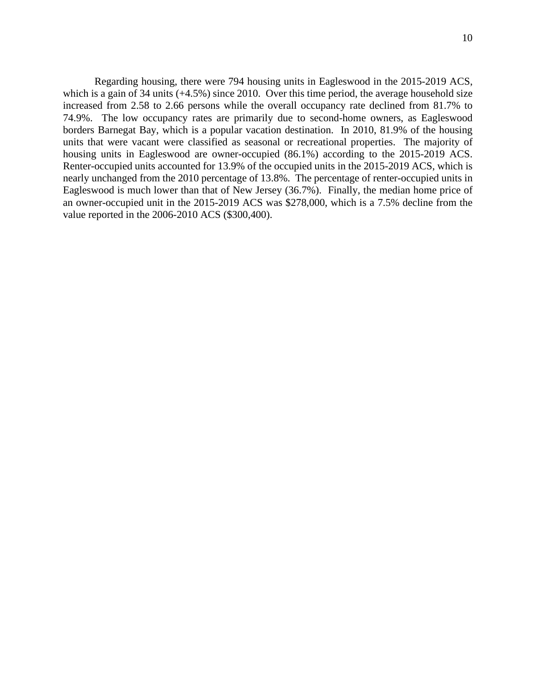Regarding housing, there were 794 housing units in Eagleswood in the 2015-2019 ACS, which is a gain of 34 units (+4.5%) since 2010. Over this time period, the average household size increased from 2.58 to 2.66 persons while the overall occupancy rate declined from 81.7% to 74.9%. The low occupancy rates are primarily due to second-home owners, as Eagleswood borders Barnegat Bay, which is a popular vacation destination. In 2010, 81.9% of the housing units that were vacant were classified as seasonal or recreational properties. The majority of housing units in Eagleswood are owner-occupied (86.1%) according to the 2015-2019 ACS. Renter-occupied units accounted for 13.9% of the occupied units in the 2015-2019 ACS, which is nearly unchanged from the 2010 percentage of 13.8%. The percentage of renter-occupied units in Eagleswood is much lower than that of New Jersey (36.7%). Finally, the median home price of an owner-occupied unit in the 2015-2019 ACS was \$278,000, which is a 7.5% decline from the value reported in the 2006-2010 ACS (\$300,400).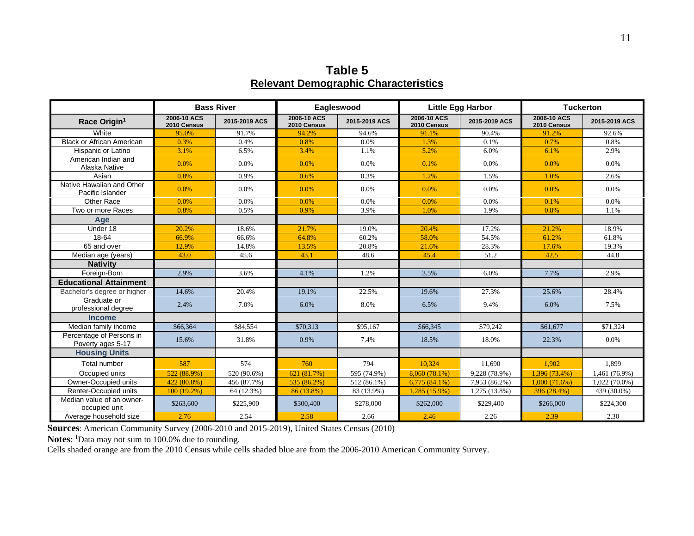**Table 5 Relevant Demographic Characteristics** 

|                                               | <b>Bass River</b>          |               | Eagleswood                 |               | <b>Little Egg Harbor</b>   |               | <b>Tuckerton</b>           |                 |
|-----------------------------------------------|----------------------------|---------------|----------------------------|---------------|----------------------------|---------------|----------------------------|-----------------|
| Race Origin <sup>1</sup>                      | 2006-10 ACS<br>2010 Census | 2015-2019 ACS | 2006-10 ACS<br>2010 Census | 2015-2019 ACS | 2006-10 ACS<br>2010 Census | 2015-2019 ACS | 2006-10 ACS<br>2010 Census | 2015-2019 ACS   |
| White                                         | 95.0%                      | 91.7%         | 94.2%                      | 94.6%         | 91.1%                      | 90.4%         | 91.2%                      | 92.6%           |
| <b>Black or African American</b>              | 0.3%                       | 0.4%          | 0.8%                       | 0.0%          | 1.3%                       | 0.1%          | 0.7%                       | 0.8%            |
| Hispanic or Latino                            | 3.1%                       | 6.5%          | 3.4%                       | 1.1%          | 5.2%                       | 6.0%          | 6.1%                       | 2.9%            |
| American Indian and<br>Alaska Native          | $0.0\%$                    | $0.0\%$       | 0.0%                       | 0.0%          | 0.1%                       | $0.0\%$       | 0.0%                       | 0.0%            |
| Asian                                         | 0.8%                       | 0.9%          | 0.6%                       | 0.3%          | 1.2%                       | 1.5%          | 1.0%                       | 2.6%            |
| Native Hawaiian and Other<br>Pacific Islander | 0.0%                       | $0.0\%$       | 0.0%                       | 0.0%          | 0.0%                       | 0.0%          | 0.0%                       | $0.0\%$         |
| Other Race                                    | 0.0%                       | 0.0%          | 0.0%                       | 0.0%          | 0.0%                       | 0.0%          | 0.1%                       | 0.0%            |
| Two or more Races                             | 0.8%                       | 0.5%          | 0.9%                       | 3.9%          | 1.0%                       | 1.9%          | 0.8%                       | 1.1%            |
| Age                                           |                            |               |                            |               |                            |               |                            |                 |
| Under 18                                      | 20.2%                      | 18.6%         | 21.7%                      | 19.0%         | 20.4%                      | 17.2%         | 21.2%                      | 18.9%           |
| 18-64                                         | 66.9%                      | 66.6%         | 64.8%                      | 60.2%         | 58.0%                      | 54.5%         | 61.2%                      | 61.8%           |
| 65 and over                                   | 12.9%                      | 14.8%         | 13.5%                      | 20.8%         | 21.6%                      | 28.3%         | 17.6%                      | 19.3%           |
| Median age (years)                            | 43.0                       | 45.6          | 43.1                       | 48.6          | 45.4                       | 51.2          | 42.5                       | 44.8            |
| <b>Nativity</b>                               |                            |               |                            |               |                            |               |                            |                 |
| Foreign-Born                                  | 2.9%                       | 3.6%          | 4.1%                       | 1.2%          | 3.5%                       | 6.0%          | 7.7%                       | 2.9%            |
| <b>Educational Attainment</b>                 |                            |               |                            |               |                            |               |                            |                 |
| Bachelor's degree or higher                   | 14.6%                      | 20.4%         | 19.1%                      | 22.5%         | 19.6%                      | 27.3%         | 25.6%                      | 28.4%           |
| Graduate or<br>professional degree            | 2.4%                       | 7.0%          | 6.0%                       | 8.0%          | 6.5%                       | 9.4%          | 6.0%                       | 7.5%            |
| <b>Income</b>                                 |                            |               |                            |               |                            |               |                            |                 |
| Median family income                          | \$66,364                   | \$84,554      | \$70,313                   | \$95,167      | \$66,345                   | \$79,242      | \$61,677                   | \$71.324        |
| Percentage of Persons in<br>Poverty ages 5-17 | 15.6%                      | 31.8%         | 0.9%                       | 7.4%          | 18.5%                      | 18.0%         | 22.3%                      | 0.0%            |
| <b>Housing Units</b>                          |                            |               |                            |               |                            |               |                            |                 |
| Total number                                  | 587                        | 574           | 760                        | 794           | 10.324                     | 11.690        | 1.902                      | 1.899           |
| Occupied units                                | 522 (88.9%)                | 520 (90.6%)   | 621 (81.7%)                | 595 (74.9%)   | 8.060 (78.1%)              | 9,228 (78.9%) | 1,396 (73.4%)              | 1,461 (76.9%)   |
| Owner-Occupied units                          | 422 (80.8%)                | 456 (87.7%)   | 535 (86.2%)                | 512 (86.1%)   | $6,775(84.1\%)$            | 7,953 (86.2%) | 1,000(71.6%)               | $1,022(70.0\%)$ |
| Renter-Occupied units                         | 100 (19.2%)                | 64 (12.3%)    | 86 (13.8%)                 | 83 (13.9%)    | 1,285 (15.9%)              | 1,275 (13.8%) | 396 (28.4%)                | 439 (30.0%)     |
| Median value of an owner-<br>occupied unit    | \$263,600                  | \$225,900     | \$300,400                  | \$278,000     | \$262,000                  | \$229,400     | \$266,000                  | \$224,300       |
| Average household size                        | 2.76                       | 2.54          | 2.58                       | 2.66          | 2.46                       | 2.26          | 2.39                       | 2.30            |

**Sources**: American Community Survey (2006-2010 and 2015-2019), United States Census (2010)

Notes: <sup>1</sup>Data may not sum to 100.0% due to rounding.

Cells shaded orange are from the 2010 Census while cells shaded blue are from the 2006-2010 American Community Survey.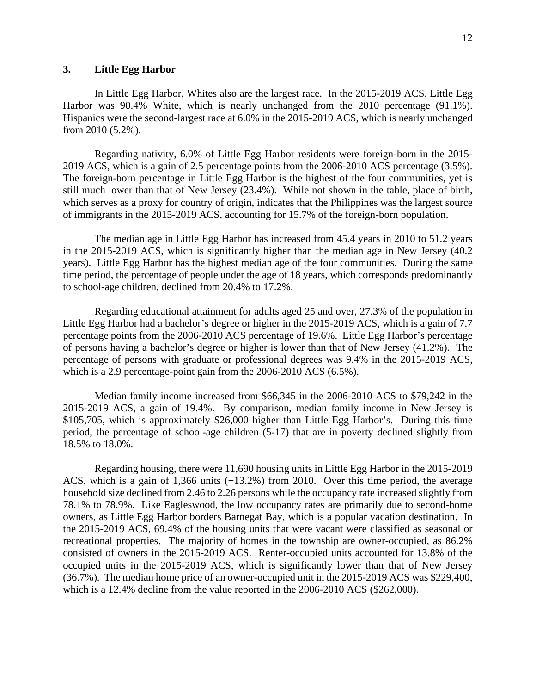# **3. Little Egg Harbor**

In Little Egg Harbor, Whites also are the largest race. In the 2015-2019 ACS, Little Egg Harbor was 90.4% White, which is nearly unchanged from the 2010 percentage (91.1%). Hispanics were the second-largest race at 6.0% in the 2015-2019 ACS, which is nearly unchanged from 2010 (5.2%).

Regarding nativity, 6.0% of Little Egg Harbor residents were foreign-born in the 2015- 2019 ACS, which is a gain of 2.5 percentage points from the 2006-2010 ACS percentage (3.5%). The foreign-born percentage in Little Egg Harbor is the highest of the four communities, yet is still much lower than that of New Jersey (23.4%). While not shown in the table, place of birth, which serves as a proxy for country of origin, indicates that the Philippines was the largest source of immigrants in the 2015-2019 ACS, accounting for 15.7% of the foreign-born population.

The median age in Little Egg Harbor has increased from 45.4 years in 2010 to 51.2 years in the 2015-2019 ACS, which is significantly higher than the median age in New Jersey (40.2 years). Little Egg Harbor has the highest median age of the four communities. During the same time period, the percentage of people under the age of 18 years, which corresponds predominantly to school-age children, declined from 20.4% to 17.2%.

Regarding educational attainment for adults aged 25 and over, 27.3% of the population in Little Egg Harbor had a bachelor's degree or higher in the 2015-2019 ACS, which is a gain of 7.7 percentage points from the 2006-2010 ACS percentage of 19.6%. Little Egg Harbor's percentage of persons having a bachelor's degree or higher is lower than that of New Jersey (41.2%). The percentage of persons with graduate or professional degrees was 9.4% in the 2015-2019 ACS, which is a 2.9 percentage-point gain from the 2006-2010 ACS (6.5%).

Median family income increased from \$66,345 in the 2006-2010 ACS to \$79,242 in the 2015-2019 ACS, a gain of 19.4%. By comparison, median family income in New Jersey is \$105,705, which is approximately \$26,000 higher than Little Egg Harbor's. During this time period, the percentage of school-age children (5-17) that are in poverty declined slightly from 18.5% to 18.0%.

Regarding housing, there were 11,690 housing units in Little Egg Harbor in the 2015-2019 ACS, which is a gain of 1,366 units (+13.2%) from 2010. Over this time period, the average household size declined from 2.46 to 2.26 persons while the occupancy rate increased slightly from 78.1% to 78.9%. Like Eagleswood, the low occupancy rates are primarily due to second-home owners, as Little Egg Harbor borders Barnegat Bay, which is a popular vacation destination. In the 2015-2019 ACS, 69.4% of the housing units that were vacant were classified as seasonal or recreational properties. The majority of homes in the township are owner-occupied, as 86.2% consisted of owners in the 2015-2019 ACS. Renter-occupied units accounted for 13.8% of the occupied units in the 2015-2019 ACS, which is significantly lower than that of New Jersey (36.7%). The median home price of an owner-occupied unit in the 2015-2019 ACS was \$229,400, which is a 12.4% decline from the value reported in the 2006-2010 ACS (\$262,000).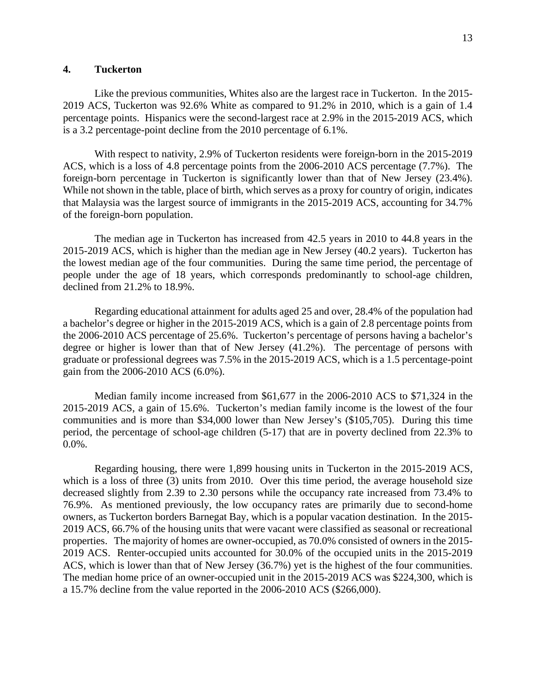# **4. Tuckerton**

Like the previous communities, Whites also are the largest race in Tuckerton. In the 2015- 2019 ACS, Tuckerton was 92.6% White as compared to 91.2% in 2010, which is a gain of 1.4 percentage points. Hispanics were the second-largest race at 2.9% in the 2015-2019 ACS, which is a 3.2 percentage-point decline from the 2010 percentage of 6.1%.

With respect to nativity, 2.9% of Tuckerton residents were foreign-born in the 2015-2019 ACS, which is a loss of 4.8 percentage points from the 2006-2010 ACS percentage (7.7%). The foreign-born percentage in Tuckerton is significantly lower than that of New Jersey (23.4%). While not shown in the table, place of birth, which serves as a proxy for country of origin, indicates that Malaysia was the largest source of immigrants in the 2015-2019 ACS, accounting for 34.7% of the foreign-born population.

The median age in Tuckerton has increased from 42.5 years in 2010 to 44.8 years in the 2015-2019 ACS, which is higher than the median age in New Jersey (40.2 years). Tuckerton has the lowest median age of the four communities. During the same time period, the percentage of people under the age of 18 years, which corresponds predominantly to school-age children, declined from 21.2% to 18.9%.

Regarding educational attainment for adults aged 25 and over, 28.4% of the population had a bachelor's degree or higher in the 2015-2019 ACS, which is a gain of 2.8 percentage points from the 2006-2010 ACS percentage of 25.6%. Tuckerton's percentage of persons having a bachelor's degree or higher is lower than that of New Jersey (41.2%). The percentage of persons with graduate or professional degrees was 7.5% in the 2015-2019 ACS, which is a 1.5 percentage-point gain from the 2006-2010 ACS (6.0%).

Median family income increased from \$61,677 in the 2006-2010 ACS to \$71,324 in the 2015-2019 ACS, a gain of 15.6%. Tuckerton's median family income is the lowest of the four communities and is more than \$34,000 lower than New Jersey's (\$105,705). During this time period, the percentage of school-age children (5-17) that are in poverty declined from 22.3% to 0.0%.

Regarding housing, there were 1,899 housing units in Tuckerton in the 2015-2019 ACS, which is a loss of three (3) units from 2010. Over this time period, the average household size decreased slightly from 2.39 to 2.30 persons while the occupancy rate increased from 73.4% to 76.9%. As mentioned previously, the low occupancy rates are primarily due to second-home owners, as Tuckerton borders Barnegat Bay, which is a popular vacation destination. In the 2015- 2019 ACS, 66.7% of the housing units that were vacant were classified as seasonal or recreational properties. The majority of homes are owner-occupied, as 70.0% consisted of owners in the 2015- 2019 ACS. Renter-occupied units accounted for 30.0% of the occupied units in the 2015-2019 ACS, which is lower than that of New Jersey (36.7%) yet is the highest of the four communities. The median home price of an owner-occupied unit in the 2015-2019 ACS was \$224,300, which is a 15.7% decline from the value reported in the 2006-2010 ACS (\$266,000).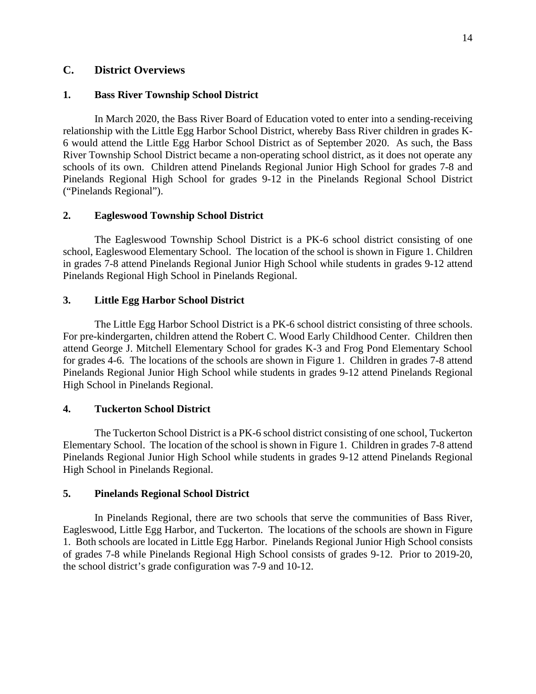# **C. District Overviews**

# **1. Bass River Township School District**

In March 2020, the Bass River Board of Education voted to enter into a sending-receiving relationship with the Little Egg Harbor School District, whereby Bass River children in grades K-6 would attend the Little Egg Harbor School District as of September 2020. As such, the Bass River Township School District became a non-operating school district, as it does not operate any schools of its own. Children attend Pinelands Regional Junior High School for grades 7-8 and Pinelands Regional High School for grades 9-12 in the Pinelands Regional School District ("Pinelands Regional").

#### **2. Eagleswood Township School District**

The Eagleswood Township School District is a PK-6 school district consisting of one school, Eagleswood Elementary School. The location of the school is shown in Figure 1. Children in grades 7-8 attend Pinelands Regional Junior High School while students in grades 9-12 attend Pinelands Regional High School in Pinelands Regional.

# **3. Little Egg Harbor School District**

The Little Egg Harbor School District is a PK-6 school district consisting of three schools. For pre-kindergarten, children attend the Robert C. Wood Early Childhood Center. Children then attend George J. Mitchell Elementary School for grades K-3 and Frog Pond Elementary School for grades 4-6. The locations of the schools are shown in Figure 1. Children in grades 7-8 attend Pinelands Regional Junior High School while students in grades 9-12 attend Pinelands Regional High School in Pinelands Regional.

#### **4. Tuckerton School District**

The Tuckerton School District is a PK-6 school district consisting of one school, Tuckerton Elementary School. The location of the school is shown in Figure 1. Children in grades 7-8 attend Pinelands Regional Junior High School while students in grades 9-12 attend Pinelands Regional High School in Pinelands Regional.

#### **5. Pinelands Regional School District**

In Pinelands Regional, there are two schools that serve the communities of Bass River, Eagleswood, Little Egg Harbor, and Tuckerton. The locations of the schools are shown in Figure 1. Both schools are located in Little Egg Harbor. Pinelands Regional Junior High School consists of grades 7-8 while Pinelands Regional High School consists of grades 9-12. Prior to 2019-20, the school district's grade configuration was 7-9 and 10-12.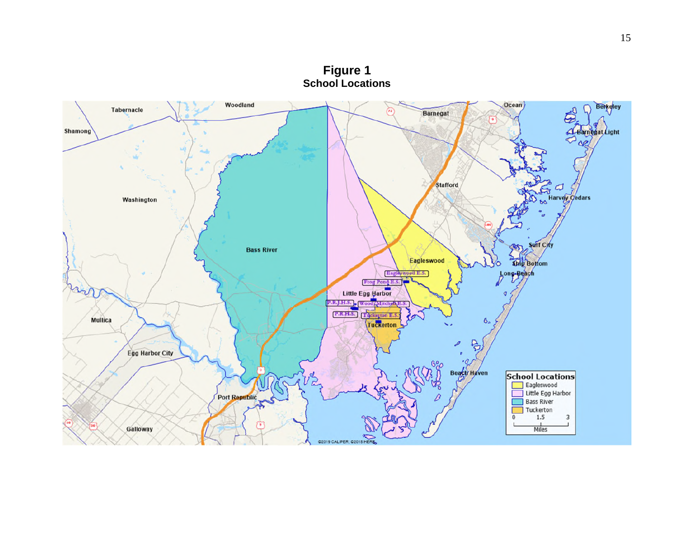

15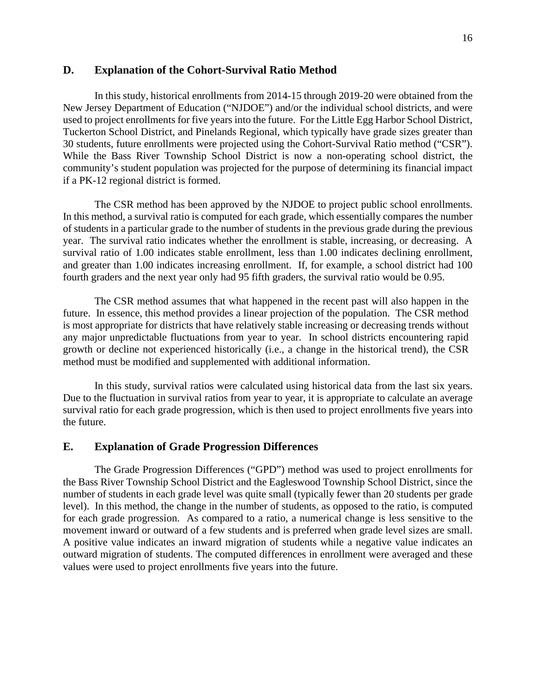# **D. Explanation of the Cohort-Survival Ratio Method**

In this study, historical enrollments from 2014-15 through 2019-20 were obtained from the New Jersey Department of Education ("NJDOE") and/or the individual school districts, and were used to project enrollments for five years into the future. For the Little Egg Harbor School District, Tuckerton School District, and Pinelands Regional, which typically have grade sizes greater than 30 students, future enrollments were projected using the Cohort-Survival Ratio method ("CSR"). While the Bass River Township School District is now a non-operating school district, the community's student population was projected for the purpose of determining its financial impact if a PK-12 regional district is formed.

The CSR method has been approved by the NJDOE to project public school enrollments. In this method, a survival ratio is computed for each grade, which essentially compares the number of students in a particular grade to the number of students in the previous grade during the previous year. The survival ratio indicates whether the enrollment is stable, increasing, or decreasing. A survival ratio of 1.00 indicates stable enrollment, less than 1.00 indicates declining enrollment, and greater than 1.00 indicates increasing enrollment. If, for example, a school district had 100 fourth graders and the next year only had 95 fifth graders, the survival ratio would be 0.95.

The CSR method assumes that what happened in the recent past will also happen in the future. In essence, this method provides a linear projection of the population. The CSR method is most appropriate for districts that have relatively stable increasing or decreasing trends without any major unpredictable fluctuations from year to year. In school districts encountering rapid growth or decline not experienced historically (i.e., a change in the historical trend), the CSR method must be modified and supplemented with additional information.

In this study, survival ratios were calculated using historical data from the last six years. Due to the fluctuation in survival ratios from year to year, it is appropriate to calculate an average survival ratio for each grade progression, which is then used to project enrollments five years into the future.

## **E. Explanation of Grade Progression Differences**

The Grade Progression Differences ("GPD") method was used to project enrollments for the Bass River Township School District and the Eagleswood Township School District, since the number of students in each grade level was quite small (typically fewer than 20 students per grade level). In this method, the change in the number of students, as opposed to the ratio, is computed for each grade progression. As compared to a ratio, a numerical change is less sensitive to the movement inward or outward of a few students and is preferred when grade level sizes are small. A positive value indicates an inward migration of students while a negative value indicates an outward migration of students. The computed differences in enrollment were averaged and these values were used to project enrollments five years into the future.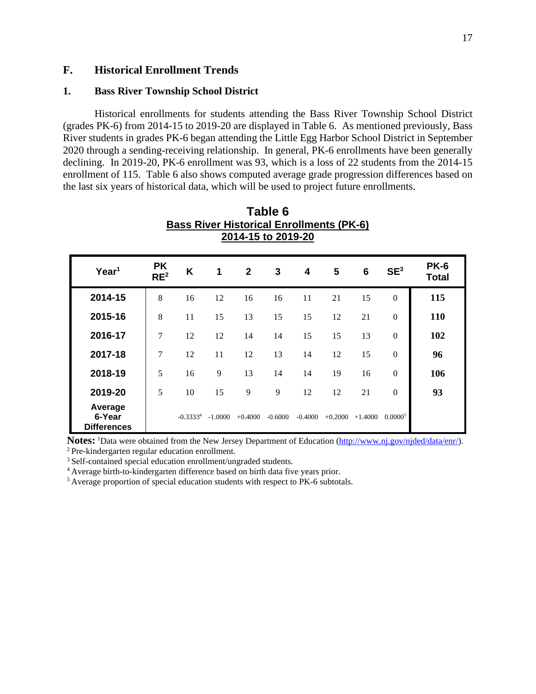# **F. Historical Enrollment Trends**

# **1. Bass River Township School District**

Historical enrollments for students attending the Bass River Township School District (grades PK-6) from 2014-15 to 2019-20 are displayed in Table 6. As mentioned previously, Bass River students in grades PK-6 began attending the Little Egg Harbor School District in September 2020 through a sending-receiving relationship. In general, PK-6 enrollments have been generally declining. In 2019-20, PK-6 enrollment was 93, which is a loss of 22 students from the 2014-15 enrollment of 115. Table 6 also shows computed average grade progression differences based on the last six years of historical data, which will be used to project future enrollments.

**Table 6**

| <b>Bass River Historical Enrollments (PK-6)</b><br>2014-15 to 2019-20 |                              |               |           |              |              |                         |           |                 |                  |                             |  |
|-----------------------------------------------------------------------|------------------------------|---------------|-----------|--------------|--------------|-------------------------|-----------|-----------------|------------------|-----------------------------|--|
| Year <sup>1</sup>                                                     | <b>PK</b><br>RE <sup>2</sup> | K             | 1         | $\mathbf{2}$ | $\mathbf{3}$ | $\overline{\mathbf{4}}$ | 5         | $6\phantom{1}6$ | SE <sup>3</sup>  | <b>PK-6</b><br><b>Total</b> |  |
| 2014-15                                                               | 8                            | 16            | 12        | 16           | 16           | 11                      | 21        | 15              | $\mathbf{0}$     | 115                         |  |
| 2015-16                                                               | 8                            | 11            | 15        | 13           | 15           | 15                      | 12        | 21              | $\theta$         | 110                         |  |
| 2016-17                                                               | 7                            | 12            | 12        | 14           | 14           | 15                      | 15        | 13              | $\Omega$         | 102                         |  |
| 2017-18                                                               | 7                            | 12            | 11        | 12           | 13           | 14                      | 12        | 15              | $\boldsymbol{0}$ | 96                          |  |
| 2018-19                                                               | 5                            | 16            | 9         | 13           | 14           | 14                      | 19        | 16              | $\theta$         | 106                         |  |
| 2019-20                                                               | 5                            | 10            | 15        | 9            | 9            | 12                      | 12        | 21              | $\theta$         | 93                          |  |
| Average<br>6-Year<br><b>Differences</b>                               |                              | $-0.3333^{4}$ | $-1.0000$ | $+0.4000$    | $-0.6000$    | $-0.4000$               | $+0.2000$ | $+1.4000$       | 0.00005          |                             |  |

**Notes:** <sup>1</sup>Data were obtained from the New Jersey Department of Education (http://www.nj.gov/njded/data/enr/). <sup>2</sup>Pre-kindergarten regular education enrollment.

<sup>3</sup> Self-contained special education enrollment/ungraded students.

<sup>4</sup>Average birth-to-kindergarten difference based on birth data five years prior.

5 Average proportion of special education students with respect to PK-6 subtotals.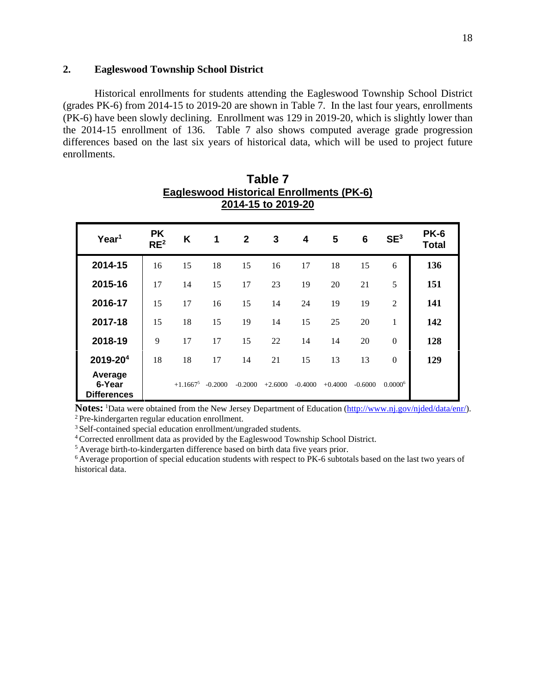# **2. Eagleswood Township School District**

Historical enrollments for students attending the Eagleswood Township School District (grades PK-6) from 2014-15 to 2019-20 are shown in Table 7. In the last four years, enrollments (PK-6) have been slowly declining. Enrollment was 129 in 2019-20, which is slightly lower than the 2014-15 enrollment of 136. Table 7 also shows computed average grade progression differences based on the last six years of historical data, which will be used to project future enrollments.

**Table 7**

| <b>Eagleswood Historical Enrollments (PK-6)</b><br>2014-15 to 2019-20 |                              |             |           |              |           |           |           |           |                 |                      |  |  |
|-----------------------------------------------------------------------|------------------------------|-------------|-----------|--------------|-----------|-----------|-----------|-----------|-----------------|----------------------|--|--|
| Year <sup>1</sup>                                                     | <b>PK</b><br>RE <sup>2</sup> | K           | 1         | $\mathbf{2}$ | 3         | 4         | 5         | 6         | SE <sup>3</sup> | <b>PK-6</b><br>Total |  |  |
| 2014-15                                                               | 16                           | 15          | 18        | 15           | 16        | 17        | 18        | 15        | 6               | 136                  |  |  |
| 2015-16                                                               | 17                           | 14          | 15        | 17           | 23        | 19        | 20        | 21        | 5               | 151                  |  |  |
| 2016-17                                                               | 15                           | 17          | 16        | 15           | 14        | 24        | 19        | 19        | $\overline{2}$  | 141                  |  |  |
| 2017-18                                                               | 15                           | 18          | 15        | 19           | 14        | 15        | 25        | 20        | 1               | 142                  |  |  |
| 2018-19                                                               | 9                            | 17          | 17        | 15           | 22        | 14        | 14        | 20        | $\overline{0}$  | 128                  |  |  |
| 2019-204                                                              | 18                           | 18          | 17        | 14           | 21        | 15        | 13        | 13        | $\Omega$        | 129                  |  |  |
| Average<br>6-Year<br><b>Differences</b>                               |                              | $+1.1667^5$ | $-0.2000$ | $-0.2000$    | $+2.6000$ | $-0.4000$ | $+0.4000$ | $-0.6000$ | $0.0000^6$      |                      |  |  |

Notes: <sup>1</sup>Data were obtained from the New Jersey Department of Education (http://www.nj.gov/njded/data/enr/).

<sup>2</sup>Pre-kindergarten regular education enrollment.

<sup>3</sup> Self-contained special education enrollment/ungraded students.

<sup>4</sup>Corrected enrollment data as provided by the Eagleswood Township School District.

<sup>5</sup> Average birth-to-kindergarten difference based on birth data five years prior.

<sup>6</sup> Average proportion of special education students with respect to PK-6 subtotals based on the last two years of historical data.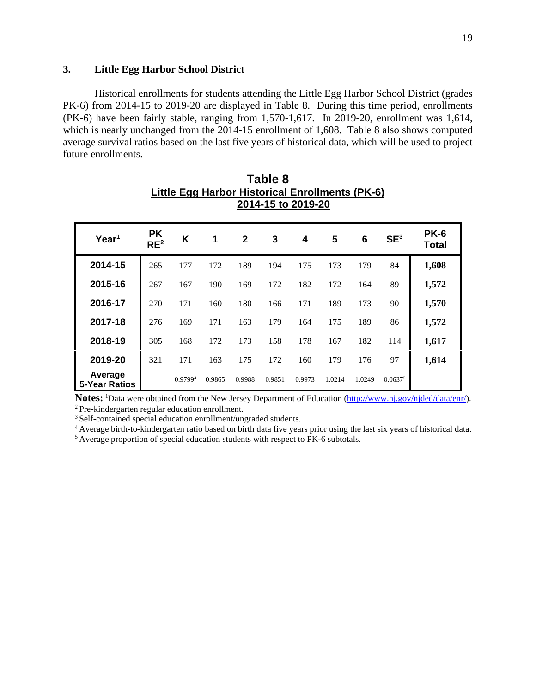# **3. Little Egg Harbor School District**

Historical enrollments for students attending the Little Egg Harbor School District (grades PK-6) from 2014-15 to 2019-20 are displayed in Table 8. During this time period, enrollments (PK-6) have been fairly stable, ranging from 1,570-1,617. In 2019-20, enrollment was 1,614, which is nearly unchanged from the 2014-15 enrollment of 1,608. Table 8 also shows computed average survival ratios based on the last five years of historical data, which will be used to project future enrollments.

**Table 8** 

| Little Egg Harbor Historical Enrollments (PK-6)<br>2014-15 to 2019-20 |                              |                     |        |                |        |        |        |        |                 |                             |  |  |
|-----------------------------------------------------------------------|------------------------------|---------------------|--------|----------------|--------|--------|--------|--------|-----------------|-----------------------------|--|--|
| Year <sup>1</sup>                                                     | <b>PK</b><br>RE <sup>2</sup> | K                   | 1      | $\overline{2}$ | 3      | 4      | 5      | 6      | SE <sup>3</sup> | <b>PK-6</b><br><b>Total</b> |  |  |
| 2014-15                                                               | 265                          | 177                 | 172    | 189            | 194    | 175    | 173    | 179    | 84              | 1,608                       |  |  |
| 2015-16                                                               | 267                          | 167                 | 190    | 169            | 172    | 182    | 172    | 164    | 89              | 1,572                       |  |  |
| 2016-17                                                               | 270                          | 171                 | 160    | 180            | 166    | 171    | 189    | 173    | 90              | 1,570                       |  |  |
| 2017-18                                                               | 276                          | 169                 | 171    | 163            | 179    | 164    | 175    | 189    | 86              | 1,572                       |  |  |
| 2018-19                                                               | 305                          | 168                 | 172    | 173            | 158    | 178    | 167    | 182    | 114             | 1,617                       |  |  |
| 2019-20                                                               | 321                          | 171                 | 163    | 175            | 172    | 160    | 179    | 176    | 97              | 1,614                       |  |  |
| Average<br><b>5-Year Ratios</b>                                       |                              | 0.9799 <sup>4</sup> | 0.9865 | 0.9988         | 0.9851 | 0.9973 | 1.0214 | 1.0249 | $0.0637^{5}$    |                             |  |  |

**Notes:** <sup>1</sup>Data were obtained from the New Jersey Department of Education (http://www.nj.gov/njded/data/enr/). <sup>2</sup>Pre-kindergarten regular education enrollment.

<sup>3</sup> Self-contained special education enrollment/ungraded students.

<sup>4</sup> Average birth-to-kindergarten ratio based on birth data five years prior using the last six years of historical data. <sup>5</sup> Average proportion of special education students with respect to PK-6 subtotals.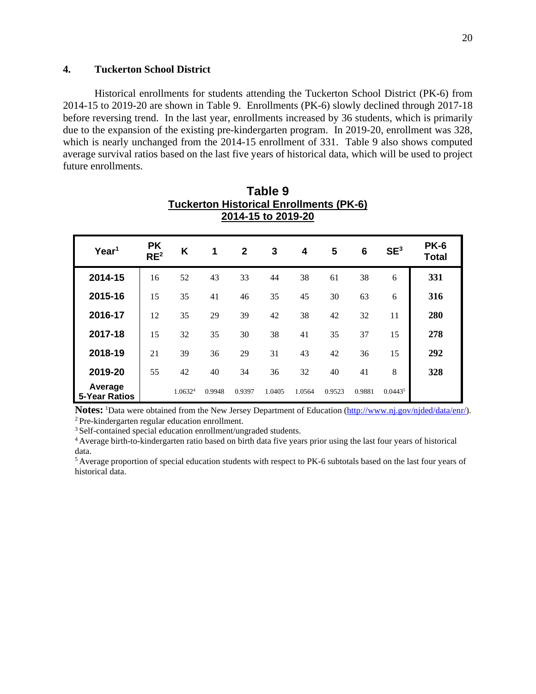# **4. Tuckerton School District**

Historical enrollments for students attending the Tuckerton School District (PK-6) from 2014-15 to 2019-20 are shown in Table 9. Enrollments (PK-6) slowly declined through 2017-18 before reversing trend. In the last year, enrollments increased by 36 students, which is primarily due to the expansion of the existing pre-kindergarten program. In 2019-20, enrollment was 328, which is nearly unchanged from the 2014-15 enrollment of 331. Table 9 also shows computed average survival ratios based on the last five years of historical data, which will be used to project future enrollments.

> **Table 9 Tuckerton Historical Enrollments (PK-6)**

| 2014-15 to 2019-20              |                              |                     |        |              |        |                         |        |                 |                 |                             |  |
|---------------------------------|------------------------------|---------------------|--------|--------------|--------|-------------------------|--------|-----------------|-----------------|-----------------------------|--|
| Year <sup>1</sup>               | <b>PK</b><br>RE <sup>2</sup> | K                   | 1      | $\mathbf{2}$ | 3      | $\overline{\mathbf{4}}$ | 5      | $6\phantom{1}6$ | SE <sup>3</sup> | <b>PK-6</b><br><b>Total</b> |  |
| 2014-15                         | 16                           | 52                  | 43     | 33           | 44     | 38                      | 61     | 38              | 6               | 331                         |  |
| 2015-16                         | 15                           | 35                  | 41     | 46           | 35     | 45                      | 30     | 63              | 6               | 316                         |  |
| 2016-17                         | 12                           | 35                  | 29     | 39           | 42     | 38                      | 42     | 32              | 11              | 280                         |  |
| 2017-18                         | 15                           | 32                  | 35     | 30           | 38     | 41                      | 35     | 37              | 15              | 278                         |  |
| 2018-19                         | 21                           | 39                  | 36     | 29           | 31     | 43                      | 42     | 36              | 15              | 292                         |  |
| 2019-20                         | 55                           | 42                  | 40     | 34           | 36     | 32                      | 40     | 41              | 8               | 328                         |  |
| Average<br><b>5-Year Ratios</b> |                              | 1.0632 <sup>4</sup> | 0.9948 | 0.9397       | 1.0405 | 1.0564                  | 0.9523 | 0.9881          | $0.0443^{5}$    |                             |  |

**Notes:** <sup>1</sup>Data were obtained from the New Jersey Department of Education (http://www.nj.gov/njded/data/enr/).

<sup>2</sup>Pre-kindergarten regular education enrollment.

<sup>3</sup> Self-contained special education enrollment/ungraded students.

<sup>4</sup>Average birth-to-kindergarten ratio based on birth data five years prior using the last four years of historical data.

<sup>5</sup>Average proportion of special education students with respect to PK-6 subtotals based on the last four years of historical data.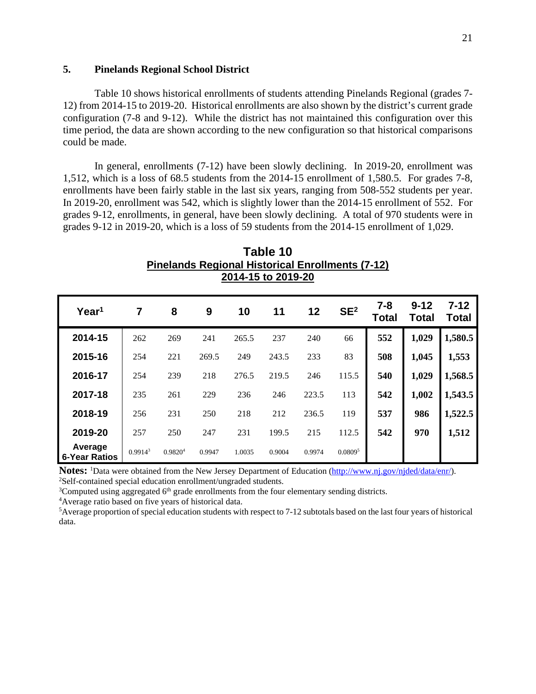# **5. Pinelands Regional School District**

Table 10 shows historical enrollments of students attending Pinelands Regional (grades 7- 12) from 2014-15 to 2019-20. Historical enrollments are also shown by the district's current grade configuration (7-8 and 9-12). While the district has not maintained this configuration over this time period, the data are shown according to the new configuration so that historical comparisons could be made.

In general, enrollments (7-12) have been slowly declining. In 2019-20, enrollment was 1,512, which is a loss of 68.5 students from the 2014-15 enrollment of 1,580.5. For grades 7-8, enrollments have been fairly stable in the last six years, ranging from 508-552 students per year. In 2019-20, enrollment was 542, which is slightly lower than the 2014-15 enrollment of 552. For grades 9-12, enrollments, in general, have been slowly declining. A total of 970 students were in grades 9-12 in 2019-20, which is a loss of 59 students from the 2014-15 enrollment of 1,029.

| Filielahus Regional Historical Enforments (7-12)<br>2014-15 to 2019-20 |                     |                     |        |        |        |        |                     |                  |                          |                   |  |  |
|------------------------------------------------------------------------|---------------------|---------------------|--------|--------|--------|--------|---------------------|------------------|--------------------------|-------------------|--|--|
| Year <sup>1</sup>                                                      | $\overline{7}$      | 8                   | 9      | 10     | 11     | 12     | SE <sup>2</sup>     | $7 - 8$<br>Total | $9 - 12$<br><b>Total</b> | $7 - 12$<br>Total |  |  |
| 2014-15                                                                | 262                 | 269                 | 241    | 265.5  | 237    | 240    | 66                  | 552              | 1,029                    | 1,580.5           |  |  |
| 2015-16                                                                | 254                 | 221                 | 269.5  | 249    | 243.5  | 233    | 83                  | 508              | 1,045                    | 1,553             |  |  |
| 2016-17                                                                | 254                 | 239                 | 218    | 276.5  | 219.5  | 246    | 115.5               | 540              | 1,029                    | 1,568.5           |  |  |
| 2017-18                                                                | 235                 | 261                 | 229    | 236    | 246    | 223.5  | 113                 | 542              | 1,002                    | 1,543.5           |  |  |
| 2018-19                                                                | 256                 | 231                 | 250    | 218    | 212    | 236.5  | 119                 | 537              | 986                      | 1,522.5           |  |  |
| 2019-20                                                                | 257                 | 250                 | 247    | 231    | 199.5  | 215    | 112.5               | 542              | 970                      | 1,512             |  |  |
| Average<br><b>6-Year Ratios</b>                                        | 0.9914 <sup>3</sup> | 0.9820 <sup>4</sup> | 0.9947 | 1.0035 | 0.9004 | 0.9974 | 0.0809 <sup>5</sup> |                  |                          |                   |  |  |

**Table 10 Pinelands Regional Historical Enrollments (7-12)**

**Notes:** <sup>1</sup>Data were obtained from the New Jersey Department of Education (http://www.nj.gov/njded/data/enr/). <sup>2</sup>Self-contained special education enrollment/ungraded students.

 $3$ Computed using aggregated  $6<sup>th</sup>$  grade enrollments from the four elementary sending districts.

<sup>4</sup>Average ratio based on five years of historical data.

 ${}^{5}$ Average proportion of special education students with respect to 7-12 subtotals based on the last four years of historical data.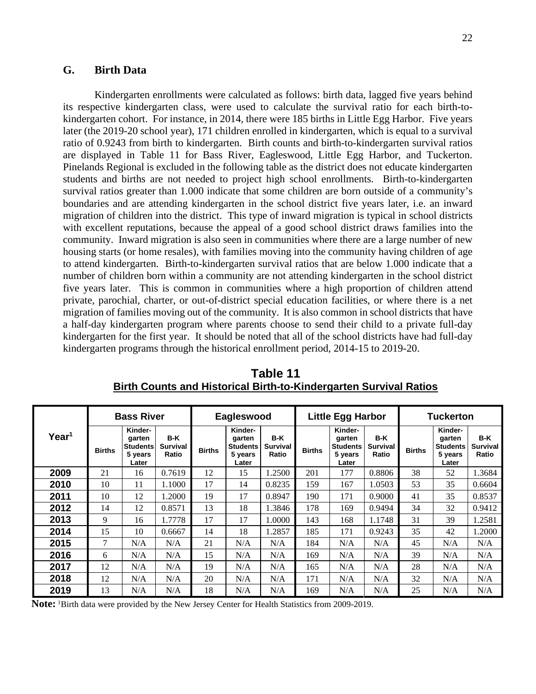# **G. Birth Data**

Kindergarten enrollments were calculated as follows: birth data, lagged five years behind its respective kindergarten class, were used to calculate the survival ratio for each birth-tokindergarten cohort. For instance, in 2014, there were 185 births in Little Egg Harbor. Five years later (the 2019-20 school year), 171 children enrolled in kindergarten, which is equal to a survival ratio of 0.9243 from birth to kindergarten. Birth counts and birth-to-kindergarten survival ratios are displayed in Table 11 for Bass River, Eagleswood, Little Egg Harbor, and Tuckerton. Pinelands Regional is excluded in the following table as the district does not educate kindergarten students and births are not needed to project high school enrollments. Birth-to-kindergarten survival ratios greater than 1.000 indicate that some children are born outside of a community's boundaries and are attending kindergarten in the school district five years later, i.e. an inward migration of children into the district. This type of inward migration is typical in school districts with excellent reputations, because the appeal of a good school district draws families into the community. Inward migration is also seen in communities where there are a large number of new housing starts (or home resales), with families moving into the community having children of age to attend kindergarten. Birth-to-kindergarten survival ratios that are below 1.000 indicate that a number of children born within a community are not attending kindergarten in the school district five years later. This is common in communities where a high proportion of children attend private, parochial, charter, or out-of-district special education facilities, or where there is a net migration of families moving out of the community. It is also common in school districts that have a half-day kindergarten program where parents choose to send their child to a private full-day kindergarten for the first year. It should be noted that all of the school districts have had full-day kindergarten programs through the historical enrollment period, 2014-15 to 2019-20.

|                   |               | <b>Bass River</b>                                        |                                 |               | Eagleswood                                               |                                 |               | <b>Little Egg Harbor</b>                                 |                                 |               | <b>Tuckerton</b>                                         |                                   |
|-------------------|---------------|----------------------------------------------------------|---------------------------------|---------------|----------------------------------------------------------|---------------------------------|---------------|----------------------------------------------------------|---------------------------------|---------------|----------------------------------------------------------|-----------------------------------|
| Year <sup>1</sup> | <b>Births</b> | Kinder-<br>garten<br><b>Students</b><br>5 years<br>Later | B-K<br><b>Survival</b><br>Ratio | <b>Births</b> | Kinder-<br>garten<br><b>Students</b><br>5 years<br>Later | B-K<br><b>Survival</b><br>Ratio | <b>Births</b> | Kinder-<br>garten<br><b>Students</b><br>5 years<br>Later | B-K<br><b>Survival</b><br>Ratio | <b>Births</b> | Kinder-<br>garten<br><b>Students</b><br>5 years<br>Later | $B-K$<br><b>Survival</b><br>Ratio |
| 2009              | 21            | 16                                                       | 0.7619                          | 12            | 15                                                       | 1.2500                          | 201           | 177                                                      | 0.8806                          | 38            | 52                                                       | 1.3684                            |
| 2010              | 10            | 11                                                       | 1.1000                          | 17            | 14                                                       | 0.8235                          | 159           | 167                                                      | 1.0503                          | 53            | 35                                                       | 0.6604                            |
| 2011              | 10            | 12                                                       | 1.2000                          | 19            | 17                                                       | 0.8947                          | 190           | 171                                                      | 0.9000                          | 41            | 35                                                       | 0.8537                            |
| 2012              | 14            | 12                                                       | 0.8571                          | 13            | 18                                                       | 1.3846                          | 178           | 169                                                      | 0.9494                          | 34            | 32                                                       | 0.9412                            |
| 2013              | 9             | 16                                                       | 1.7778                          | 17            | 17                                                       | 1.0000                          | 143           | 168                                                      | 1.1748                          | 31            | 39                                                       | 1.2581                            |
| 2014              | 15            | 10                                                       | 0.6667                          | 14            | 18                                                       | 1.2857                          | 185           | 171                                                      | 0.9243                          | 35            | 42                                                       | 1.2000                            |
| 2015              | 7             | N/A                                                      | N/A                             | 21            | N/A                                                      | N/A                             | 184           | N/A                                                      | N/A                             | 45            | N/A                                                      | N/A                               |
| 2016              | 6             | N/A                                                      | N/A                             | 15            | N/A                                                      | N/A                             | 169           | N/A                                                      | N/A                             | 39            | N/A                                                      | N/A                               |
| 2017              | 12            | N/A                                                      | N/A                             | 19            | N/A                                                      | N/A                             | 165           | N/A                                                      | N/A                             | 28            | N/A                                                      | N/A                               |
| 2018              | 12            | N/A                                                      | N/A                             | 20            | N/A                                                      | N/A                             | 171           | N/A                                                      | N/A                             | 32            | N/A                                                      | N/A                               |
| 2019              | 13            | N/A                                                      | N/A                             | 18            | N/A                                                      | N/A                             | 169           | N/A                                                      | N/A                             | 25            | N/A                                                      | N/A                               |

**Table 11 Birth Counts and Historical Birth-to-Kindergarten Survival Ratios** 

**Note:** <sup>1</sup>Birth data were provided by the New Jersey Center for Health Statistics from 2009-2019.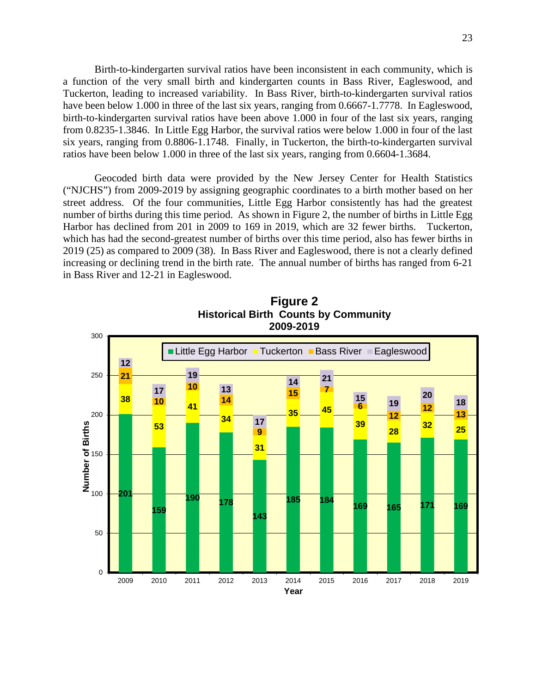Birth-to-kindergarten survival ratios have been inconsistent in each community, which is a function of the very small birth and kindergarten counts in Bass River, Eagleswood, and Tuckerton, leading to increased variability. In Bass River, birth-to-kindergarten survival ratios have been below 1.000 in three of the last six years, ranging from 0.6667-1.7778. In Eagleswood, birth-to-kindergarten survival ratios have been above 1.000 in four of the last six years, ranging from 0.8235-1.3846. In Little Egg Harbor, the survival ratios were below 1.000 in four of the last six years, ranging from 0.8806-1.1748. Finally, in Tuckerton, the birth-to-kindergarten survival ratios have been below 1.000 in three of the last six years, ranging from 0.6604-1.3684.

Geocoded birth data were provided by the New Jersey Center for Health Statistics ("NJCHS") from 2009-2019 by assigning geographic coordinates to a birth mother based on her street address. Of the four communities, Little Egg Harbor consistently has had the greatest number of births during this time period. As shown in Figure 2, the number of births in Little Egg Harbor has declined from 201 in 2009 to 169 in 2019, which are 32 fewer births. Tuckerton, which has had the second-greatest number of births over this time period, also has fewer births in 2019 (25) as compared to 2009 (38). In Bass River and Eagleswood, there is not a clearly defined increasing or declining trend in the birth rate. The annual number of births has ranged from 6-21 in Bass River and 12-21 in Eagleswood.



**Figure 2 Historical Birth Counts by Community 2009-2019**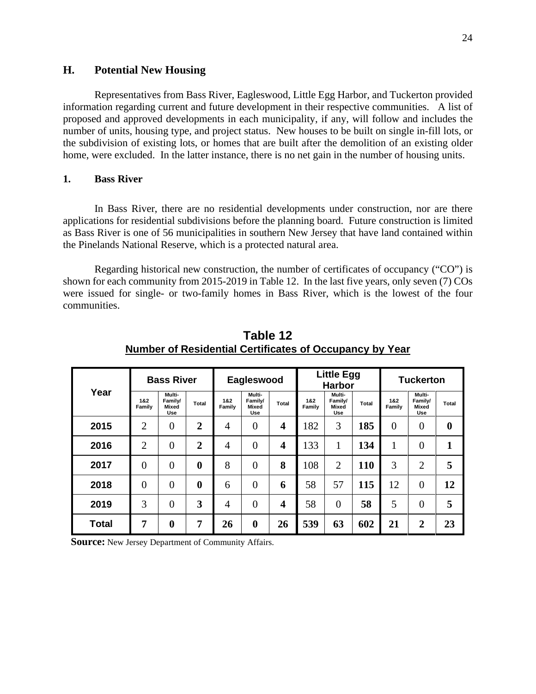# **H. Potential New Housing**

Representatives from Bass River, Eagleswood, Little Egg Harbor, and Tuckerton provided information regarding current and future development in their respective communities. A list of proposed and approved developments in each municipality, if any, will follow and includes the number of units, housing type, and project status. New houses to be built on single in-fill lots, or the subdivision of existing lots, or homes that are built after the demolition of an existing older home, were excluded. In the latter instance, there is no net gain in the number of housing units.

# **1. Bass River**

In Bass River, there are no residential developments under construction, nor are there applications for residential subdivisions before the planning board. Future construction is limited as Bass River is one of 56 municipalities in southern New Jersey that have land contained within the Pinelands National Reserve, which is a protected natural area.

Regarding historical new construction, the number of certificates of occupancy ("CO") is shown for each community from 2015-2019 in Table 12. In the last five years, only seven (7) COs were issued for single- or two-family homes in Bass River, which is the lowest of the four communities.

|              | <b>Bass River</b><br>Year |                                          |                  |               | Eagleswood                               |       |               | <b>Little Egg</b><br><b>Harbor</b> |       | <b>Tuckerton</b> |                                   |                  |
|--------------|---------------------------|------------------------------------------|------------------|---------------|------------------------------------------|-------|---------------|------------------------------------|-------|------------------|-----------------------------------|------------------|
|              | 1&2<br>Family             | Multi-<br>Family/<br>Mixed<br><b>Use</b> | Total            | 1&2<br>Family | Multi-<br>Family/<br>Mixed<br><b>Use</b> | Total | 1&2<br>Family | Multi-<br>Family/<br>Mixed<br>Use  | Total | 1&2<br>Family    | Multi-<br>Family/<br>Mixed<br>Use | Total            |
| 2015         | $\overline{2}$            | $\overline{0}$                           | $\overline{2}$   | 4             | $\overline{0}$                           | 4     | 182           | 3                                  | 185   | $\overline{0}$   | $\overline{0}$                    | $\boldsymbol{0}$ |
| 2016         | $\overline{2}$            | $\overline{0}$                           | $\overline{2}$   | 4             | $\overline{0}$                           | 4     | 133           | 1                                  | 134   | 1                | $\overline{0}$                    | 1                |
| 2017         | $\Omega$                  | $\theta$                                 | $\boldsymbol{0}$ | 8             | $\theta$                                 | 8     | 108           | $\overline{2}$                     | 110   | 3                | 2                                 | 5                |
| 2018         | $\theta$                  | $\overline{0}$                           | $\bf{0}$         | 6             | $\overline{0}$                           | 6     | 58            | 57                                 | 115   | 12               | $\overline{0}$                    | 12               |
| 2019         | 3                         | $\theta$                                 | 3                | 4             | $\theta$                                 | 4     | 58            | $\theta$                           | 58    | 5                | $\theta$                          | 5                |
| <b>Total</b> | 7                         | 0                                        | 7                | 26            | $\bf{0}$                                 | 26    | 539           | 63                                 | 602   | 21               | $\mathbf 2$                       | 23               |

**Table 12 Number of Residential Certificates of Occupancy by Year**

**Source:** New Jersey Department of Community Affairs.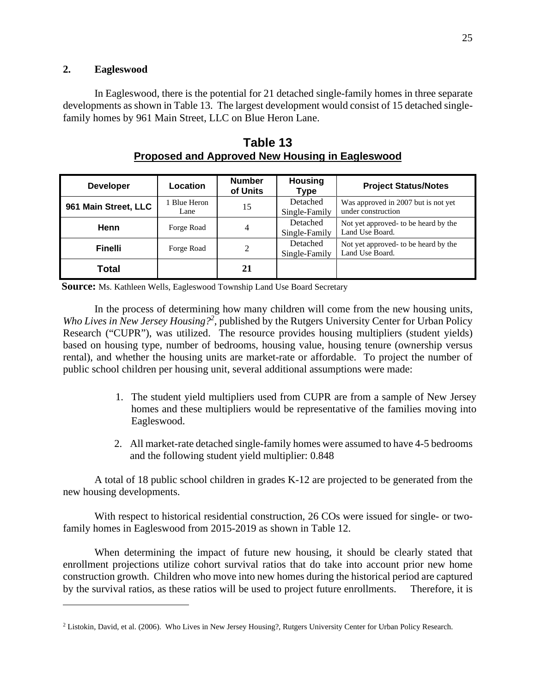# **2. Eagleswood**

In Eagleswood, there is the potential for 21 detached single-family homes in three separate developments as shown in Table 13. The largest development would consist of 15 detached singlefamily homes by 961 Main Street, LLC on Blue Heron Lane.

| <b>Developer</b>     | Location             | <b>Number</b><br>of Units | <b>Housing</b><br>Type    | <b>Project Status/Notes</b>                               |
|----------------------|----------------------|---------------------------|---------------------------|-----------------------------------------------------------|
| 961 Main Street, LLC | 1 Blue Heron<br>Lane | 15                        | Detached<br>Single-Family | Was approved in 2007 but is not yet<br>under construction |
| Henn                 | Forge Road           | 4                         | Detached<br>Single-Family | Not yet approved- to be heard by the<br>Land Use Board.   |
| <b>Finelli</b>       | Forge Road           |                           | Detached<br>Single-Family | Not yet approved- to be heard by the<br>Land Use Board.   |
| <b>Total</b>         |                      | 21                        |                           |                                                           |

**Table 13 Proposed and Approved New Housing in Eagleswood** 

**Source:** Ms. Kathleen Wells, Eagleswood Township Land Use Board Secretary

In the process of determining how many children will come from the new housing units, Who Lives in New Jersey Housing?<sup>2</sup>, published by the Rutgers University Center for Urban Policy Research ("CUPR"), was utilized. The resource provides housing multipliers (student yields) based on housing type, number of bedrooms, housing value, housing tenure (ownership versus rental), and whether the housing units are market-rate or affordable. To project the number of public school children per housing unit, several additional assumptions were made:

- 1. The student yield multipliers used from CUPR are from a sample of New Jersey homes and these multipliers would be representative of the families moving into Eagleswood.
- 2. All market-rate detached single-family homes were assumed to have 4-5 bedrooms and the following student yield multiplier: 0.848

A total of 18 public school children in grades K-12 are projected to be generated from the new housing developments.

With respect to historical residential construction, 26 COs were issued for single- or twofamily homes in Eagleswood from 2015-2019 as shown in Table 12.

When determining the impact of future new housing, it should be clearly stated that enrollment projections utilize cohort survival ratios that do take into account prior new home construction growth. Children who move into new homes during the historical period are captured by the survival ratios, as these ratios will be used to project future enrollments. Therefore, it is

<sup>&</sup>lt;sup>2</sup> Listokin, David, et al. (2006). Who Lives in New Jersey Housing?, Rutgers University Center for Urban Policy Research.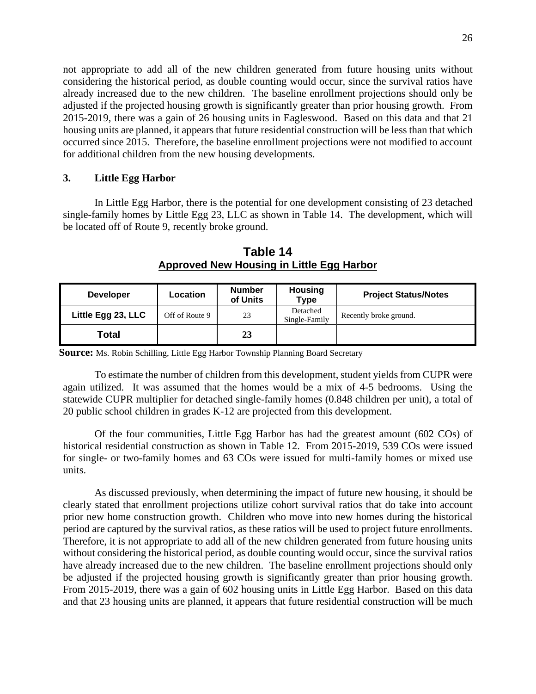not appropriate to add all of the new children generated from future housing units without considering the historical period, as double counting would occur, since the survival ratios have already increased due to the new children. The baseline enrollment projections should only be adjusted if the projected housing growth is significantly greater than prior housing growth. From 2015-2019, there was a gain of 26 housing units in Eagleswood. Based on this data and that 21 housing units are planned, it appears that future residential construction will be less than that which occurred since 2015. Therefore, the baseline enrollment projections were not modified to account for additional children from the new housing developments.

## **3. Little Egg Harbor**

In Little Egg Harbor, there is the potential for one development consisting of 23 detached single-family homes by Little Egg 23, LLC as shown in Table 14. The development, which will be located off of Route 9, recently broke ground.

| <b>Developer</b>   | Location       | <b>Number</b><br>of Units | <b>Housing</b><br><b>Type</b> | <b>Project Status/Notes</b> |
|--------------------|----------------|---------------------------|-------------------------------|-----------------------------|
| Little Egg 23, LLC | Off of Route 9 | 23                        | Detached<br>Single-Family     | Recently broke ground.      |
| <b>Total</b>       |                | 23                        |                               |                             |

**Table 14 Approved New Housing in Little Egg Harbor** 

**Source:** Ms. Robin Schilling, Little Egg Harbor Township Planning Board Secretary

To estimate the number of children from this development, student yields from CUPR were again utilized. It was assumed that the homes would be a mix of 4-5 bedrooms. Using the statewide CUPR multiplier for detached single-family homes (0.848 children per unit), a total of 20 public school children in grades K-12 are projected from this development.

Of the four communities, Little Egg Harbor has had the greatest amount (602 COs) of historical residential construction as shown in Table 12. From 2015-2019, 539 COs were issued for single- or two-family homes and 63 COs were issued for multi-family homes or mixed use units.

As discussed previously, when determining the impact of future new housing, it should be clearly stated that enrollment projections utilize cohort survival ratios that do take into account prior new home construction growth. Children who move into new homes during the historical period are captured by the survival ratios, as these ratios will be used to project future enrollments. Therefore, it is not appropriate to add all of the new children generated from future housing units without considering the historical period, as double counting would occur, since the survival ratios have already increased due to the new children. The baseline enrollment projections should only be adjusted if the projected housing growth is significantly greater than prior housing growth. From 2015-2019, there was a gain of 602 housing units in Little Egg Harbor. Based on this data and that 23 housing units are planned, it appears that future residential construction will be much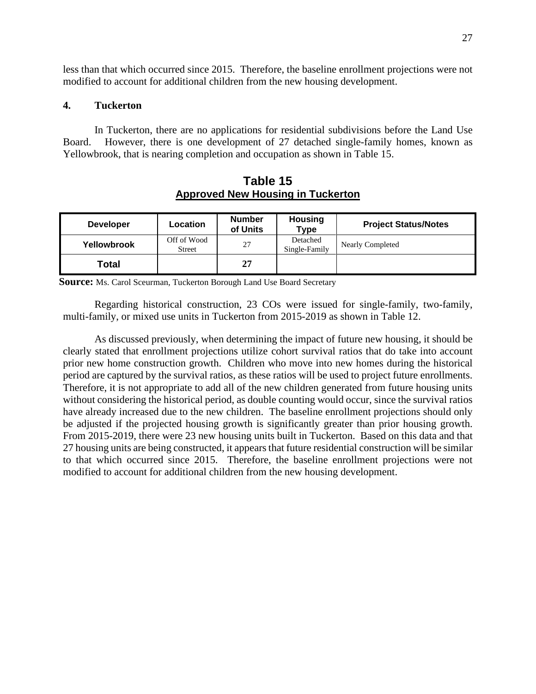less than that which occurred since 2015. Therefore, the baseline enrollment projections were not modified to account for additional children from the new housing development.

## **4. Tuckerton**

In Tuckerton, there are no applications for residential subdivisions before the Land Use Board. However, there is one development of 27 detached single-family homes, known as Yellowbrook, that is nearing completion and occupation as shown in Table 15.

**Table 15 Approved New Housing in Tuckerton** 

| <b>Developer</b> | Location                     | <b>Number</b><br>of Units | <b>Housing</b><br><b>Type</b> | <b>Project Status/Notes</b> |
|------------------|------------------------------|---------------------------|-------------------------------|-----------------------------|
| Yellowbrook      | Off of Wood<br><b>Street</b> | 27                        | Detached<br>Single-Family     | <b>Nearly Completed</b>     |
| Total            |                              | 27                        |                               |                             |

**Source:** Ms. Carol Sceurman, Tuckerton Borough Land Use Board Secretary

Regarding historical construction, 23 COs were issued for single-family, two-family, multi-family, or mixed use units in Tuckerton from 2015-2019 as shown in Table 12.

As discussed previously, when determining the impact of future new housing, it should be clearly stated that enrollment projections utilize cohort survival ratios that do take into account prior new home construction growth. Children who move into new homes during the historical period are captured by the survival ratios, as these ratios will be used to project future enrollments. Therefore, it is not appropriate to add all of the new children generated from future housing units without considering the historical period, as double counting would occur, since the survival ratios have already increased due to the new children. The baseline enrollment projections should only be adjusted if the projected housing growth is significantly greater than prior housing growth. From 2015-2019, there were 23 new housing units built in Tuckerton. Based on this data and that 27 housing units are being constructed, it appears that future residential construction will be similar to that which occurred since 2015. Therefore, the baseline enrollment projections were not modified to account for additional children from the new housing development.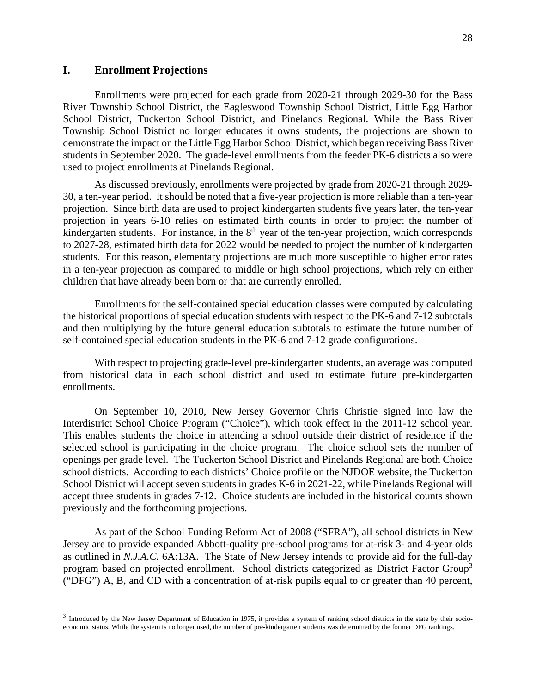# **I. Enrollment Projections**

Enrollments were projected for each grade from 2020-21 through 2029-30 for the Bass River Township School District, the Eagleswood Township School District, Little Egg Harbor School District, Tuckerton School District, and Pinelands Regional. While the Bass River Township School District no longer educates it owns students, the projections are shown to demonstrate the impact on the Little Egg Harbor School District, which began receiving Bass River students in September 2020. The grade-level enrollments from the feeder PK-6 districts also were used to project enrollments at Pinelands Regional.

As discussed previously, enrollments were projected by grade from 2020-21 through 2029- 30, a ten-year period. It should be noted that a five-year projection is more reliable than a ten-year projection. Since birth data are used to project kindergarten students five years later, the ten-year projection in years 6-10 relies on estimated birth counts in order to project the number of kindergarten students. For instance, in the  $8<sup>th</sup>$  year of the ten-year projection, which corresponds to 2027-28, estimated birth data for 2022 would be needed to project the number of kindergarten students. For this reason, elementary projections are much more susceptible to higher error rates in a ten-year projection as compared to middle or high school projections, which rely on either children that have already been born or that are currently enrolled.

Enrollments for the self-contained special education classes were computed by calculating the historical proportions of special education students with respect to the PK-6 and 7-12 subtotals and then multiplying by the future general education subtotals to estimate the future number of self-contained special education students in the PK-6 and 7-12 grade configurations.

With respect to projecting grade-level pre-kindergarten students, an average was computed from historical data in each school district and used to estimate future pre-kindergarten enrollments.

On September 10, 2010, New Jersey Governor Chris Christie signed into law the Interdistrict School Choice Program ("Choice"), which took effect in the 2011-12 school year. This enables students the choice in attending a school outside their district of residence if the selected school is participating in the choice program. The choice school sets the number of openings per grade level. The Tuckerton School District and Pinelands Regional are both Choice school districts. According to each districts' Choice profile on the NJDOE website, the Tuckerton School District will accept seven students in grades K-6 in 2021-22, while Pinelands Regional will accept three students in grades 7-12. Choice students are included in the historical counts shown previously and the forthcoming projections.

As part of the School Funding Reform Act of 2008 ("SFRA"), all school districts in New Jersey are to provide expanded Abbott-quality pre-school programs for at-risk 3- and 4-year olds as outlined in *N.J.A.C.* 6A:13A. The State of New Jersey intends to provide aid for the full-day program based on projected enrollment. School districts categorized as District Factor Group<sup>3</sup> ("DFG") A, B, and CD with a concentration of at-risk pupils equal to or greater than 40 percent,

<sup>&</sup>lt;sup>3</sup> Introduced by the New Jersey Department of Education in 1975, it provides a system of ranking school districts in the state by their socioeconomic status. While the system is no longer used, the number of pre-kindergarten students was determined by the former DFG rankings.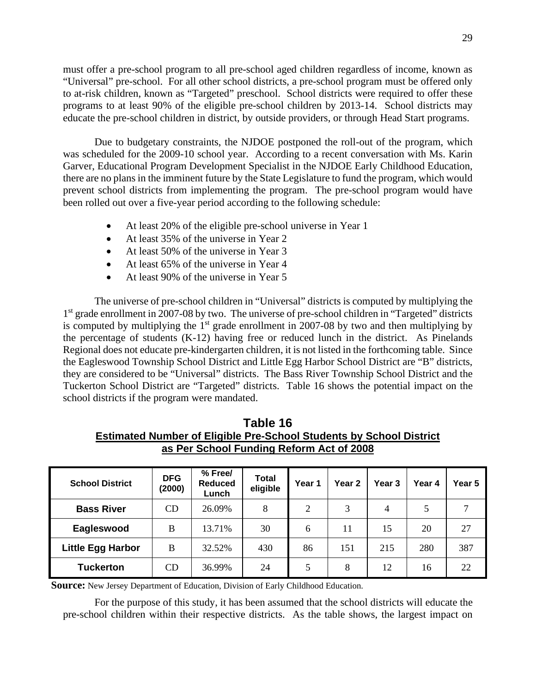must offer a pre-school program to all pre-school aged children regardless of income, known as "Universal" pre-school. For all other school districts, a pre-school program must be offered only to at-risk children, known as "Targeted" preschool. School districts were required to offer these programs to at least 90% of the eligible pre-school children by 2013-14. School districts may educate the pre-school children in district, by outside providers, or through Head Start programs.

Due to budgetary constraints, the NJDOE postponed the roll-out of the program, which was scheduled for the 2009-10 school year. According to a recent conversation with Ms. Karin Garver, Educational Program Development Specialist in the NJDOE Early Childhood Education, there are no plans in the imminent future by the State Legislature to fund the program, which would prevent school districts from implementing the program. The pre-school program would have been rolled out over a five-year period according to the following schedule:

- At least 20% of the eligible pre-school universe in Year 1
- At least 35% of the universe in Year 2
- At least 50% of the universe in Year 3
- At least 65% of the universe in Year 4
- At least 90% of the universe in Year 5

The universe of pre-school children in "Universal" districts is computed by multiplying the 1<sup>st</sup> grade enrollment in 2007-08 by two. The universe of pre-school children in "Targeted" districts is computed by multiplying the  $1<sup>st</sup>$  grade enrollment in 2007-08 by two and then multiplying by the percentage of students (K-12) having free or reduced lunch in the district. As Pinelands Regional does not educate pre-kindergarten children, it is not listed in the forthcoming table. Since the Eagleswood Township School District and Little Egg Harbor School District are "B" districts, they are considered to be "Universal" districts. The Bass River Township School District and the Tuckerton School District are "Targeted" districts. Table 16 shows the potential impact on the school districts if the program were mandated.

| Table 16                                                                   |
|----------------------------------------------------------------------------|
| <b>Estimated Number of Eligible Pre-School Students by School District</b> |
| as Per School Funding Reform Act of 2008                                   |

| <b>School District</b>   | <b>DFG</b><br>(2000) | % Free/<br><b>Reduced</b><br>Lunch | <b>Total</b><br>eligible | Year 1         | Year <sub>2</sub> | Year 3         | Year 4 | Year 5 |
|--------------------------|----------------------|------------------------------------|--------------------------|----------------|-------------------|----------------|--------|--------|
| <b>Bass River</b>        | CD                   | 26.09%                             | 8                        | $\overline{2}$ | 3                 | $\overline{4}$ | 5      | 7      |
| Eagleswood               | B                    | 13.71%                             | 30                       | 6              | 11                | 15             | 20     | 27     |
| <b>Little Egg Harbor</b> | B                    | 32.52%                             | 430                      | 86             | 151               | 215            | 280    | 387    |
| <b>Tuckerton</b>         | CD                   | 36.99%                             | 24                       | 5              | 8                 | 12             | 16     | 22     |

**Source:** New Jersey Department of Education, Division of Early Childhood Education.

For the purpose of this study, it has been assumed that the school districts will educate the pre-school children within their respective districts. As the table shows, the largest impact on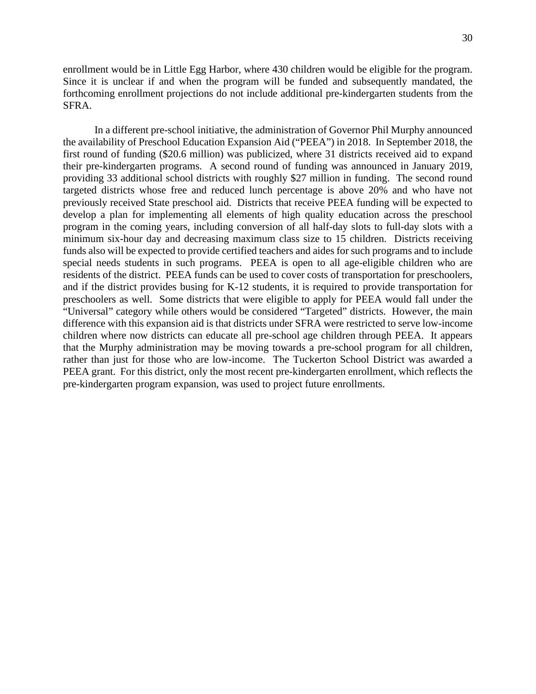enrollment would be in Little Egg Harbor, where 430 children would be eligible for the program. Since it is unclear if and when the program will be funded and subsequently mandated, the forthcoming enrollment projections do not include additional pre-kindergarten students from the SFRA.

In a different pre-school initiative, the administration of Governor Phil Murphy announced the availability of Preschool Education Expansion Aid ("PEEA") in 2018. In September 2018, the first round of funding (\$20.6 million) was publicized, where 31 districts received aid to expand their pre-kindergarten programs. A second round of funding was announced in January 2019, providing 33 additional school districts with roughly \$27 million in funding. The second round targeted districts whose free and reduced lunch percentage is above 20% and who have not previously received State preschool aid. Districts that receive PEEA funding will be expected to develop a plan for implementing all elements of high quality education across the preschool program in the coming years, including conversion of all half-day slots to full-day slots with a minimum six-hour day and decreasing maximum class size to 15 children. Districts receiving funds also will be expected to provide certified teachers and aides for such programs and to include special needs students in such programs. PEEA is open to all age-eligible children who are residents of the district. PEEA funds can be used to cover costs of transportation for preschoolers, and if the district provides busing for K-12 students, it is required to provide transportation for preschoolers as well. Some districts that were eligible to apply for PEEA would fall under the "Universal" category while others would be considered "Targeted" districts. However, the main difference with this expansion aid is that districts under SFRA were restricted to serve low-income children where now districts can educate all pre-school age children through PEEA. It appears that the Murphy administration may be moving towards a pre-school program for all children, rather than just for those who are low-income. The Tuckerton School District was awarded a PEEA grant. For this district, only the most recent pre-kindergarten enrollment, which reflects the pre-kindergarten program expansion, was used to project future enrollments.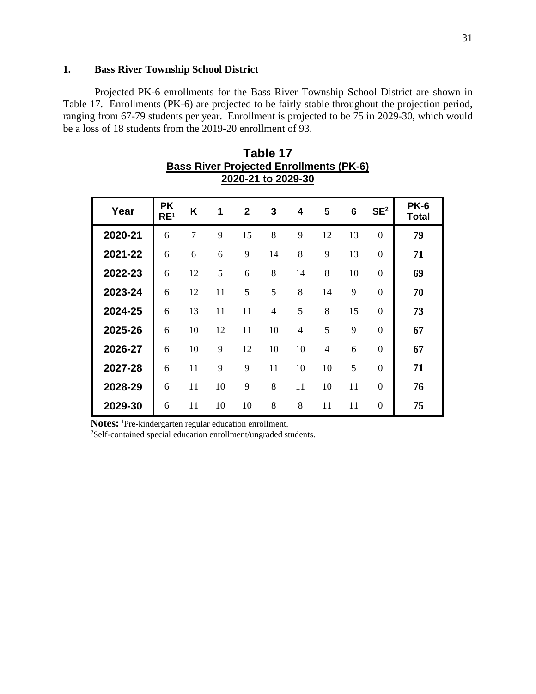## **1. Bass River Township School District**

Projected PK-6 enrollments for the Bass River Township School District are shown in Table 17. Enrollments (PK-6) are projected to be fairly stable throughout the projection period, ranging from 67-79 students per year. Enrollment is projected to be 75 in 2029-30, which would be a loss of 18 students from the 2019-20 enrollment of 93.

| Year    | <b>PK</b><br>RE <sup>1</sup> | K              | 1  | $\mathbf{2}$ | 3              | 4  | 5              | 6  | SE <sup>2</sup> | <b>PK-6</b><br><b>Total</b> |
|---------|------------------------------|----------------|----|--------------|----------------|----|----------------|----|-----------------|-----------------------------|
| 2020-21 | 6                            | $\overline{7}$ | 9  | 15           | 8              | 9  | 12             | 13 | $\theta$        | 79                          |
| 2021-22 | 6                            | 6              | 6  | 9            | 14             | 8  | 9              | 13 | $\theta$        | 71                          |
| 2022-23 | 6                            | 12             | 5  | 6            | 8              | 14 | 8              | 10 | $\theta$        | 69                          |
| 2023-24 | 6                            | 12             | 11 | 5            | 5              | 8  | 14             | 9  | $\Omega$        | 70                          |
| 2024-25 | 6                            | 13             | 11 | 11           | $\overline{4}$ | 5  | 8              | 15 | $\Omega$        | 73                          |
| 2025-26 | 6                            | 10             | 12 | 11           | 10             | 4  | 5              | 9  | $\Omega$        | 67                          |
| 2026-27 | 6                            | 10             | 9  | 12           | 10             | 10 | $\overline{4}$ | 6  | $\Omega$        | 67                          |
| 2027-28 | 6                            | 11             | 9  | 9            | 11             | 10 | 10             | 5  | $\theta$        | 71                          |
| 2028-29 | 6                            | 11             | 10 | 9            | 8              | 11 | 10             | 11 | $\theta$        | 76                          |
| 2029-30 | 6                            | 11             | 10 | 10           | 8              | 8  | 11             | 11 | 0               | 75                          |

| Table 17                                       |
|------------------------------------------------|
| <b>Bass River Projected Enrollments (PK-6)</b> |
| 2020-21 to 2029-30                             |

**Notes:** <sup>1</sup>Pre-kindergarten regular education enrollment.

2Self-contained special education enrollment/ungraded students.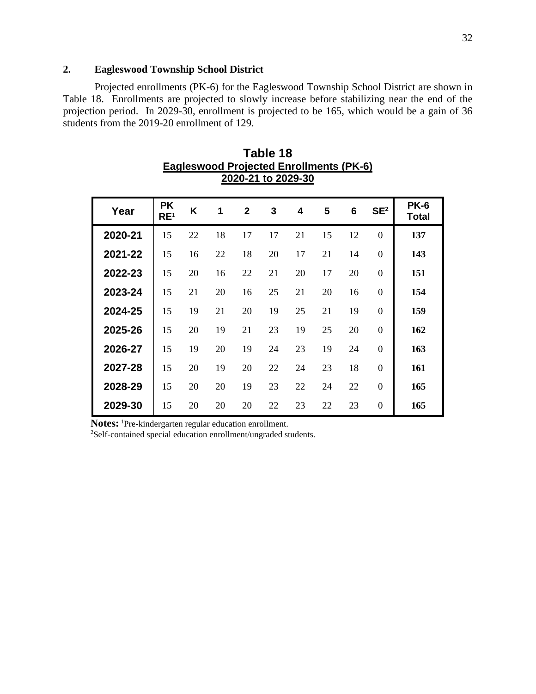## **2. Eagleswood Township School District**

Projected enrollments (PK-6) for the Eagleswood Township School District are shown in Table 18. Enrollments are projected to slowly increase before stabilizing near the end of the projection period. In 2029-30, enrollment is projected to be 165, which would be a gain of 36 students from the 2019-20 enrollment of 129.

| Year    | <b>PK</b><br>RE <sup>1</sup> | K  | 1  | $\overline{2}$ | 3  | 4  | 5  | 6  | SE <sup>2</sup> | <b>PK-6</b><br><b>Total</b> |
|---------|------------------------------|----|----|----------------|----|----|----|----|-----------------|-----------------------------|
| 2020-21 | 15                           | 22 | 18 | 17             | 17 | 21 | 15 | 12 | $\overline{0}$  | 137                         |
| 2021-22 | 15                           | 16 | 22 | 18             | 20 | 17 | 21 | 14 | $\overline{0}$  | 143                         |
| 2022-23 | 15                           | 20 | 16 | 22             | 21 | 20 | 17 | 20 | $\theta$        | 151                         |
| 2023-24 | 15                           | 21 | 20 | 16             | 25 | 21 | 20 | 16 | $\theta$        | 154                         |
| 2024-25 | 15                           | 19 | 21 | 20             | 19 | 25 | 21 | 19 | $\theta$        | 159                         |
| 2025-26 | 15                           | 20 | 19 | 21             | 23 | 19 | 25 | 20 | $\overline{0}$  | 162                         |
| 2026-27 | 15                           | 19 | 20 | 19             | 24 | 23 | 19 | 24 | $\overline{0}$  | 163                         |
| 2027-28 | 15                           | 20 | 19 | 20             | 22 | 24 | 23 | 18 | $\overline{0}$  | 161                         |
| 2028-29 | 15                           | 20 | 20 | 19             | 23 | 22 | 24 | 22 | $\overline{0}$  | 165                         |
| 2029-30 | 15                           | 20 | 20 | 20             | 22 | 23 | 22 | 23 | $\overline{0}$  | 165                         |

**Table 18 Eagleswood Projected Enrollments (PK-6) 2020-21 to 2029-30** 

Notes: <sup>1</sup>Pre-kindergarten regular education enrollment.

2Self-contained special education enrollment/ungraded students.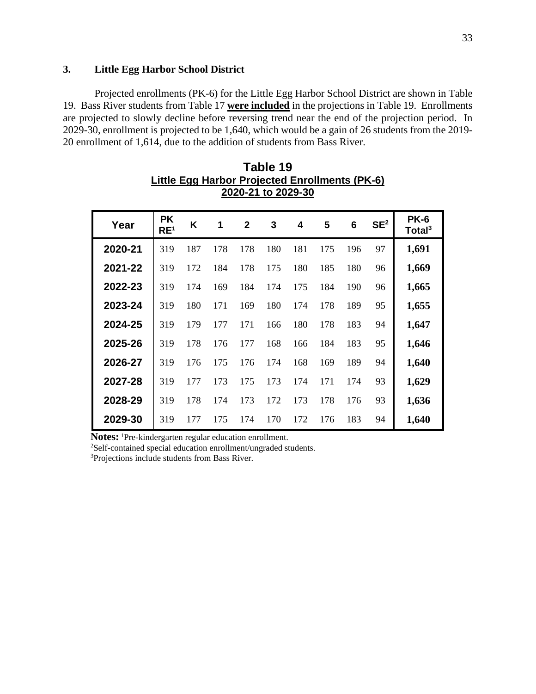## **3. Little Egg Harbor School District**

Projected enrollments (PK-6) for the Little Egg Harbor School District are shown in Table 19. Bass River students from Table 17 **were included** in the projections in Table 19. Enrollments are projected to slowly decline before reversing trend near the end of the projection period. In 2029-30, enrollment is projected to be 1,640, which would be a gain of 26 students from the 2019- 20 enrollment of 1,614, due to the addition of students from Bass River.

| Year    | <b>PK</b><br>RE <sup>1</sup> | K   | 1   | $\mathbf{2}$ | 3   | 4   | 5   | 6   | SE <sup>2</sup> | <b>PK-6</b><br>Total $3$ |
|---------|------------------------------|-----|-----|--------------|-----|-----|-----|-----|-----------------|--------------------------|
| 2020-21 | 319                          | 187 | 178 | 178          | 180 | 181 | 175 | 196 | 97              | 1,691                    |
| 2021-22 | 319                          | 172 | 184 | 178          | 175 | 180 | 185 | 180 | 96              | 1,669                    |
| 2022-23 | 319                          | 174 | 169 | 184          | 174 | 175 | 184 | 190 | 96              | 1,665                    |
| 2023-24 | 319                          | 180 | 171 | 169          | 180 | 174 | 178 | 189 | 95              | 1,655                    |
| 2024-25 | 319                          | 179 | 177 | 171          | 166 | 180 | 178 | 183 | 94              | 1,647                    |
| 2025-26 | 319                          | 178 | 176 | 177          | 168 | 166 | 184 | 183 | 95              | 1,646                    |
| 2026-27 | 319                          | 176 | 175 | 176          | 174 | 168 | 169 | 189 | 94              | 1,640                    |
| 2027-28 | 319                          | 177 | 173 | 175          | 173 | 174 | 171 | 174 | 93              | 1,629                    |
| 2028-29 | 319                          | 178 | 174 | 173          | 172 | 173 | 178 | 176 | 93              | 1,636                    |
| 2029-30 | 319                          | 177 | 175 | 174          | 170 | 172 | 176 | 183 | 94              | 1,640                    |

| Table 19                                       |
|------------------------------------------------|
| Little Egg Harbor Projected Enrollments (PK-6) |
| 2020-21 to 2029-30                             |

Notes: <sup>1</sup>Pre-kindergarten regular education enrollment.

<sup>2</sup>Self-contained special education enrollment/ungraded students.

<sup>3</sup>Projections include students from Bass River.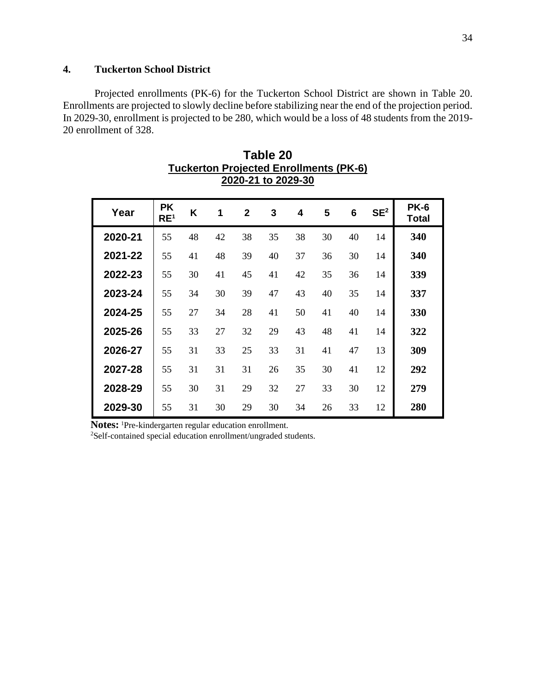## **4. Tuckerton School District**

Projected enrollments (PK-6) for the Tuckerton School District are shown in Table 20. Enrollments are projected to slowly decline before stabilizing near the end of the projection period. In 2029-30, enrollment is projected to be 280, which would be a loss of 48 students from the 2019- 20 enrollment of 328.

| Year    | <b>PK</b><br>RE <sup>1</sup> | Κ  | 1  | $\overline{2}$ | 3  | 4  | 5  | 6  | SE <sup>2</sup> | <b>PK-6</b><br><b>Total</b> |
|---------|------------------------------|----|----|----------------|----|----|----|----|-----------------|-----------------------------|
| 2020-21 | 55                           | 48 | 42 | 38             | 35 | 38 | 30 | 40 | 14              | 340                         |
| 2021-22 | 55                           | 41 | 48 | 39             | 40 | 37 | 36 | 30 | 14              | 340                         |
| 2022-23 | 55                           | 30 | 41 | 45             | 41 | 42 | 35 | 36 | 14              | 339                         |
| 2023-24 | 55                           | 34 | 30 | 39             | 47 | 43 | 40 | 35 | 14              | 337                         |
| 2024-25 | 55                           | 27 | 34 | 28             | 41 | 50 | 41 | 40 | 14              | 330                         |
| 2025-26 | 55                           | 33 | 27 | 32             | 29 | 43 | 48 | 41 | 14              | 322                         |
| 2026-27 | 55                           | 31 | 33 | 25             | 33 | 31 | 41 | 47 | 13              | 309                         |
| 2027-28 | 55                           | 31 | 31 | 31             | 26 | 35 | 30 | 41 | 12              | 292                         |
| 2028-29 | 55                           | 30 | 31 | 29             | 32 | 27 | 33 | 30 | 12              | 279                         |
| 2029-30 | 55                           | 31 | 30 | 29             | 30 | 34 | 26 | 33 | 12              | 280                         |

| Table 20                                      |
|-----------------------------------------------|
| <b>Tuckerton Projected Enrollments (PK-6)</b> |
| 2020-21 to 2029-30                            |

**Notes:** <sup>1</sup>Pre-kindergarten regular education enrollment.

2Self-contained special education enrollment/ungraded students.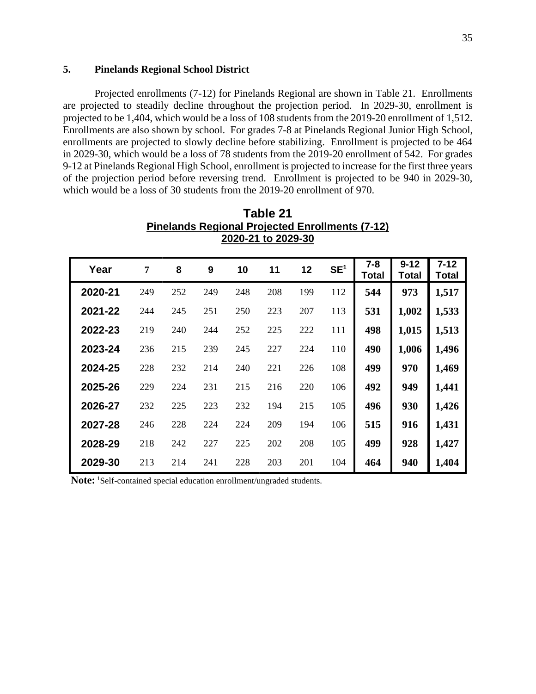## **5. Pinelands Regional School District**

Projected enrollments (7-12) for Pinelands Regional are shown in Table 21. Enrollments are projected to steadily decline throughout the projection period. In 2029-30, enrollment is projected to be 1,404, which would be a loss of 108 students from the 2019-20 enrollment of 1,512. Enrollments are also shown by school. For grades 7-8 at Pinelands Regional Junior High School, enrollments are projected to slowly decline before stabilizing. Enrollment is projected to be 464 in 2029-30, which would be a loss of 78 students from the 2019-20 enrollment of 542. For grades 9-12 at Pinelands Regional High School, enrollment is projected to increase for the first three years of the projection period before reversing trend. Enrollment is projected to be 940 in 2029-30, which would be a loss of 30 students from the 2019-20 enrollment of 970.

| Year    | 7   | 8   | 9   | 10  | 11  | 12  | SE <sup>1</sup> | $7 - 8$<br>Total | $9 - 12$<br>Total | $7 - 12$<br>Total |
|---------|-----|-----|-----|-----|-----|-----|-----------------|------------------|-------------------|-------------------|
| 2020-21 | 249 | 252 | 249 | 248 | 208 | 199 | 112             | 544              | 973               | 1,517             |
| 2021-22 | 244 | 245 | 251 | 250 | 223 | 207 | 113             | 531              | 1,002             | 1,533             |
| 2022-23 | 219 | 240 | 244 | 252 | 225 | 222 | 111             | 498              | 1,015             | 1,513             |
| 2023-24 | 236 | 215 | 239 | 245 | 227 | 224 | 110             | 490              | 1,006             | 1,496             |
| 2024-25 | 228 | 232 | 214 | 240 | 221 | 226 | 108             | 499              | 970               | 1,469             |
| 2025-26 | 229 | 224 | 231 | 215 | 216 | 220 | 106             | 492              | 949               | 1,441             |
| 2026-27 | 232 | 225 | 223 | 232 | 194 | 215 | 105             | 496              | 930               | 1,426             |
| 2027-28 | 246 | 228 | 224 | 224 | 209 | 194 | 106             | 515              | 916               | 1,431             |
| 2028-29 | 218 | 242 | 227 | 225 | 202 | 208 | 105             | 499              | 928               | 1,427             |
| 2029-30 | 213 | 214 | 241 | 228 | 203 | 201 | 104             | 464              | 940               | 1,404             |

**Table 21 Pinelands Regional Projected Enrollments (7-12) 2020-21 to 2029-30** 

Note: <sup>1</sup>Self-contained special education enrollment/ungraded students.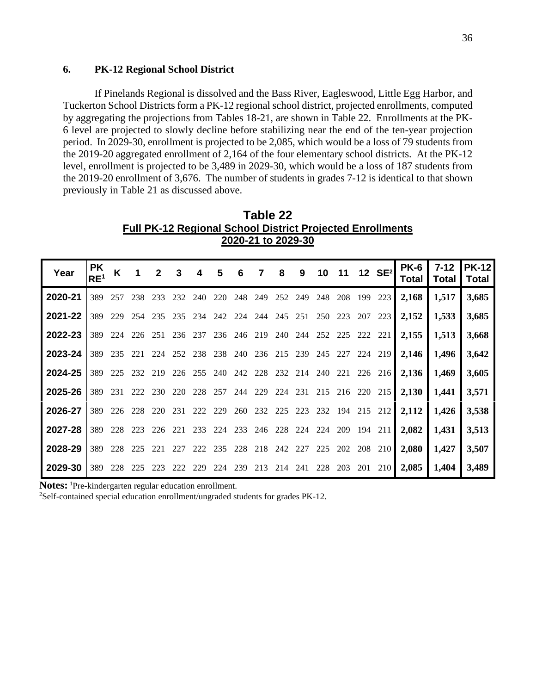## **6. PK-12 Regional School District**

If Pinelands Regional is dissolved and the Bass River, Eagleswood, Little Egg Harbor, and Tuckerton School Districts form a PK-12 regional school district, projected enrollments, computed by aggregating the projections from Tables 18-21, are shown in Table 22. Enrollments at the PK-6 level are projected to slowly decline before stabilizing near the end of the ten-year projection period. In 2029-30, enrollment is projected to be 2,085, which would be a loss of 79 students from the 2019-20 aggregated enrollment of 2,164 of the four elementary school districts. At the PK-12 level, enrollment is projected to be 3,489 in 2029-30, which would be a loss of 187 students from the 2019-20 enrollment of 3,676. The number of students in grades 7-12 is identical to that shown previously in Table 21 as discussed above.

| .                                                                |
|------------------------------------------------------------------|
| <b>Full PK-12 Regional School District Projected Enrollments</b> |
| 2020-21 to 2029-30                                               |

**Table 22** 

| Year    | <b>PK</b><br>RE <sup>1</sup> | K   | $\overline{\mathbf{1}}$ | $\overline{2}$ | 3                                       | 4   | 5   | 6   | $\overline{7}$ | $\overline{\mathbf{8}}$                     | $\overline{\mathbf{9}}$ |     |     |     | 10 11 12 SE <sup>2</sup>                    | <b>PK-6</b><br>Total | $7 - 12$<br>Total | <b>PK-12</b><br>Total |
|---------|------------------------------|-----|-------------------------|----------------|-----------------------------------------|-----|-----|-----|----------------|---------------------------------------------|-------------------------|-----|-----|-----|---------------------------------------------|----------------------|-------------------|-----------------------|
| 2020-21 | 389                          | 257 | 238                     | 233            | 232                                     | 240 | 220 | 248 | 249            | 252                                         | 249                     | 248 | 208 | 199 | 223                                         | 2,168                | 1,517             | 3,685                 |
| 2021-22 | 389                          |     | 229 254                 |                | 235 235 234 242 224 244 245 251 250     |     |     |     |                |                                             |                         |     | 223 | 207 | 223                                         | 2,152                | 1,533             | 3,685                 |
| 2022-23 | 389                          |     | 224 226 251             |                |                                         |     |     |     |                | 236 237 236 246 219 240 244 252 225 222 221 |                         |     |     |     |                                             | 2,155                | 1,513             | 3,668                 |
| 2023-24 | 389                          |     | 235 221                 | 224            |                                         |     |     |     |                |                                             |                         |     |     |     | 252 238 238 240 236 215 239 245 227 224 219 | 2,146                | 1,496             | 3,642                 |
| 2024-25 | 389                          | 225 |                         | 232 219        | 226 255 240 242 228 232 214 240 221     |     |     |     |                |                                             |                         |     |     |     | 226 216                                     | 2,136                | 1,469             | 3,605                 |
| 2025-26 | 389                          | 231 |                         | 222 230        | 220                                     |     |     |     |                |                                             |                         |     |     |     | 228 257 244 229 224 231 215 216 220 215     | 2,130                | 1,441             | 3,571                 |
| 2026-27 | 389                          |     | 226 228                 | 220 231        |                                         |     |     |     |                |                                             |                         |     |     |     | 222 229 260 232 225 223 232 194 215 212     | 2,112                | 1,426             | 3,538                 |
| 2027-28 | 389                          |     | 228 223                 | 226            | 221                                     |     |     |     |                | 233 224 233 246 228 224                     |                         | 224 | 209 |     | 194 211                                     | 2,082                | 1,431             | 3,513                 |
| 2028-29 | 389                          | 228 | 225                     | 221            | 227                                     |     |     |     |                | 222 235 228 218 242 227                     |                         | 225 | 202 | 208 | 210                                         | 2,080                | 1,427             | 3,507                 |
| 2029-30 | 389                          | 228 | 225                     |                | 223 222 229 224 239 213 214 241 228 203 |     |     |     |                |                                             |                         |     |     |     | 201 210                                     | 2,085                | 1,404             | 3,489                 |

Notes: <sup>1</sup>Pre-kindergarten regular education enrollment.

2Self-contained special education enrollment/ungraded students for grades PK-12.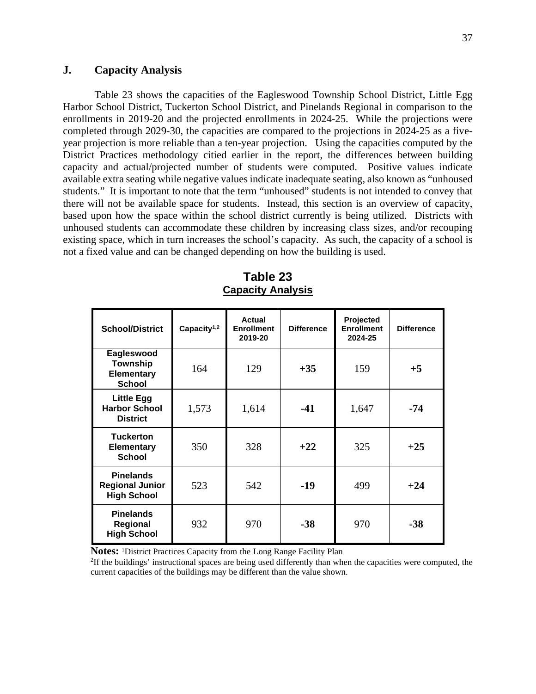### **J. Capacity Analysis**

Table 23 shows the capacities of the Eagleswood Township School District, Little Egg Harbor School District, Tuckerton School District, and Pinelands Regional in comparison to the enrollments in 2019-20 and the projected enrollments in 2024-25. While the projections were completed through 2029-30, the capacities are compared to the projections in 2024-25 as a fiveyear projection is more reliable than a ten-year projection. Using the capacities computed by the District Practices methodology citied earlier in the report, the differences between building capacity and actual/projected number of students were computed. Positive values indicate available extra seating while negative values indicate inadequate seating, also known as "unhoused students." It is important to note that the term "unhoused" students is not intended to convey that there will not be available space for students. Instead, this section is an overview of capacity, based upon how the space within the school district currently is being utilized. Districts with unhoused students can accommodate these children by increasing class sizes, and/or recouping existing space, which in turn increases the school's capacity. As such, the capacity of a school is not a fixed value and can be changed depending on how the building is used.

| <b>School/District</b>                                              | Capacity <sup>1,2</sup> | Actual<br><b>Enrollment</b><br>2019-20 | <b>Difference</b> | Projected<br><b>Enrollment</b><br>2024-25 | <b>Difference</b> |
|---------------------------------------------------------------------|-------------------------|----------------------------------------|-------------------|-------------------------------------------|-------------------|
| Eagleswood<br><b>Township</b><br><b>Elementary</b><br><b>School</b> | 164                     | 129                                    | $+35$             | 159                                       | $+5$              |
| <b>Little Egg</b><br><b>Harbor School</b><br><b>District</b>        | 1,573                   | 1,614                                  | $-41$             | 1,647                                     | $-74$             |
| <b>Tuckerton</b><br><b>Elementary</b><br><b>School</b>              | 350                     | 328                                    | $+22$             | 325                                       | $+25$             |
| <b>Pinelands</b><br><b>Regional Junior</b><br><b>High School</b>    | 523                     | 542                                    | $-19$             | 499                                       | $+24$             |
| <b>Pinelands</b><br><b>Regional</b><br><b>High School</b>           | 932                     | 970                                    | $-38$             | 970                                       | $-38$             |

**Table 23 Capacity Analysis** 

**Notes:** <sup>1</sup>District Practices Capacity from the Long Range Facility Plan

2 If the buildings' instructional spaces are being used differently than when the capacities were computed, the current capacities of the buildings may be different than the value shown.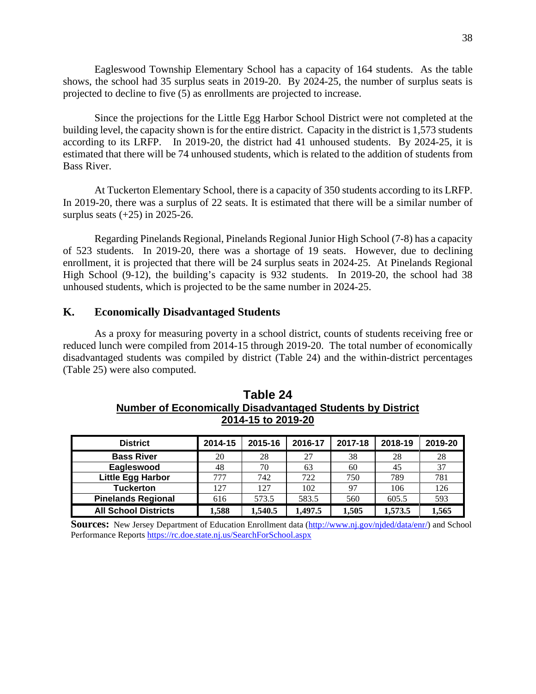Eagleswood Township Elementary School has a capacity of 164 students. As the table shows, the school had 35 surplus seats in 2019-20. By 2024-25, the number of surplus seats is projected to decline to five (5) as enrollments are projected to increase.

Since the projections for the Little Egg Harbor School District were not completed at the building level, the capacity shown is for the entire district. Capacity in the district is 1,573 students according to its LRFP. In 2019-20, the district had 41 unhoused students. By 2024-25, it is estimated that there will be 74 unhoused students, which is related to the addition of students from Bass River.

At Tuckerton Elementary School, there is a capacity of 350 students according to its LRFP. In 2019-20, there was a surplus of 22 seats. It is estimated that there will be a similar number of surplus seats  $(+25)$  in 2025-26.

Regarding Pinelands Regional, Pinelands Regional Junior High School (7-8) has a capacity of 523 students. In 2019-20, there was a shortage of 19 seats. However, due to declining enrollment, it is projected that there will be 24 surplus seats in 2024-25. At Pinelands Regional High School (9-12), the building's capacity is 932 students. In 2019-20, the school had 38 unhoused students, which is projected to be the same number in 2024-25.

### **K. Economically Disadvantaged Students**

As a proxy for measuring poverty in a school district, counts of students receiving free or reduced lunch were compiled from 2014-15 through 2019-20. The total number of economically disadvantaged students was compiled by district (Table 24) and the within-district percentages (Table 25) were also computed.

| <b>District</b>             | 2014-15 | 2015-16 | 2016-17 | 2017-18 | 2018-19 | 2019-20 |
|-----------------------------|---------|---------|---------|---------|---------|---------|
| <b>Bass River</b>           | 20      | 28      | 27      | 38      | 28      | 28      |
| Eagleswood                  | 48      | 70      | 63      | 60      | 45      | 37      |
| <b>Little Egg Harbor</b>    | 777     | 742     | 722     | 750     | 789     | 781     |
| <b>Tuckerton</b>            | 127     | 127     | 102     | 97      | 106     | 126     |
| <b>Pinelands Regional</b>   | 616     | 573.5   | 583.5   | 560     | 605.5   | 593     |
| <b>All School Districts</b> | 1.588   | 1,540.5 | 1.497.5 | 1.505   | 1,573.5 | 1.565   |

**Table 24 Number of Economically Disadvantaged Students by District 2014-15 to 2019-20** 

**Sources:** New Jersey Department of Education Enrollment data (http://www.nj.gov/njded/data/enr/) and School Performance Reports https://rc.doe.state.nj.us/SearchForSchool.aspx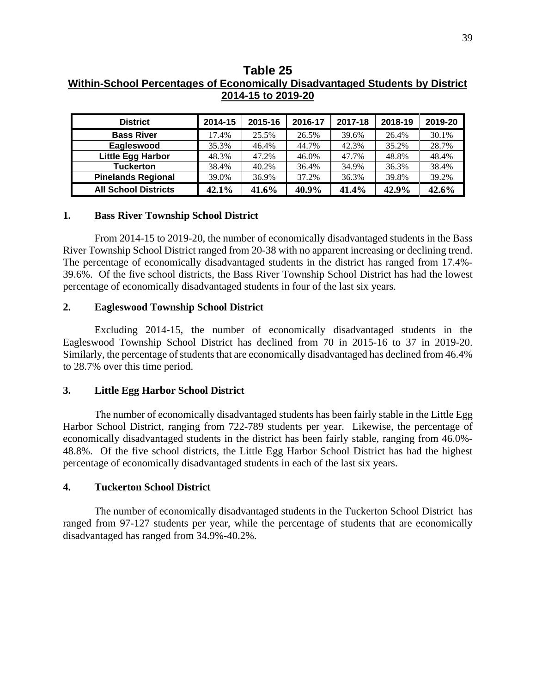## **Table 25 Within-School Percentages of Economically Disadvantaged Students by District 2014-15 to 2019-20**

| <b>District</b>             | 2014-15 | 2015-16 | 2016-17 | 2017-18 | 2018-19 | 2019-20 |
|-----------------------------|---------|---------|---------|---------|---------|---------|
| <b>Bass River</b>           | 17.4%   | 25.5%   | 26.5%   | 39.6%   | 26.4%   | 30.1%   |
| Eagleswood                  | 35.3%   | 46.4%   | 44.7%   | 42.3%   | 35.2%   | 28.7%   |
| <b>Little Egg Harbor</b>    | 48.3%   | 47.2%   | 46.0%   | 47.7%   | 48.8%   | 48.4%   |
| <b>Tuckerton</b>            | 38.4%   | 40.2%   | 36.4%   | 34.9%   | 36.3%   | 38.4%   |
| <b>Pinelands Regional</b>   | 39.0%   | 36.9%   | 37.2%   | 36.3%   | 39.8%   | 39.2%   |
| <b>All School Districts</b> | 42.1%   | 41.6%   | 40.9%   | 41.4%   | 42.9%   | 42.6%   |

### **1. Bass River Township School District**

From 2014-15 to 2019-20, the number of economically disadvantaged students in the Bass River Township School District ranged from 20-38 with no apparent increasing or declining trend. The percentage of economically disadvantaged students in the district has ranged from 17.4%- 39.6%. Of the five school districts, the Bass River Township School District has had the lowest percentage of economically disadvantaged students in four of the last six years.

#### **2. Eagleswood Township School District**

Excluding 2014-15, **t**he number of economically disadvantaged students in the Eagleswood Township School District has declined from 70 in 2015-16 to 37 in 2019-20. Similarly, the percentage of students that are economically disadvantaged has declined from 46.4% to 28.7% over this time period.

## **3. Little Egg Harbor School District**

The number of economically disadvantaged students has been fairly stable in the Little Egg Harbor School District, ranging from 722-789 students per year. Likewise, the percentage of economically disadvantaged students in the district has been fairly stable, ranging from 46.0%- 48.8%. Of the five school districts, the Little Egg Harbor School District has had the highest percentage of economically disadvantaged students in each of the last six years.

## **4. Tuckerton School District**

The number of economically disadvantaged students in the Tuckerton School District has ranged from 97-127 students per year, while the percentage of students that are economically disadvantaged has ranged from 34.9%-40.2%.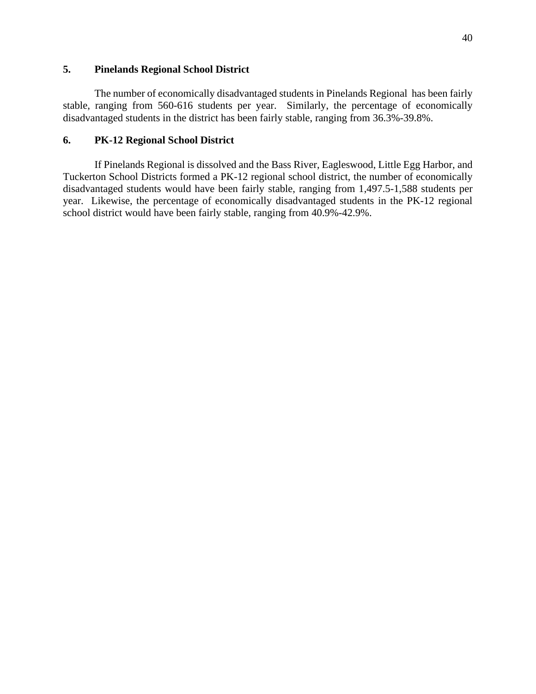## **5. Pinelands Regional School District**

The number of economically disadvantaged students in Pinelands Regional has been fairly stable, ranging from 560-616 students per year. Similarly, the percentage of economically disadvantaged students in the district has been fairly stable, ranging from 36.3%-39.8%.

## **6. PK-12 Regional School District**

If Pinelands Regional is dissolved and the Bass River, Eagleswood, Little Egg Harbor, and Tuckerton School Districts formed a PK-12 regional school district, the number of economically disadvantaged students would have been fairly stable, ranging from 1,497.5-1,588 students per year. Likewise, the percentage of economically disadvantaged students in the PK-12 regional school district would have been fairly stable, ranging from 40.9%-42.9%.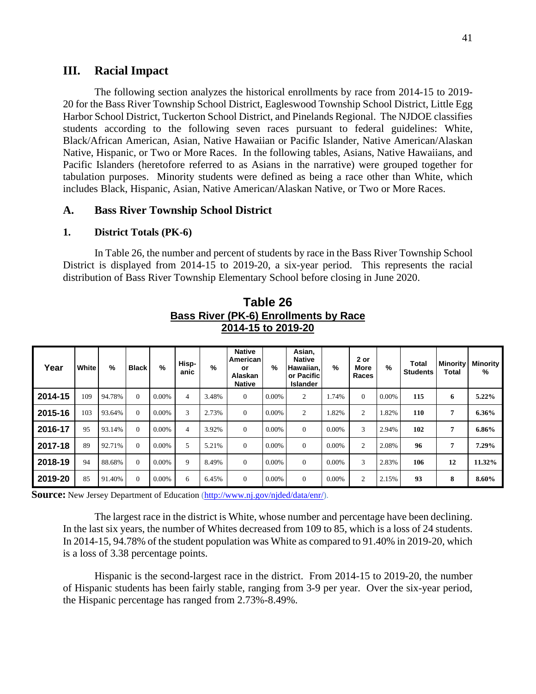### **III. Racial Impact**

The following section analyzes the historical enrollments by race from 2014-15 to 2019- 20 for the Bass River Township School District, Eagleswood Township School District, Little Egg Harbor School District, Tuckerton School District, and Pinelands Regional. The NJDOE classifies students according to the following seven races pursuant to federal guidelines: White, Black/African American, Asian, Native Hawaiian or Pacific Islander, Native American/Alaskan Native, Hispanic, or Two or More Races. In the following tables, Asians, Native Hawaiians, and Pacific Islanders (heretofore referred to as Asians in the narrative) were grouped together for tabulation purposes. Minority students were defined as being a race other than White, which includes Black, Hispanic, Asian, Native American/Alaskan Native, or Two or More Races.

#### **A. Bass River Township School District**

### **1. District Totals (PK-6)**

In Table 26, the number and percent of students by race in the Bass River Township School District is displayed from 2014-15 to 2019-20, a six-year period. This represents the racial distribution of Bass River Township Elementary School before closing in June 2020.

| Year    | White | %      | <b>Black</b> | $\%$     | Hisp-<br>anic | %     | <b>Native</b><br>American<br>or<br><b>Alaskan</b><br><b>Native</b> | %     | Asian,<br><b>Native</b><br>Hawaiian,<br>or Pacific<br><b>Islander</b> | $\%$  | 2 or<br>More<br>Races | $\%$  | Total<br><b>Students</b> | <b>Minority</b><br>Total | Minority<br>% |
|---------|-------|--------|--------------|----------|---------------|-------|--------------------------------------------------------------------|-------|-----------------------------------------------------------------------|-------|-----------------------|-------|--------------------------|--------------------------|---------------|
| 2014-15 | 109   | 94.78% | $\Omega$     | 0.00%    | 4             | 3.48% | $\overline{0}$                                                     | 0.00% | 2                                                                     | 1.74% | $\Omega$              | 0.00% | 115                      | 6                        | 5.22%         |
| 2015-16 | 103   | 93.64% | $\Omega$     | 0.00%    | 3             | 2.73% | $\overline{0}$                                                     | 0.00% | $\overline{2}$                                                        | 1.82% | 2                     | 1.82% | 110                      | 7                        | 6.36%         |
| 2016-17 | 95    | 93.14% | $\Omega$     | 0.00%    | 4             | 3.92% | $\overline{0}$                                                     | 0.00% | $\Omega$                                                              | 0.00% | 3                     | 2.94% | 102                      | $\overline{7}$           | 6.86%         |
| 2017-18 | 89    | 92.71% | $\Omega$     | $0.00\%$ | 5             | 5.21% | $\overline{0}$                                                     | 0.00% | $\Omega$                                                              | 0.00% | 2                     | 2.08% | 96                       | 7                        | 7.29%         |
| 2018-19 | 94    | 88.68% | $\Omega$     | $0.00\%$ | 9             | 8.49% | $\Omega$                                                           | 0.00% | $\Omega$                                                              | 0.00% | 3                     | 2.83% | 106                      | 12                       | 11.32%        |
| 2019-20 | 85    | 91.40% | $\Omega$     | $0.00\%$ | 6             | 6.45% | $\overline{0}$                                                     | 0.00% | $\overline{0}$                                                        | 0.00% | 2                     | 2.15% | 93                       | 8                        | 8.60%         |

**Table 26 Bass River (PK-6) Enrollments by Race 2014-15 to 2019-20** 

**Source:** New Jersey Department of Education (http://www.nj.gov/njded/data/enr/).

The largest race in the district is White, whose number and percentage have been declining. In the last six years, the number of Whites decreased from 109 to 85, which is a loss of 24 students. In 2014-15, 94.78% of the student population was White as compared to 91.40% in 2019-20, which is a loss of 3.38 percentage points.

Hispanic is the second-largest race in the district. From 2014-15 to 2019-20, the number of Hispanic students has been fairly stable, ranging from 3-9 per year. Over the six-year period, the Hispanic percentage has ranged from 2.73%-8.49%.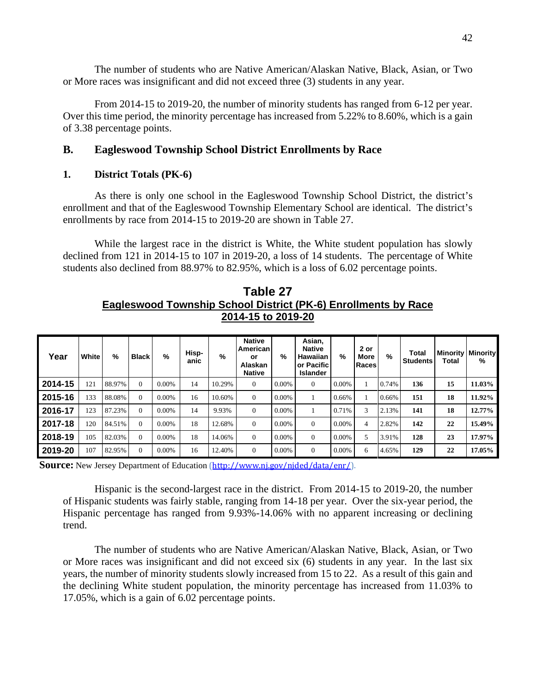The number of students who are Native American/Alaskan Native, Black, Asian, or Two or More races was insignificant and did not exceed three (3) students in any year.

From 2014-15 to 2019-20, the number of minority students has ranged from 6-12 per year. Over this time period, the minority percentage has increased from 5.22% to 8.60%, which is a gain of 3.38 percentage points.

## **B. Eagleswood Township School District Enrollments by Race**

## **1. District Totals (PK-6)**

As there is only one school in the Eagleswood Township School District, the district's enrollment and that of the Eagleswood Township Elementary School are identical. The district's enrollments by race from 2014-15 to 2019-20 are shown in Table 27.

While the largest race in the district is White, the White student population has slowly declined from 121 in 2014-15 to 107 in 2019-20, a loss of 14 students. The percentage of White students also declined from 88.97% to 82.95%, which is a loss of 6.02 percentage points.

**Table 27 Eagleswood Township School District (PK-6) Enrollments by Race 2014-15 to 2019-20** 

| Year    | White | %      | <b>Black</b> | %        | Hisp-<br>anic | %      | <b>Native</b><br>American<br>or<br><b>Alaskan</b><br><b>Native</b> | %        | Asian,<br><b>Native</b><br>Hawaiian<br>or Pacific<br><b>Islander</b> | %        | 2 or<br>More<br>Races | %     | Total<br><b>Students</b> | Total | <b>Minority Minority</b><br>% |
|---------|-------|--------|--------------|----------|---------------|--------|--------------------------------------------------------------------|----------|----------------------------------------------------------------------|----------|-----------------------|-------|--------------------------|-------|-------------------------------|
| 2014-15 | 121   | 88.97% | $\Omega$     | $0.00\%$ | 14            | 10.29% | $\Omega$                                                           | 0.00%    | $\theta$                                                             | $0.00\%$ | 1                     | 0.74% | 136                      | 15    | 11.03%                        |
| 2015-16 | 133   | 88.08% | $\Omega$     | $0.00\%$ | 16            | 10.60% | $\Omega$                                                           | $0.00\%$ |                                                                      | 0.66%    |                       | 0.66% | 151                      | 18    | 11.92%                        |
| 2016-17 | 123   | 87.23% | $\Omega$     | $0.00\%$ | 14            | 9.93%  | $\Omega$                                                           | $0.00\%$ |                                                                      | 0.71%    | 3                     | 2.13% | 141                      | 18    | 12.77%                        |
| 2017-18 | 120   | 84.51% | $\Omega$     | $0.00\%$ | 18            | 12.68% | $\Omega$                                                           | $0.00\%$ | $\Omega$                                                             | $0.00\%$ | 4                     | 2.82% | 142                      | 22    | 15.49%                        |
| 2018-19 | 105   | 82.03% | $\Omega$     | $0.00\%$ | 18            | 14.06% | $\Omega$                                                           | $0.00\%$ | $\Omega$                                                             | $0.00\%$ | 5                     | 3.91% | 128                      | 23    | 17.97%                        |
| 2019-20 | 107   | 82.95% | $\Omega$     | $0.00\%$ | 16            | 12.40% | $\Omega$                                                           | $0.00\%$ | $\Omega$                                                             | $0.00\%$ | 6                     | 4.65% | 129                      | 22    | 17.05%                        |

**Source:** New Jersey Department of Education (http://www.nj.gov/njded/data/enr/).

Hispanic is the second-largest race in the district. From 2014-15 to 2019-20, the number of Hispanic students was fairly stable, ranging from 14-18 per year. Over the six-year period, the Hispanic percentage has ranged from 9.93%-14.06% with no apparent increasing or declining trend.

The number of students who are Native American/Alaskan Native, Black, Asian, or Two or More races was insignificant and did not exceed six (6) students in any year. In the last six years, the number of minority students slowly increased from 15 to 22. As a result of this gain and the declining White student population, the minority percentage has increased from 11.03% to 17.05%, which is a gain of 6.02 percentage points.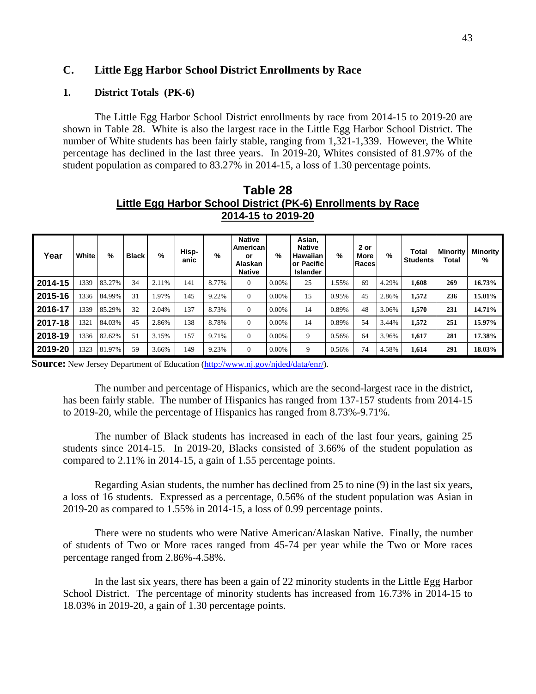## **C. Little Egg Harbor School District Enrollments by Race**

### **1. District Totals (PK-6)**

The Little Egg Harbor School District enrollments by race from 2014-15 to 2019-20 are shown in Table 28. White is also the largest race in the Little Egg Harbor School District. The number of White students has been fairly stable, ranging from 1,321-1,339. However, the White percentage has declined in the last three years. In 2019-20, Whites consisted of 81.97% of the student population as compared to 83.27% in 2014-15, a loss of 1.30 percentage points.

**Table 28 Little Egg Harbor School District (PK-6) Enrollments by Race 2014-15 to 2019-20**

| Year    | White | $\frac{9}{6}$ | <b>Black</b> | $\%$  | Hisp-<br>anic | $\%$  | <b>Native</b><br>American<br>or<br>Alaskan<br><b>Native</b> | %        | Asian,<br><b>Native</b><br><b>Hawaiian</b><br>or Pacific<br>Islander | %     | 2 or<br>More<br><b>Races</b> | %     | Total<br><b>Students</b> | Minority<br>Total | Minority<br>% |
|---------|-------|---------------|--------------|-------|---------------|-------|-------------------------------------------------------------|----------|----------------------------------------------------------------------|-------|------------------------------|-------|--------------------------|-------------------|---------------|
| 2014-15 | 1339  | 83.27%        | 34           | 2.11% | 141           | 8.77% | $\theta$                                                    | 0.00%    | 25                                                                   | 1.55% | 69                           | 4.29% | 1,608                    | 269               | 16.73%        |
| 2015-16 | 1336  | 84.99%        | 31           | 1.97% | 145           | 9.22% | $\Omega$                                                    | $0.00\%$ | 15                                                                   | 0.95% | 45                           | 2.86% | 1,572                    | 236               | 15.01%        |
| 2016-17 | 1339  | 85.29%        | 32           | 2.04% | 137           | 8.73% | $\Omega$                                                    | $0.00\%$ | 14                                                                   | 0.89% | 48                           | 3.06% | 1,570                    | 231               | 14.71%        |
| 2017-18 | 1321  | 84.03%        | 45           | 2.86% | 138           | 8.78% | $\Omega$                                                    | $0.00\%$ | 14                                                                   | 0.89% | 54                           | 3.44% | 1,572                    | 251               | 15.97%        |
| 2018-19 | 1336  | 82.62%        | 51           | 3.15% | 157           | 9.71% | $\Omega$                                                    | $0.00\%$ | 9                                                                    | 0.56% | 64                           | 3.96% | 1,617                    | 281               | 17.38%        |
| 2019-20 | 1323  | 81.97%        | 59           | 3.66% | 149           | 9.23% | $\theta$                                                    | 0.00%    | 9                                                                    | 0.56% | 74                           | 4.58% | 1,614                    | 291               | 18.03%        |

**Source:** New Jersey Department of Education (http://www.nj.gov/njded/data/enr/).

The number and percentage of Hispanics, which are the second-largest race in the district, has been fairly stable. The number of Hispanics has ranged from 137-157 students from 2014-15 to 2019-20, while the percentage of Hispanics has ranged from 8.73%-9.71%.

The number of Black students has increased in each of the last four years, gaining 25 students since 2014-15. In 2019-20, Blacks consisted of 3.66% of the student population as compared to 2.11% in 2014-15, a gain of 1.55 percentage points.

Regarding Asian students, the number has declined from 25 to nine (9) in the last six years, a loss of 16 students. Expressed as a percentage, 0.56% of the student population was Asian in 2019-20 as compared to 1.55% in 2014-15, a loss of 0.99 percentage points.

There were no students who were Native American/Alaskan Native. Finally, the number of students of Two or More races ranged from 45-74 per year while the Two or More races percentage ranged from 2.86%-4.58%.

In the last six years, there has been a gain of 22 minority students in the Little Egg Harbor School District. The percentage of minority students has increased from 16.73% in 2014-15 to 18.03% in 2019-20, a gain of 1.30 percentage points.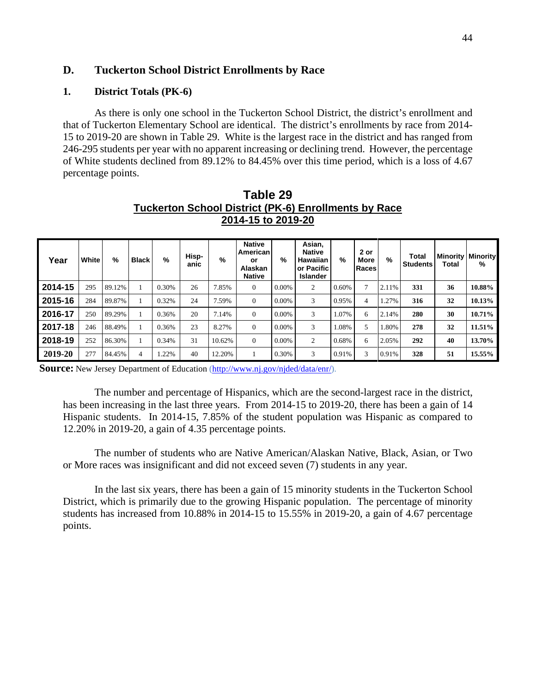## **D. Tuckerton School District Enrollments by Race**

## **1. District Totals (PK-6)**

As there is only one school in the Tuckerton School District, the district's enrollment and that of Tuckerton Elementary School are identical. The district's enrollments by race from 2014- 15 to 2019-20 are shown in Table 29. White is the largest race in the district and has ranged from 246-295 students per year with no apparent increasing or declining trend. However, the percentage of White students declined from 89.12% to 84.45% over this time period, which is a loss of 4.67 percentage points.

| Year    | White | $\%$   | <b>Black</b> | %     | Hisp-<br>anic | %      | <b>Native</b><br>American<br>or<br>Alaskan<br><b>Native</b> | %        | Asian,<br><b>Native</b><br>Hawaiian<br>or Pacific<br><b>Islander</b> | %     | 2 or<br>More<br>Races | %     | Total<br><b>Students</b> | <b>Minority Minority</b><br>Total | %      |
|---------|-------|--------|--------------|-------|---------------|--------|-------------------------------------------------------------|----------|----------------------------------------------------------------------|-------|-----------------------|-------|--------------------------|-----------------------------------|--------|
| 2014-15 | 295   | 89.12% |              | 0.30% | 26            | 7.85%  | $\Omega$                                                    | $0.00\%$ | 2                                                                    | 0.60% | $\overline{ }$        | 2.11% | 331                      | 36                                | 10.88% |
| 2015-16 | 284   | 89.87% |              | 0.32% | 24            | 7.59%  | $\Omega$                                                    | $0.00\%$ | 3                                                                    | 0.95% | $\overline{4}$        | .27%  | 316                      | 32                                | 10.13% |
| 2016-17 | 250   | 89.29% |              | 0.36% | 20            | 7.14%  | $\mathbf{0}$                                                | 0.00%    | 3                                                                    | 1.07% | 6                     | 2.14% | 280                      | 30                                | 10.71% |
| 2017-18 | 246   | 88.49% |              | 0.36% | 23            | 8.27%  | $\Omega$                                                    | 0.00%    | 3                                                                    | 1.08% | 5                     | 1.80% | 278                      | 32                                | 11.51% |
| 2018-19 | 252   | 86.30% |              | 0.34% | 31            | 10.62% | $\Omega$                                                    | 0.00%    | 2                                                                    | 0.68% | 6                     | 2.05% | 292                      | 40                                | 13.70% |
| 2019-20 | 277   | 84.45% | 4            | 1.22% | 40            | 12.20% |                                                             | 0.30%    | 3                                                                    | 0.91% | 3                     | 0.91% | 328                      | 51                                | 15.55% |

**Table 29 Tuckerton School District (PK-6) Enrollments by Race 2014-15 to 2019-20**

**Source:** New Jersey Department of Education (http://www.nj.gov/njded/data/enr/).

The number and percentage of Hispanics, which are the second-largest race in the district, has been increasing in the last three years. From 2014-15 to 2019-20, there has been a gain of 14 Hispanic students. In 2014-15, 7.85% of the student population was Hispanic as compared to 12.20% in 2019-20, a gain of 4.35 percentage points.

The number of students who are Native American/Alaskan Native, Black, Asian, or Two or More races was insignificant and did not exceed seven (7) students in any year.

In the last six years, there has been a gain of 15 minority students in the Tuckerton School District, which is primarily due to the growing Hispanic population. The percentage of minority students has increased from 10.88% in 2014-15 to 15.55% in 2019-20, a gain of 4.67 percentage points.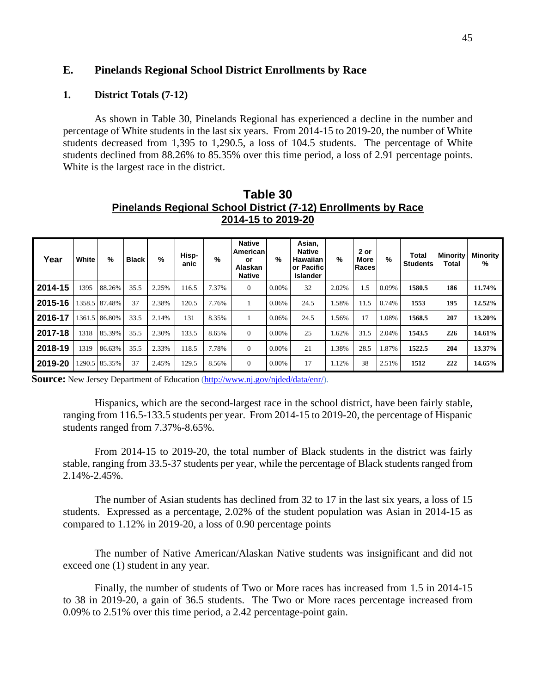## **E. Pinelands Regional School District Enrollments by Race**

#### **1. District Totals (7-12)**

As shown in Table 30, Pinelands Regional has experienced a decline in the number and percentage of White students in the last six years. From 2014-15 to 2019-20, the number of White students decreased from 1,395 to 1,290.5, a loss of 104.5 students. The percentage of White students declined from 88.26% to 85.35% over this time period, a loss of 2.91 percentage points. White is the largest race in the district.

| Year    | White | %             | <b>Black</b> | $\%$  | Hisp-<br>anic | $\%$  | <b>Native</b><br>American<br>or<br>Alaskan<br><b>Native</b> | %        | Asian,<br><b>Native</b><br>Hawaiian<br>or Pacific<br><b>Islander</b> | %     | 2 or<br>More<br>Races | $\%$  | Total<br><b>Students</b> | Minority<br>Total | <b>Minority</b><br>℅ |
|---------|-------|---------------|--------------|-------|---------------|-------|-------------------------------------------------------------|----------|----------------------------------------------------------------------|-------|-----------------------|-------|--------------------------|-------------------|----------------------|
| 2014-15 | 1395  | 88.26%        | 35.5         | 2.25% | 116.5         | 7.37% | $\theta$                                                    | $0.00\%$ | 32                                                                   | 2.02% | 1.5                   | 0.09% | 1580.5                   | 186               | 11.74%               |
| 2015-16 |       | 1358.5 87.48% | 37           | 2.38% | 120.5         | 7.76% |                                                             | 0.06%    | 24.5                                                                 | 1.58% | 11.5                  | 0.74% | 1553                     | 195               | 12.52%               |
| 2016-17 |       | 1361.5 86.80% | 33.5         | 2.14% | 131           | 8.35% |                                                             | 0.06%    | 24.5                                                                 | 1.56% | 17                    | 1.08% | 1568.5                   | 207               | 13.20%               |
| 2017-18 | 1318  | 85.39%        | 35.5         | 2.30% | 133.5         | 8.65% | $\theta$                                                    | $0.00\%$ | 25                                                                   | 1.62% | 31.5                  | 2.04% | 1543.5                   | 226               | 14.61%               |
| 2018-19 | 1319  | 86.63%        | 35.5         | 2.33% | 118.5         | 7.78% | $\theta$                                                    | $0.00\%$ | 21                                                                   | 1.38% | 28.5                  | 1.87% | 1522.5                   | 204               | 13.37%               |
| 2019-20 |       | 1290.5 85.35% | 37           | 2.45% | 129.5         | 8.56% | $\theta$                                                    | $0.00\%$ | 17                                                                   | 1.12% | 38                    | 2.51% | 1512                     | 222               | 14.65%               |

**Table 30 Pinelands Regional School District (7-12) Enrollments by Race 2014-15 to 2019-20**

**Source:** New Jersey Department of Education (http://www.nj.gov/njded/data/enr/).

Hispanics, which are the second-largest race in the school district, have been fairly stable, ranging from 116.5-133.5 students per year. From 2014-15 to 2019-20, the percentage of Hispanic students ranged from 7.37%-8.65%.

From 2014-15 to 2019-20, the total number of Black students in the district was fairly stable, ranging from 33.5-37 students per year, while the percentage of Black students ranged from 2.14%-2.45%.

The number of Asian students has declined from 32 to 17 in the last six years, a loss of 15 students. Expressed as a percentage, 2.02% of the student population was Asian in 2014-15 as compared to 1.12% in 2019-20, a loss of 0.90 percentage points

The number of Native American/Alaskan Native students was insignificant and did not exceed one (1) student in any year.

Finally, the number of students of Two or More races has increased from 1.5 in 2014-15 to 38 in 2019-20, a gain of 36.5 students. The Two or More races percentage increased from 0.09% to 2.51% over this time period, a 2.42 percentage-point gain.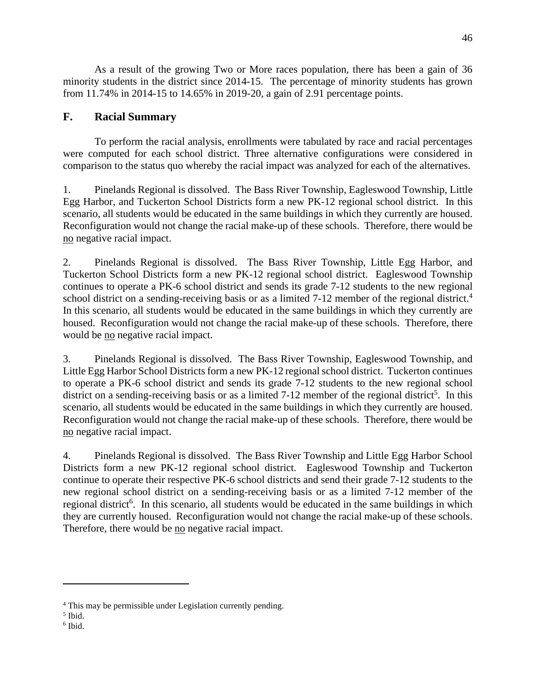As a result of the growing Two or More races population, there has been a gain of 36 minority students in the district since 2014-15. The percentage of minority students has grown from 11.74% in 2014-15 to 14.65% in 2019-20, a gain of 2.91 percentage points.

## **F. Racial Summary**

To perform the racial analysis, enrollments were tabulated by race and racial percentages were computed for each school district. Three alternative configurations were considered in comparison to the status quo whereby the racial impact was analyzed for each of the alternatives.

1. Pinelands Regional is dissolved. The Bass River Township, Eagleswood Township, Little Egg Harbor, and Tuckerton School Districts form a new PK-12 regional school district. In this scenario, all students would be educated in the same buildings in which they currently are housed. Reconfiguration would not change the racial make-up of these schools. Therefore, there would be no negative racial impact.

2. Pinelands Regional is dissolved. The Bass River Township, Little Egg Harbor, and Tuckerton School Districts form a new PK-12 regional school district. Eagleswood Township continues to operate a PK-6 school district and sends its grade 7-12 students to the new regional school district on a sending-receiving basis or as a limited 7-12 member of the regional district.<sup>4</sup> In this scenario, all students would be educated in the same buildings in which they currently are housed. Reconfiguration would not change the racial make-up of these schools. Therefore, there would be no negative racial impact.

3. Pinelands Regional is dissolved. The Bass River Township, Eagleswood Township, and Little Egg Harbor School Districts form a new PK-12 regional school district. Tuckerton continues to operate a PK-6 school district and sends its grade 7-12 students to the new regional school district on a sending-receiving basis or as a limited  $7-12$  member of the regional district<sup>5</sup>. In this scenario, all students would be educated in the same buildings in which they currently are housed. Reconfiguration would not change the racial make-up of these schools. Therefore, there would be no negative racial impact.

4. Pinelands Regional is dissolved. The Bass River Township and Little Egg Harbor School Districts form a new PK-12 regional school district. Eagleswood Township and Tuckerton continue to operate their respective PK-6 school districts and send their grade 7-12 students to the new regional school district on a sending-receiving basis or as a limited 7-12 member of the regional district<sup>6</sup>. In this scenario, all students would be educated in the same buildings in which they are currently housed. Reconfiguration would not change the racial make-up of these schools. Therefore, there would be no negative racial impact.

<sup>&</sup>lt;sup>4</sup> This may be permissible under Legislation currently pending.

<sup>5</sup> Ibid.

<sup>6</sup> Ibid.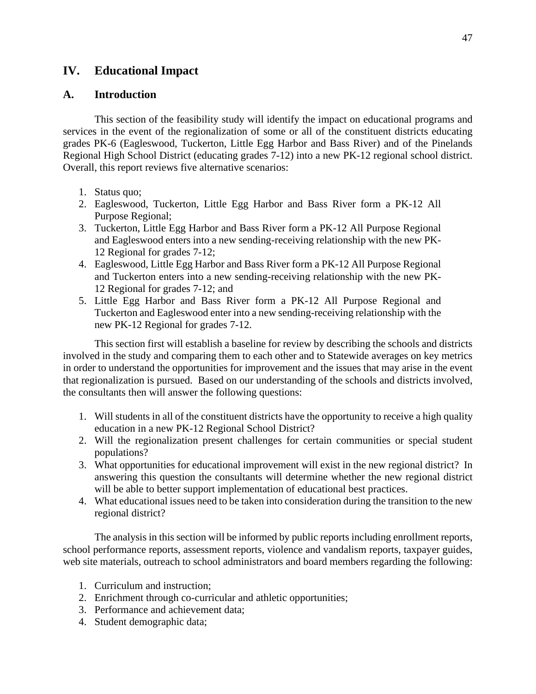## **IV. Educational Impact**

## **A. Introduction**

This section of the feasibility study will identify the impact on educational programs and services in the event of the regionalization of some or all of the constituent districts educating grades PK-6 (Eagleswood, Tuckerton, Little Egg Harbor and Bass River) and of the Pinelands Regional High School District (educating grades 7-12) into a new PK-12 regional school district. Overall, this report reviews five alternative scenarios:

- 1. Status quo;
- 2. Eagleswood, Tuckerton, Little Egg Harbor and Bass River form a PK-12 All Purpose Regional;
- 3. Tuckerton, Little Egg Harbor and Bass River form a PK-12 All Purpose Regional and Eagleswood enters into a new sending-receiving relationship with the new PK-12 Regional for grades 7-12;
- 4. Eagleswood, Little Egg Harbor and Bass River form a PK-12 All Purpose Regional and Tuckerton enters into a new sending-receiving relationship with the new PK-12 Regional for grades 7-12; and
- 5. Little Egg Harbor and Bass River form a PK-12 All Purpose Regional and Tuckerton and Eagleswood enter into a new sending-receiving relationship with the new PK-12 Regional for grades 7-12.

This section first will establish a baseline for review by describing the schools and districts involved in the study and comparing them to each other and to Statewide averages on key metrics in order to understand the opportunities for improvement and the issues that may arise in the event that regionalization is pursued. Based on our understanding of the schools and districts involved, the consultants then will answer the following questions:

- 1. Will students in all of the constituent districts have the opportunity to receive a high quality education in a new PK-12 Regional School District?
- 2. Will the regionalization present challenges for certain communities or special student populations?
- 3. What opportunities for educational improvement will exist in the new regional district? In answering this question the consultants will determine whether the new regional district will be able to better support implementation of educational best practices.
- 4. What educational issues need to be taken into consideration during the transition to the new regional district?

The analysis in this section will be informed by public reports including enrollment reports, school performance reports, assessment reports, violence and vandalism reports, taxpayer guides, web site materials, outreach to school administrators and board members regarding the following:

- 1. Curriculum and instruction;
- 2. Enrichment through co-curricular and athletic opportunities;
- 3. Performance and achievement data;
- 4. Student demographic data;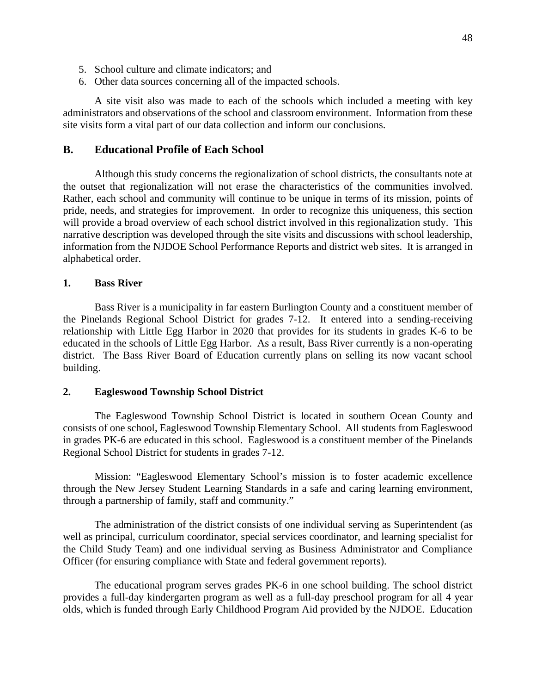- 5. School culture and climate indicators; and
- 6. Other data sources concerning all of the impacted schools.

A site visit also was made to each of the schools which included a meeting with key administrators and observations of the school and classroom environment. Information from these site visits form a vital part of our data collection and inform our conclusions.

### **B. Educational Profile of Each School**

Although this study concerns the regionalization of school districts, the consultants note at the outset that regionalization will not erase the characteristics of the communities involved. Rather, each school and community will continue to be unique in terms of its mission, points of pride, needs, and strategies for improvement. In order to recognize this uniqueness, this section will provide a broad overview of each school district involved in this regionalization study. This narrative description was developed through the site visits and discussions with school leadership, information from the NJDOE School Performance Reports and district web sites. It is arranged in alphabetical order.

#### **1. Bass River**

Bass River is a municipality in far eastern Burlington County and a constituent member of the Pinelands Regional School District for grades 7-12. It entered into a sending-receiving relationship with Little Egg Harbor in 2020 that provides for its students in grades K-6 to be educated in the schools of Little Egg Harbor. As a result, Bass River currently is a non-operating district. The Bass River Board of Education currently plans on selling its now vacant school building.

#### **2. Eagleswood Township School District**

The Eagleswood Township School District is located in southern Ocean County and consists of one school, Eagleswood Township Elementary School. All students from Eagleswood in grades PK-6 are educated in this school. Eagleswood is a constituent member of the Pinelands Regional School District for students in grades 7-12.

Mission: "Eagleswood Elementary School's mission is to foster academic excellence through the New Jersey Student Learning Standards in a safe and caring learning environment, through a partnership of family, staff and community."

The administration of the district consists of one individual serving as Superintendent (as well as principal, curriculum coordinator, special services coordinator, and learning specialist for the Child Study Team) and one individual serving as Business Administrator and Compliance Officer (for ensuring compliance with State and federal government reports).

The educational program serves grades PK-6 in one school building. The school district provides a full-day kindergarten program as well as a full-day preschool program for all 4 year olds, which is funded through Early Childhood Program Aid provided by the NJDOE. Education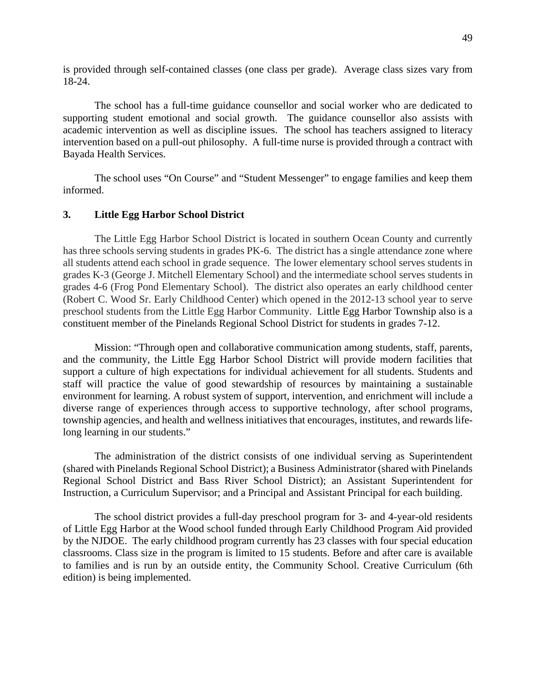is provided through self-contained classes (one class per grade). Average class sizes vary from 18-24.

The school has a full-time guidance counsellor and social worker who are dedicated to supporting student emotional and social growth. The guidance counsellor also assists with academic intervention as well as discipline issues. The school has teachers assigned to literacy intervention based on a pull-out philosophy. A full-time nurse is provided through a contract with Bayada Health Services.

The school uses "On Course" and "Student Messenger" to engage families and keep them informed.

#### **3. Little Egg Harbor School District**

The Little Egg Harbor School District is located in southern Ocean County and currently has three schools serving students in grades PK-6. The district has a single attendance zone where all students attend each school in grade sequence. The lower elementary school serves students in grades K-3 (George J. Mitchell Elementary School) and the intermediate school serves students in grades 4-6 (Frog Pond Elementary School). The district also operates an early childhood center (Robert C. Wood Sr. Early Childhood Center) which opened in the 2012-13 school year to serve preschool students from the Little Egg Harbor Community. Little Egg Harbor Township also is a constituent member of the Pinelands Regional School District for students in grades 7-12.

Mission: "Through open and collaborative communication among students, staff, parents, and the community, the Little Egg Harbor School District will provide modern facilities that support a culture of high expectations for individual achievement for all students. Students and staff will practice the value of good stewardship of resources by maintaining a sustainable environment for learning. A robust system of support, intervention, and enrichment will include a diverse range of experiences through access to supportive technology, after school programs, township agencies, and health and wellness initiatives that encourages, institutes, and rewards lifelong learning in our students."

The administration of the district consists of one individual serving as Superintendent (shared with Pinelands Regional School District); a Business Administrator (shared with Pinelands Regional School District and Bass River School District); an Assistant Superintendent for Instruction, a Curriculum Supervisor; and a Principal and Assistant Principal for each building.

The school district provides a full-day preschool program for 3- and 4-year-old residents of Little Egg Harbor at the Wood school funded through Early Childhood Program Aid provided by the NJDOE. The early childhood program currently has 23 classes with four special education classrooms. Class size in the program is limited to 15 students. Before and after care is available to families and is run by an outside entity, the Community School. Creative Curriculum (6th edition) is being implemented.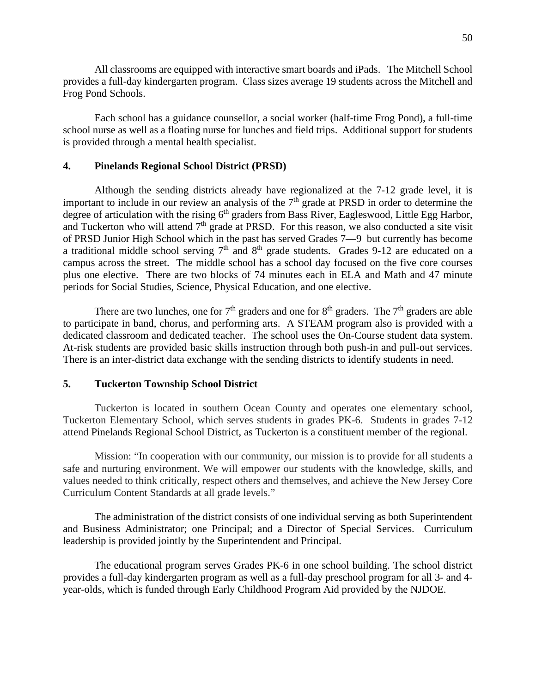All classrooms are equipped with interactive smart boards and iPads. The Mitchell School provides a full-day kindergarten program. Class sizes average 19 students across the Mitchell and Frog Pond Schools.

Each school has a guidance counsellor, a social worker (half-time Frog Pond), a full-time school nurse as well as a floating nurse for lunches and field trips. Additional support for students is provided through a mental health specialist.

#### **4. Pinelands Regional School District (PRSD)**

Although the sending districts already have regionalized at the 7-12 grade level, it is important to include in our review an analysis of the  $7<sup>th</sup>$  grade at PRSD in order to determine the degree of articulation with the rising  $6<sup>th</sup>$  graders from Bass River, Eagleswood, Little Egg Harbor, and Tuckerton who will attend  $7<sup>th</sup>$  grade at PRSD. For this reason, we also conducted a site visit of PRSD Junior High School which in the past has served Grades 7—9 but currently has become a traditional middle school serving  $7<sup>th</sup>$  and  $8<sup>th</sup>$  grade students. Grades 9-12 are educated on a campus across the street. The middle school has a school day focused on the five core courses plus one elective. There are two blocks of 74 minutes each in ELA and Math and 47 minute periods for Social Studies, Science, Physical Education, and one elective.

There are two lunches, one for  $7<sup>th</sup>$  graders and one for  $8<sup>th</sup>$  graders. The  $7<sup>th</sup>$  graders are able to participate in band, chorus, and performing arts. A STEAM program also is provided with a dedicated classroom and dedicated teacher. The school uses the On-Course student data system. At-risk students are provided basic skills instruction through both push-in and pull-out services. There is an inter-district data exchange with the sending districts to identify students in need.

### **5. Tuckerton Township School District**

Tuckerton is located in southern Ocean County and operates one elementary school, Tuckerton Elementary School, which serves students in grades PK-6. Students in grades 7-12 attend Pinelands Regional School District, as Tuckerton is a constituent member of the regional.

Mission: "In cooperation with our community, our mission is to provide for all students a safe and nurturing environment. We will empower our students with the knowledge, skills, and values needed to think critically, respect others and themselves, and achieve the New Jersey Core Curriculum Content Standards at all grade levels."

The administration of the district consists of one individual serving as both Superintendent and Business Administrator; one Principal; and a Director of Special Services. Curriculum leadership is provided jointly by the Superintendent and Principal.

The educational program serves Grades PK-6 in one school building. The school district provides a full-day kindergarten program as well as a full-day preschool program for all 3- and 4 year-olds, which is funded through Early Childhood Program Aid provided by the NJDOE.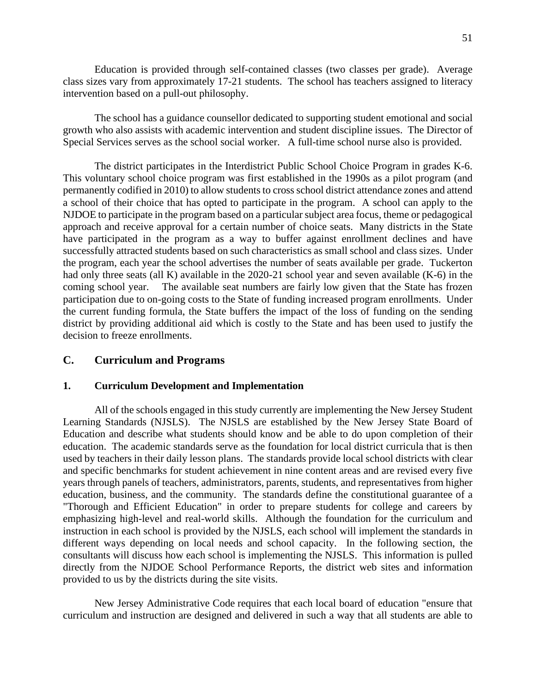Education is provided through self-contained classes (two classes per grade). Average class sizes vary from approximately 17-21 students. The school has teachers assigned to literacy intervention based on a pull-out philosophy.

The school has a guidance counsellor dedicated to supporting student emotional and social growth who also assists with academic intervention and student discipline issues. The Director of Special Services serves as the school social worker. A full-time school nurse also is provided.

The district participates in the Interdistrict Public School Choice Program in grades K-6. This voluntary school choice program was first established in the 1990s as a pilot program (and permanently codified in 2010) to allow students to cross school district attendance zones and attend a school of their choice that has opted to participate in the program. A school can apply to the NJDOE to participate in the program based on a particular subject area focus, theme or pedagogical approach and receive approval for a certain number of choice seats. Many districts in the State have participated in the program as a way to buffer against enrollment declines and have successfully attracted students based on such characteristics as small school and class sizes. Under the program, each year the school advertises the number of seats available per grade. Tuckerton had only three seats (all K) available in the 2020-21 school year and seven available (K-6) in the coming school year. The available seat numbers are fairly low given that the State has frozen participation due to on-going costs to the State of funding increased program enrollments. Under the current funding formula, the State buffers the impact of the loss of funding on the sending district by providing additional aid which is costly to the State and has been used to justify the decision to freeze enrollments.

## **C. Curriculum and Programs**

### **1. Curriculum Development and Implementation**

All of the schools engaged in this study currently are implementing the New Jersey Student Learning Standards (NJSLS). The NJSLS are established by the New Jersey State Board of Education and describe what students should know and be able to do upon completion of their education. The academic standards serve as the foundation for local district curricula that is then used by teachers in their daily lesson plans. The standards provide local school districts with clear and specific benchmarks for student achievement in nine content areas and are revised every five years through panels of teachers, administrators, parents, students, and representatives from higher education, business, and the community. The standards define the constitutional guarantee of a "Thorough and Efficient Education" in order to prepare students for college and careers by emphasizing high-level and real-world skills. Although the foundation for the curriculum and instruction in each school is provided by the NJSLS, each school will implement the standards in different ways depending on local needs and school capacity. In the following section, the consultants will discuss how each school is implementing the NJSLS. This information is pulled directly from the NJDOE School Performance Reports, the district web sites and information provided to us by the districts during the site visits.

New Jersey Administrative Code requires that each local board of education "ensure that curriculum and instruction are designed and delivered in such a way that all students are able to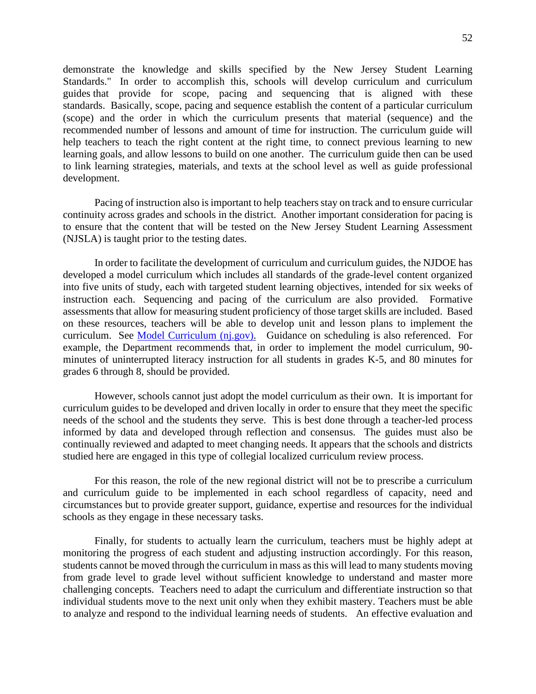demonstrate the knowledge and skills specified by the New Jersey Student Learning Standards." In order to accomplish this, schools will develop curriculum and curriculum guides that provide for scope, pacing and sequencing that is aligned with these standards. Basically, scope, pacing and sequence establish the content of a particular curriculum (scope) and the order in which the curriculum presents that material (sequence) and the recommended number of lessons and amount of time for instruction. The curriculum guide will help teachers to teach the right content at the right time, to connect previous learning to new learning goals, and allow lessons to build on one another. The curriculum guide then can be used to link learning strategies, materials, and texts at the school level as well as guide professional development.

Pacing of instruction also is important to help teachers stay on track and to ensure curricular continuity across grades and schools in the district. Another important consideration for pacing is to ensure that the content that will be tested on the New Jersey Student Learning Assessment (NJSLA) is taught prior to the testing dates.

In order to facilitate the development of curriculum and curriculum guides, the NJDOE has developed a model curriculum which includes all standards of the grade-level content organized into five units of study, each with targeted student learning objectives, intended for six weeks of instruction each. Sequencing and pacing of the curriculum are also provided. Formative assessments that allow for measuring student proficiency of those target skills are included. Based on these resources, teachers will be able to develop unit and lesson plans to implement the curriculum. See Model Curriculum (nj.gov). Guidance on scheduling is also referenced. For example, the Department recommends that, in order to implement the model curriculum, 90 minutes of uninterrupted literacy instruction for all students in grades K-5, and 80 minutes for grades 6 through 8, should be provided.

However, schools cannot just adopt the model curriculum as their own. It is important for curriculum guides to be developed and driven locally in order to ensure that they meet the specific needs of the school and the students they serve. This is best done through a teacher-led process informed by data and developed through reflection and consensus. The guides must also be continually reviewed and adapted to meet changing needs. It appears that the schools and districts studied here are engaged in this type of collegial localized curriculum review process.

For this reason, the role of the new regional district will not be to prescribe a curriculum and curriculum guide to be implemented in each school regardless of capacity, need and circumstances but to provide greater support, guidance, expertise and resources for the individual schools as they engage in these necessary tasks.

Finally, for students to actually learn the curriculum, teachers must be highly adept at monitoring the progress of each student and adjusting instruction accordingly. For this reason, students cannot be moved through the curriculum in mass as this will lead to many students moving from grade level to grade level without sufficient knowledge to understand and master more challenging concepts. Teachers need to adapt the curriculum and differentiate instruction so that individual students move to the next unit only when they exhibit mastery. Teachers must be able to analyze and respond to the individual learning needs of students. An effective evaluation and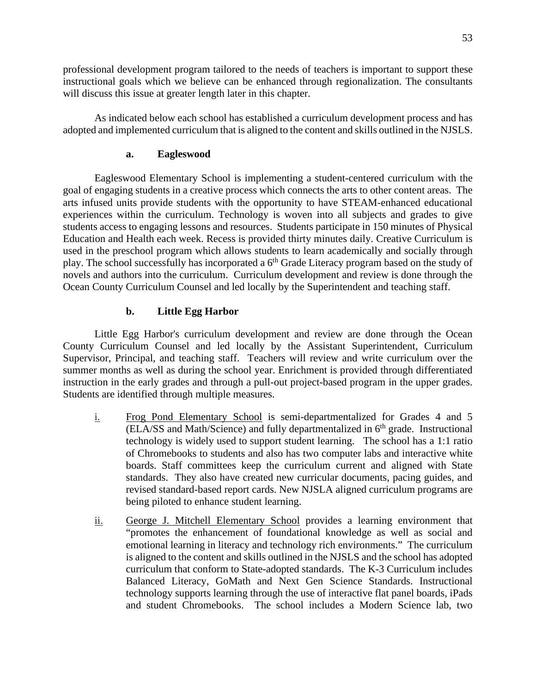professional development program tailored to the needs of teachers is important to support these instructional goals which we believe can be enhanced through regionalization. The consultants will discuss this issue at greater length later in this chapter.

As indicated below each school has established a curriculum development process and has adopted and implemented curriculum that is aligned to the content and skills outlined in the NJSLS.

## **a. Eagleswood**

Eagleswood Elementary School is implementing a student-centered curriculum with the goal of engaging students in a creative process which connects the arts to other content areas. The arts infused units provide students with the opportunity to have STEAM-enhanced educational experiences within the curriculum. Technology is woven into all subjects and grades to give students access to engaging lessons and resources. Students participate in 150 minutes of Physical Education and Health each week. Recess is provided thirty minutes daily. Creative Curriculum is used in the preschool program which allows students to learn academically and socially through play. The school successfully has incorporated a 6<sup>th</sup> Grade Literacy program based on the study of novels and authors into the curriculum. Curriculum development and review is done through the Ocean County Curriculum Counsel and led locally by the Superintendent and teaching staff.

## **b. Little Egg Harbor**

Little Egg Harbor's curriculum development and review are done through the Ocean County Curriculum Counsel and led locally by the Assistant Superintendent, Curriculum Supervisor, Principal, and teaching staff. Teachers will review and write curriculum over the summer months as well as during the school year. Enrichment is provided through differentiated instruction in the early grades and through a pull-out project-based program in the upper grades. Students are identified through multiple measures.

- i. Frog Pond Elementary School is semi-departmentalized for Grades 4 and 5  $(ELA/SS)$  and Math/Science) and fully departmentalized in  $6<sup>th</sup>$  grade. Instructional technology is widely used to support student learning. The school has a 1:1 ratio of Chromebooks to students and also has two computer labs and interactive white boards. Staff committees keep the curriculum current and aligned with State standards. They also have created new curricular documents, pacing guides, and revised standard-based report cards. New NJSLA aligned curriculum programs are being piloted to enhance student learning.
- ii. George J. Mitchell Elementary School provides a learning environment that "promotes the enhancement of foundational knowledge as well as social and emotional learning in literacy and technology rich environments." The curriculum is aligned to the content and skills outlined in the NJSLS and the school has adopted curriculum that conform to State-adopted standards. The K-3 Curriculum includes Balanced Literacy, GoMath and Next Gen Science Standards. Instructional technology supports learning through the use of interactive flat panel boards, iPads and student Chromebooks. The school includes a Modern Science lab, two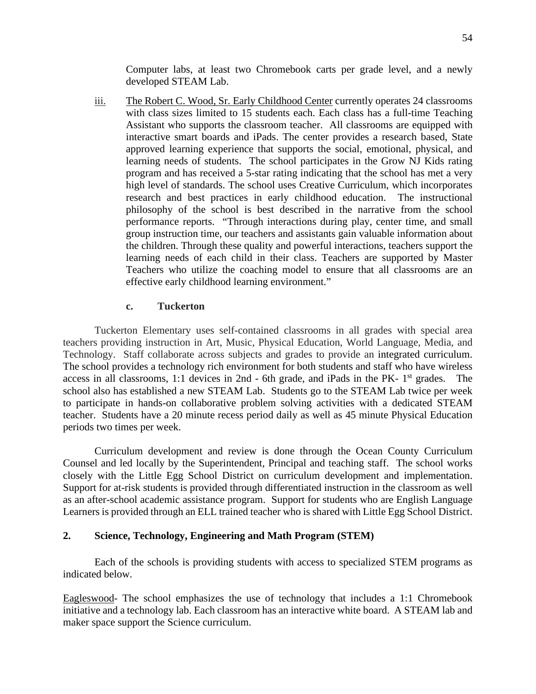Computer labs, at least two Chromebook carts per grade level, and a newly developed STEAM Lab.

iii. The Robert C. Wood, Sr. Early Childhood Center currently operates 24 classrooms with class sizes limited to 15 students each. Each class has a full-time Teaching Assistant who supports the classroom teacher. All classrooms are equipped with interactive smart boards and iPads. The center provides a research based, State approved learning experience that supports the social, emotional, physical, and learning needs of students. The school participates in the Grow NJ Kids rating program and has received a 5-star rating indicating that the school has met a very high level of standards. The school uses Creative Curriculum, which incorporates research and best practices in early childhood education. The instructional philosophy of the school is best described in the narrative from the school performance reports. "Through interactions during play, center time, and small group instruction time, our teachers and assistants gain valuable information about the children. Through these quality and powerful interactions, teachers support the learning needs of each child in their class. Teachers are supported by Master Teachers who utilize the coaching model to ensure that all classrooms are an effective early childhood learning environment."

#### **c. Tuckerton**

Tuckerton Elementary uses self-contained classrooms in all grades with special area teachers providing instruction in Art, Music, Physical Education, World Language, Media, and Technology. Staff collaborate across subjects and grades to provide an integrated curriculum. The school provides a technology rich environment for both students and staff who have wireless access in all classrooms, 1:1 devices in 2nd - 6th grade, and iPads in the PK- 1st grades. The school also has established a new STEAM Lab. Students go to the STEAM Lab twice per week to participate in hands-on collaborative problem solving activities with a dedicated STEAM teacher. Students have a 20 minute recess period daily as well as 45 minute Physical Education periods two times per week.

Curriculum development and review is done through the Ocean County Curriculum Counsel and led locally by the Superintendent, Principal and teaching staff. The school works closely with the Little Egg School District on curriculum development and implementation. Support for at-risk students is provided through differentiated instruction in the classroom as well as an after-school academic assistance program. Support for students who are English Language Learners is provided through an ELL trained teacher who is shared with Little Egg School District.

## **2. Science, Technology, Engineering and Math Program (STEM)**

Each of the schools is providing students with access to specialized STEM programs as indicated below.

Eagleswood- The school emphasizes the use of technology that includes a 1:1 Chromebook initiative and a technology lab. Each classroom has an interactive white board. A STEAM lab and maker space support the Science curriculum.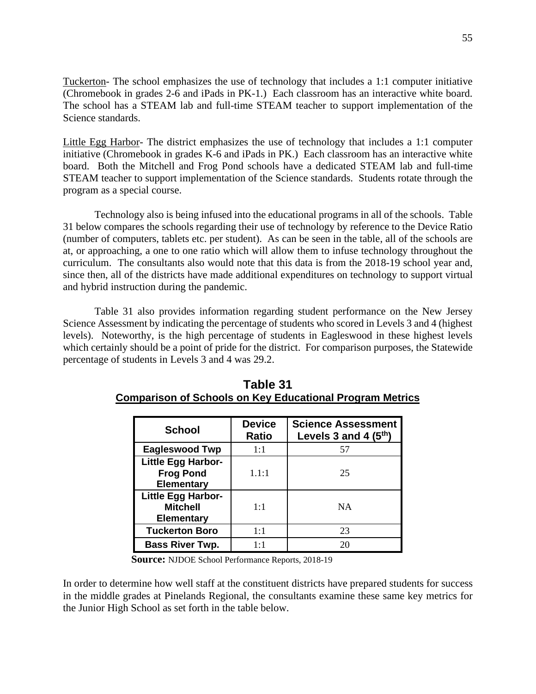Tuckerton- The school emphasizes the use of technology that includes a 1:1 computer initiative (Chromebook in grades 2-6 and iPads in PK-1.) Each classroom has an interactive white board. The school has a STEAM lab and full-time STEAM teacher to support implementation of the Science standards.

Little Egg Harbor- The district emphasizes the use of technology that includes a 1:1 computer initiative (Chromebook in grades K-6 and iPads in PK.) Each classroom has an interactive white board. Both the Mitchell and Frog Pond schools have a dedicated STEAM lab and full-time STEAM teacher to support implementation of the Science standards. Students rotate through the program as a special course.

Technology also is being infused into the educational programs in all of the schools. Table 31 below compares the schools regarding their use of technology by reference to the Device Ratio (number of computers, tablets etc. per student). As can be seen in the table, all of the schools are at, or approaching, a one to one ratio which will allow them to infuse technology throughout the curriculum. The consultants also would note that this data is from the 2018-19 school year and, since then, all of the districts have made additional expenditures on technology to support virtual and hybrid instruction during the pandemic.

Table 31 also provides information regarding student performance on the New Jersey Science Assessment by indicating the percentage of students who scored in Levels 3 and 4 (highest levels). Noteworthy, is the high percentage of students in Eagleswood in these highest levels which certainly should be a point of pride for the district. For comparison purposes, the Statewide percentage of students in Levels 3 and 4 was 29.2.

| <b>School</b>                                                      | <b>Device</b><br><b>Ratio</b> | <b>Science Assessment</b><br>Levels 3 and 4 $(5th)$ |
|--------------------------------------------------------------------|-------------------------------|-----------------------------------------------------|
| <b>Eagleswood Twp</b>                                              | 1:1                           | 57                                                  |
| <b>Little Egg Harbor-</b><br><b>Frog Pond</b><br><b>Elementary</b> | 1.1:1                         | 25                                                  |
| <b>Little Egg Harbor-</b><br><b>Mitchell</b><br><b>Elementary</b>  | 1:1                           | <b>NA</b>                                           |
| <b>Tuckerton Boro</b>                                              | 1:1                           | 23                                                  |
| <b>Bass River Twp.</b>                                             | $1 \cdot 1$                   | 20                                                  |

| Table 31                                                        |  |  |  |  |  |  |  |  |  |
|-----------------------------------------------------------------|--|--|--|--|--|--|--|--|--|
| <b>Comparison of Schools on Key Educational Program Metrics</b> |  |  |  |  |  |  |  |  |  |

**Source:** NJDOE School Performance Reports, 2018-19

In order to determine how well staff at the constituent districts have prepared students for success in the middle grades at Pinelands Regional, the consultants examine these same key metrics for the Junior High School as set forth in the table below.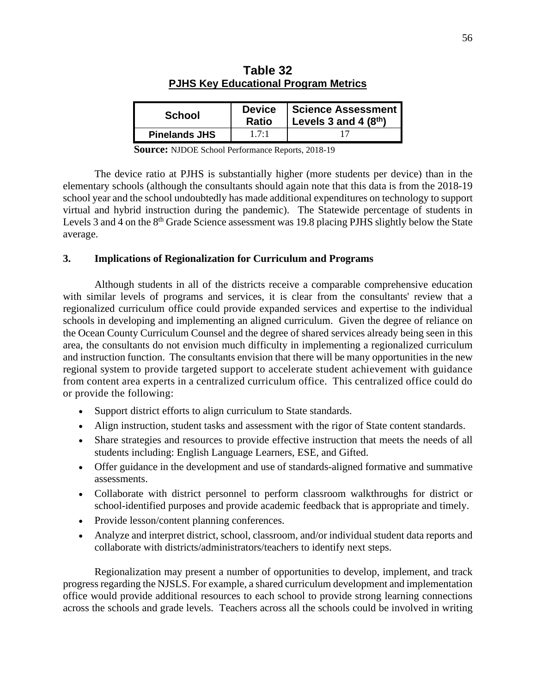| <b>School</b>        | <b>Device</b><br><b>Ratio</b> | Science Assessment<br>Levels 3 and 4 $(8th)$ |
|----------------------|-------------------------------|----------------------------------------------|
| <b>Pinelands JHS</b> | 17.1                          |                                              |

| Table 32                                    |  |  |  |  |  |  |  |  |  |
|---------------------------------------------|--|--|--|--|--|--|--|--|--|
| <b>PJHS Key Educational Program Metrics</b> |  |  |  |  |  |  |  |  |  |

**Source:** NJDOE School Performance Reports, 2018-19

The device ratio at PJHS is substantially higher (more students per device) than in the elementary schools (although the consultants should again note that this data is from the 2018-19 school year and the school undoubtedly has made additional expenditures on technology to support virtual and hybrid instruction during the pandemic). The Statewide percentage of students in Levels 3 and 4 on the 8<sup>th</sup> Grade Science assessment was 19.8 placing PJHS slightly below the State average.

#### **3. Implications of Regionalization for Curriculum and Programs**

Although students in all of the districts receive a comparable comprehensive education with similar levels of programs and services, it is clear from the consultants' review that a regionalized curriculum office could provide expanded services and expertise to the individual schools in developing and implementing an aligned curriculum. Given the degree of reliance on the Ocean County Curriculum Counsel and the degree of shared services already being seen in this area, the consultants do not envision much difficulty in implementing a regionalized curriculum and instruction function. The consultants envision that there will be many opportunities in the new regional system to provide targeted support to accelerate student achievement with guidance from content area experts in a centralized curriculum office. This centralized office could do or provide the following:

- Support district efforts to align curriculum to State standards.
- Align instruction, student tasks and assessment with the rigor of State content standards.
- Share strategies and resources to provide effective instruction that meets the needs of all students including: English Language Learners, ESE, and Gifted.
- Offer guidance in the development and use of standards-aligned formative and summative assessments.
- Collaborate with district personnel to perform classroom walkthroughs for district or school-identified purposes and provide academic feedback that is appropriate and timely.
- Provide lesson/content planning conferences.
- Analyze and interpret district, school, classroom, and/or individual student data reports and collaborate with districts/administrators/teachers to identify next steps.

Regionalization may present a number of opportunities to develop, implement, and track progress regarding the NJSLS. For example, a shared curriculum development and implementation office would provide additional resources to each school to provide strong learning connections across the schools and grade levels. Teachers across all the schools could be involved in writing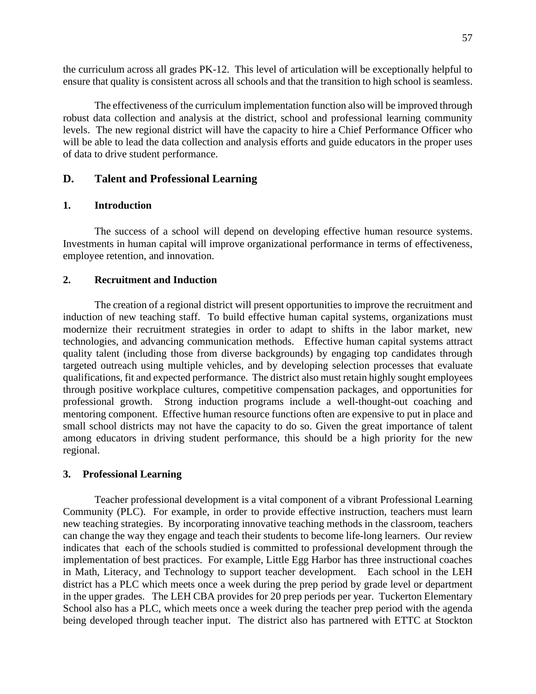the curriculum across all grades PK-12. This level of articulation will be exceptionally helpful to ensure that quality is consistent across all schools and that the transition to high school is seamless.

The effectiveness of the curriculum implementation function also will be improved through robust data collection and analysis at the district, school and professional learning community levels. The new regional district will have the capacity to hire a Chief Performance Officer who will be able to lead the data collection and analysis efforts and guide educators in the proper uses of data to drive student performance.

## **D. Talent and Professional Learning**

#### **1. Introduction**

The success of a school will depend on developing effective human resource systems. Investments in human capital will improve organizational performance in terms of effectiveness, employee retention, and innovation.

## **2. Recruitment and Induction**

The creation of a regional district will present opportunities to improve the recruitment and induction of new teaching staff. To build effective human capital systems, organizations must modernize their recruitment strategies in order to adapt to shifts in the labor market, new technologies, and advancing communication methods. Effective human capital systems attract quality talent (including those from diverse backgrounds) by engaging top candidates through targeted outreach using multiple vehicles, and by developing selection processes that evaluate qualifications, fit and expected performance. The district also must retain highly sought employees through positive workplace cultures, competitive compensation packages, and opportunities for professional growth. Strong induction programs include a well-thought-out coaching and mentoring component. Effective human resource functions often are expensive to put in place and small school districts may not have the capacity to do so. Given the great importance of talent among educators in driving student performance, this should be a high priority for the new regional.

#### **3. Professional Learning**

Teacher professional development is a vital component of a vibrant Professional Learning Community (PLC). For example, in order to provide effective instruction, teachers must learn new teaching strategies. By incorporating innovative teaching methods in the classroom, teachers can change the way they engage and teach their students to become life-long learners. Our review indicates that each of the schools studied is committed to professional development through the implementation of best practices. For example, Little Egg Harbor has three instructional coaches in Math, Literacy, and Technology to support teacher development. Each school in the LEH district has a PLC which meets once a week during the prep period by grade level or department in the upper grades. The LEH CBA provides for 20 prep periods per year. Tuckerton Elementary School also has a PLC, which meets once a week during the teacher prep period with the agenda being developed through teacher input. The district also has partnered with ETTC at Stockton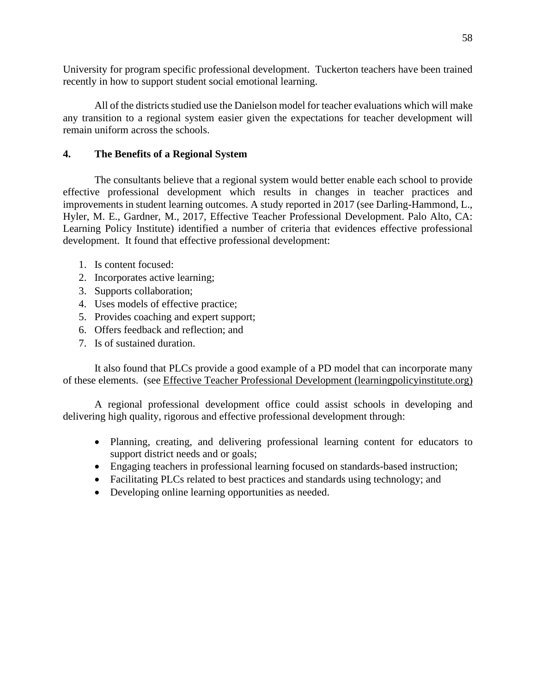University for program specific professional development. Tuckerton teachers have been trained recently in how to support student social emotional learning.

All of the districts studied use the Danielson model for teacher evaluations which will make any transition to a regional system easier given the expectations for teacher development will remain uniform across the schools.

## **4. The Benefits of a Regional System**

The consultants believe that a regional system would better enable each school to provide effective professional development which results in changes in teacher practices and improvements in student learning outcomes. A study reported in 2017 (see Darling-Hammond, L., Hyler, M. E., Gardner, M., 2017, Effective Teacher Professional Development. Palo Alto, CA: Learning Policy Institute) identified a number of criteria that evidences effective professional development. It found that effective professional development:

- 1. Is content focused:
- 2. Incorporates active learning;
- 3. Supports collaboration;
- 4. Uses models of effective practice;
- 5. Provides coaching and expert support;
- 6. Offers feedback and reflection; and
- 7. Is of sustained duration.

It also found that PLCs provide a good example of a PD model that can incorporate many of these elements. (see Effective Teacher Professional Development (learningpolicyinstitute.org)

A regional professional development office could assist schools in developing and delivering high quality, rigorous and effective professional development through:

- Planning, creating, and delivering professional learning content for educators to support district needs and or goals;
- Engaging teachers in professional learning focused on standards-based instruction;
- Facilitating PLCs related to best practices and standards using technology; and
- Developing online learning opportunities as needed.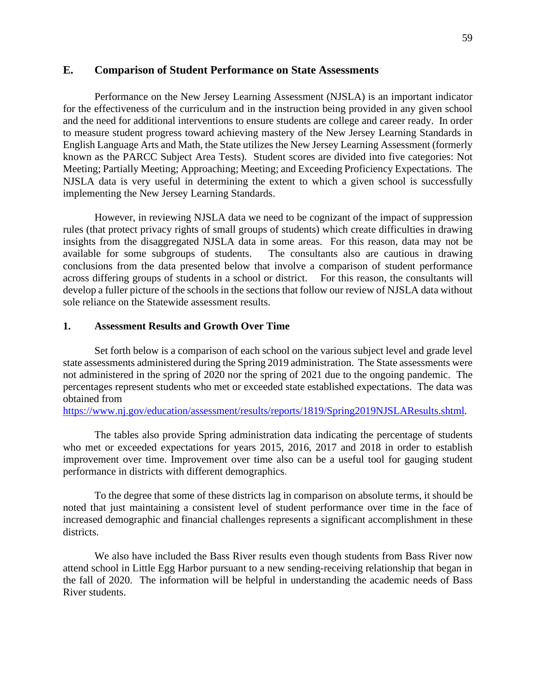### **E. Comparison of Student Performance on State Assessments**

Performance on the New Jersey Learning Assessment (NJSLA) is an important indicator for the effectiveness of the curriculum and in the instruction being provided in any given school and the need for additional interventions to ensure students are college and career ready. In order to measure student progress toward achieving mastery of the New Jersey Learning Standards in English Language Arts and Math, the State utilizes the New Jersey Learning Assessment (formerly known as the PARCC Subject Area Tests). Student scores are divided into five categories: Not Meeting; Partially Meeting; Approaching; Meeting; and Exceeding Proficiency Expectations. The NJSLA data is very useful in determining the extent to which a given school is successfully implementing the New Jersey Learning Standards.

However, in reviewing NJSLA data we need to be cognizant of the impact of suppression rules (that protect privacy rights of small groups of students) which create difficulties in drawing insights from the disaggregated NJSLA data in some areas. For this reason, data may not be available for some subgroups of students. The consultants also are cautious in drawing conclusions from the data presented below that involve a comparison of student performance across differing groups of students in a school or district. For this reason, the consultants will develop a fuller picture of the schools in the sections that follow our review of NJSLA data without sole reliance on the Statewide assessment results.

#### **1. Assessment Results and Growth Over Time**

Set forth below is a comparison of each school on the various subject level and grade level state assessments administered during the Spring 2019 administration. The State assessments were not administered in the spring of 2020 nor the spring of 2021 due to the ongoing pandemic. The percentages represent students who met or exceeded state established expectations. The data was obtained from

https://www.nj.gov/education/assessment/results/reports/1819/Spring2019NJSLAResults.shtml.

The tables also provide Spring administration data indicating the percentage of students who met or exceeded expectations for years 2015, 2016, 2017 and 2018 in order to establish improvement over time. Improvement over time also can be a useful tool for gauging student performance in districts with different demographics.

To the degree that some of these districts lag in comparison on absolute terms, it should be noted that just maintaining a consistent level of student performance over time in the face of increased demographic and financial challenges represents a significant accomplishment in these districts.

We also have included the Bass River results even though students from Bass River now attend school in Little Egg Harbor pursuant to a new sending-receiving relationship that began in the fall of 2020. The information will be helpful in understanding the academic needs of Bass River students.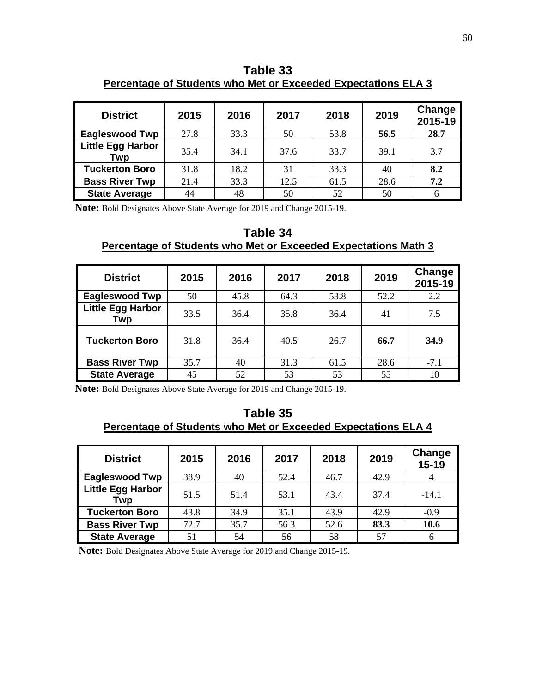**Table 33 Percentage of Students who Met or Exceeded Expectations ELA 3** 

| <b>District</b>                 | 2015 | 2016 | 2017 | 2018 | 2019 | Change<br>2015-19 |
|---------------------------------|------|------|------|------|------|-------------------|
| <b>Eagleswood Twp</b>           | 27.8 | 33.3 | 50   | 53.8 | 56.5 | 28.7              |
| <b>Little Egg Harbor</b><br>Twp | 35.4 | 34.1 | 37.6 | 33.7 | 39.1 | 3.7               |
| <b>Tuckerton Boro</b>           | 31.8 | 18.2 | 31   | 33.3 | 40   | 8.2               |
| <b>Bass River Twp</b>           | 21.4 | 33.3 | 12.5 | 61.5 | 28.6 | 7.2               |
| <b>State Average</b>            | 44   | 48   | 50   | 52   | 50   | 6                 |

**Note:** Bold Designates Above State Average for 2019 and Change 2015-19.

**Table 34 Percentage of Students who Met or Exceeded Expectations Math 3** 

| <b>District</b>                 | 2015 | 2016 | 2017 | 2018 | 2019 | Change<br>2015-19 |
|---------------------------------|------|------|------|------|------|-------------------|
| <b>Eagleswood Twp</b>           | 50   | 45.8 | 64.3 | 53.8 | 52.2 | 2.2               |
| <b>Little Egg Harbor</b><br>Twp | 33.5 | 36.4 | 35.8 | 36.4 | 41   | 7.5               |
| <b>Tuckerton Boro</b>           | 31.8 | 36.4 | 40.5 | 26.7 | 66.7 | 34.9              |
| <b>Bass River Twp</b>           | 35.7 | 40   | 31.3 | 61.5 | 28.6 | $-7.1$            |
| <b>State Average</b>            | 45   | 52   | 53   | 53   | 55   | 10                |

**Note:** Bold Designates Above State Average for 2019 and Change 2015-19.

## **Table 35 Percentage of Students who Met or Exceeded Expectations ELA 4**

| <b>District</b>                 | 2015 | 2016 | 2017 | 2018 | 2019 | Change<br>$15 - 19$ |
|---------------------------------|------|------|------|------|------|---------------------|
| <b>Eagleswood Twp</b>           | 38.9 | 40   | 52.4 | 46.7 | 42.9 | 4                   |
| <b>Little Egg Harbor</b><br>Twp | 51.5 | 51.4 | 53.1 | 43.4 | 37.4 | $-14.1$             |
| <b>Tuckerton Boro</b>           | 43.8 | 34.9 | 35.1 | 43.9 | 42.9 | $-0.9$              |
| <b>Bass River Twp</b>           | 72.7 | 35.7 | 56.3 | 52.6 | 83.3 | 10.6                |
| <b>State Average</b>            | 51   | 54   | 56   | 58   | 57   | 6                   |

**Note:** Bold Designates Above State Average for 2019 and Change 2015-19.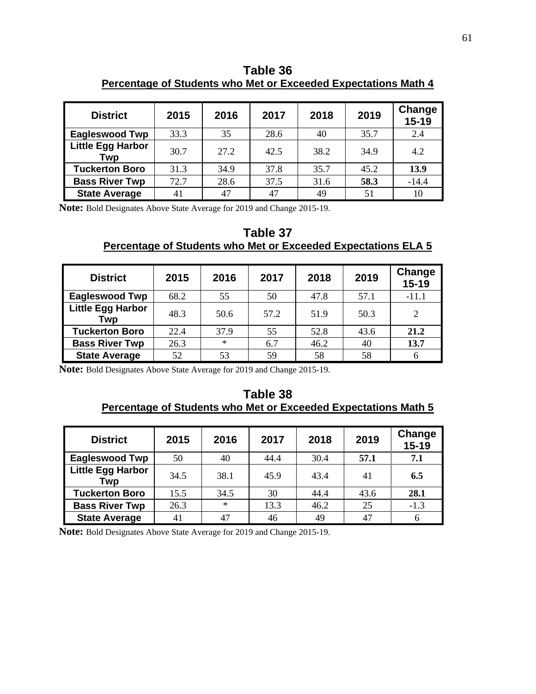**Table 36 Percentage of Students who Met or Exceeded Expectations Math 4** 

| <b>District</b>                 | 2015 | 2016 | 2017 | 2018 | 2019 | Change<br>$15 - 19$ |
|---------------------------------|------|------|------|------|------|---------------------|
| <b>Eagleswood Twp</b>           | 33.3 | 35   | 28.6 | 40   | 35.7 | 2.4                 |
| <b>Little Egg Harbor</b><br>Twp | 30.7 | 27.2 | 42.5 | 38.2 | 34.9 | 4.2                 |
| <b>Tuckerton Boro</b>           | 31.3 | 34.9 | 37.8 | 35.7 | 45.2 | 13.9                |
| <b>Bass River Twp</b>           | 72.7 | 28.6 | 37.5 | 31.6 | 58.3 | $-14.4$             |
| <b>State Average</b>            | 41   | 47   | 47   | 49   | 51   | 10                  |

**Note:** Bold Designates Above State Average for 2019 and Change 2015-19.

**Table 37 Percentage of Students who Met or Exceeded Expectations ELA 5** 

| <b>District</b>                 | 2015 | 2016 | 2017 | 2018 | 2019 | Change<br>$15-19$ |
|---------------------------------|------|------|------|------|------|-------------------|
| <b>Eagleswood Twp</b>           | 68.2 | 55   | 50   | 47.8 | 57.1 | $-11.1$           |
| <b>Little Egg Harbor</b><br>Twp | 48.3 | 50.6 | 57.2 | 51.9 | 50.3 | 2                 |
| <b>Tuckerton Boro</b>           | 22.4 | 37.9 | 55   | 52.8 | 43.6 | 21.2              |
| <b>Bass River Twp</b>           | 26.3 | $*$  | 6.7  | 46.2 | 40   | 13.7              |
| <b>State Average</b>            | 52   | 53   | 59   | 58   | 58   | 6                 |

**Note:** Bold Designates Above State Average for 2019 and Change 2015-19.

## **Table 38 Percentage of Students who Met or Exceeded Expectations Math 5**

| <b>District</b>                 | 2015 | 2016   | 2017 | 2018 | 2019 | Change<br>$15 - 19$ |
|---------------------------------|------|--------|------|------|------|---------------------|
| <b>Eagleswood Twp</b>           | 50   | 40     | 44.4 | 30.4 | 57.1 | 7.1                 |
| <b>Little Egg Harbor</b><br>Twp | 34.5 | 38.1   | 45.9 | 43.4 | 41   | 6.5                 |
| <b>Tuckerton Boro</b>           | 15.5 | 34.5   | 30   | 44.4 | 43.6 | 28.1                |
| <b>Bass River Twp</b>           | 26.3 | $\ast$ | 13.3 | 46.2 | 25   | $-1.3$              |
| <b>State Average</b>            | 41   | 47     | 46   | 49   | 47   | 6                   |

**Note:** Bold Designates Above State Average for 2019 and Change 2015-19.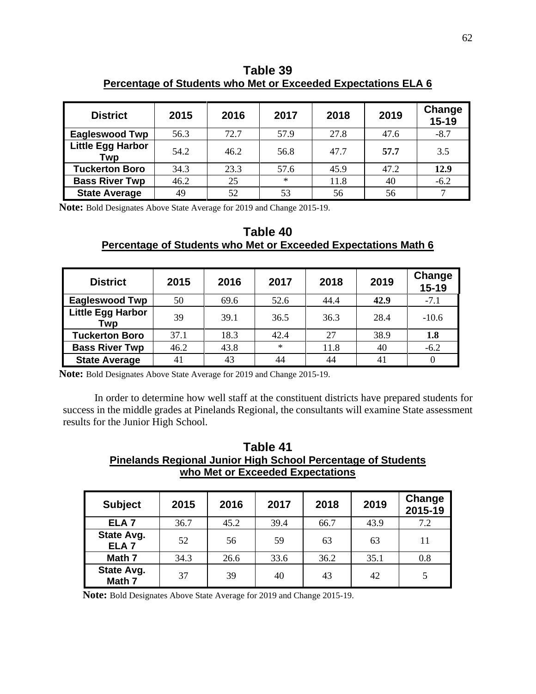| <b>District</b>                 | 2015 | 2016 | 2017   | 2018 | 2019 | Change<br>$15 - 19$ |
|---------------------------------|------|------|--------|------|------|---------------------|
| <b>Eagleswood Twp</b>           | 56.3 | 72.7 | 57.9   | 27.8 | 47.6 | $-8.7$              |
| <b>Little Egg Harbor</b><br>Twp | 54.2 | 46.2 | 56.8   | 47.7 | 57.7 | 3.5                 |
| <b>Tuckerton Boro</b>           | 34.3 | 23.3 | 57.6   | 45.9 | 47.2 | 12.9                |
| <b>Bass River Twp</b>           | 46.2 | 25   | $\ast$ | 11.8 | 40   | $-6.2$              |
| <b>State Average</b>            | 49   | 52   | 53     | 56   | 56   |                     |

**Table 39 Percentage of Students who Met or Exceeded Expectations ELA 6**

**Note:** Bold Designates Above State Average for 2019 and Change 2015-19.

## **Table 40 Percentage of Students who Met or Exceeded Expectations Math 6**

| <b>District</b>                 | 2015 | 2016 | 2017   | 2018 | 2019 | <b>Change</b><br>$15 - 19$ |
|---------------------------------|------|------|--------|------|------|----------------------------|
| <b>Eagleswood Twp</b>           | 50   | 69.6 | 52.6   | 44.4 | 42.9 | $-7.1$                     |
| <b>Little Egg Harbor</b><br>Twp | 39   | 39.1 | 36.5   | 36.3 | 28.4 | $-10.6$                    |
| <b>Tuckerton Boro</b>           | 37.1 | 18.3 | 42.4   | 27   | 38.9 | 1.8                        |
| <b>Bass River Twp</b>           | 46.2 | 43.8 | $\ast$ | 11.8 | 40   | $-6.2$                     |
| <b>State Average</b>            | 41   | 43   | 44     | 44   | 41   |                            |

**Note:** Bold Designates Above State Average for 2019 and Change 2015-19.

In order to determine how well staff at the constituent districts have prepared students for success in the middle grades at Pinelands Regional, the consultants will examine State assessment results for the Junior High School.

| Table 41                                                            |  |  |  |  |  |  |  |  |  |
|---------------------------------------------------------------------|--|--|--|--|--|--|--|--|--|
| <b>Pinelands Regional Junior High School Percentage of Students</b> |  |  |  |  |  |  |  |  |  |
| who Met or Exceeded Expectations                                    |  |  |  |  |  |  |  |  |  |

| <b>Subject</b>                 | 2015 | 2016 | 2017 | 2019<br>2018 |      | Change<br>2015-19 |
|--------------------------------|------|------|------|--------------|------|-------------------|
| ELA <sub>7</sub>               | 36.7 | 45.2 | 39.4 | 66.7         | 43.9 | 7.2               |
| State Avg.<br>ELA <sub>7</sub> | 52   | 56   | 59   | 63           | 63   | 11                |
| Math 7                         | 34.3 | 26.6 | 33.6 | 36.2         | 35.1 | 0.8               |
| State Avg.<br>Math 7           | 37   | 39   | 40   | 43           | 42   |                   |

**Note:** Bold Designates Above State Average for 2019 and Change 2015-19.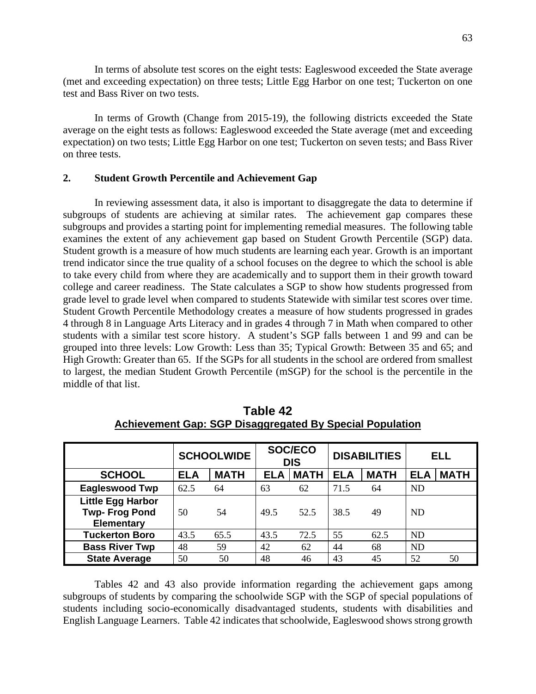In terms of absolute test scores on the eight tests: Eagleswood exceeded the State average (met and exceeding expectation) on three tests; Little Egg Harbor on one test; Tuckerton on one test and Bass River on two tests.

In terms of Growth (Change from 2015-19), the following districts exceeded the State average on the eight tests as follows: Eagleswood exceeded the State average (met and exceeding expectation) on two tests; Little Egg Harbor on one test; Tuckerton on seven tests; and Bass River on three tests.

#### **2. Student Growth Percentile and Achievement Gap**

In reviewing assessment data, it also is important to disaggregate the data to determine if subgroups of students are achieving at similar rates. The achievement gap compares these subgroups and provides a starting point for implementing remedial measures. The following table examines the extent of any achievement gap based on Student Growth Percentile (SGP) data. Student growth is a measure of how much students are learning each year. Growth is an important trend indicator since the true quality of a school focuses on the degree to which the school is able to take every child from where they are academically and to support them in their growth toward college and career readiness. The State calculates a SGP to show how students progressed from grade level to grade level when compared to students Statewide with similar test scores over time. Student Growth Percentile Methodology creates a measure of how students progressed in grades 4 through 8 in Language Arts Literacy and in grades 4 through 7 in Math when compared to other students with a similar test score history. A student's SGP falls between 1 and 99 and can be grouped into three levels: Low Growth: Less than 35; Typical Growth: Between 35 and 65; and High Growth: Greater than 65. If the SGPs for all students in the school are ordered from smallest to largest, the median Student Growth Percentile (mSGP) for the school is the percentile in the middle of that list.

|                                                                       |            | <b>SCHOOLWIDE</b> |            | <b>SOC/ECO</b><br><b>DIS</b> |            | <b>DISABILITIES</b> | <b>ELL</b> |             |
|-----------------------------------------------------------------------|------------|-------------------|------------|------------------------------|------------|---------------------|------------|-------------|
| <b>SCHOOL</b>                                                         | <b>ELA</b> | <b>MATH</b>       | <b>ELA</b> | <b>MATH</b>                  | <b>ELA</b> | <b>MATH</b>         | <b>ELA</b> | <b>MATH</b> |
| <b>Eagleswood Twp</b>                                                 | 62.5       | 64                | 63         | 62                           | 71.5       | 64                  | <b>ND</b>  |             |
| <b>Little Egg Harbor</b><br><b>Twp-Frog Pond</b><br><b>Elementary</b> | 50         | 54                | 49.5       | 52.5                         | 38.5       | 49                  | <b>ND</b>  |             |
| <b>Tuckerton Boro</b>                                                 | 43.5       | 65.5              | 43.5       | 72.5                         | 55         | 62.5                | <b>ND</b>  |             |
| <b>Bass River Twp</b>                                                 | 48         | 59                | 42         | 62                           | 44         | 68                  | <b>ND</b>  |             |
| <b>State Average</b>                                                  | 50         | 50                | 48         | 46                           | 43         | 45                  | 52         | 50          |

**Table 42 Achievement Gap: SGP Disaggregated By Special Population** 

Tables 42 and 43 also provide information regarding the achievement gaps among subgroups of students by comparing the schoolwide SGP with the SGP of special populations of students including socio-economically disadvantaged students, students with disabilities and English Language Learners. Table 42 indicates that schoolwide, Eagleswood shows strong growth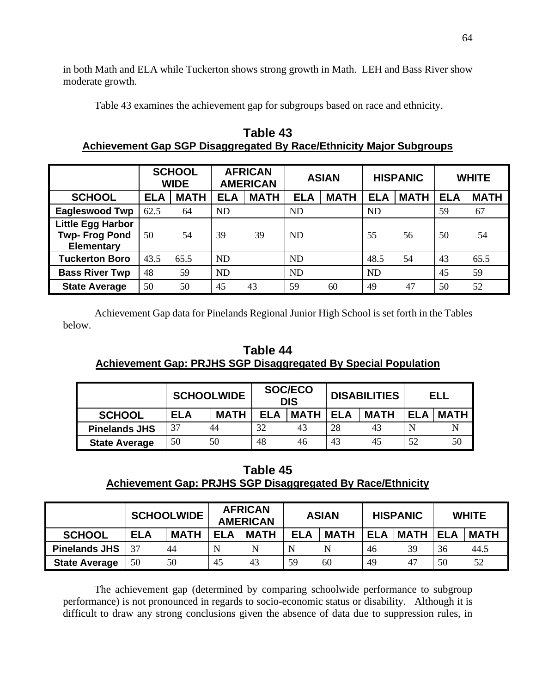in both Math and ELA while Tuckerton shows strong growth in Math. LEH and Bass River show moderate growth.

Table 43 examines the achievement gap for subgroups based on race and ethnicity.

|                                                                       |            | <b>SCHOOL</b><br><b>WIDE</b> |            | <b>AFRICAN</b><br><b>AMERICAN</b> |            | <b>ASIAN</b> |            | <b>HISPANIC</b> |            | <b>WHITE</b> |  |
|-----------------------------------------------------------------------|------------|------------------------------|------------|-----------------------------------|------------|--------------|------------|-----------------|------------|--------------|--|
| <b>SCHOOL</b>                                                         | <b>ELA</b> | <b>MATH</b>                  | <b>ELA</b> | <b>MATH</b>                       | <b>ELA</b> | <b>MATH</b>  | <b>ELA</b> | <b>MATH</b>     | <b>ELA</b> | <b>MATH</b>  |  |
| <b>Eagleswood Twp</b>                                                 | 62.5       | 64                           | <b>ND</b>  |                                   | <b>ND</b>  |              | ND         |                 | 59         | 67           |  |
| <b>Little Egg Harbor</b><br><b>Twp-Frog Pond</b><br><b>Elementary</b> | 50         | 54                           | 39         | 39                                | <b>ND</b>  |              | 55         | 56              | 50         | 54           |  |
| <b>Tuckerton Boro</b>                                                 | 43.5       | 65.5                         | ND         |                                   | <b>ND</b>  |              | 48.5       | 54              | 43         | 65.5         |  |
| <b>Bass River Twp</b>                                                 | 48         | 59                           | <b>ND</b>  |                                   | <b>ND</b>  |              | <b>ND</b>  |                 | 45         | 59           |  |
| <b>State Average</b>                                                  | 50         | 50                           | 45         | 43                                | 59         | 60           | 49         | 47              | 50         | 52           |  |

**Table 43 Achievement Gap SGP Disaggregated By Race/Ethnicity Major Subgroups** 

Achievement Gap data for Pinelands Regional Junior High School is set forth in the Tables below.

# **Table 44 Achievement Gap: PRJHS SGP Disaggregated By Special Population**

|                      | <b>SCHOOLWIDE</b> |             | <b>SOC/ECO</b><br><b>DIS</b> |             |            | <b>DISABILITIES</b> | ELL        |             |
|----------------------|-------------------|-------------|------------------------------|-------------|------------|---------------------|------------|-------------|
| <b>SCHOOL</b>        | <b>ELA</b>        | <b>MATH</b> | FI A                         | <b>MATH</b> | <b>ELA</b> | <b>MATH</b>         | <b>ELA</b> | <b>MATH</b> |
| <b>Pinelands JHS</b> | 37                | 44          | 32                           | 43          | 28         | 43                  |            |             |
| <b>State Average</b> | 50                | 50          | 48                           | 46          | 43         | 45                  | 52         | 50          |

# **Table 45**

# **Achievement Gap: PRJHS SGP Disaggregated By Race/Ethnicity**

|                      |            | <b>SCHOOLWIDE</b> | <b>AFRICAN</b><br><b>AMERICAN</b> |             | <b>ASIAN</b> |             | <b>HISPANIC</b> |             | <b>WHITE</b> |             |
|----------------------|------------|-------------------|-----------------------------------|-------------|--------------|-------------|-----------------|-------------|--------------|-------------|
| <b>SCHOOL</b>        | <b>ELA</b> | <b>MATH</b>       | <b>ELA</b>                        | <b>MATH</b> | <b>ELA</b>   | <b>MATH</b> | <b>ELA</b>      | <b>MATH</b> | <b>ELA</b>   | <b>MATH</b> |
| <b>Pinelands JHS</b> | 37         | 44                |                                   |             |              |             | 46              | 39          | 36           | 44.5        |
| <b>State Average</b> | 50         | 50                | 45                                | 43          | 59           | 60          | 49              |             | 50           | 52          |

The achievement gap (determined by comparing schoolwide performance to subgroup performance) is not pronounced in regards to socio-economic status or disability. Although it is difficult to draw any strong conclusions given the absence of data due to suppression rules, in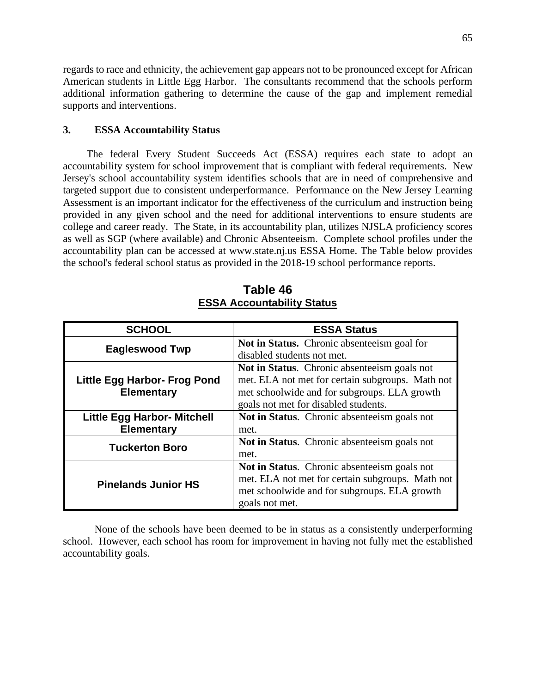regards to race and ethnicity, the achievement gap appears not to be pronounced except for African American students in Little Egg Harbor. The consultants recommend that the schools perform additional information gathering to determine the cause of the gap and implement remedial supports and interventions.

## **3. ESSA Accountability Status**

The federal Every Student Succeeds Act (ESSA) requires each state to adopt an accountability system for school improvement that is compliant with federal requirements. New Jersey's school accountability system identifies schools that are in need of comprehensive and targeted support due to consistent underperformance. Performance on the New Jersey Learning Assessment is an important indicator for the effectiveness of the curriculum and instruction being provided in any given school and the need for additional interventions to ensure students are college and career ready. The State, in its accountability plan, utilizes NJSLA proficiency scores as well as SGP (where available) and Chronic Absenteeism. Complete school profiles under the accountability plan can be accessed at www.state.nj.us ESSA Home. The Table below provides the school's federal school status as provided in the 2018-19 school performance reports.

| <b>SCHOOL</b>                      | <b>ESSA Status</b>                               |
|------------------------------------|--------------------------------------------------|
| <b>Eagleswood Twp</b>              | Not in Status. Chronic absenteeism goal for      |
|                                    | disabled students not met.                       |
|                                    | Not in Status. Chronic absenteeism goals not     |
| Little Egg Harbor- Frog Pond       | met. ELA not met for certain subgroups. Math not |
| <b>Elementary</b>                  | met schoolwide and for subgroups. ELA growth     |
|                                    | goals not met for disabled students.             |
| <b>Little Egg Harbor- Mitchell</b> | Not in Status. Chronic absenteeism goals not     |
| Elementary                         | met.                                             |
| <b>Tuckerton Boro</b>              | Not in Status. Chronic absenteeism goals not     |
|                                    | met.                                             |
| <b>Pinelands Junior HS</b>         | Not in Status. Chronic absenteeism goals not     |
|                                    | met. ELA not met for certain subgroups. Math not |
|                                    | met schoolwide and for subgroups. ELA growth     |
|                                    | goals not met.                                   |

**Table 46 ESSA Accountability Status** 

None of the schools have been deemed to be in status as a consistently underperforming school. However, each school has room for improvement in having not fully met the established accountability goals.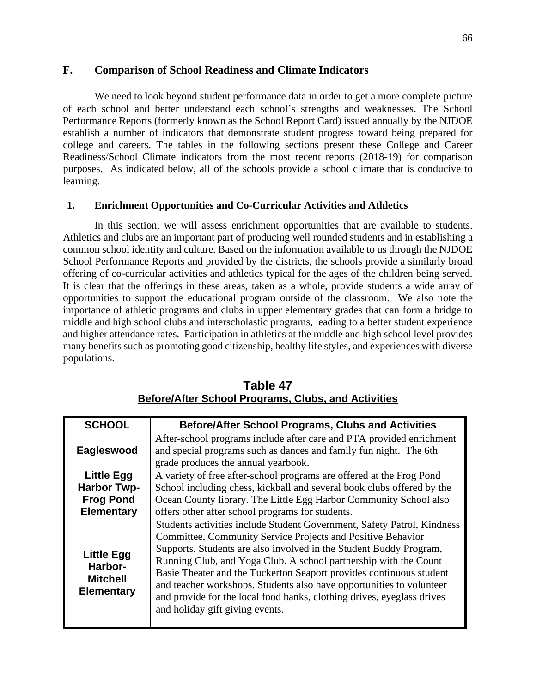## **F. Comparison of School Readiness and Climate Indicators**

We need to look beyond student performance data in order to get a more complete picture of each school and better understand each school's strengths and weaknesses. The School Performance Reports (formerly known as the School Report Card) issued annually by the NJDOE establish a number of indicators that demonstrate student progress toward being prepared for college and careers. The tables in the following sections present these College and Career Readiness/School Climate indicators from the most recent reports (2018-19) for comparison purposes. As indicated below, all of the schools provide a school climate that is conducive to learning.

## **1. Enrichment Opportunities and Co-Curricular Activities and Athletics**

In this section, we will assess enrichment opportunities that are available to students. Athletics and clubs are an important part of producing well rounded students and in establishing a common school identity and culture. Based on the information available to us through the NJDOE School Performance Reports and provided by the districts, the schools provide a similarly broad offering of co-curricular activities and athletics typical for the ages of the children being served. It is clear that the offerings in these areas, taken as a whole, provide students a wide array of opportunities to support the educational program outside of the classroom. We also note the importance of athletic programs and clubs in upper elementary grades that can form a bridge to middle and high school clubs and interscholastic programs, leading to a better student experience and higher attendance rates. Participation in athletics at the middle and high school level provides many benefits such as promoting good citizenship, healthy life styles, and experiences with diverse populations.

| <b>SCHOOL</b>                                                        | <b>Before/After School Programs, Clubs and Activities</b>               |
|----------------------------------------------------------------------|-------------------------------------------------------------------------|
|                                                                      | After-school programs include after care and PTA provided enrichment    |
| Eagleswood                                                           | and special programs such as dances and family fun night. The 6th       |
|                                                                      | grade produces the annual yearbook.                                     |
| <b>Little Egg</b>                                                    | A variety of free after-school programs are offered at the Frog Pond    |
| <b>Harbor Twp-</b>                                                   | School including chess, kickball and several book clubs offered by the  |
| <b>Frog Pond</b>                                                     | Ocean County library. The Little Egg Harbor Community School also       |
| <b>Elementary</b>                                                    | offers other after school programs for students.                        |
|                                                                      | Students activities include Student Government, Safety Patrol, Kindness |
| <b>Little Egg</b><br>Harbor-<br><b>Mitchell</b><br><b>Elementary</b> | Committee, Community Service Projects and Positive Behavior             |
|                                                                      | Supports. Students are also involved in the Student Buddy Program,      |
|                                                                      | Running Club, and Yoga Club. A school partnership with the Count        |
|                                                                      | Basie Theater and the Tuckerton Seaport provides continuous student     |
|                                                                      | and teacher workshops. Students also have opportunities to volunteer    |
|                                                                      | and provide for the local food banks, clothing drives, eyeglass drives  |
|                                                                      | and holiday gift giving events.                                         |
|                                                                      |                                                                         |

**Table 47 Before/After School Programs, Clubs, and Activities**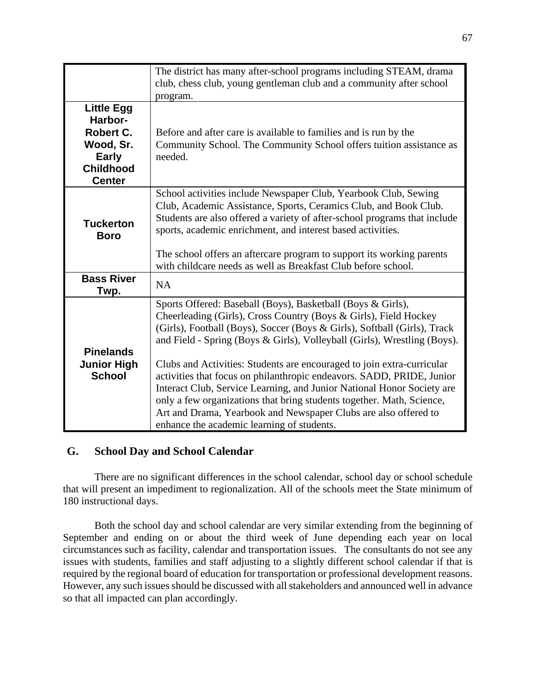|                                                                                                             | The district has many after-school programs including STEAM, drama<br>club, chess club, young gentleman club and a community after school                                                                                                                                                                                                                                                                                                                                                                                                                                                                                                                                                                      |
|-------------------------------------------------------------------------------------------------------------|----------------------------------------------------------------------------------------------------------------------------------------------------------------------------------------------------------------------------------------------------------------------------------------------------------------------------------------------------------------------------------------------------------------------------------------------------------------------------------------------------------------------------------------------------------------------------------------------------------------------------------------------------------------------------------------------------------------|
|                                                                                                             | program.                                                                                                                                                                                                                                                                                                                                                                                                                                                                                                                                                                                                                                                                                                       |
| <b>Little Egg</b><br>Harbor-<br>Robert C.<br>Wood, Sr.<br><b>Early</b><br><b>Childhood</b><br><b>Center</b> | Before and after care is available to families and is run by the<br>Community School. The Community School offers tuition assistance as<br>needed.                                                                                                                                                                                                                                                                                                                                                                                                                                                                                                                                                             |
| <b>Tuckerton</b><br><b>Boro</b>                                                                             | School activities include Newspaper Club, Yearbook Club, Sewing<br>Club, Academic Assistance, Sports, Ceramics Club, and Book Club.<br>Students are also offered a variety of after-school programs that include<br>sports, academic enrichment, and interest based activities.<br>The school offers an aftercare program to support its working parents<br>with childcare needs as well as Breakfast Club before school.                                                                                                                                                                                                                                                                                      |
| <b>Bass River</b><br>Twp.                                                                                   | <b>NA</b>                                                                                                                                                                                                                                                                                                                                                                                                                                                                                                                                                                                                                                                                                                      |
| <b>Pinelands</b><br><b>Junior High</b><br><b>School</b>                                                     | Sports Offered: Baseball (Boys), Basketball (Boys & Girls),<br>Cheerleading (Girls), Cross Country (Boys & Girls), Field Hockey<br>(Girls), Football (Boys), Soccer (Boys & Girls), Softball (Girls), Track<br>and Field - Spring (Boys & Girls), Volleyball (Girls), Wrestling (Boys).<br>Clubs and Activities: Students are encouraged to join extra-curricular<br>activities that focus on philanthropic endeavors. SADD, PRIDE, Junior<br>Interact Club, Service Learning, and Junior National Honor Society are<br>only a few organizations that bring students together. Math, Science,<br>Art and Drama, Yearbook and Newspaper Clubs are also offered to<br>enhance the academic learning of students. |

# **G. School Day and School Calendar**

There are no significant differences in the school calendar, school day or school schedule that will present an impediment to regionalization. All of the schools meet the State minimum of 180 instructional days.

Both the school day and school calendar are very similar extending from the beginning of September and ending on or about the third week of June depending each year on local circumstances such as facility, calendar and transportation issues. The consultants do not see any issues with students, families and staff adjusting to a slightly different school calendar if that is required by the regional board of education for transportation or professional development reasons. However, any such issues should be discussed with all stakeholders and announced well in advance so that all impacted can plan accordingly.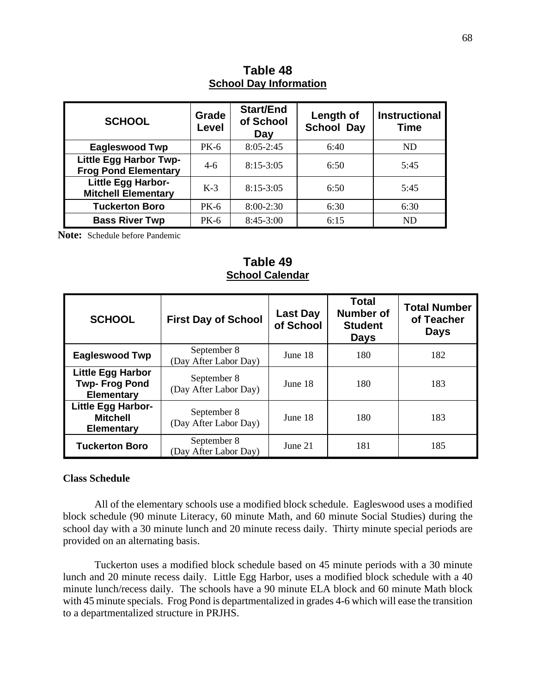| <b>SCHOOL</b>                                                | Grade<br>Level | <b>Start/End</b><br>of School<br>Day | Length of<br><b>School Day</b> | <b>Instructional</b><br><b>Time</b> |  |  |  |  |
|--------------------------------------------------------------|----------------|--------------------------------------|--------------------------------|-------------------------------------|--|--|--|--|
| <b>Eagleswood Twp</b>                                        | PK-6           | $8:05 - 2:45$                        | 6:40                           | <b>ND</b>                           |  |  |  |  |
| <b>Little Egg Harbor Twp-</b><br><b>Frog Pond Elementary</b> | $4-6$          | $8:15-3:05$                          | 6:50                           | 5:45                                |  |  |  |  |
| Little Egg Harbor-<br><b>Mitchell Elementary</b>             | $K-3$          | $8:15-3:05$                          | 6:50                           | 5:45                                |  |  |  |  |
| <b>Tuckerton Boro</b>                                        | PK-6           | $8:00-2:30$                          | 6:30                           | 6:30                                |  |  |  |  |
| <b>Bass River Twp</b>                                        | PK-6           | $8:45-3:00$                          | 6:15                           | ND                                  |  |  |  |  |

**Table 48 School Day Information** 

 **Note:** Schedule before Pandemic

## **Table 49 School Calendar**

| <b>SCHOOL</b>                                                         | <b>First Day of School</b>           | Last Day<br>of School | <b>Total</b><br><b>Number of</b><br><b>Student</b><br><b>Days</b> | <b>Total Number</b><br>of Teacher<br><b>Days</b> |
|-----------------------------------------------------------------------|--------------------------------------|-----------------------|-------------------------------------------------------------------|--------------------------------------------------|
| <b>Eagleswood Twp</b>                                                 | September 8<br>(Day After Labor Day) | June 18               | 180                                                               | 182                                              |
| <b>Little Egg Harbor</b><br><b>Twp-Frog Pond</b><br><b>Elementary</b> | September 8<br>(Day After Labor Day) | June 18               | 180                                                               | 183                                              |
| <b>Little Egg Harbor-</b><br><b>Mitchell</b><br><b>Elementary</b>     | September 8<br>(Day After Labor Day) | June 18               | 180                                                               | 183                                              |
| <b>Tuckerton Boro</b>                                                 | September 8<br>(Day After Labor Day) | June $21$             | 181                                                               | 185                                              |

## **Class Schedule**

All of the elementary schools use a modified block schedule. Eagleswood uses a modified block schedule (90 minute Literacy, 60 minute Math, and 60 minute Social Studies) during the school day with a 30 minute lunch and 20 minute recess daily. Thirty minute special periods are provided on an alternating basis.

Tuckerton uses a modified block schedule based on 45 minute periods with a 30 minute lunch and 20 minute recess daily. Little Egg Harbor, uses a modified block schedule with a 40 minute lunch/recess daily. The schools have a 90 minute ELA block and 60 minute Math block with 45 minute specials. Frog Pond is departmentalized in grades 4-6 which will ease the transition to a departmentalized structure in PRJHS.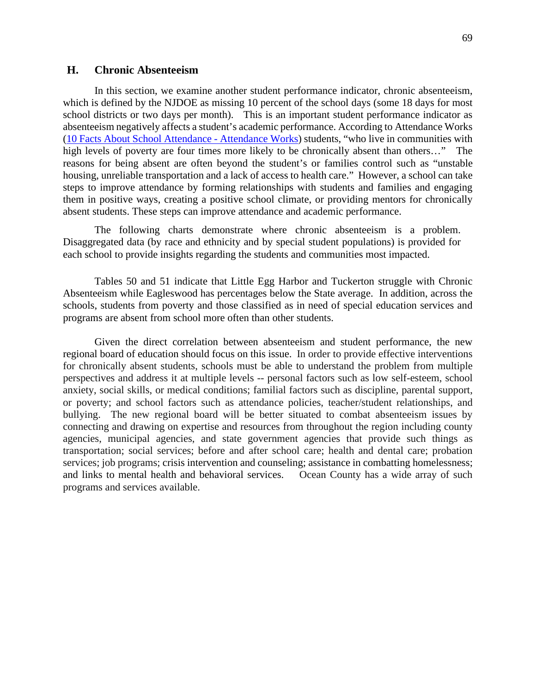### **H. Chronic Absenteeism**

In this section, we examine another student performance indicator, chronic absenteeism, which is defined by the NJDOE as missing 10 percent of the school days (some 18 days for most school districts or two days per month). This is an important student performance indicator as absenteeism negatively affects a student's academic performance. According to Attendance Works (10 Facts About School Attendance - Attendance Works) students, "who live in communities with high levels of poverty are four times more likely to be chronically absent than others…" The reasons for being absent are often beyond the student's or families control such as "unstable housing, unreliable transportation and a lack of access to health care." However, a school can take steps to improve attendance by forming relationships with students and families and engaging them in positive ways, creating a positive school climate, or providing mentors for chronically absent students. These steps can improve attendance and academic performance.

The following charts demonstrate where chronic absenteeism is a problem. Disaggregated data (by race and ethnicity and by special student populations) is provided for each school to provide insights regarding the students and communities most impacted.

 Tables 50 and 51 indicate that Little Egg Harbor and Tuckerton struggle with Chronic Absenteeism while Eagleswood has percentages below the State average. In addition, across the schools, students from poverty and those classified as in need of special education services and programs are absent from school more often than other students.

 Given the direct correlation between absenteeism and student performance, the new regional board of education should focus on this issue. In order to provide effective interventions for chronically absent students, schools must be able to understand the problem from multiple perspectives and address it at multiple levels -- personal factors such as low self-esteem, school anxiety, social skills, or medical conditions; familial factors such as discipline, parental support, or poverty; and school factors such as attendance policies, teacher/student relationships, and bullying. The new regional board will be better situated to combat absenteeism issues by connecting and drawing on expertise and resources from throughout the region including county agencies, municipal agencies, and state government agencies that provide such things as transportation; social services; before and after school care; health and dental care; probation services; job programs; crisis intervention and counseling; assistance in combatting homelessness; and links to mental health and behavioral services. Ocean County has a wide array of such programs and services available.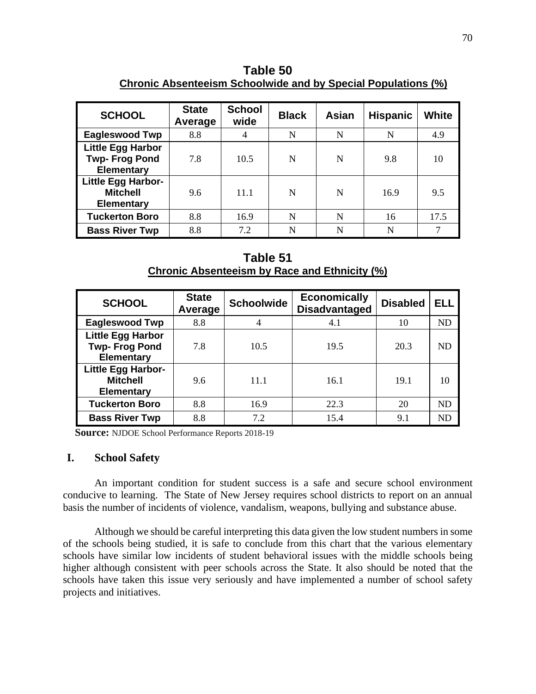**Table 50 Chronic Absenteeism Schoolwide and by Special Populations (%)** 

| <b>SCHOOL</b>                                                         | <b>State</b><br>Average | <b>School</b><br>wide | <b>Black</b> | Asian | <b>Hispanic</b> | White |
|-----------------------------------------------------------------------|-------------------------|-----------------------|--------------|-------|-----------------|-------|
| <b>Eagleswood Twp</b>                                                 | 8.8                     | 4                     | N            | N     | N               | 4.9   |
| <b>Little Egg Harbor</b><br><b>Twp-Frog Pond</b><br><b>Elementary</b> | 7.8                     | 10.5                  | N            | N     | 9.8             | 10    |
| <b>Little Egg Harbor-</b><br><b>Mitchell</b><br><b>Elementary</b>     | 9.6                     | 11.1                  | N            | N     | 16.9            | 9.5   |
| <b>Tuckerton Boro</b>                                                 | 8.8                     | 16.9                  | N            | N     | 16              | 17.5  |
| <b>Bass River Twp</b>                                                 | 8.8                     | 7.2                   | N            | N     | N               | 7     |

**Table 51 Chronic Absenteeism by Race and Ethnicity (%)** 

| <b>SCHOOL</b>                                                         | <b>State</b><br>Average | <b>Schoolwide</b> | <b>Economically</b><br><b>Disadvantaged</b> | <b>Disabled</b> | ELL       |
|-----------------------------------------------------------------------|-------------------------|-------------------|---------------------------------------------|-----------------|-----------|
| <b>Eagleswood Twp</b>                                                 | 8.8                     | 4                 | 4.1                                         | 10              | <b>ND</b> |
| <b>Little Egg Harbor</b><br><b>Twp-Frog Pond</b><br><b>Elementary</b> | 7.8                     | 10.5              | 19.5                                        | 20.3            | ND        |
| Little Egg Harbor-<br><b>Mitchell</b><br><b>Elementary</b>            | 9.6                     | 11.1              | 16.1                                        | 19.1            | 10        |
| <b>Tuckerton Boro</b>                                                 | 8.8                     | 16.9              | 22.3                                        | 20              | ND        |
| <b>Bass River Twp</b>                                                 | 8.8                     | 7.2               | 15.4                                        | 9.1             | ND        |

**Source:** NJDOE School Performance Reports 2018-19

### **I. School Safety**

An important condition for student success is a safe and secure school environment conducive to learning. The State of New Jersey requires school districts to report on an annual basis the number of incidents of violence, vandalism, weapons, bullying and substance abuse.

Although we should be careful interpreting this data given the low student numbers in some of the schools being studied, it is safe to conclude from this chart that the various elementary schools have similar low incidents of student behavioral issues with the middle schools being higher although consistent with peer schools across the State. It also should be noted that the schools have taken this issue very seriously and have implemented a number of school safety projects and initiatives.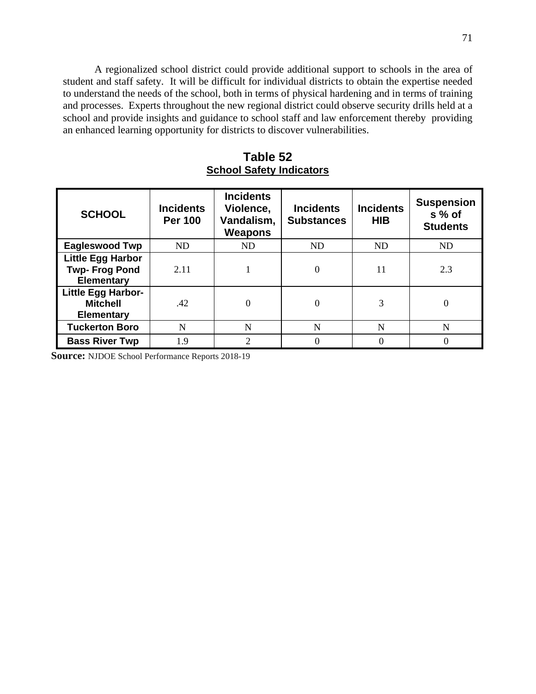A regionalized school district could provide additional support to schools in the area of student and staff safety. It will be difficult for individual districts to obtain the expertise needed to understand the needs of the school, both in terms of physical hardening and in terms of training and processes. Experts throughout the new regional district could observe security drills held at a school and provide insights and guidance to school staff and law enforcement thereby providing an enhanced learning opportunity for districts to discover vulnerabilities.

**Table 52 School Safety Indicators** 

| <b>SCHOOL</b>                                                         | <b>Incidents</b><br><b>Per 100</b> | <b>Incidents</b><br>Violence,<br>Vandalism,<br><b>Weapons</b> | <b>Incidents</b><br><b>Substances</b> | <b>Incidents</b><br><b>HIB</b> | <b>Suspension</b><br>s % of<br><b>Students</b> |
|-----------------------------------------------------------------------|------------------------------------|---------------------------------------------------------------|---------------------------------------|--------------------------------|------------------------------------------------|
| <b>Eagleswood Twp</b>                                                 | <b>ND</b>                          | ND                                                            | <b>ND</b>                             | <b>ND</b>                      | <b>ND</b>                                      |
| <b>Little Egg Harbor</b><br><b>Twp-Frog Pond</b><br><b>Elementary</b> | 2.11                               |                                                               | 0                                     | 11                             | 2.3                                            |
| <b>Little Egg Harbor-</b><br><b>Mitchell</b><br><b>Elementary</b>     | .42                                |                                                               | $\Omega$                              | 3                              | 0                                              |
| <b>Tuckerton Boro</b>                                                 | N                                  | N                                                             | N                                     | N                              | N                                              |
| <b>Bass River Twp</b>                                                 | 1.9                                | $\mathcal{D}_{\mathcal{L}}$                                   | 0                                     |                                | $\Omega$                                       |

**Source:** NJDOE School Performance Reports 2018-19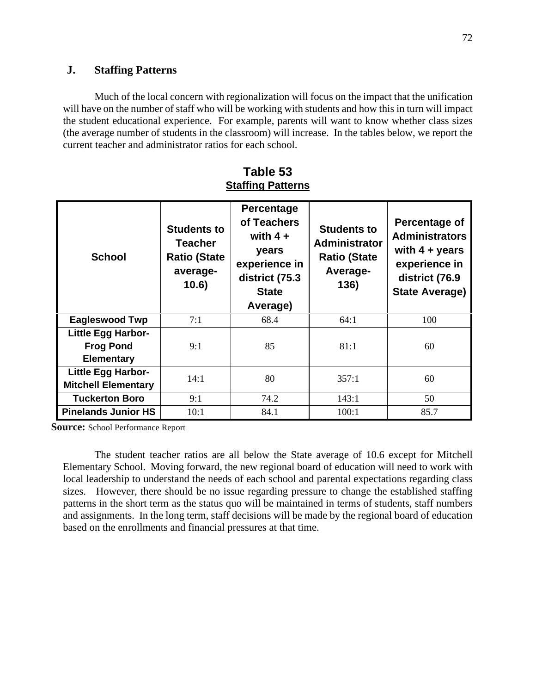## **J. Staffing Patterns**

Much of the local concern with regionalization will focus on the impact that the unification will have on the number of staff who will be working with students and how this in turn will impact the student educational experience. For example, parents will want to know whether class sizes (the average number of students in the classroom) will increase. In the tables below, we report the current teacher and administrator ratios for each school.

| <b>School</b>                                               | <b>Students to</b><br>Teacher<br><b>Ratio (State</b><br>average-<br>10.6) | Percentage<br>of Teachers<br>with $4 +$<br>years<br>experience in<br>district (75.3<br><b>State</b><br>Average) | <b>Students to</b><br><b>Administrator</b><br><b>Ratio (State</b><br>Average-<br>136) | Percentage of<br><b>Administrators</b><br>with $4 + years$<br>experience in<br>district (76.9<br><b>State Average)</b> |
|-------------------------------------------------------------|---------------------------------------------------------------------------|-----------------------------------------------------------------------------------------------------------------|---------------------------------------------------------------------------------------|------------------------------------------------------------------------------------------------------------------------|
| <b>Eagleswood Twp</b>                                       | 7:1                                                                       | 68.4                                                                                                            | 64:1                                                                                  | 100                                                                                                                    |
| Little Egg Harbor-<br><b>Frog Pond</b><br><b>Elementary</b> | 9:1                                                                       | 85                                                                                                              | 81:1                                                                                  | 60                                                                                                                     |
| <b>Little Egg Harbor-</b><br><b>Mitchell Elementary</b>     | 14:1                                                                      | 80                                                                                                              | 357:1                                                                                 | 60                                                                                                                     |
| <b>Tuckerton Boro</b>                                       | 9:1                                                                       | 74.2                                                                                                            | 143:1                                                                                 | 50                                                                                                                     |
| <b>Pinelands Junior HS</b>                                  | 10:1                                                                      | 84.1                                                                                                            | 100:1                                                                                 | 85.7                                                                                                                   |

**Table 53 Staffing Patterns** 

**Source:** School Performance Report

The student teacher ratios are all below the State average of 10.6 except for Mitchell Elementary School. Moving forward, the new regional board of education will need to work with local leadership to understand the needs of each school and parental expectations regarding class sizes. However, there should be no issue regarding pressure to change the established staffing patterns in the short term as the status quo will be maintained in terms of students, staff numbers and assignments. In the long term, staff decisions will be made by the regional board of education based on the enrollments and financial pressures at that time.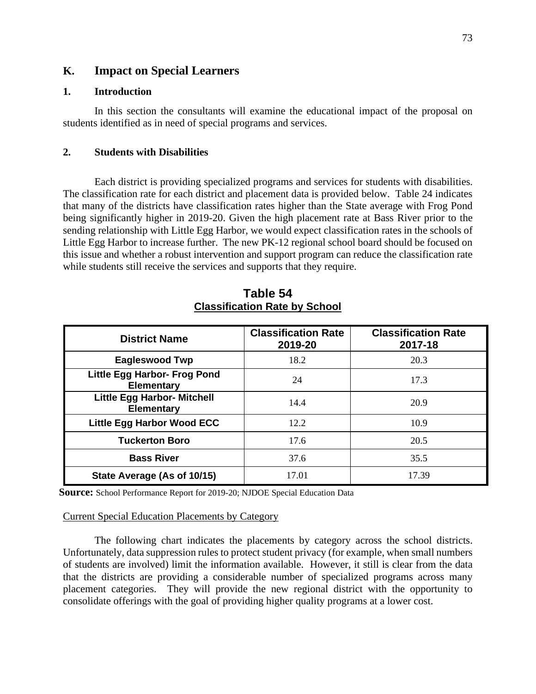## **K. Impact on Special Learners**

## **1. Introduction**

In this section the consultants will examine the educational impact of the proposal on students identified as in need of special programs and services.

### **2. Students with Disabilities**

Each district is providing specialized programs and services for students with disabilities. The classification rate for each district and placement data is provided below. Table 24 indicates that many of the districts have classification rates higher than the State average with Frog Pond being significantly higher in 2019-20. Given the high placement rate at Bass River prior to the sending relationship with Little Egg Harbor, we would expect classification rates in the schools of Little Egg Harbor to increase further. The new PK-12 regional school board should be focused on this issue and whether a robust intervention and support program can reduce the classification rate while students still receive the services and supports that they require.

| <b>District Name</b>                                    | <b>Classification Rate</b><br>2019-20 | <b>Classification Rate</b><br>2017-18 |
|---------------------------------------------------------|---------------------------------------|---------------------------------------|
| <b>Eagleswood Twp</b>                                   | 18.2                                  | 20.3                                  |
| Little Egg Harbor- Frog Pond<br><b>Elementary</b>       | 24                                    | 17.3                                  |
| <b>Little Egg Harbor- Mitchell</b><br><b>Elementary</b> | 14.4                                  | 20.9                                  |
| Little Egg Harbor Wood ECC                              | 12.2                                  | 10.9                                  |
| <b>Tuckerton Boro</b>                                   | 17.6                                  | 20.5                                  |
| <b>Bass River</b>                                       | 37.6                                  | 35.5                                  |
| State Average (As of 10/15)                             | 17.01                                 | 17.39                                 |

**Table 54 Classification Rate by School** 

**Source:** School Performance Report for 2019-20; NJDOE Special Education Data

### Current Special Education Placements by Category

The following chart indicates the placements by category across the school districts. Unfortunately, data suppression rules to protect student privacy (for example, when small numbers of students are involved) limit the information available. However, it still is clear from the data that the districts are providing a considerable number of specialized programs across many placement categories. They will provide the new regional district with the opportunity to consolidate offerings with the goal of providing higher quality programs at a lower cost.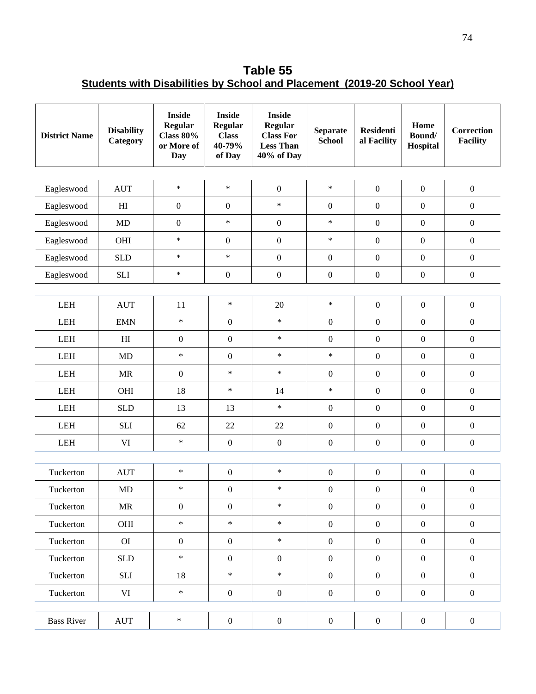**Table 55 Students with Disabilities by School and Placement (2019-20 School Year)** 

| <b>District Name</b> | <b>Disability</b><br>Category     | <b>Inside</b><br>Regular<br><b>Class 80%</b><br>or More of<br>Day | <b>Inside</b><br><b>Regular</b><br><b>Class</b><br>40-79%<br>of Day | <b>Inside</b><br><b>Regular</b><br><b>Class For</b><br><b>Less Than</b><br>40% of Day | <b>Separate</b><br><b>School</b> | <b>Residenti</b><br>al Facility | Home<br>Bound/<br>Hospital | <b>Correction</b><br><b>Facility</b> |
|----------------------|-----------------------------------|-------------------------------------------------------------------|---------------------------------------------------------------------|---------------------------------------------------------------------------------------|----------------------------------|---------------------------------|----------------------------|--------------------------------------|
| Eagleswood           | <b>AUT</b>                        | $\ast$                                                            | $\ast$                                                              | $\boldsymbol{0}$                                                                      | $\ast$                           | $\boldsymbol{0}$                | $\boldsymbol{0}$           | $\boldsymbol{0}$                     |
| Eagleswood           | H <sub>I</sub>                    | $\boldsymbol{0}$                                                  | $\mathbf{0}$                                                        | $\ast$                                                                                | $\boldsymbol{0}$                 | $\boldsymbol{0}$                | $\boldsymbol{0}$           | $\boldsymbol{0}$                     |
| Eagleswood           | <b>MD</b>                         | $\boldsymbol{0}$                                                  | $\ast$                                                              | $\boldsymbol{0}$                                                                      | $\ast$                           | $\mathbf{0}$                    | $\boldsymbol{0}$           | $\boldsymbol{0}$                     |
| Eagleswood           | OHI                               | $\ast$                                                            | $\boldsymbol{0}$                                                    | $\boldsymbol{0}$                                                                      | $\ast$                           | $\boldsymbol{0}$                | $\boldsymbol{0}$           | $\boldsymbol{0}$                     |
| Eagleswood           | <b>SLD</b>                        | $\ast$                                                            | $\ast$                                                              | $\boldsymbol{0}$                                                                      | $\boldsymbol{0}$                 | $\boldsymbol{0}$                | $\boldsymbol{0}$           | $\boldsymbol{0}$                     |
| Eagleswood           | ${\bf S}{\bf L}{\bf I}$           | $\ast$                                                            | $\boldsymbol{0}$                                                    | $\boldsymbol{0}$                                                                      | $\boldsymbol{0}$                 | $\boldsymbol{0}$                | $\boldsymbol{0}$           | $\boldsymbol{0}$                     |
|                      |                                   |                                                                   |                                                                     |                                                                                       |                                  |                                 |                            |                                      |
| <b>LEH</b>           | <b>AUT</b>                        | 11                                                                | $\ast$                                                              | 20                                                                                    | $\ast$                           | $\mathbf{0}$                    | $\boldsymbol{0}$           | $\boldsymbol{0}$                     |
| <b>LEH</b>           | <b>EMN</b>                        | $\ast$                                                            | $\boldsymbol{0}$                                                    | $\ast$                                                                                | $\boldsymbol{0}$                 | $\boldsymbol{0}$                | $\mathbf{0}$               | $\boldsymbol{0}$                     |
| <b>LEH</b>           | H <sub>I</sub>                    | $\boldsymbol{0}$                                                  | $\mathbf{0}$                                                        | $\ast$                                                                                | $\boldsymbol{0}$                 | $\mathbf{0}$                    | $\boldsymbol{0}$           | $\boldsymbol{0}$                     |
| <b>LEH</b>           | <b>MD</b>                         | $\ast$                                                            | $\boldsymbol{0}$                                                    | $\ast$                                                                                | $\ast$                           | $\mathbf{0}$                    | $\boldsymbol{0}$           | $\boldsymbol{0}$                     |
| $\mbox{LEH}$         | MR                                | $\boldsymbol{0}$                                                  | $\ast$                                                              | $\ast$                                                                                | $\boldsymbol{0}$                 | $\boldsymbol{0}$                | $\boldsymbol{0}$           | $\boldsymbol{0}$                     |
| <b>LEH</b>           | OHI                               | 18                                                                | $\ast$                                                              | 14                                                                                    | $\ast$                           | $\mathbf{0}$                    | $\boldsymbol{0}$           | $\boldsymbol{0}$                     |
| <b>LEH</b>           | <b>SLD</b>                        | 13                                                                | 13                                                                  | $\ast$                                                                                | $\boldsymbol{0}$                 | $\mathbf{0}$                    | $\boldsymbol{0}$           | $\mathbf{0}$                         |
| LEH                  | <b>SLI</b>                        | 62                                                                | 22                                                                  | 22                                                                                    | $\boldsymbol{0}$                 | $\boldsymbol{0}$                | $\boldsymbol{0}$           | $\boldsymbol{0}$                     |
| LEH                  | $\rm{VI}$                         | $\ast$                                                            | $\boldsymbol{0}$                                                    | $\boldsymbol{0}$                                                                      | $\boldsymbol{0}$                 | $\mathbf{0}$                    | $\boldsymbol{0}$           | $\boldsymbol{0}$                     |
|                      |                                   |                                                                   |                                                                     |                                                                                       |                                  |                                 |                            |                                      |
| Tuckerton            | <b>AUT</b>                        | $\ast$                                                            | $\boldsymbol{0}$                                                    | $\ast$                                                                                | $\boldsymbol{0}$                 | $\boldsymbol{0}$                | $\boldsymbol{0}$           | $\boldsymbol{0}$                     |
| Tuckerton            | MD                                | $\ast$                                                            | $\boldsymbol{0}$                                                    | $\ast$                                                                                | $\mathbf{0}$                     | $\boldsymbol{0}$                | $\boldsymbol{0}$           | $\boldsymbol{0}$                     |
| Tuckerton            | $\ensuremath{\mathsf{MR}}\xspace$ | $\boldsymbol{0}$                                                  | $\boldsymbol{0}$                                                    | $\ast$                                                                                | $\boldsymbol{0}$                 | $\boldsymbol{0}$                | $\boldsymbol{0}$           | $\boldsymbol{0}$                     |
| Tuckerton            | OHI                               | $\ast$                                                            | $\ast$                                                              | $\ast$                                                                                | $\boldsymbol{0}$                 | $\mathbf{0}$                    | $\boldsymbol{0}$           | $\boldsymbol{0}$                     |
| Tuckerton            | O                                 | $\boldsymbol{0}$                                                  | $\boldsymbol{0}$                                                    | $\ast$                                                                                | $\boldsymbol{0}$                 | $\boldsymbol{0}$                | $\boldsymbol{0}$           | $\boldsymbol{0}$                     |
| Tuckerton            | <b>SLD</b>                        | $\ast$                                                            | $\boldsymbol{0}$                                                    | $\mathbf{0}$                                                                          | $\boldsymbol{0}$                 | $\boldsymbol{0}$                | $\boldsymbol{0}$           | $\boldsymbol{0}$                     |
| Tuckerton            | <b>SLI</b>                        | 18                                                                | $\ast$                                                              | $\ast$                                                                                | $\boldsymbol{0}$                 | $\boldsymbol{0}$                | $\boldsymbol{0}$           | $\boldsymbol{0}$                     |
| Tuckerton            | VI                                | $\ast$                                                            | $\boldsymbol{0}$                                                    | $\boldsymbol{0}$                                                                      | $\boldsymbol{0}$                 | $\mathbf{0}$                    | $\boldsymbol{0}$           | $\boldsymbol{0}$                     |
| <b>Bass River</b>    | <b>AUT</b>                        | $\ast$                                                            | $\boldsymbol{0}$                                                    | $\boldsymbol{0}$                                                                      | $\boldsymbol{0}$                 | $\boldsymbol{0}$                | $\boldsymbol{0}$           | $\boldsymbol{0}$                     |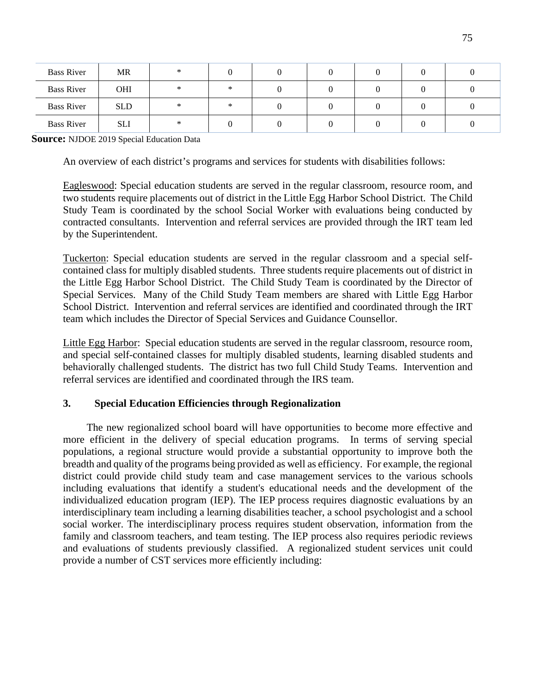| <b>Bass River</b> | <b>MR</b>  | ∗      |        |  |  |  |
|-------------------|------------|--------|--------|--|--|--|
| <b>Bass River</b> | <b>OHI</b> | $\ast$ | $\ast$ |  |  |  |
| <b>Bass River</b> | <b>SLD</b> |        | $\ast$ |  |  |  |
| <b>Bass River</b> | <b>SLI</b> | ×      |        |  |  |  |

**Source:** NJDOE 2019 Special Education Data

An overview of each district's programs and services for students with disabilities follows:

Eagleswood: Special education students are served in the regular classroom, resource room, and two students require placements out of district in the Little Egg Harbor School District. The Child Study Team is coordinated by the school Social Worker with evaluations being conducted by contracted consultants. Intervention and referral services are provided through the IRT team led by the Superintendent.

Tuckerton: Special education students are served in the regular classroom and a special selfcontained class for multiply disabled students. Three students require placements out of district in the Little Egg Harbor School District. The Child Study Team is coordinated by the Director of Special Services. Many of the Child Study Team members are shared with Little Egg Harbor School District. Intervention and referral services are identified and coordinated through the IRT team which includes the Director of Special Services and Guidance Counsellor.

Little Egg Harbor: Special education students are served in the regular classroom, resource room, and special self-contained classes for multiply disabled students, learning disabled students and behaviorally challenged students. The district has two full Child Study Teams. Intervention and referral services are identified and coordinated through the IRS team.

## **3. Special Education Efficiencies through Regionalization**

The new regionalized school board will have opportunities to become more effective and more efficient in the delivery of special education programs. In terms of serving special populations, a regional structure would provide a substantial opportunity to improve both the breadth and quality of the programs being provided as well as efficiency. For example, the regional district could provide child study team and case management services to the various schools including evaluations that identify a student's educational needs and the development of the individualized education program (IEP). The IEP process requires diagnostic evaluations by an interdisciplinary team including a learning disabilities teacher, a school psychologist and a school social worker. The interdisciplinary process requires student observation, information from the family and classroom teachers, and team testing. The IEP process also requires periodic reviews and evaluations of students previously classified. A regionalized student services unit could provide a number of CST services more efficiently including: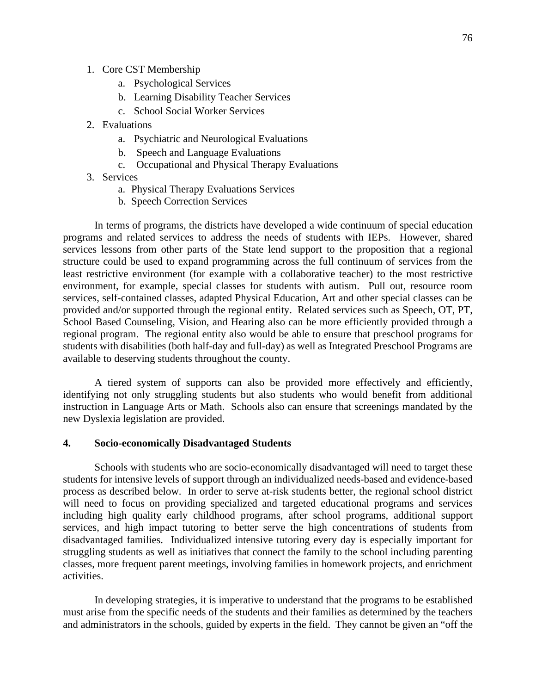- 1. Core CST Membership
	- a. Psychological Services
	- b. Learning Disability Teacher Services
	- c. School Social Worker Services
- 2. Evaluations
	- a. Psychiatric and Neurological Evaluations
	- b. Speech and Language Evaluations
	- c. Occupational and Physical Therapy Evaluations
- 3. Services
	- a. Physical Therapy Evaluations Services
	- b. Speech Correction Services

In terms of programs, the districts have developed a wide continuum of special education programs and related services to address the needs of students with IEPs. However, shared services lessons from other parts of the State lend support to the proposition that a regional structure could be used to expand programming across the full continuum of services from the least restrictive environment (for example with a collaborative teacher) to the most restrictive environment, for example, special classes for students with autism. Pull out, resource room services, self-contained classes, adapted Physical Education, Art and other special classes can be provided and/or supported through the regional entity. Related services such as Speech, OT, PT, School Based Counseling, Vision, and Hearing also can be more efficiently provided through a regional program. The regional entity also would be able to ensure that preschool programs for students with disabilities (both half-day and full-day) as well as Integrated Preschool Programs are available to deserving students throughout the county.

A tiered system of supports can also be provided more effectively and efficiently, identifying not only struggling students but also students who would benefit from additional instruction in Language Arts or Math. Schools also can ensure that screenings mandated by the new Dyslexia legislation are provided.

### **4. Socio-economically Disadvantaged Students**

Schools with students who are socio-economically disadvantaged will need to target these students for intensive levels of support through an individualized needs-based and evidence-based process as described below. In order to serve at-risk students better, the regional school district will need to focus on providing specialized and targeted educational programs and services including high quality early childhood programs, after school programs, additional support services, and high impact tutoring to better serve the high concentrations of students from disadvantaged families. Individualized intensive tutoring every day is especially important for struggling students as well as initiatives that connect the family to the school including parenting classes, more frequent parent meetings, involving families in homework projects, and enrichment activities.

 In developing strategies, it is imperative to understand that the programs to be established must arise from the specific needs of the students and their families as determined by the teachers and administrators in the schools, guided by experts in the field. They cannot be given an "off the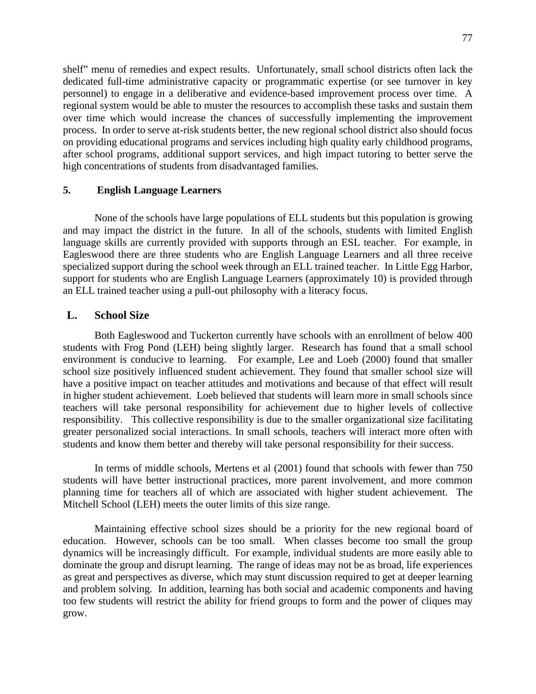shelf" menu of remedies and expect results. Unfortunately, small school districts often lack the dedicated full-time administrative capacity or programmatic expertise (or see turnover in key personnel) to engage in a deliberative and evidence-based improvement process over time. A regional system would be able to muster the resources to accomplish these tasks and sustain them over time which would increase the chances of successfully implementing the improvement process. In order to serve at-risk students better, the new regional school district also should focus on providing educational programs and services including high quality early childhood programs, after school programs, additional support services, and high impact tutoring to better serve the high concentrations of students from disadvantaged families.

## **5. English Language Learners**

None of the schools have large populations of ELL students but this population is growing and may impact the district in the future. In all of the schools, students with limited English language skills are currently provided with supports through an ESL teacher. For example, in Eagleswood there are three students who are English Language Learners and all three receive specialized support during the school week through an ELL trained teacher. In Little Egg Harbor, support for students who are English Language Learners (approximately 10) is provided through an ELL trained teacher using a pull-out philosophy with a literacy focus.

### **L. School Size**

Both Eagleswood and Tuckerton currently have schools with an enrollment of below 400 students with Frog Pond (LEH) being slightly larger. Research has found that a small school environment is conducive to learning. For example, Lee and Loeb (2000) found that smaller school size positively influenced student achievement. They found that smaller school size will have a positive impact on teacher attitudes and motivations and because of that effect will result in higher student achievement. Loeb believed that students will learn more in small schools since teachers will take personal responsibility for achievement due to higher levels of collective responsibility. This collective responsibility is due to the smaller organizational size facilitating greater personalized social interactions. In small schools, teachers will interact more often with students and know them better and thereby will take personal responsibility for their success.

In terms of middle schools, Mertens et al (2001) found that schools with fewer than 750 students will have better instructional practices, more parent involvement, and more common planning time for teachers all of which are associated with higher student achievement. The Mitchell School (LEH) meets the outer limits of this size range.

Maintaining effective school sizes should be a priority for the new regional board of education. However, schools can be too small. When classes become too small the group dynamics will be increasingly difficult. For example, individual students are more easily able to dominate the group and disrupt learning. The range of ideas may not be as broad, life experiences as great and perspectives as diverse, which may stunt discussion required to get at deeper learning and problem solving. In addition, learning has both social and academic components and having too few students will restrict the ability for friend groups to form and the power of cliques may grow.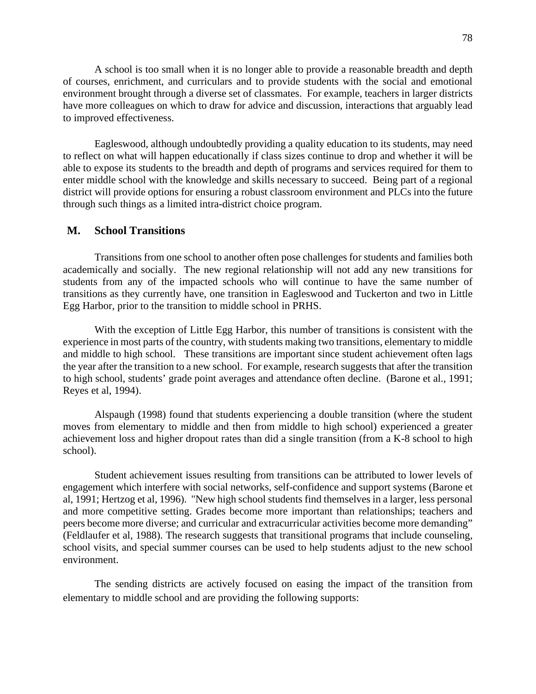A school is too small when it is no longer able to provide a reasonable breadth and depth of courses, enrichment, and curriculars and to provide students with the social and emotional environment brought through a diverse set of classmates. For example, teachers in larger districts have more colleagues on which to draw for advice and discussion, interactions that arguably lead to improved effectiveness.

Eagleswood, although undoubtedly providing a quality education to its students, may need to reflect on what will happen educationally if class sizes continue to drop and whether it will be able to expose its students to the breadth and depth of programs and services required for them to enter middle school with the knowledge and skills necessary to succeed. Being part of a regional district will provide options for ensuring a robust classroom environment and PLCs into the future through such things as a limited intra-district choice program.

## **M. School Transitions**

Transitions from one school to another often pose challenges for students and families both academically and socially. The new regional relationship will not add any new transitions for students from any of the impacted schools who will continue to have the same number of transitions as they currently have, one transition in Eagleswood and Tuckerton and two in Little Egg Harbor, prior to the transition to middle school in PRHS.

With the exception of Little Egg Harbor, this number of transitions is consistent with the experience in most parts of the country, with students making two transitions, elementary to middle and middle to high school. These transitions are important since student achievement often lags the year after the transition to a new school. For example, research suggests that after the transition to high school, students' grade point averages and attendance often decline. (Barone et al., 1991; Reyes et al, 1994).

Alspaugh (1998) found that students experiencing a double transition (where the student moves from elementary to middle and then from middle to high school) experienced a greater achievement loss and higher dropout rates than did a single transition (from a K-8 school to high school).

Student achievement issues resulting from transitions can be attributed to lower levels of engagement which interfere with social networks, self-confidence and support systems (Barone et al, 1991; Hertzog et al, 1996). "New high school students find themselves in a larger, less personal and more competitive setting. Grades become more important than relationships; teachers and peers become more diverse; and curricular and extracurricular activities become more demanding" (Feldlaufer et al, 1988). The research suggests that transitional programs that include counseling, school visits, and special summer courses can be used to help students adjust to the new school environment.

The sending districts are actively focused on easing the impact of the transition from elementary to middle school and are providing the following supports: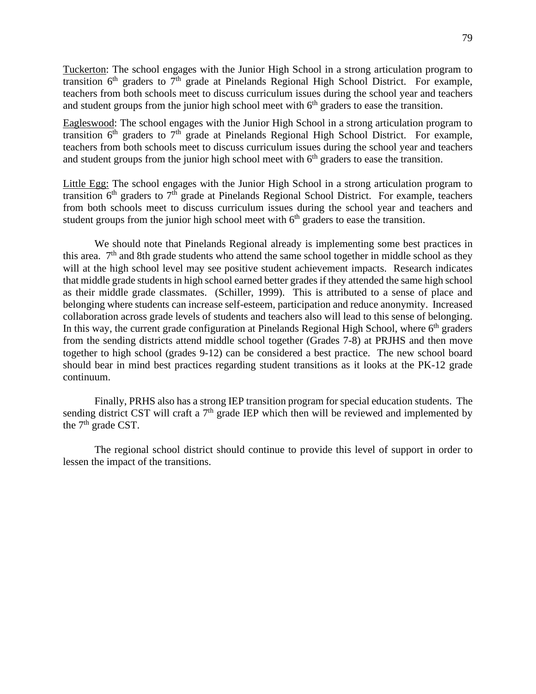Tuckerton: The school engages with the Junior High School in a strong articulation program to transition  $6<sup>th</sup>$  graders to  $7<sup>th</sup>$  grade at Pinelands Regional High School District. For example, teachers from both schools meet to discuss curriculum issues during the school year and teachers and student groups from the junior high school meet with  $6<sup>th</sup>$  graders to ease the transition.

Eagleswood: The school engages with the Junior High School in a strong articulation program to transition  $6<sup>th</sup>$  graders to  $7<sup>th</sup>$  grade at Pinelands Regional High School District. For example, teachers from both schools meet to discuss curriculum issues during the school year and teachers and student groups from the junior high school meet with  $6<sup>th</sup>$  graders to ease the transition.

Little Egg: The school engages with the Junior High School in a strong articulation program to transition  $6<sup>th</sup>$  graders to  $7<sup>th</sup>$  grade at Pinelands Regional School District. For example, teachers from both schools meet to discuss curriculum issues during the school year and teachers and student groups from the junior high school meet with  $6<sup>th</sup>$  graders to ease the transition.

We should note that Pinelands Regional already is implementing some best practices in this area.  $7<sup>th</sup>$  and 8th grade students who attend the same school together in middle school as they will at the high school level may see positive student achievement impacts. Research indicates that middle grade students in high school earned better grades if they attended the same high school as their middle grade classmates. (Schiller, 1999). This is attributed to a sense of place and belonging where students can increase self-esteem, participation and reduce anonymity. Increased collaboration across grade levels of students and teachers also will lead to this sense of belonging. In this way, the current grade configuration at Pinelands Regional High School, where  $6<sup>th</sup>$  graders from the sending districts attend middle school together (Grades 7-8) at PRJHS and then move together to high school (grades 9-12) can be considered a best practice. The new school board should bear in mind best practices regarding student transitions as it looks at the PK-12 grade continuum.

Finally, PRHS also has a strong IEP transition program for special education students. The sending district CST will craft a  $7<sup>th</sup>$  grade IEP which then will be reviewed and implemented by the  $7<sup>th</sup>$  grade CST.

The regional school district should continue to provide this level of support in order to lessen the impact of the transitions.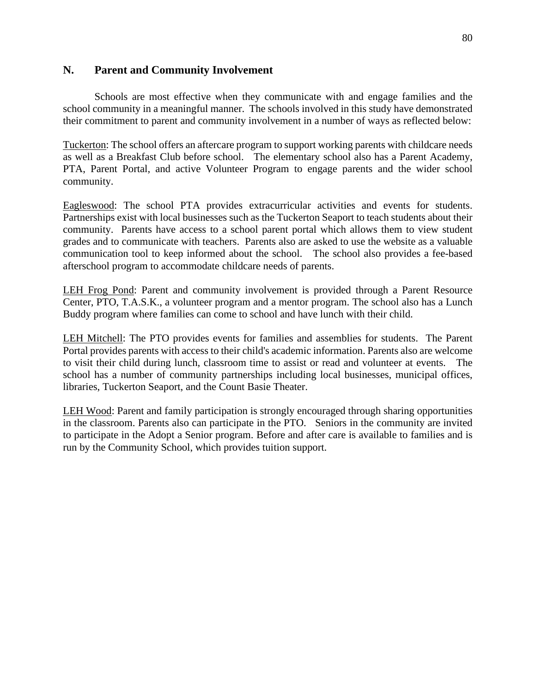## **N. Parent and Community Involvement**

Schools are most effective when they communicate with and engage families and the school community in a meaningful manner. The schools involved in this study have demonstrated their commitment to parent and community involvement in a number of ways as reflected below:

Tuckerton: The school offers an aftercare program to support working parents with childcare needs as well as a Breakfast Club before school. The elementary school also has a Parent Academy, PTA, Parent Portal, and active Volunteer Program to engage parents and the wider school community.

Eagleswood: The school PTA provides extracurricular activities and events for students. Partnerships exist with local businesses such as the Tuckerton Seaport to teach students about their community. Parents have access to a school parent portal which allows them to view student grades and to communicate with teachers. Parents also are asked to use the website as a valuable communication tool to keep informed about the school. The school also provides a fee-based afterschool program to accommodate childcare needs of parents.

LEH Frog Pond: Parent and community involvement is provided through a Parent Resource Center, PTO, T.A.S.K., a volunteer program and a mentor program. The school also has a Lunch Buddy program where families can come to school and have lunch with their child.

LEH Mitchell: The PTO provides events for families and assemblies for students. The Parent Portal provides parents with access to their child's academic information. Parents also are welcome to visit their child during lunch, classroom time to assist or read and volunteer at events. The school has a number of community partnerships including local businesses, municipal offices, libraries, Tuckerton Seaport, and the Count Basie Theater.

LEH Wood: Parent and family participation is strongly encouraged through sharing opportunities in the classroom. Parents also can participate in the PTO. Seniors in the community are invited to participate in the Adopt a Senior program. Before and after care is available to families and is run by the Community School, which provides tuition support.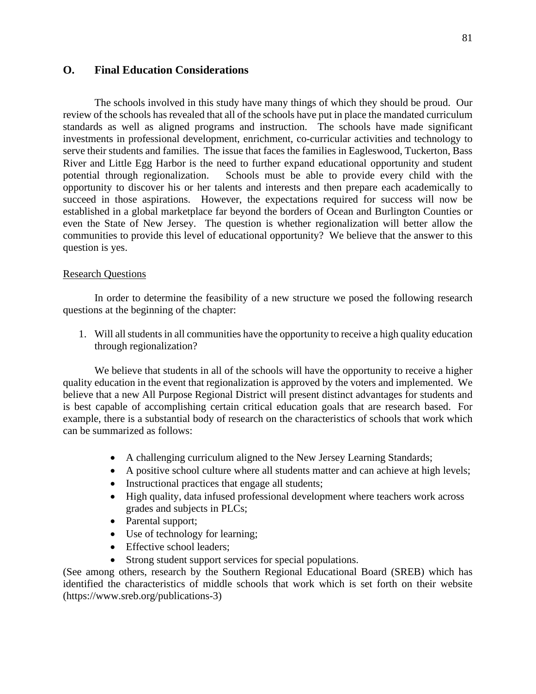## **O. Final Education Considerations**

The schools involved in this study have many things of which they should be proud. Our review of the schools has revealed that all of the schools have put in place the mandated curriculum standards as well as aligned programs and instruction. The schools have made significant investments in professional development, enrichment, co-curricular activities and technology to serve their students and families. The issue that faces the families in Eagleswood, Tuckerton, Bass River and Little Egg Harbor is the need to further expand educational opportunity and student potential through regionalization. Schools must be able to provide every child with the opportunity to discover his or her talents and interests and then prepare each academically to succeed in those aspirations. However, the expectations required for success will now be established in a global marketplace far beyond the borders of Ocean and Burlington Counties or even the State of New Jersey. The question is whether regionalization will better allow the communities to provide this level of educational opportunity? We believe that the answer to this question is yes.

### Research Questions

In order to determine the feasibility of a new structure we posed the following research questions at the beginning of the chapter:

1. Will all students in all communities have the opportunity to receive a high quality education through regionalization?

We believe that students in all of the schools will have the opportunity to receive a higher quality education in the event that regionalization is approved by the voters and implemented. We believe that a new All Purpose Regional District will present distinct advantages for students and is best capable of accomplishing certain critical education goals that are research based. For example, there is a substantial body of research on the characteristics of schools that work which can be summarized as follows:

- A challenging curriculum aligned to the New Jersey Learning Standards;
- A positive school culture where all students matter and can achieve at high levels;
- Instructional practices that engage all students;
- High quality, data infused professional development where teachers work across grades and subjects in PLCs;
- Parental support;
- Use of technology for learning;
- Effective school leaders:
- Strong student support services for special populations.

(See among others, research by the Southern Regional Educational Board (SREB) which has identified the characteristics of middle schools that work which is set forth on their website (https://www.sreb.org/publications-3)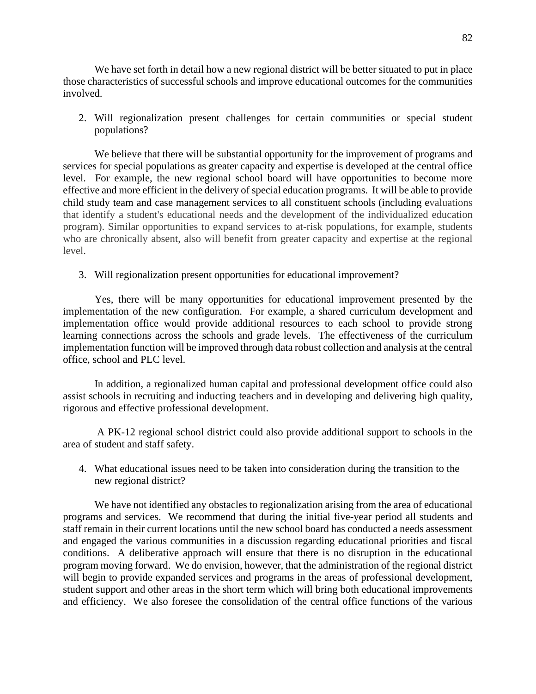We have set forth in detail how a new regional district will be better situated to put in place those characteristics of successful schools and improve educational outcomes for the communities involved.

2. Will regionalization present challenges for certain communities or special student populations?

We believe that there will be substantial opportunity for the improvement of programs and services for special populations as greater capacity and expertise is developed at the central office level. For example, the new regional school board will have opportunities to become more effective and more efficient in the delivery of special education programs. It will be able to provide child study team and case management services to all constituent schools (including evaluations that identify a student's educational needs and the development of the individualized education program). Similar opportunities to expand services to at-risk populations, for example, students who are chronically absent, also will benefit from greater capacity and expertise at the regional level.

3. Will regionalization present opportunities for educational improvement?

Yes, there will be many opportunities for educational improvement presented by the implementation of the new configuration. For example, a shared curriculum development and implementation office would provide additional resources to each school to provide strong learning connections across the schools and grade levels. The effectiveness of the curriculum implementation function will be improved through data robust collection and analysis at the central office, school and PLC level.

In addition, a regionalized human capital and professional development office could also assist schools in recruiting and inducting teachers and in developing and delivering high quality, rigorous and effective professional development.

 A PK-12 regional school district could also provide additional support to schools in the area of student and staff safety.

4. What educational issues need to be taken into consideration during the transition to the new regional district?

We have not identified any obstacles to regionalization arising from the area of educational programs and services. We recommend that during the initial five-year period all students and staff remain in their current locations until the new school board has conducted a needs assessment and engaged the various communities in a discussion regarding educational priorities and fiscal conditions. A deliberative approach will ensure that there is no disruption in the educational program moving forward. We do envision, however, that the administration of the regional district will begin to provide expanded services and programs in the areas of professional development, student support and other areas in the short term which will bring both educational improvements and efficiency. We also foresee the consolidation of the central office functions of the various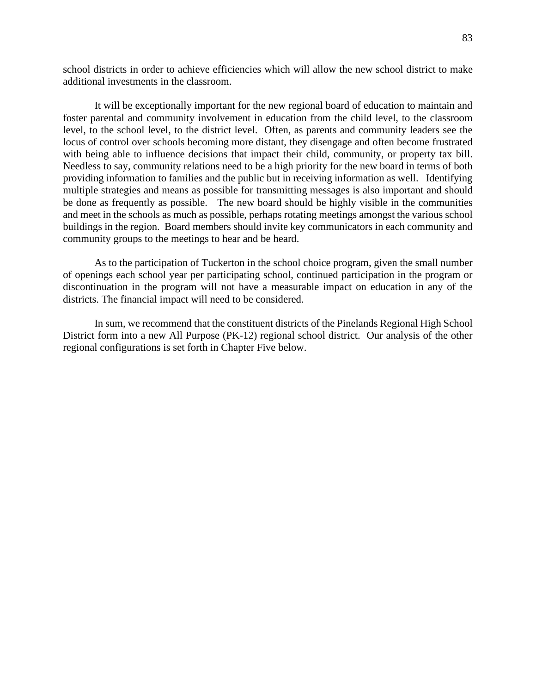school districts in order to achieve efficiencies which will allow the new school district to make additional investments in the classroom.

It will be exceptionally important for the new regional board of education to maintain and foster parental and community involvement in education from the child level, to the classroom level, to the school level, to the district level. Often, as parents and community leaders see the locus of control over schools becoming more distant, they disengage and often become frustrated with being able to influence decisions that impact their child, community, or property tax bill. Needless to say, community relations need to be a high priority for the new board in terms of both providing information to families and the public but in receiving information as well. Identifying multiple strategies and means as possible for transmitting messages is also important and should be done as frequently as possible. The new board should be highly visible in the communities and meet in the schools as much as possible, perhaps rotating meetings amongst the various school buildings in the region. Board members should invite key communicators in each community and community groups to the meetings to hear and be heard.

As to the participation of Tuckerton in the school choice program, given the small number of openings each school year per participating school, continued participation in the program or discontinuation in the program will not have a measurable impact on education in any of the districts. The financial impact will need to be considered.

In sum, we recommend that the constituent districts of the Pinelands Regional High School District form into a new All Purpose (PK-12) regional school district. Our analysis of the other regional configurations is set forth in Chapter Five below.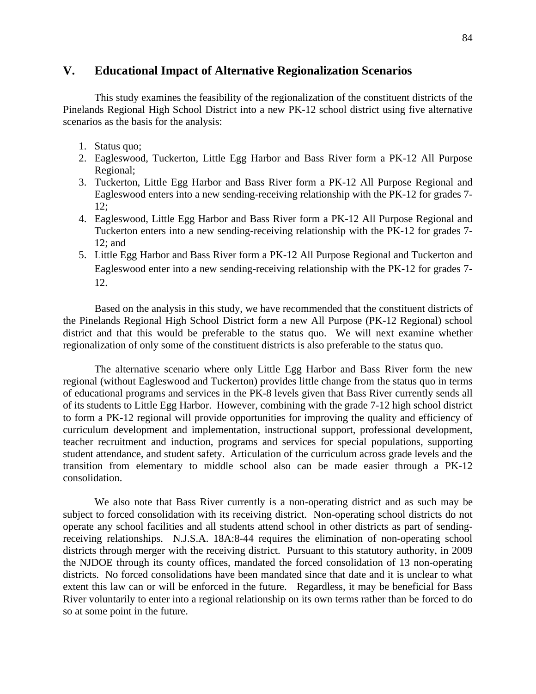## **V. Educational Impact of Alternative Regionalization Scenarios**

This study examines the feasibility of the regionalization of the constituent districts of the Pinelands Regional High School District into a new PK-12 school district using five alternative scenarios as the basis for the analysis:

- 1. Status quo;
- 2. Eagleswood, Tuckerton, Little Egg Harbor and Bass River form a PK-12 All Purpose Regional;
- 3. Tuckerton, Little Egg Harbor and Bass River form a PK-12 All Purpose Regional and Eagleswood enters into a new sending-receiving relationship with the PK-12 for grades 7- 12;
- 4. Eagleswood, Little Egg Harbor and Bass River form a PK-12 All Purpose Regional and Tuckerton enters into a new sending-receiving relationship with the PK-12 for grades 7- 12; and
- 5. Little Egg Harbor and Bass River form a PK-12 All Purpose Regional and Tuckerton and Eagleswood enter into a new sending-receiving relationship with the PK-12 for grades 7- 12.

Based on the analysis in this study, we have recommended that the constituent districts of the Pinelands Regional High School District form a new All Purpose (PK-12 Regional) school district and that this would be preferable to the status quo. We will next examine whether regionalization of only some of the constituent districts is also preferable to the status quo.

The alternative scenario where only Little Egg Harbor and Bass River form the new regional (without Eagleswood and Tuckerton) provides little change from the status quo in terms of educational programs and services in the PK-8 levels given that Bass River currently sends all of its students to Little Egg Harbor. However, combining with the grade 7-12 high school district to form a PK-12 regional will provide opportunities for improving the quality and efficiency of curriculum development and implementation, instructional support, professional development, teacher recruitment and induction, programs and services for special populations, supporting student attendance, and student safety. Articulation of the curriculum across grade levels and the transition from elementary to middle school also can be made easier through a PK-12 consolidation.

We also note that Bass River currently is a non-operating district and as such may be subject to forced consolidation with its receiving district. Non-operating school districts do not operate any school facilities and all students attend school in other districts as part of sendingreceiving relationships. N.J.S.A. 18A:8-44 requires the elimination of non-operating school districts through merger with the receiving district. Pursuant to this statutory authority, in 2009 the NJDOE through its county offices, mandated the forced consolidation of 13 non-operating districts. No forced consolidations have been mandated since that date and it is unclear to what extent this law can or will be enforced in the future. Regardless, it may be beneficial for Bass River voluntarily to enter into a regional relationship on its own terms rather than be forced to do so at some point in the future.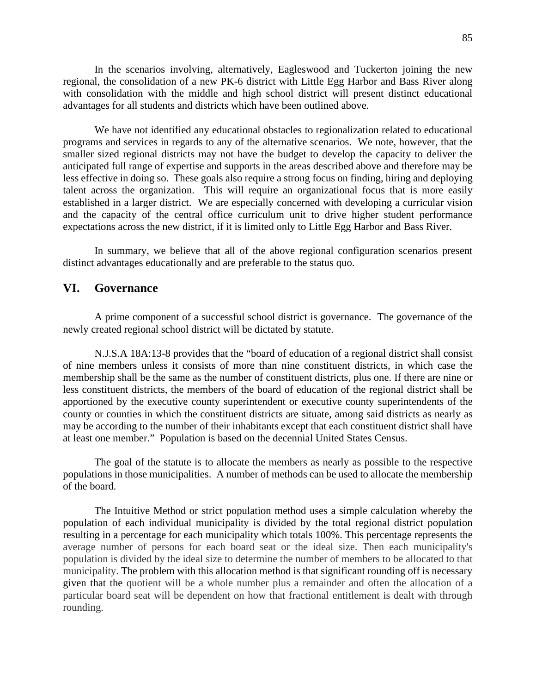In the scenarios involving, alternatively, Eagleswood and Tuckerton joining the new regional, the consolidation of a new PK-6 district with Little Egg Harbor and Bass River along with consolidation with the middle and high school district will present distinct educational advantages for all students and districts which have been outlined above.

We have not identified any educational obstacles to regionalization related to educational programs and services in regards to any of the alternative scenarios. We note, however, that the smaller sized regional districts may not have the budget to develop the capacity to deliver the anticipated full range of expertise and supports in the areas described above and therefore may be less effective in doing so. These goals also require a strong focus on finding, hiring and deploying talent across the organization. This will require an organizational focus that is more easily established in a larger district. We are especially concerned with developing a curricular vision and the capacity of the central office curriculum unit to drive higher student performance expectations across the new district, if it is limited only to Little Egg Harbor and Bass River.

In summary, we believe that all of the above regional configuration scenarios present distinct advantages educationally and are preferable to the status quo.

## **VI. Governance**

A prime component of a successful school district is governance. The governance of the newly created regional school district will be dictated by statute.

N.J.S.A 18A:13-8 provides that the "board of education of a regional district shall consist of nine members unless it consists of more than nine constituent districts, in which case the membership shall be the same as the number of constituent districts, plus one. If there are nine or less constituent districts, the members of the board of education of the regional district shall be apportioned by the executive county superintendent or executive county superintendents of the county or counties in which the constituent districts are situate, among said districts as nearly as may be according to the number of their inhabitants except that each constituent district shall have at least one member." Population is based on the decennial United States Census.

The goal of the statute is to allocate the members as nearly as possible to the respective populations in those municipalities. A number of methods can be used to allocate the membership of the board.

The Intuitive Method or strict population method uses a simple calculation whereby the population of each individual municipality is divided by the total regional district population resulting in a percentage for each municipality which totals 100%. This percentage represents the average number of persons for each board seat or the ideal size. Then each municipality's population is divided by the ideal size to determine the number of members to be allocated to that municipality. The problem with this allocation method is that significant rounding off is necessary given that the quotient will be a whole number plus a remainder and often the allocation of a particular board seat will be dependent on how that fractional entitlement is dealt with through rounding.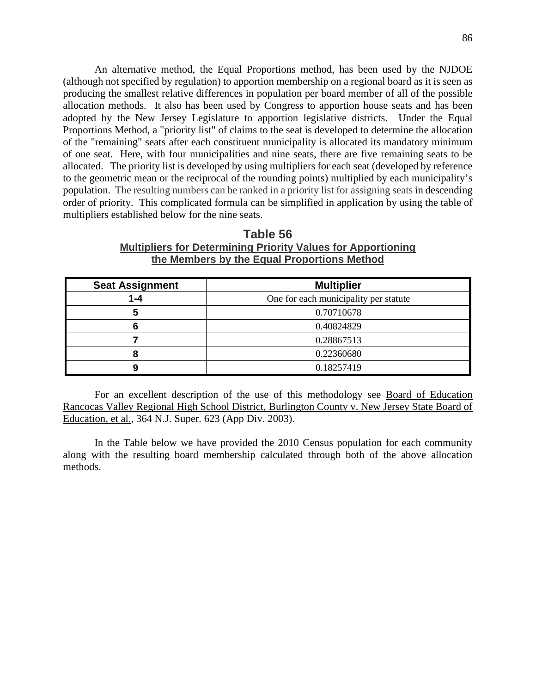An alternative method, the Equal Proportions method, has been used by the NJDOE (although not specified by regulation) to apportion membership on a regional board as it is seen as producing the smallest relative differences in population per board member of all of the possible allocation methods. It also has been used by Congress to apportion house seats and has been adopted by the New Jersey Legislature to apportion legislative districts. Under the Equal Proportions Method, a "priority list" of claims to the seat is developed to determine the allocation of the "remaining" seats after each constituent municipality is allocated its mandatory minimum of one seat. Here, with four municipalities and nine seats, there are five remaining seats to be allocated. The priority list is developed by using multipliers for each seat (developed by reference to the geometric mean or the reciprocal of the rounding points) multiplied by each municipality's population. The resulting numbers can be ranked in a priority list for assigning seats in descending order of priority. This complicated formula can be simplified in application by using the table of multipliers established below for the nine seats.

**Table 56 Multipliers for Determining Priority Values for Apportioning the Members by the Equal Proportions Method** 

| <b>Seat Assignment</b> | <b>Multiplier</b>                     |
|------------------------|---------------------------------------|
| $1 - 4$                | One for each municipality per statute |
|                        | 0.70710678                            |
|                        | 0.40824829                            |
|                        | 0.28867513                            |
| о                      | 0.22360680                            |
|                        | 0.18257419                            |

For an excellent description of the use of this methodology see Board of Education Rancocas Valley Regional High School District, Burlington County v. New Jersey State Board of Education, et al., 364 N.J. Super. 623 (App Div. 2003).

In the Table below we have provided the 2010 Census population for each community along with the resulting board membership calculated through both of the above allocation methods.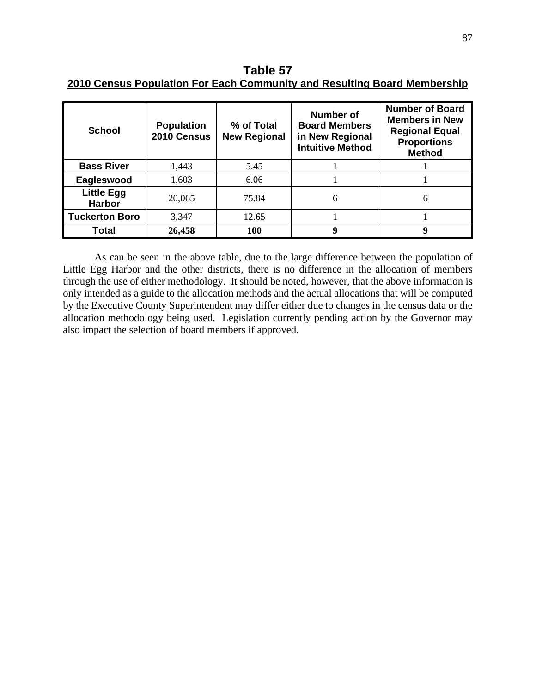**Table 57 2010 Census Population For Each Community and Resulting Board Membership** 

| <b>School</b>                      | <b>Population</b><br>2010 Census | % of Total<br><b>New Regional</b> | <b>Number of</b><br><b>Board Members</b><br>in New Regional<br><b>Intuitive Method</b> | <b>Number of Board</b><br><b>Members in New</b><br><b>Regional Equal</b><br><b>Proportions</b><br><b>Method</b> |
|------------------------------------|----------------------------------|-----------------------------------|----------------------------------------------------------------------------------------|-----------------------------------------------------------------------------------------------------------------|
| <b>Bass River</b>                  | 1,443                            | 5.45                              |                                                                                        |                                                                                                                 |
| Eagleswood                         | 1,603                            | 6.06                              |                                                                                        |                                                                                                                 |
| <b>Little Egg</b><br><b>Harbor</b> | 20,065                           | 75.84                             | 6                                                                                      | 6                                                                                                               |
| <b>Tuckerton Boro</b>              | 3,347                            | 12.65                             |                                                                                        |                                                                                                                 |
| Total                              | 26,458                           | 100                               | 9                                                                                      | 9                                                                                                               |

As can be seen in the above table, due to the large difference between the population of Little Egg Harbor and the other districts, there is no difference in the allocation of members through the use of either methodology. It should be noted, however, that the above information is only intended as a guide to the allocation methods and the actual allocations that will be computed by the Executive County Superintendent may differ either due to changes in the census data or the allocation methodology being used. Legislation currently pending action by the Governor may also impact the selection of board members if approved.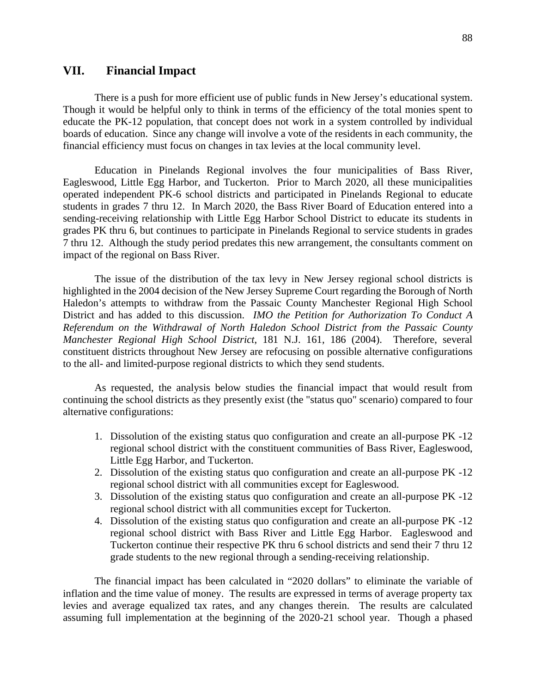## **VII. Financial Impact**

There is a push for more efficient use of public funds in New Jersey's educational system. Though it would be helpful only to think in terms of the efficiency of the total monies spent to educate the PK-12 population, that concept does not work in a system controlled by individual boards of education. Since any change will involve a vote of the residents in each community, the financial efficiency must focus on changes in tax levies at the local community level.

Education in Pinelands Regional involves the four municipalities of Bass River, Eagleswood, Little Egg Harbor, and Tuckerton. Prior to March 2020, all these municipalities operated independent PK-6 school districts and participated in Pinelands Regional to educate students in grades 7 thru 12. In March 2020, the Bass River Board of Education entered into a sending-receiving relationship with Little Egg Harbor School District to educate its students in grades PK thru 6, but continues to participate in Pinelands Regional to service students in grades 7 thru 12. Although the study period predates this new arrangement, the consultants comment on impact of the regional on Bass River.

The issue of the distribution of the tax levy in New Jersey regional school districts is highlighted in the 2004 decision of the New Jersey Supreme Court regarding the Borough of North Haledon's attempts to withdraw from the Passaic County Manchester Regional High School District and has added to this discussion. *IMO the Petition for Authorization To Conduct A Referendum on the Withdrawal of North Haledon School District from the Passaic County Manchester Regional High School District*, 181 N.J. 161, 186 (2004). Therefore, several constituent districts throughout New Jersey are refocusing on possible alternative configurations to the all- and limited-purpose regional districts to which they send students.

As requested, the analysis below studies the financial impact that would result from continuing the school districts as they presently exist (the "status quo" scenario) compared to four alternative configurations:

- 1. Dissolution of the existing status quo configuration and create an all-purpose PK -12 regional school district with the constituent communities of Bass River, Eagleswood, Little Egg Harbor, and Tuckerton.
- 2. Dissolution of the existing status quo configuration and create an all-purpose PK -12 regional school district with all communities except for Eagleswood.
- 3. Dissolution of the existing status quo configuration and create an all-purpose PK -12 regional school district with all communities except for Tuckerton.
- 4. Dissolution of the existing status quo configuration and create an all-purpose PK -12 regional school district with Bass River and Little Egg Harbor. Eagleswood and Tuckerton continue their respective PK thru 6 school districts and send their 7 thru 12 grade students to the new regional through a sending-receiving relationship.

The financial impact has been calculated in "2020 dollars" to eliminate the variable of inflation and the time value of money. The results are expressed in terms of average property tax levies and average equalized tax rates, and any changes therein. The results are calculated assuming full implementation at the beginning of the 2020-21 school year. Though a phased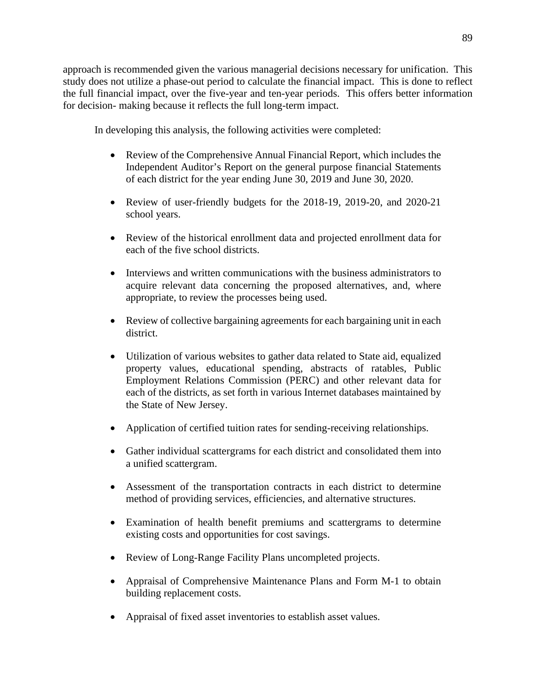approach is recommended given the various managerial decisions necessary for unification. This study does not utilize a phase-out period to calculate the financial impact. This is done to reflect the full financial impact, over the five-year and ten-year periods. This offers better information for decision- making because it reflects the full long-term impact.

In developing this analysis, the following activities were completed:

- Review of the Comprehensive Annual Financial Report, which includes the Independent Auditor's Report on the general purpose financial Statements of each district for the year ending June 30, 2019 and June 30, 2020.
- Review of user-friendly budgets for the 2018-19, 2019-20, and 2020-21 school years.
- Review of the historical enrollment data and projected enrollment data for each of the five school districts.
- Interviews and written communications with the business administrators to acquire relevant data concerning the proposed alternatives, and, where appropriate, to review the processes being used.
- Review of collective bargaining agreements for each bargaining unit in each district.
- Utilization of various websites to gather data related to State aid, equalized property values, educational spending, abstracts of ratables, Public Employment Relations Commission (PERC) and other relevant data for each of the districts, as set forth in various Internet databases maintained by the State of New Jersey.
- Application of certified tuition rates for sending-receiving relationships.
- Gather individual scattergrams for each district and consolidated them into a unified scattergram.
- Assessment of the transportation contracts in each district to determine method of providing services, efficiencies, and alternative structures.
- Examination of health benefit premiums and scattergrams to determine existing costs and opportunities for cost savings.
- Review of Long-Range Facility Plans uncompleted projects.
- Appraisal of Comprehensive Maintenance Plans and Form M-1 to obtain building replacement costs.
- Appraisal of fixed asset inventories to establish asset values.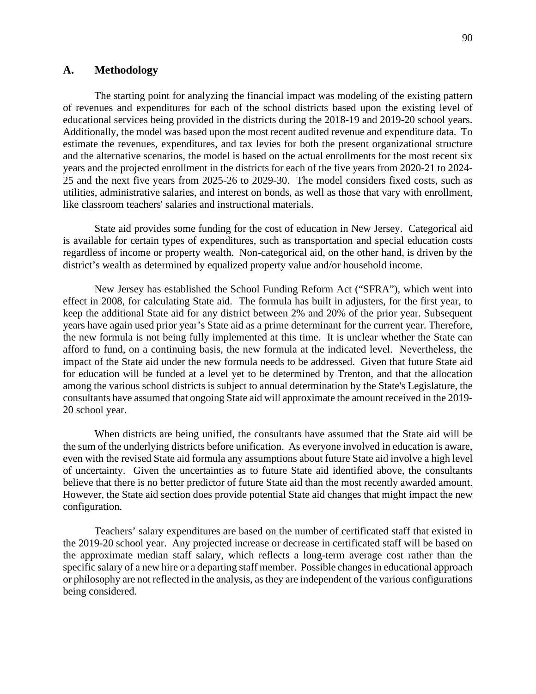### **A. Methodology**

The starting point for analyzing the financial impact was modeling of the existing pattern of revenues and expenditures for each of the school districts based upon the existing level of educational services being provided in the districts during the 2018-19 and 2019-20 school years. Additionally, the model was based upon the most recent audited revenue and expenditure data. To estimate the revenues, expenditures, and tax levies for both the present organizational structure and the alternative scenarios, the model is based on the actual enrollments for the most recent six years and the projected enrollment in the districts for each of the five years from 2020-21 to 2024- 25 and the next five years from 2025-26 to 2029-30. The model considers fixed costs, such as utilities, administrative salaries, and interest on bonds, as well as those that vary with enrollment, like classroom teachers' salaries and instructional materials.

State aid provides some funding for the cost of education in New Jersey. Categorical aid is available for certain types of expenditures, such as transportation and special education costs regardless of income or property wealth. Non-categorical aid, on the other hand, is driven by the district's wealth as determined by equalized property value and/or household income.

New Jersey has established the School Funding Reform Act ("SFRA"), which went into effect in 2008, for calculating State aid. The formula has built in adjusters, for the first year, to keep the additional State aid for any district between 2% and 20% of the prior year. Subsequent years have again used prior year's State aid as a prime determinant for the current year. Therefore, the new formula is not being fully implemented at this time. It is unclear whether the State can afford to fund, on a continuing basis, the new formula at the indicated level. Nevertheless, the impact of the State aid under the new formula needs to be addressed. Given that future State aid for education will be funded at a level yet to be determined by Trenton, and that the allocation among the various school districts is subject to annual determination by the State's Legislature, the consultants have assumed that ongoing State aid will approximate the amount received in the 2019- 20 school year.

When districts are being unified, the consultants have assumed that the State aid will be the sum of the underlying districts before unification. As everyone involved in education is aware, even with the revised State aid formula any assumptions about future State aid involve a high level of uncertainty. Given the uncertainties as to future State aid identified above, the consultants believe that there is no better predictor of future State aid than the most recently awarded amount. However, the State aid section does provide potential State aid changes that might impact the new configuration.

Teachers' salary expenditures are based on the number of certificated staff that existed in the 2019-20 school year. Any projected increase or decrease in certificated staff will be based on the approximate median staff salary, which reflects a long-term average cost rather than the specific salary of a new hire or a departing staff member. Possible changes in educational approach or philosophy are not reflected in the analysis, as they are independent of the various configurations being considered.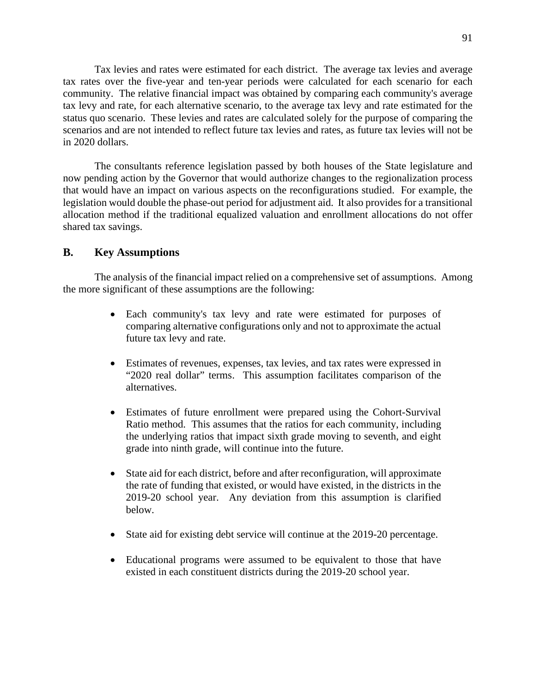Tax levies and rates were estimated for each district. The average tax levies and average tax rates over the five-year and ten-year periods were calculated for each scenario for each community. The relative financial impact was obtained by comparing each community's average tax levy and rate, for each alternative scenario, to the average tax levy and rate estimated for the status quo scenario. These levies and rates are calculated solely for the purpose of comparing the scenarios and are not intended to reflect future tax levies and rates, as future tax levies will not be in 2020 dollars.

The consultants reference legislation passed by both houses of the State legislature and now pending action by the Governor that would authorize changes to the regionalization process that would have an impact on various aspects on the reconfigurations studied. For example, the legislation would double the phase-out period for adjustment aid. It also provides for a transitional allocation method if the traditional equalized valuation and enrollment allocations do not offer shared tax savings.

### **B. Key Assumptions**

The analysis of the financial impact relied on a comprehensive set of assumptions. Among the more significant of these assumptions are the following:

- Each community's tax levy and rate were estimated for purposes of comparing alternative configurations only and not to approximate the actual future tax levy and rate.
- Estimates of revenues, expenses, tax levies, and tax rates were expressed in "2020 real dollar" terms. This assumption facilitates comparison of the alternatives.
- Estimates of future enrollment were prepared using the Cohort-Survival Ratio method. This assumes that the ratios for each community, including the underlying ratios that impact sixth grade moving to seventh, and eight grade into ninth grade, will continue into the future.
- State aid for each district, before and after reconfiguration, will approximate the rate of funding that existed, or would have existed, in the districts in the 2019-20 school year. Any deviation from this assumption is clarified below.
- State aid for existing debt service will continue at the 2019-20 percentage.
- Educational programs were assumed to be equivalent to those that have existed in each constituent districts during the 2019-20 school year.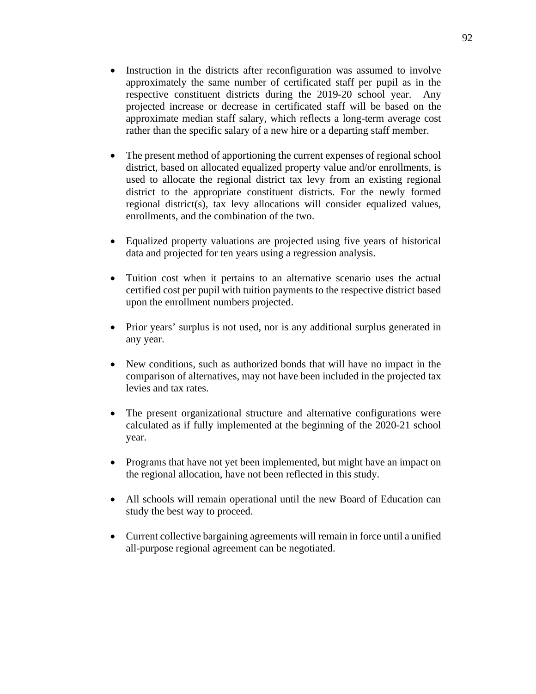- Instruction in the districts after reconfiguration was assumed to involve approximately the same number of certificated staff per pupil as in the respective constituent districts during the 2019-20 school year. Any projected increase or decrease in certificated staff will be based on the approximate median staff salary, which reflects a long-term average cost rather than the specific salary of a new hire or a departing staff member.
- The present method of apportioning the current expenses of regional school district, based on allocated equalized property value and/or enrollments, is used to allocate the regional district tax levy from an existing regional district to the appropriate constituent districts. For the newly formed regional district(s), tax levy allocations will consider equalized values, enrollments, and the combination of the two.
- Equalized property valuations are projected using five years of historical data and projected for ten years using a regression analysis.
- Tuition cost when it pertains to an alternative scenario uses the actual certified cost per pupil with tuition payments to the respective district based upon the enrollment numbers projected.
- Prior years' surplus is not used, nor is any additional surplus generated in any year.
- New conditions, such as authorized bonds that will have no impact in the comparison of alternatives, may not have been included in the projected tax levies and tax rates.
- The present organizational structure and alternative configurations were calculated as if fully implemented at the beginning of the 2020-21 school year.
- Programs that have not yet been implemented, but might have an impact on the regional allocation, have not been reflected in this study.
- All schools will remain operational until the new Board of Education can study the best way to proceed.
- Current collective bargaining agreements will remain in force until a unified all-purpose regional agreement can be negotiated.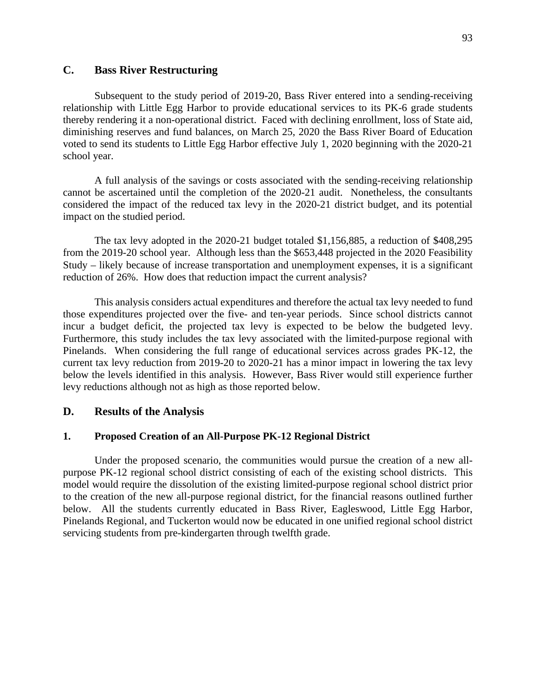## **C. Bass River Restructuring**

Subsequent to the study period of 2019-20, Bass River entered into a sending-receiving relationship with Little Egg Harbor to provide educational services to its PK-6 grade students thereby rendering it a non-operational district. Faced with declining enrollment, loss of State aid, diminishing reserves and fund balances, on March 25, 2020 the Bass River Board of Education voted to send its students to Little Egg Harbor effective July 1, 2020 beginning with the 2020-21 school year.

A full analysis of the savings or costs associated with the sending-receiving relationship cannot be ascertained until the completion of the 2020-21 audit. Nonetheless, the consultants considered the impact of the reduced tax levy in the 2020-21 district budget, and its potential impact on the studied period.

The tax levy adopted in the 2020-21 budget totaled \$1,156,885, a reduction of \$408,295 from the 2019-20 school year. Although less than the \$653,448 projected in the 2020 Feasibility Study – likely because of increase transportation and unemployment expenses, it is a significant reduction of 26%. How does that reduction impact the current analysis?

This analysis considers actual expenditures and therefore the actual tax levy needed to fund those expenditures projected over the five- and ten-year periods. Since school districts cannot incur a budget deficit, the projected tax levy is expected to be below the budgeted levy. Furthermore, this study includes the tax levy associated with the limited-purpose regional with Pinelands. When considering the full range of educational services across grades PK-12, the current tax levy reduction from 2019-20 to 2020-21 has a minor impact in lowering the tax levy below the levels identified in this analysis. However, Bass River would still experience further levy reductions although not as high as those reported below.

## **D. Results of the Analysis**

### **1. Proposed Creation of an All-Purpose PK-12 Regional District**

Under the proposed scenario, the communities would pursue the creation of a new allpurpose PK-12 regional school district consisting of each of the existing school districts. This model would require the dissolution of the existing limited-purpose regional school district prior to the creation of the new all-purpose regional district, for the financial reasons outlined further below. All the students currently educated in Bass River, Eagleswood, Little Egg Harbor, Pinelands Regional, and Tuckerton would now be educated in one unified regional school district servicing students from pre-kindergarten through twelfth grade.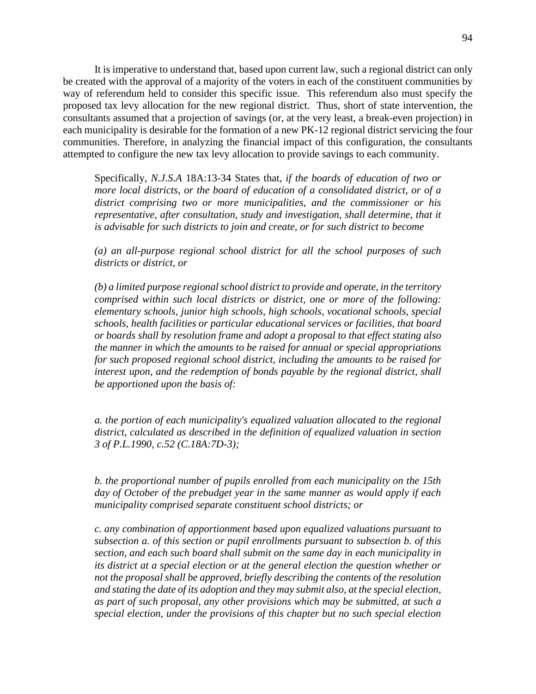It is imperative to understand that, based upon current law, such a regional district can only be created with the approval of a majority of the voters in each of the constituent communities by way of referendum held to consider this specific issue. This referendum also must specify the proposed tax levy allocation for the new regional district. Thus, short of state intervention, the consultants assumed that a projection of savings (or, at the very least, a break-even projection) in each municipality is desirable for the formation of a new PK-12 regional district servicing the four communities. Therefore, in analyzing the financial impact of this configuration, the consultants attempted to configure the new tax levy allocation to provide savings to each community.

Specifically, *N.J.S.A* 18A:13-34 States that, *if the boards of education of two or more local districts, or the board of education of a consolidated district, or of a district comprising two or more municipalities, and the commissioner or his representative, after consultation, study and investigation, shall determine, that it is advisable for such districts to join and create, or for such district to become* 

*(a) an all-purpose regional school district for all the school purposes of such districts or district, or* 

*(b) a limited purpose regional school district to provide and operate, in the territory comprised within such local districts or district, one or more of the following: elementary schools, junior high schools, high schools, vocational schools, special schools, health facilities or particular educational services or facilities, that board or boards shall by resolution frame and adopt a proposal to that effect stating also the manner in which the amounts to be raised for annual or special appropriations for such proposed regional school district, including the amounts to be raised for interest upon, and the redemption of bonds payable by the regional district, shall be apportioned upon the basis of:* 

*a. the portion of each municipality's equalized valuation allocated to the regional district, calculated as described in the definition of equalized valuation in section 3 of P.L.1990, c.52 (C.18A:7D-3);* 

*b. the proportional number of pupils enrolled from each municipality on the 15th day of October of the prebudget year in the same manner as would apply if each municipality comprised separate constituent school districts; or* 

*c. any combination of apportionment based upon equalized valuations pursuant to subsection a. of this section or pupil enrollments pursuant to subsection b. of this section, and each such board shall submit on the same day in each municipality in its district at a special election or at the general election the question whether or not the proposal shall be approved, briefly describing the contents of the resolution and stating the date of its adoption and they may submit also, at the special election, as part of such proposal, any other provisions which may be submitted, at such a special election, under the provisions of this chapter but no such special election*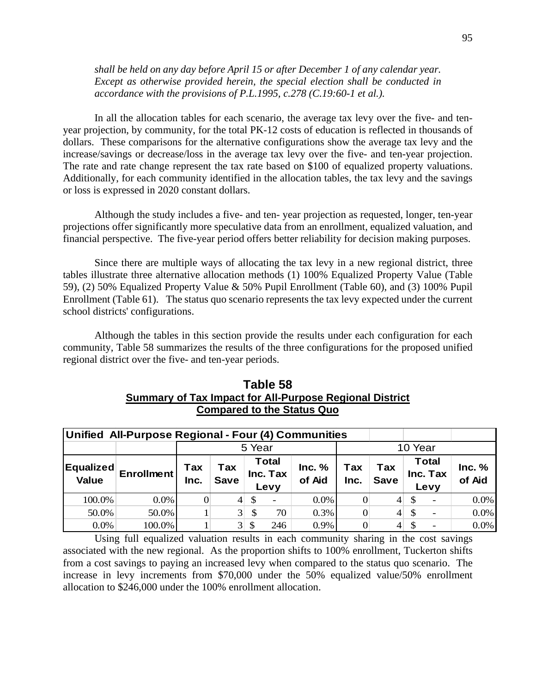*shall be held on any day before April 15 or after December 1 of any calendar year. Except as otherwise provided herein, the special election shall be conducted in accordance with the provisions of P.L.1995, c.278 (C.19:60-1 et al.).*

In all the allocation tables for each scenario, the average tax levy over the five- and tenyear projection, by community, for the total PK-12 costs of education is reflected in thousands of dollars. These comparisons for the alternative configurations show the average tax levy and the increase/savings or decrease/loss in the average tax levy over the five- and ten-year projection. The rate and rate change represent the tax rate based on \$100 of equalized property valuations. Additionally, for each community identified in the allocation tables, the tax levy and the savings or loss is expressed in 2020 constant dollars.

Although the study includes a five- and ten- year projection as requested, longer, ten-year projections offer significantly more speculative data from an enrollment, equalized valuation, and financial perspective. The five-year period offers better reliability for decision making purposes.

Since there are multiple ways of allocating the tax levy in a new regional district, three tables illustrate three alternative allocation methods (1) 100% Equalized Property Value (Table 59), (2) 50% Equalized Property Value & 50% Pupil Enrollment (Table 60), and (3) 100% Pupil Enrollment (Table 61). The status quo scenario represents the tax levy expected under the current school districts' configurations.

Although the tables in this section provide the results under each configuration for each community, Table 58 summarizes the results of the three configurations for the proposed unified regional district over the five- and ten-year periods.

| Table 58                                                       |
|----------------------------------------------------------------|
| <b>Summary of Tax Impact for All-Purpose Regional District</b> |
| <b>Compared to the Status Quo</b>                              |

|                                  | Unified All-Purpose Regional - Four (4) Communities |             |                    |                      |                                  |                  |                  |                    |              |                                  |                  |
|----------------------------------|-----------------------------------------------------|-------------|--------------------|----------------------|----------------------------------|------------------|------------------|--------------------|--------------|----------------------------------|------------------|
|                                  |                                                     |             | 5 Year             |                      |                                  |                  |                  | 10 Year            |              |                                  |                  |
| <b>Equalized</b><br><b>Value</b> | <b>Enrollment</b>                                   | Tax<br>Inc. | Tax<br><b>Save</b> |                      | <b>Total</b><br>Inc. Tax<br>Levy | Inc. %<br>of Aid | Tax<br>Inc.      | Tax<br><b>Save</b> |              | <b>Total</b><br>Inc. Tax<br>Levy | Inc. %<br>of Aid |
| 100.0%                           | $0.0\%$                                             |             | $\overline{4}$     | \$                   | $\overline{\phantom{0}}$         | $0.0\%$          | $\Omega$         | $\overline{4}$     | $\mathbb{S}$ | -                                | 0.0%             |
| 50.0%                            | 50.0%                                               |             | 3 <sup>1</sup>     | \$                   | 70                               | 0.3%             | $\Omega$         | $\overline{4}$     | $\mathbb{S}$ | $\overline{\phantom{a}}$         | 0.0%             |
| 0.0%                             | 100.0%                                              |             |                    | $3 \mid \text{\$\$}$ | 246                              | 0.9%             | $\boldsymbol{0}$ | $\overline{4}$     | \$.          |                                  | 0.0%             |

Using full equalized valuation results in each community sharing in the cost savings associated with the new regional. As the proportion shifts to 100% enrollment, Tuckerton shifts from a cost savings to paying an increased levy when compared to the status quo scenario. The increase in levy increments from \$70,000 under the 50% equalized value/50% enrollment allocation to \$246,000 under the 100% enrollment allocation.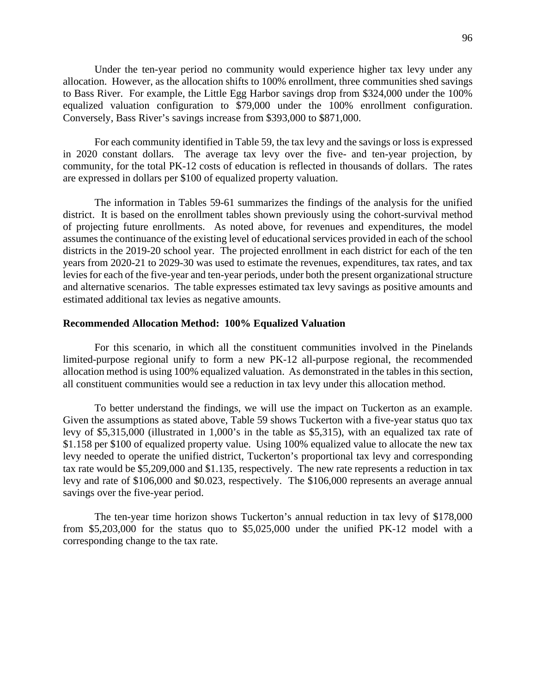Under the ten-year period no community would experience higher tax levy under any allocation. However, as the allocation shifts to 100% enrollment, three communities shed savings to Bass River. For example, the Little Egg Harbor savings drop from \$324,000 under the 100% equalized valuation configuration to \$79,000 under the 100% enrollment configuration. Conversely, Bass River's savings increase from \$393,000 to \$871,000.

For each community identified in Table 59, the tax levy and the savings or loss is expressed in 2020 constant dollars. The average tax levy over the five- and ten-year projection, by community, for the total PK-12 costs of education is reflected in thousands of dollars. The rates are expressed in dollars per \$100 of equalized property valuation.

The information in Tables 59-61 summarizes the findings of the analysis for the unified district. It is based on the enrollment tables shown previously using the cohort-survival method of projecting future enrollments. As noted above, for revenues and expenditures, the model assumes the continuance of the existing level of educational services provided in each of the school districts in the 2019-20 school year. The projected enrollment in each district for each of the ten years from 2020-21 to 2029-30 was used to estimate the revenues, expenditures, tax rates, and tax levies for each of the five-year and ten-year periods, under both the present organizational structure and alternative scenarios. The table expresses estimated tax levy savings as positive amounts and estimated additional tax levies as negative amounts.

#### **Recommended Allocation Method: 100% Equalized Valuation**

For this scenario, in which all the constituent communities involved in the Pinelands limited-purpose regional unify to form a new PK-12 all-purpose regional, the recommended allocation method is using 100% equalized valuation. As demonstrated in the tables in this section, all constituent communities would see a reduction in tax levy under this allocation method.

To better understand the findings, we will use the impact on Tuckerton as an example. Given the assumptions as stated above, Table 59 shows Tuckerton with a five-year status quo tax levy of \$5,315,000 (illustrated in 1,000's in the table as \$5,315), with an equalized tax rate of \$1.158 per \$100 of equalized property value. Using 100% equalized value to allocate the new tax levy needed to operate the unified district, Tuckerton's proportional tax levy and corresponding tax rate would be \$5,209,000 and \$1.135, respectively. The new rate represents a reduction in tax levy and rate of \$106,000 and \$0.023, respectively. The \$106,000 represents an average annual savings over the five-year period.

The ten-year time horizon shows Tuckerton's annual reduction in tax levy of \$178,000 from \$5,203,000 for the status quo to \$5,025,000 under the unified PK-12 model with a corresponding change to the tax rate.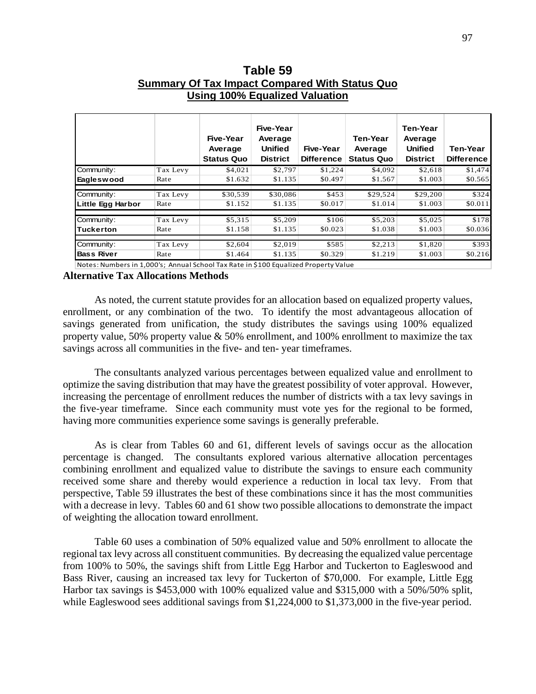|                   |          | <b>OSING TOO /0 LQUANLOG VAIGANON</b><br>Five-Year<br>Average | Five-Year<br>Average<br><b>Unified</b> | Five-Year         | Ten-Year<br>Average | <b>Ten-Year</b><br>Average<br><b>Unified</b> | Ten-Year          |
|-------------------|----------|---------------------------------------------------------------|----------------------------------------|-------------------|---------------------|----------------------------------------------|-------------------|
|                   |          | <b>Status Quo</b>                                             | <b>District</b>                        | <b>Difference</b> | <b>Status Quo</b>   | <b>District</b>                              | <b>Difference</b> |
| Community:        | Tax Levy | \$4,021                                                       | \$2,797                                | \$1,224           | \$4,092             | \$2,618                                      | \$1,474           |
| Eagleswood        | Rate     | \$1.632                                                       | \$1.135                                | \$0.497           | \$1.567             | \$1.003                                      | \$0.565           |
| Community:        | Tax Levy | \$30,539                                                      | \$30,086                               | \$453             | \$29,524            | \$29,200                                     | \$324             |
| Little Egg Harbor | Rate     | \$1.152                                                       | \$1.135                                | \$0.017           | \$1.014             | \$1.003                                      | \$0.011           |
| Community:        | Tax Levy | \$5,315                                                       | \$5,209                                | \$106             | \$5,203             | \$5,025                                      | \$178             |
| Tuckerton         | Rate     | \$1.158                                                       | \$1.135                                | \$0.023           | \$1.038             | \$1.003                                      | \$0.036           |
| Community:        | Tax Levy | \$2,604                                                       | \$2,019                                | \$585             | \$2,213             | \$1,820                                      | \$393             |
| <b>Bass River</b> | Rate     | \$1.464                                                       | \$1.135                                | \$0.329           | \$1.219             | \$1.003                                      | \$0.216           |
|                   |          |                                                               |                                        |                   |                     |                                              |                   |

**Table 59 Summary Of Tax Impact Compared With Status Quo Using 100% Equalized Valuation** 

Notes: Numbers in 1,000's; Annual School Tax Rate in \$100 Equalized Property Value

### **Alternative Tax Allocations Methods**

As noted, the current statute provides for an allocation based on equalized property values, enrollment, or any combination of the two. To identify the most advantageous allocation of savings generated from unification, the study distributes the savings using 100% equalized property value, 50% property value & 50% enrollment, and 100% enrollment to maximize the tax savings across all communities in the five- and ten- year timeframes.

The consultants analyzed various percentages between equalized value and enrollment to optimize the saving distribution that may have the greatest possibility of voter approval. However, increasing the percentage of enrollment reduces the number of districts with a tax levy savings in the five-year timeframe. Since each community must vote yes for the regional to be formed, having more communities experience some savings is generally preferable.

As is clear from Tables 60 and 61, different levels of savings occur as the allocation percentage is changed. The consultants explored various alternative allocation percentages combining enrollment and equalized value to distribute the savings to ensure each community received some share and thereby would experience a reduction in local tax levy. From that perspective, Table 59 illustrates the best of these combinations since it has the most communities with a decrease in levy. Tables 60 and 61 show two possible allocations to demonstrate the impact of weighting the allocation toward enrollment.

Table 60 uses a combination of 50% equalized value and 50% enrollment to allocate the regional tax levy across all constituent communities. By decreasing the equalized value percentage from 100% to 50%, the savings shift from Little Egg Harbor and Tuckerton to Eagleswood and Bass River, causing an increased tax levy for Tuckerton of \$70,000. For example, Little Egg Harbor tax savings is \$453,000 with 100% equalized value and \$315,000 with a 50%/50% split, while Eagleswood sees additional savings from \$1,224,000 to \$1,373,000 in the five-year period.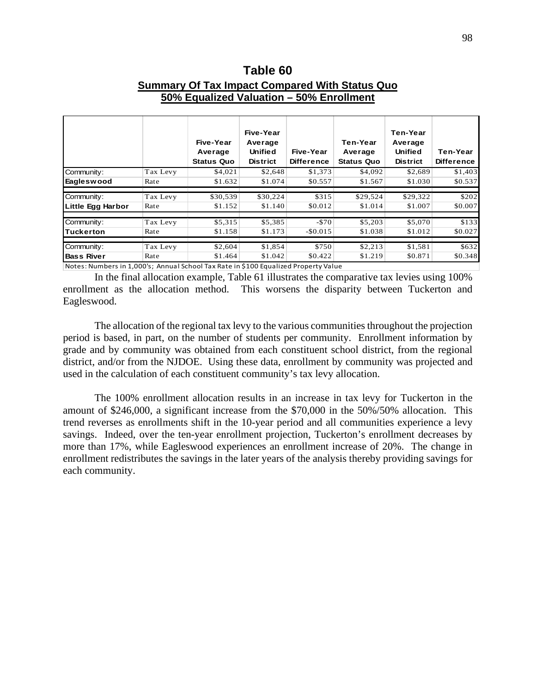## **Table 60**

## **Summary Of Tax Impact Compared With Status Quo 50% Equalized Valuation – 50% Enrollment**

|                                                                                     |          | Five-Year<br>Average<br><b>Status Quo</b> | Five-Year<br>Average<br><b>Unified</b><br><b>District</b> | Five-Year<br><b>Difference</b> | Ten-Year<br>Average<br>Status Quo | Ten-Year<br>Average<br><b>Unified</b><br><b>District</b> | Ten-Year<br><b>Difference</b> |
|-------------------------------------------------------------------------------------|----------|-------------------------------------------|-----------------------------------------------------------|--------------------------------|-----------------------------------|----------------------------------------------------------|-------------------------------|
| Community:                                                                          | Tax Levy | \$4,021                                   | \$2,648                                                   | \$1,373                        | \$4,092                           | \$2,689                                                  | \$1,403                       |
| Eagleswood                                                                          | Rate     | \$1.632                                   | \$1.074                                                   | \$0.557                        | \$1.567                           | \$1.030                                                  | \$0.537                       |
|                                                                                     |          |                                           |                                                           |                                |                                   |                                                          |                               |
| Community:                                                                          | Tax Levy | \$30,539                                  | \$30,224                                                  | \$315                          | \$29,524                          | \$29,322                                                 | \$202                         |
| Little Egg Harbor                                                                   | Rate     | \$1.152                                   | \$1.140                                                   | \$0.012                        | \$1.014                           | \$1.007                                                  | \$0.007                       |
|                                                                                     |          |                                           |                                                           |                                |                                   |                                                          |                               |
| Community:                                                                          | Tax Levy | \$5,315                                   | \$5,385                                                   | $-570$                         | \$5,203                           | \$5,070                                                  | \$133                         |
| <b>Tuckerton</b>                                                                    | Rate     | \$1.158                                   | \$1.173                                                   | $-$ \$0.015                    | \$1.038                           | \$1.012                                                  | \$0.027                       |
|                                                                                     |          |                                           |                                                           |                                |                                   |                                                          |                               |
| Community:                                                                          | Tax Levy | \$2,604                                   | \$1,854                                                   | \$750                          | \$2,213                           | \$1,581                                                  | \$632                         |
| <b>Bass River</b>                                                                   | Rate     | \$1.464                                   | \$1.042                                                   | \$0.422                        | \$1.219                           | \$0.871                                                  | \$0.348                       |
| Notas: Numbers in 1,000's: Annual School Tay Pato in \$100 Equalized Property Value |          |                                           |                                                           |                                |                                   |                                                          |                               |

es: Numbers in 1,000's; Annual School Tax Rate in \$100 Equalized Property Value

In the final allocation example, Table 61 illustrates the comparative tax levies using 100% enrollment as the allocation method. This worsens the disparity between Tuckerton and Eagleswood.

The allocation of the regional tax levy to the various communities throughout the projection period is based, in part, on the number of students per community. Enrollment information by grade and by community was obtained from each constituent school district, from the regional district, and/or from the NJDOE. Using these data, enrollment by community was projected and used in the calculation of each constituent community's tax levy allocation.

The 100% enrollment allocation results in an increase in tax levy for Tuckerton in the amount of \$246,000, a significant increase from the \$70,000 in the 50%/50% allocation. This trend reverses as enrollments shift in the 10-year period and all communities experience a levy savings. Indeed, over the ten-year enrollment projection, Tuckerton's enrollment decreases by more than 17%, while Eagleswood experiences an enrollment increase of 20%. The change in enrollment redistributes the savings in the later years of the analysis thereby providing savings for each community.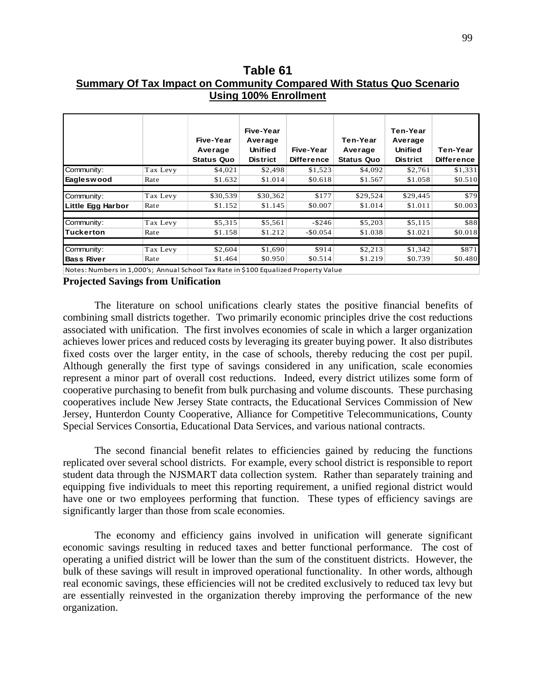# **Table 61 Summary Of Tax Impact on Community Compared With Status Quo Scenario Using 100% Enrollment**

|                   |          | Five-Year<br>Average<br><b>Status Quo</b> | Five-Year<br>Average<br>Unified<br><b>District</b> | Five-Year<br><b>Difference</b> | Ten-Year<br>Average<br><b>Status Quo</b> | Ten-Year<br>Average<br><b>Unified</b><br><b>District</b> | Ten-Year<br><b>Difference</b> |
|-------------------|----------|-------------------------------------------|----------------------------------------------------|--------------------------------|------------------------------------------|----------------------------------------------------------|-------------------------------|
| Community:        | Tax Levy | \$4,021                                   | \$2,498                                            | \$1,523                        | \$4,092                                  | \$2,761                                                  | \$1,331                       |
| <b>Eagleswood</b> | Rate     | \$1.632                                   | \$1.014                                            | \$0.618                        | \$1.567                                  | \$1.058                                                  | \$0.510                       |
|                   |          |                                           |                                                    |                                |                                          |                                                          |                               |
| Community:        | Tax Levy | \$30,539                                  | \$30,362                                           | \$177                          | \$29,524                                 | \$29,445                                                 | \$79                          |
| Little Egg Harbor | Rate     | \$1.152                                   | \$1.145                                            | \$0.007                        | \$1.014                                  | \$1.011                                                  | \$0.003                       |
| Community:        | Tax Levy | \$5,315                                   | \$5,561                                            | $-$ \$246                      | \$5,203                                  | \$5,115                                                  | \$88                          |
| <b>Tuckerton</b>  | Rate     | \$1.158                                   | \$1.212                                            | $-$0.054$                      | \$1.038                                  | \$1.021                                                  | \$0.018                       |
| Community:        | Tax Levy | \$2,604                                   | \$1,690                                            | \$914                          | \$2,213                                  | \$1,342                                                  | \$871                         |
| <b>Bass River</b> | Rate     | \$1.464                                   | \$0.950                                            | \$0.514                        | \$1.219                                  | \$0.739                                                  | \$0.480                       |

Notes: Numbers in 1,000's; Annual School Tax Rate in \$100 Equalized Property Value

### **Projected Savings from Unification**

The literature on school unifications clearly states the positive financial benefits of combining small districts together. Two primarily economic principles drive the cost reductions associated with unification. The first involves economies of scale in which a larger organization achieves lower prices and reduced costs by leveraging its greater buying power. It also distributes fixed costs over the larger entity, in the case of schools, thereby reducing the cost per pupil. Although generally the first type of savings considered in any unification, scale economies represent a minor part of overall cost reductions. Indeed, every district utilizes some form of cooperative purchasing to benefit from bulk purchasing and volume discounts. These purchasing cooperatives include New Jersey State contracts, the Educational Services Commission of New Jersey, Hunterdon County Cooperative, Alliance for Competitive Telecommunications, County Special Services Consortia, Educational Data Services, and various national contracts.

The second financial benefit relates to efficiencies gained by reducing the functions replicated over several school districts. For example, every school district is responsible to report student data through the NJSMART data collection system. Rather than separately training and equipping five individuals to meet this reporting requirement, a unified regional district would have one or two employees performing that function. These types of efficiency savings are significantly larger than those from scale economies.

The economy and efficiency gains involved in unification will generate significant economic savings resulting in reduced taxes and better functional performance. The cost of operating a unified district will be lower than the sum of the constituent districts. However, the bulk of these savings will result in improved operational functionality. In other words, although real economic savings, these efficiencies will not be credited exclusively to reduced tax levy but are essentially reinvested in the organization thereby improving the performance of the new organization.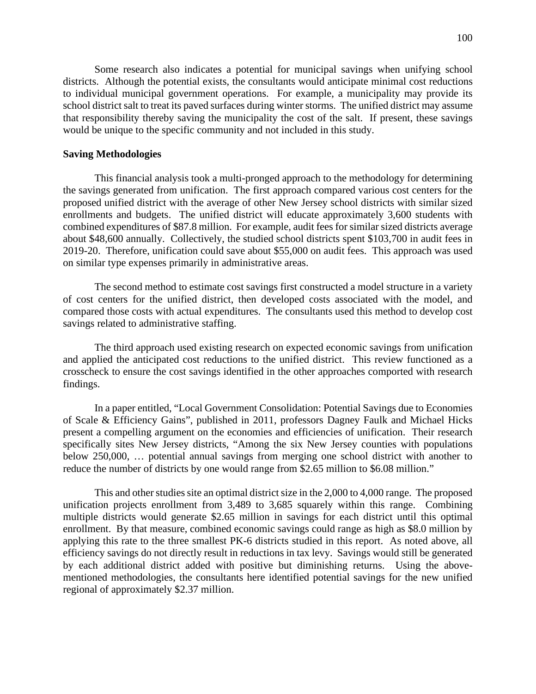Some research also indicates a potential for municipal savings when unifying school districts. Although the potential exists, the consultants would anticipate minimal cost reductions to individual municipal government operations. For example, a municipality may provide its school district salt to treat its paved surfaces during winter storms. The unified district may assume that responsibility thereby saving the municipality the cost of the salt. If present, these savings would be unique to the specific community and not included in this study.

#### **Saving Methodologies**

This financial analysis took a multi-pronged approach to the methodology for determining the savings generated from unification. The first approach compared various cost centers for the proposed unified district with the average of other New Jersey school districts with similar sized enrollments and budgets. The unified district will educate approximately 3,600 students with combined expenditures of \$87.8 million. For example, audit fees for similar sized districts average about \$48,600 annually. Collectively, the studied school districts spent \$103,700 in audit fees in 2019-20. Therefore, unification could save about \$55,000 on audit fees. This approach was used on similar type expenses primarily in administrative areas.

The second method to estimate cost savings first constructed a model structure in a variety of cost centers for the unified district, then developed costs associated with the model, and compared those costs with actual expenditures. The consultants used this method to develop cost savings related to administrative staffing.

The third approach used existing research on expected economic savings from unification and applied the anticipated cost reductions to the unified district. This review functioned as a crosscheck to ensure the cost savings identified in the other approaches comported with research findings.

In a paper entitled, "Local Government Consolidation: Potential Savings due to Economies of Scale & Efficiency Gains", published in 2011, professors Dagney Faulk and Michael Hicks present a compelling argument on the economies and efficiencies of unification. Their research specifically sites New Jersey districts, "Among the six New Jersey counties with populations below 250,000, … potential annual savings from merging one school district with another to reduce the number of districts by one would range from \$2.65 million to \$6.08 million."

This and other studies site an optimal district size in the 2,000 to 4,000 range. The proposed unification projects enrollment from 3,489 to 3,685 squarely within this range. Combining multiple districts would generate \$2.65 million in savings for each district until this optimal enrollment. By that measure, combined economic savings could range as high as \$8.0 million by applying this rate to the three smallest PK-6 districts studied in this report. As noted above, all efficiency savings do not directly result in reductions in tax levy. Savings would still be generated by each additional district added with positive but diminishing returns. Using the abovementioned methodologies, the consultants here identified potential savings for the new unified regional of approximately \$2.37 million.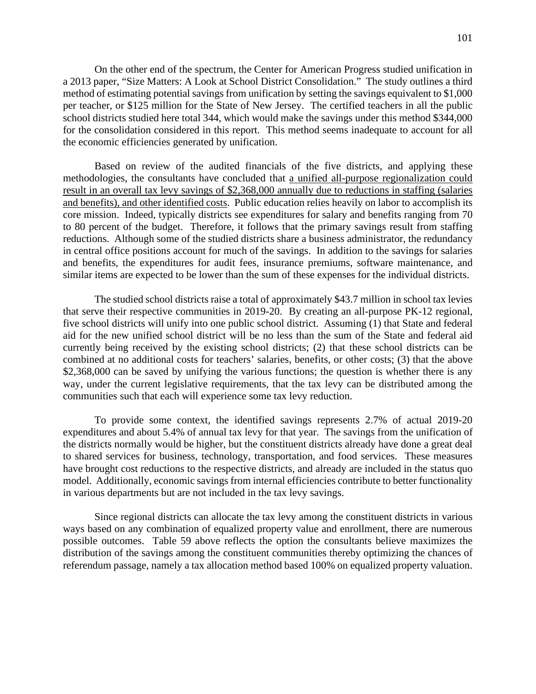On the other end of the spectrum, the Center for American Progress studied unification in a 2013 paper, "Size Matters: A Look at School District Consolidation." The study outlines a third method of estimating potential savings from unification by setting the savings equivalent to \$1,000 per teacher, or \$125 million for the State of New Jersey. The certified teachers in all the public school districts studied here total 344, which would make the savings under this method \$344,000 for the consolidation considered in this report. This method seems inadequate to account for all the economic efficiencies generated by unification.

Based on review of the audited financials of the five districts, and applying these methodologies, the consultants have concluded that a unified all-purpose regionalization could result in an overall tax levy savings of \$2,368,000 annually due to reductions in staffing (salaries and benefits), and other identified costs. Public education relies heavily on labor to accomplish its core mission. Indeed, typically districts see expenditures for salary and benefits ranging from 70 to 80 percent of the budget. Therefore, it follows that the primary savings result from staffing reductions. Although some of the studied districts share a business administrator, the redundancy in central office positions account for much of the savings. In addition to the savings for salaries and benefits, the expenditures for audit fees, insurance premiums, software maintenance, and similar items are expected to be lower than the sum of these expenses for the individual districts.

The studied school districts raise a total of approximately \$43.7 million in school tax levies that serve their respective communities in 2019-20. By creating an all-purpose PK-12 regional, five school districts will unify into one public school district. Assuming (1) that State and federal aid for the new unified school district will be no less than the sum of the State and federal aid currently being received by the existing school districts; (2) that these school districts can be combined at no additional costs for teachers' salaries, benefits, or other costs; (3) that the above \$2,368,000 can be saved by unifying the various functions; the question is whether there is any way, under the current legislative requirements, that the tax levy can be distributed among the communities such that each will experience some tax levy reduction.

To provide some context, the identified savings represents 2.7% of actual 2019-20 expenditures and about 5.4% of annual tax levy for that year. The savings from the unification of the districts normally would be higher, but the constituent districts already have done a great deal to shared services for business, technology, transportation, and food services. These measures have brought cost reductions to the respective districts, and already are included in the status quo model. Additionally, economic savings from internal efficiencies contribute to better functionality in various departments but are not included in the tax levy savings.

Since regional districts can allocate the tax levy among the constituent districts in various ways based on any combination of equalized property value and enrollment, there are numerous possible outcomes. Table 59 above reflects the option the consultants believe maximizes the distribution of the savings among the constituent communities thereby optimizing the chances of referendum passage, namely a tax allocation method based 100% on equalized property valuation.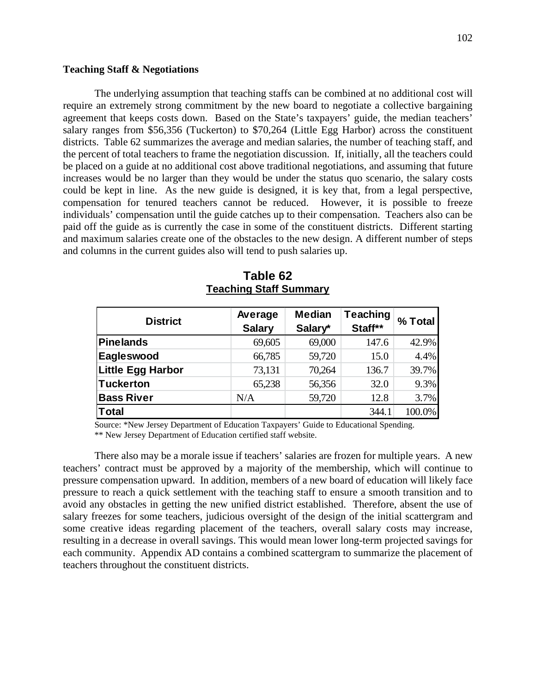## **Teaching Staff & Negotiations**

The underlying assumption that teaching staffs can be combined at no additional cost will require an extremely strong commitment by the new board to negotiate a collective bargaining agreement that keeps costs down. Based on the State's taxpayers' guide, the median teachers' salary ranges from \$56,356 (Tuckerton) to \$70,264 (Little Egg Harbor) across the constituent districts. Table 62 summarizes the average and median salaries, the number of teaching staff, and the percent of total teachers to frame the negotiation discussion. If, initially, all the teachers could be placed on a guide at no additional cost above traditional negotiations, and assuming that future increases would be no larger than they would be under the status quo scenario, the salary costs could be kept in line. As the new guide is designed, it is key that, from a legal perspective, compensation for tenured teachers cannot be reduced. However, it is possible to freeze individuals' compensation until the guide catches up to their compensation. Teachers also can be paid off the guide as is currently the case in some of the constituent districts. Different starting and maximum salaries create one of the obstacles to the new design. A different number of steps and columns in the current guides also will tend to push salaries up.

| <b>District</b>   | Average       | <b>Median</b> | <b>Teaching</b> | % Total |  |
|-------------------|---------------|---------------|-----------------|---------|--|
|                   | <b>Salary</b> | Salary*       | Staff**         |         |  |
| Pinelands         | 69,605        | 69,000        | 147.6           | 42.9%   |  |
| Eagleswood        | 66,785        | 59,720        | 15.0            | 4.4%    |  |
| Little Egg Harbor | 73,131        | 70,264        | 136.7           | 39.7%   |  |
| Tuckerton         | 65,238        | 56,356        | 32.0            | 9.3%    |  |
| <b>Bass River</b> | N/A           | 59,720        | 12.8            | 3.7%    |  |
| Total             |               |               | 344.1           | 100.0%  |  |

**Table 62 Teaching Staff Summary**

Source: \*New Jersey Department of Education Taxpayers' Guide to Educational Spending. \*\* New Jersey Department of Education certified staff website.

There also may be a morale issue if teachers' salaries are frozen for multiple years. A new teachers' contract must be approved by a majority of the membership, which will continue to pressure compensation upward. In addition, members of a new board of education will likely face pressure to reach a quick settlement with the teaching staff to ensure a smooth transition and to avoid any obstacles in getting the new unified district established. Therefore, absent the use of salary freezes for some teachers, judicious oversight of the design of the initial scattergram and some creative ideas regarding placement of the teachers, overall salary costs may increase, resulting in a decrease in overall savings. This would mean lower long-term projected savings for each community. Appendix AD contains a combined scattergram to summarize the placement of teachers throughout the constituent districts.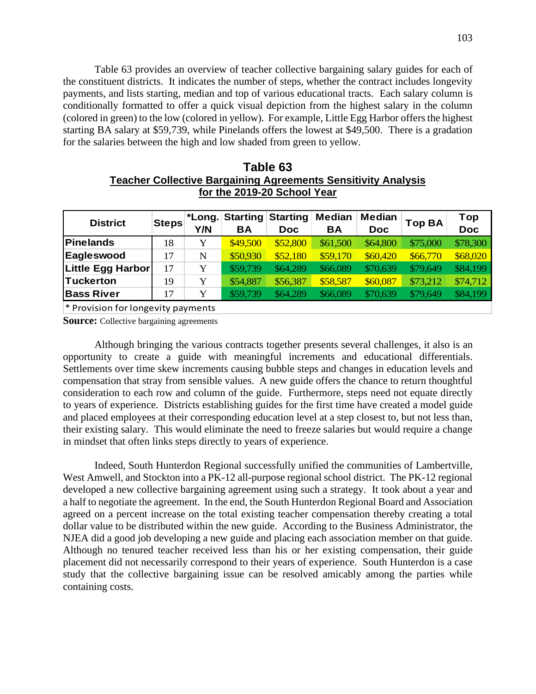Table 63 provides an overview of teacher collective bargaining salary guides for each of the constituent districts. It indicates the number of steps, whether the contract includes longevity payments, and lists starting, median and top of various educational tracts. Each salary column is conditionally formatted to offer a quick visual depiction from the highest salary in the column (colored in green) to the low (colored in yellow). For example, Little Egg Harbor offers the highest starting BA salary at \$59,739, while Pinelands offers the lowest at \$49,500. There is a gradation for the salaries between the high and low shaded from green to yellow.

| Table 63                                                             |
|----------------------------------------------------------------------|
| <b>Teacher Collective Bargaining Agreements Sensitivity Analysis</b> |
| for the 2019-20 School Year                                          |

|                         |              | <b>Starting</b> | <b>Starting</b> | <b>Median</b> | <b>Median</b> |          | Top        |
|-------------------------|--------------|-----------------|-----------------|---------------|---------------|----------|------------|
|                         | Y/N          | ΒA              | Doc.            | <b>BA</b>     | <b>Doc</b>    |          | <b>Doc</b> |
| 18                      | Y            | \$49,500        | \$52,800        | \$61,500      | \$64,800      | \$75,000 | \$78,300   |
| 17                      | N            | \$50,930        | \$52,180        | \$59,170      | \$60,420      | \$66,770 | \$68,020   |
| Little Egg Harbor<br>17 | Y            | \$59,739        | \$64,289        | \$66,089      | \$70,639      | \$79,649 | \$84,199   |
| 19                      | Y            | \$54,887        | \$56,387        | \$58,587      | \$60,087      | \$73,212 | \$74,712   |
| 17                      | Y            | \$59,739        | \$64,289        | \$66,089      | \$70,639      | \$79,649 | \$84,199   |
|                         | <b>Steps</b> |                 |                 |               |               |          | Top BA     |

\* Provision for longevity payments

**Source:** Collective bargaining agreements

Although bringing the various contracts together presents several challenges, it also is an opportunity to create a guide with meaningful increments and educational differentials. Settlements over time skew increments causing bubble steps and changes in education levels and compensation that stray from sensible values. A new guide offers the chance to return thoughtful consideration to each row and column of the guide. Furthermore, steps need not equate directly to years of experience. Districts establishing guides for the first time have created a model guide and placed employees at their corresponding education level at a step closest to, but not less than, their existing salary. This would eliminate the need to freeze salaries but would require a change in mindset that often links steps directly to years of experience.

Indeed, South Hunterdon Regional successfully unified the communities of Lambertville, West Amwell, and Stockton into a PK-12 all-purpose regional school district. The PK-12 regional developed a new collective bargaining agreement using such a strategy. It took about a year and a half to negotiate the agreement. In the end, the South Hunterdon Regional Board and Association agreed on a percent increase on the total existing teacher compensation thereby creating a total dollar value to be distributed within the new guide. According to the Business Administrator, the NJEA did a good job developing a new guide and placing each association member on that guide. Although no tenured teacher received less than his or her existing compensation, their guide placement did not necessarily correspond to their years of experience. South Hunterdon is a case study that the collective bargaining issue can be resolved amicably among the parties while containing costs.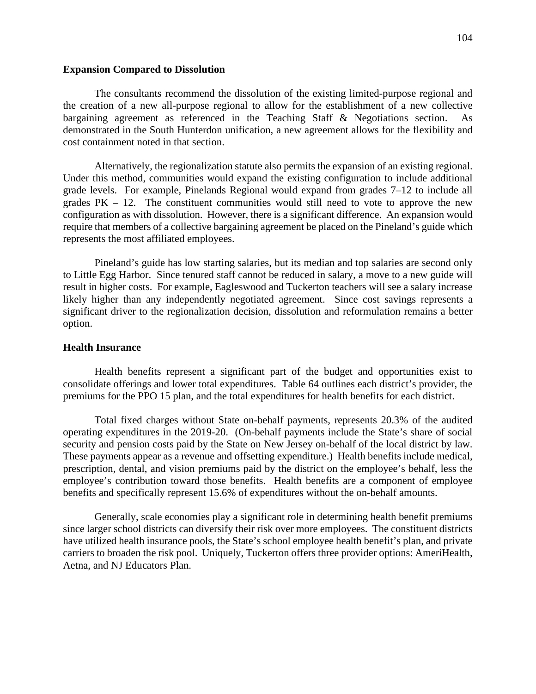#### **Expansion Compared to Dissolution**

The consultants recommend the dissolution of the existing limited-purpose regional and the creation of a new all-purpose regional to allow for the establishment of a new collective bargaining agreement as referenced in the Teaching Staff & Negotiations section. As demonstrated in the South Hunterdon unification, a new agreement allows for the flexibility and cost containment noted in that section.

Alternatively, the regionalization statute also permits the expansion of an existing regional. Under this method, communities would expand the existing configuration to include additional grade levels. For example, Pinelands Regional would expand from grades 7–12 to include all grades  $PK - 12$ . The constituent communities would still need to vote to approve the new configuration as with dissolution. However, there is a significant difference. An expansion would require that members of a collective bargaining agreement be placed on the Pineland's guide which represents the most affiliated employees.

Pineland's guide has low starting salaries, but its median and top salaries are second only to Little Egg Harbor. Since tenured staff cannot be reduced in salary, a move to a new guide will result in higher costs. For example, Eagleswood and Tuckerton teachers will see a salary increase likely higher than any independently negotiated agreement. Since cost savings represents a significant driver to the regionalization decision, dissolution and reformulation remains a better option.

#### **Health Insurance**

Health benefits represent a significant part of the budget and opportunities exist to consolidate offerings and lower total expenditures. Table 64 outlines each district's provider, the premiums for the PPO 15 plan, and the total expenditures for health benefits for each district.

Total fixed charges without State on-behalf payments, represents 20.3% of the audited operating expenditures in the 2019-20. (On-behalf payments include the State's share of social security and pension costs paid by the State on New Jersey on-behalf of the local district by law. These payments appear as a revenue and offsetting expenditure.) Health benefits include medical, prescription, dental, and vision premiums paid by the district on the employee's behalf, less the employee's contribution toward those benefits. Health benefits are a component of employee benefits and specifically represent 15.6% of expenditures without the on-behalf amounts.

Generally, scale economies play a significant role in determining health benefit premiums since larger school districts can diversify their risk over more employees. The constituent districts have utilized health insurance pools, the State's school employee health benefit's plan, and private carriers to broaden the risk pool. Uniquely, Tuckerton offers three provider options: AmeriHealth, Aetna, and NJ Educators Plan.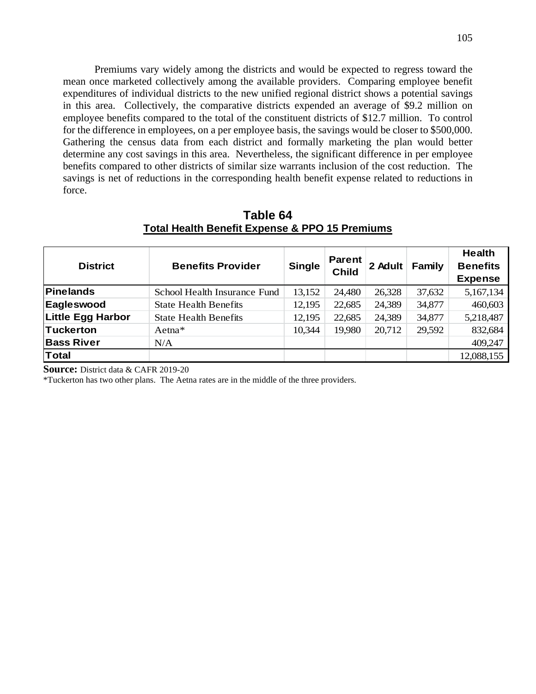Premiums vary widely among the districts and would be expected to regress toward the mean once marketed collectively among the available providers. Comparing employee benefit expenditures of individual districts to the new unified regional district shows a potential savings in this area. Collectively, the comparative districts expended an average of \$9.2 million on employee benefits compared to the total of the constituent districts of \$12.7 million. To control for the difference in employees, on a per employee basis, the savings would be closer to \$500,000. Gathering the census data from each district and formally marketing the plan would better determine any cost savings in this area. Nevertheless, the significant difference in per employee benefits compared to other districts of similar size warrants inclusion of the cost reduction. The savings is net of reductions in the corresponding health benefit expense related to reductions in force.

| <b>District</b>          | <b>Benefits Provider</b>     | <b>Single</b> | <b>Parent</b><br><b>Child</b> | 2 Adult | Family | <b>Health</b><br><b>Benefits</b><br><b>Expense</b> |
|--------------------------|------------------------------|---------------|-------------------------------|---------|--------|----------------------------------------------------|
| <b>Pinelands</b>         | School Health Insurance Fund | 13,152        | 24,480                        | 26,328  | 37,632 | 5,167,134                                          |
| Eagleswood               | <b>State Health Benefits</b> | 12,195        | 22,685                        | 24,389  | 34,877 | 460,603                                            |
| <b>Little Egg Harbor</b> | <b>State Health Benefits</b> | 12,195        | 22,685                        | 24,389  | 34,877 | 5,218,487                                          |
| <b>Tuckerton</b>         | $Aetna*$                     | 10,344        | 19,980                        | 20,712  | 29,592 | 832,684                                            |
| <b>Bass River</b>        | N/A                          |               |                               |         |        | 409,247                                            |
| <b>Total</b>             |                              |               |                               |         |        | 12,088,155                                         |

**Table 64 Total Health Benefit Expense & PPO 15 Premiums**

**Source:** District data & CAFR 2019-20

\*Tuckerton has two other plans. The Aetna rates are in the middle of the three providers.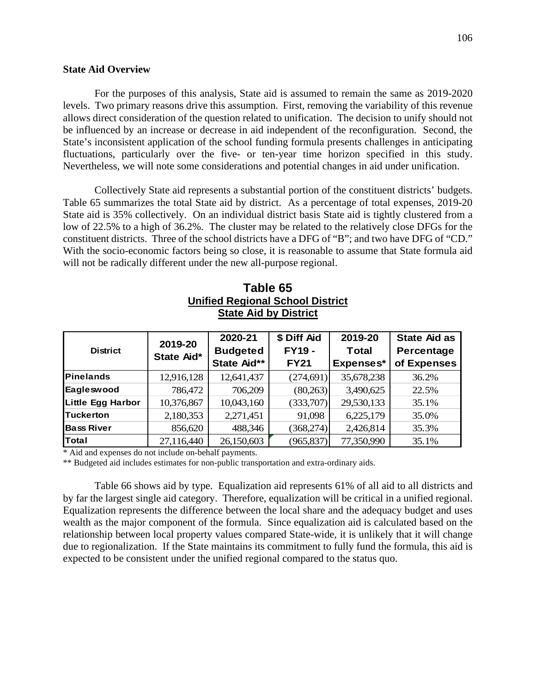#### **State Aid Overview**

For the purposes of this analysis, State aid is assumed to remain the same as 2019-2020 levels. Two primary reasons drive this assumption. First, removing the variability of this revenue allows direct consideration of the question related to unification. The decision to unify should not be influenced by an increase or decrease in aid independent of the reconfiguration. Second, the State's inconsistent application of the school funding formula presents challenges in anticipating fluctuations, particularly over the five- or ten-year time horizon specified in this study. Nevertheless, we will note some considerations and potential changes in aid under unification.

Collectively State aid represents a substantial portion of the constituent districts' budgets. Table 65 summarizes the total State aid by district. As a percentage of total expenses, 2019-20 State aid is 35% collectively. On an individual district basis State aid is tightly clustered from a low of 22.5% to a high of 36.2%. The cluster may be related to the relatively close DFGs for the constituent districts. Three of the school districts have a DFG of "B"; and two have DFG of "CD." With the socio-economic factors being so close, it is reasonable to assume that State formula aid will not be radically different under the new all-purpose regional.

| <b>District</b>          | 2019-20<br>State Aid* | 2020-21<br><b>Budgeted</b><br>State Aid** | \$ Diff Aid<br><b>FY19 -</b><br><b>FY21</b> | 2019-20<br><b>Total</b><br>Expenses* | <b>State Aid as</b><br>Percentage<br>of Expenses |
|--------------------------|-----------------------|-------------------------------------------|---------------------------------------------|--------------------------------------|--------------------------------------------------|
| <b>Pinelands</b>         | 12,916,128            | 12,641,437                                | (274, 691)                                  | 35,678,238                           | 36.2%                                            |
| Eagleswood               | 786,472               | 706,209                                   | (80,263)                                    | 3,490,625                            | 22.5%                                            |
| <b>Little Egg Harbor</b> | 10,376,867            | 10,043,160                                | (333,707)                                   | 29,530,133                           | 35.1%                                            |
| <b>Tuckerton</b>         | 2,180,353             | 2,271,451                                 | 91,098                                      | 6,225,179                            | 35.0%                                            |
| <b>Bass River</b>        | 856,620               | 488,346                                   | (368,274)                                   | 2,426,814                            | 35.3%                                            |
| Total                    | 27,116,440            | 26,150,603                                | (965, 837)                                  | 77,350,990                           | 35.1%                                            |

**Table 65 Unified Regional School District State Aid by District**

\* Aid and expenses do not include on-behalf payments.

\*\* Budgeted aid includes estimates for non-public transportation and extra-ordinary aids.

Table 66 shows aid by type. Equalization aid represents 61% of all aid to all districts and by far the largest single aid category. Therefore, equalization will be critical in a unified regional. Equalization represents the difference between the local share and the adequacy budget and uses wealth as the major component of the formula. Since equalization aid is calculated based on the relationship between local property values compared State-wide, it is unlikely that it will change due to regionalization. If the State maintains its commitment to fully fund the formula, this aid is expected to be consistent under the unified regional compared to the status quo.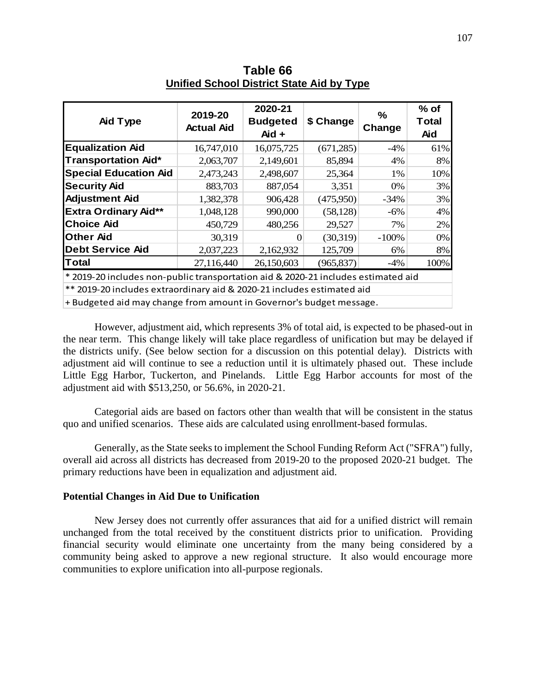| Aid Type                                                                          | 2019-20<br><b>Actual Aid</b> | 2020-21<br><b>Budgeted</b><br>Aid + | \$ Change  | ℅<br>Change | $%$ of<br>Total<br><b>Aid</b> |
|-----------------------------------------------------------------------------------|------------------------------|-------------------------------------|------------|-------------|-------------------------------|
| <b>Equalization Aid</b>                                                           | 16,747,010                   | 16,075,725                          | (671, 285) | -4%         | 61%                           |
| <b>Transportation Aid*</b>                                                        | 2,063,707                    | 2,149,601                           | 85,894     | 4%          | 8%                            |
| <b>Special Education Aid</b>                                                      | 2,473,243                    | 2,498,607                           | 25,364     | 1%          | 10%                           |
| <b>Security Aid</b>                                                               | 883,703                      | 887,054                             | 3,351      | 0%          | 3%                            |
| <b>Adjustment Aid</b>                                                             | 1,382,378                    | 906,428                             | (475,950)  | $-34\%$     | 3%                            |
| <b>Extra Ordinary Aid**</b>                                                       | 1,048,128                    | 990,000                             | (58, 128)  | $-6\%$      | 4%                            |
| <b>Choice Aid</b>                                                                 | 450,729                      | 480,256                             | 29,527     | 7%          | 2%                            |
| <b>Other Aid</b>                                                                  | 30,319                       | 0                                   | (30,319)   | $-100%$     | 0%                            |
| <b>Debt Service Aid</b>                                                           | 2,037,223                    | 2,162,932                           | 125,709    | 6%          | 8%                            |
| <b>Total</b>                                                                      | 27,116,440                   | 26,150,603                          | (965, 837) | -4%         | 100%                          |
| * 2019-20 includes non-public transportation aid & 2020-21 includes estimated aid |                              |                                     |            |             |                               |
| ** 2019-20 includes extraordinary aid & 2020-21 includes estimated aid            |                              |                                     |            |             |                               |
| + Budgeted aid may change from amount in Governor's budget message.               |                              |                                     |            |             |                               |

**Table 66 Unified School District State Aid by Type** 

However, adjustment aid, which represents 3% of total aid, is expected to be phased-out in the near term. This change likely will take place regardless of unification but may be delayed if the districts unify. (See below section for a discussion on this potential delay). Districts with adjustment aid will continue to see a reduction until it is ultimately phased out. These include Little Egg Harbor, Tuckerton, and Pinelands. Little Egg Harbor accounts for most of the adjustment aid with \$513,250, or 56.6%, in 2020-21.

Categorial aids are based on factors other than wealth that will be consistent in the status quo and unified scenarios. These aids are calculated using enrollment-based formulas.

Generally, as the State seeks to implement the School Funding Reform Act ("SFRA") fully, overall aid across all districts has decreased from 2019-20 to the proposed 2020-21 budget. The primary reductions have been in equalization and adjustment aid.

## **Potential Changes in Aid Due to Unification**

New Jersey does not currently offer assurances that aid for a unified district will remain unchanged from the total received by the constituent districts prior to unification. Providing financial security would eliminate one uncertainty from the many being considered by a community being asked to approve a new regional structure. It also would encourage more communities to explore unification into all-purpose regionals.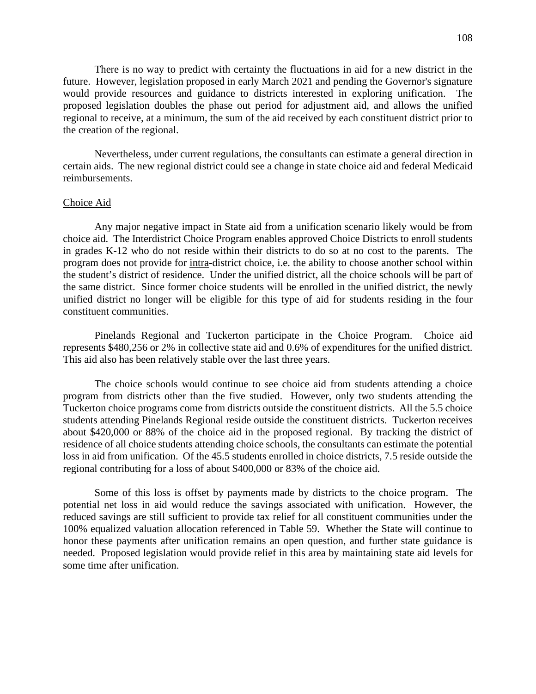There is no way to predict with certainty the fluctuations in aid for a new district in the future. However, legislation proposed in early March 2021 and pending the Governor's signature would provide resources and guidance to districts interested in exploring unification. The proposed legislation doubles the phase out period for adjustment aid, and allows the unified regional to receive, at a minimum, the sum of the aid received by each constituent district prior to the creation of the regional.

Nevertheless, under current regulations, the consultants can estimate a general direction in certain aids. The new regional district could see a change in state choice aid and federal Medicaid reimbursements.

#### Choice Aid

Any major negative impact in State aid from a unification scenario likely would be from choice aid. The Interdistrict Choice Program enables approved Choice Districts to enroll students in grades K-12 who do not reside within their districts to do so at no cost to the parents. The program does not provide for intra-district choice, i.e. the ability to choose another school within the student's district of residence. Under the unified district, all the choice schools will be part of the same district. Since former choice students will be enrolled in the unified district, the newly unified district no longer will be eligible for this type of aid for students residing in the four constituent communities.

Pinelands Regional and Tuckerton participate in the Choice Program. Choice aid represents \$480,256 or 2% in collective state aid and 0.6% of expenditures for the unified district. This aid also has been relatively stable over the last three years.

The choice schools would continue to see choice aid from students attending a choice program from districts other than the five studied. However, only two students attending the Tuckerton choice programs come from districts outside the constituent districts. All the 5.5 choice students attending Pinelands Regional reside outside the constituent districts. Tuckerton receives about \$420,000 or 88% of the choice aid in the proposed regional. By tracking the district of residence of all choice students attending choice schools, the consultants can estimate the potential loss in aid from unification. Of the 45.5 students enrolled in choice districts, 7.5 reside outside the regional contributing for a loss of about \$400,000 or 83% of the choice aid.

Some of this loss is offset by payments made by districts to the choice program. The potential net loss in aid would reduce the savings associated with unification. However, the reduced savings are still sufficient to provide tax relief for all constituent communities under the 100% equalized valuation allocation referenced in Table 59. Whether the State will continue to honor these payments after unification remains an open question, and further state guidance is needed. Proposed legislation would provide relief in this area by maintaining state aid levels for some time after unification.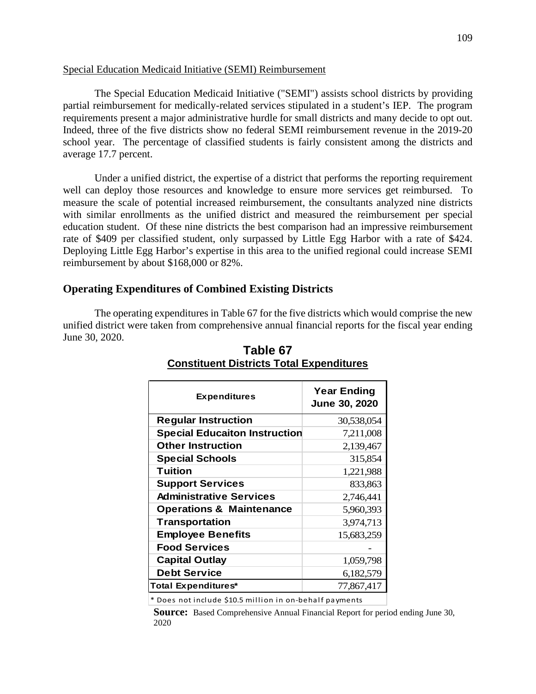## Special Education Medicaid Initiative (SEMI) Reimbursement

The Special Education Medicaid Initiative ("SEMI") assists school districts by providing partial reimbursement for medically-related services stipulated in a student's IEP. The program requirements present a major administrative hurdle for small districts and many decide to opt out. Indeed, three of the five districts show no federal SEMI reimbursement revenue in the 2019-20 school year. The percentage of classified students is fairly consistent among the districts and average 17.7 percent.

Under a unified district, the expertise of a district that performs the reporting requirement well can deploy those resources and knowledge to ensure more services get reimbursed. To measure the scale of potential increased reimbursement, the consultants analyzed nine districts with similar enrollments as the unified district and measured the reimbursement per special education student. Of these nine districts the best comparison had an impressive reimbursement rate of \$409 per classified student, only surpassed by Little Egg Harbor with a rate of \$424. Deploying Little Egg Harbor's expertise in this area to the unified regional could increase SEMI reimbursement by about \$168,000 or 82%.

## **Operating Expenditures of Combined Existing Districts**

The operating expenditures in Table 67 for the five districts which would comprise the new unified district were taken from comprehensive annual financial reports for the fiscal year ending June 30, 2020.

| <b>Expenditures</b>                  | <b>Year Ending</b><br>June 30, 2020 |
|--------------------------------------|-------------------------------------|
| <b>Regular Instruction</b>           | 30,538,054                          |
| <b>Special Educaiton Instruction</b> | 7,211,008                           |
| <b>Other Instruction</b>             | 2,139,467                           |
| <b>Special Schools</b>               | 315,854                             |
| Tuition                              | 1,221,988                           |
| <b>Support Services</b>              | 833,863                             |
| <b>Administrative Services</b>       | 2,746,441                           |
| <b>Operations &amp; Maintenance</b>  | 5,960,393                           |
| <b>Transportation</b>                | 3,974,713                           |
| <b>Employee Benefits</b>             | 15,683,259                          |
| <b>Food Services</b>                 |                                     |
| <b>Capital Outlay</b>                | 1,059,798                           |
| <b>Debt Service</b>                  | 6,182,579                           |
| <b>Total Expenditures*</b>           | 77,867,417                          |

# **Table 67 Constituent Districts Total Expenditures**

\* Does not include \$10.5 million in on-behalf payments

**Source:** Based Comprehensive Annual Financial Report for period ending June 30, 2020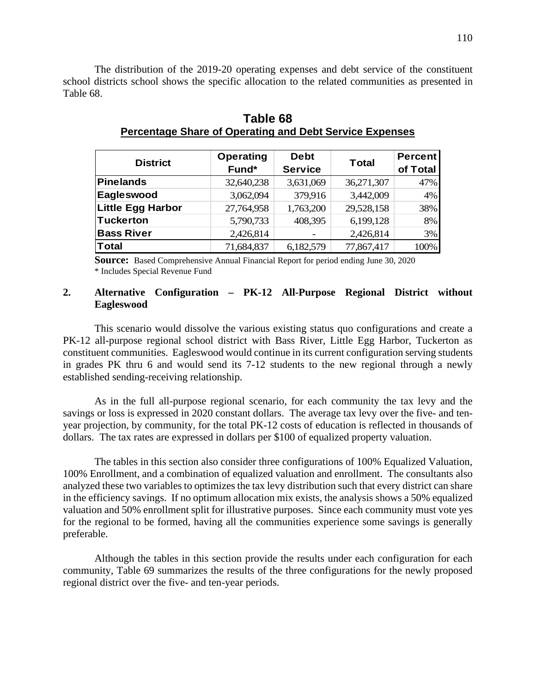The distribution of the 2019-20 operating expenses and debt service of the constituent school districts school shows the specific allocation to the related communities as presented in Table 68.

| <b>District</b>          | <b>Operating</b> | <b>Debt</b>    |              | <b>Percent</b> |
|--------------------------|------------------|----------------|--------------|----------------|
|                          | Fund*            | <b>Service</b> | <b>Total</b> | of Total       |
| <b>Pinelands</b>         | 32,640,238       | 3,631,069      | 36,271,307   | 47%            |
| Eagleswood               | 3,062,094        | 379,916        | 3,442,009    | 4%             |
| <b>Little Egg Harbor</b> | 27,764,958       | 1,763,200      | 29,528,158   | 38%            |
| <b>Tuckerton</b>         | 5,790,733        | 408,395        | 6,199,128    | 8%             |
| <b>Bass River</b>        | 2,426,814        |                | 2,426,814    | 3%             |
| <b>Total</b>             | 71,684,837       | 6,182,579      | 77,867,417   | 100%           |

**Table 68 Percentage Share of Operating and Debt Service Expenses**

**Source:** Based Comprehensive Annual Financial Report for period ending June 30, 2020 \* Includes Special Revenue Fund

## **2. Alternative Configuration – PK-12 All-Purpose Regional District without Eagleswood**

This scenario would dissolve the various existing status quo configurations and create a PK-12 all-purpose regional school district with Bass River, Little Egg Harbor, Tuckerton as constituent communities. Eagleswood would continue in its current configuration serving students in grades PK thru 6 and would send its 7-12 students to the new regional through a newly established sending-receiving relationship.

As in the full all-purpose regional scenario, for each community the tax levy and the savings or loss is expressed in 2020 constant dollars. The average tax levy over the five- and tenyear projection, by community, for the total PK-12 costs of education is reflected in thousands of dollars. The tax rates are expressed in dollars per \$100 of equalized property valuation.

The tables in this section also consider three configurations of 100% Equalized Valuation, 100% Enrollment, and a combination of equalized valuation and enrollment. The consultants also analyzed these two variables to optimizes the tax levy distribution such that every district can share in the efficiency savings. If no optimum allocation mix exists, the analysis shows a 50% equalized valuation and 50% enrollment split for illustrative purposes. Since each community must vote yes for the regional to be formed, having all the communities experience some savings is generally preferable.

Although the tables in this section provide the results under each configuration for each community, Table 69 summarizes the results of the three configurations for the newly proposed regional district over the five- and ten-year periods.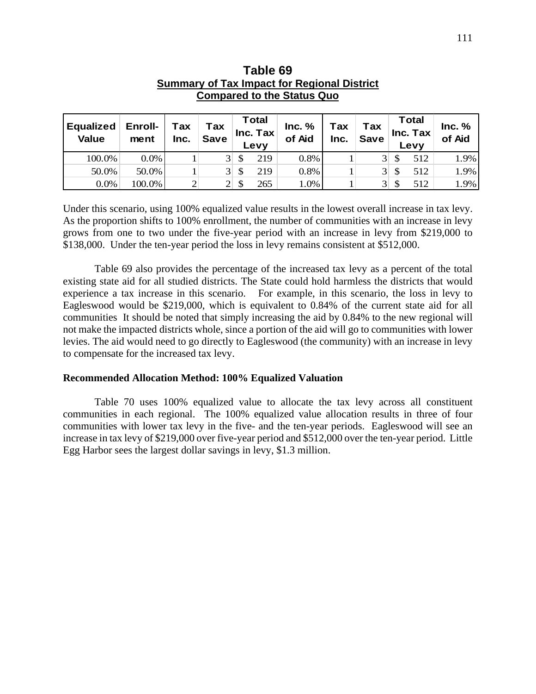| <b>Compared to the Status Quo</b> |                 |             |                    |    |                           |                  |             |                    |    |                           |                  |  |
|-----------------------------------|-----------------|-------------|--------------------|----|---------------------------|------------------|-------------|--------------------|----|---------------------------|------------------|--|
| <b>Equalized</b><br><b>Value</b>  | Enroll-<br>ment | Tax<br>Inc. | Tax<br><b>Save</b> |    | Total<br>Inc. Tax<br>Levy | Inc. %<br>of Aid | Tax<br>Inc. | Tax<br><b>Save</b> |    | Total<br>Inc. Tax<br>Levy | Inc. %<br>of Aid |  |
| 100.0%                            | $0.0\%$         |             | 3 <sup>l</sup>     | \$ | 219                       | 0.8%             |             | 3 <sup>l</sup>     | \$ | 512                       | 1.9%             |  |
| 50.0%                             | 50.0%           |             | 3 <sup>l</sup>     | \$ | 219                       | 0.8%             |             | 3 <sup>l</sup>     | \$ | 512                       | 1.9%             |  |
| 0.0%                              | 100.0%          | 2           | $\overline{2}$     | S  | 265                       | 1.0%             |             | 3 <sup>1</sup>     |    | 512                       | 1.9%             |  |

| Table 69                                           |
|----------------------------------------------------|
| <b>Summary of Tax Impact for Regional District</b> |
| <b>Compared to the Status Quo</b>                  |

Under this scenario, using  $100\%$  equalized value results in the lowest overall increase in tax levy. As the proportion shifts to 100% enrollment, the number of communities with an increase in levy grows from one to two under the five-year period with an increase in levy from \$219,000 to \$138,000. Under the ten-year period the loss in levy remains consistent at \$512,000.

Table 69 also provides the percentage of the increased tax levy as a percent of the total existing state aid for all studied districts. The State could hold harmless the districts that would experience a tax increase in this scenario. For example, in this scenario, the loss in levy to Eagleswood would be \$219,000, which is equivalent to 0.84% of the current state aid for all communities It should be noted that simply increasing the aid by 0.84% to the new regional will not make the impacted districts whole, since a portion of the aid will go to communities with lower levies. The aid would need to go directly to Eagleswood (the community) with an increase in levy to compensate for the increased tax levy.

#### **Recommended Allocation Method: 100% Equalized Valuation**

Table 70 uses 100% equalized value to allocate the tax levy across all constituent communities in each regional. The 100% equalized value allocation results in three of four communities with lower tax levy in the five- and the ten-year periods. Eagleswood will see an increase in tax levy of \$219,000 over five-year period and \$512,000 over the ten-year period. Little Egg Harbor sees the largest dollar savings in levy, \$1.3 million.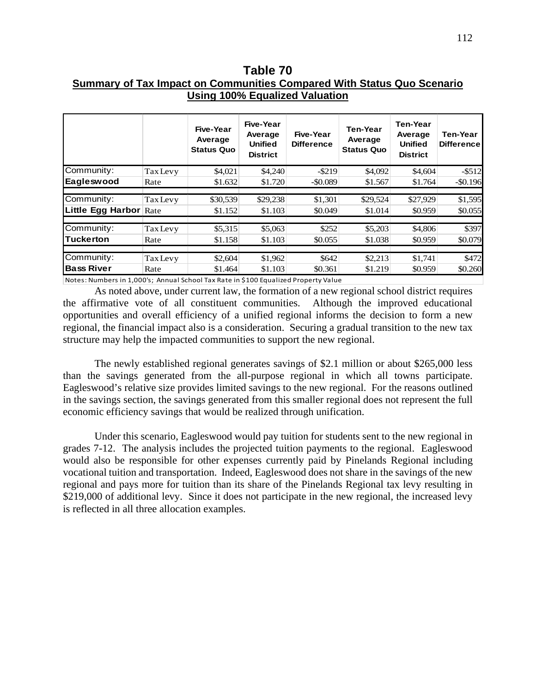**Table 70 Summary of Tax Impact on Communities Compared With Status Quo Scenario Using 100% Equalized Valuation** 

|                   |                 | Five-Year<br>Average<br><b>Status Quo</b> | Five-Year<br>Average<br><b>Unified</b><br><b>District</b> | Five-Year<br><b>Difference</b> | <b>Ten-Year</b><br>Average<br><b>Status Quo</b> | <b>Ten-Year</b><br>Average<br><b>Unified</b><br><b>District</b> | <b>Ten-Year</b><br><b>Difference</b> |
|-------------------|-----------------|-------------------------------------------|-----------------------------------------------------------|--------------------------------|-------------------------------------------------|-----------------------------------------------------------------|--------------------------------------|
| Community:        | <b>Tax</b> Levy | \$4,021                                   | \$4,240                                                   | $-$ \$219                      | \$4,092                                         | \$4,604                                                         | $-$ \$512                            |
| Eagleswood        | Rate            | \$1.632                                   | \$1.720                                                   | $-$ \$0.089                    | \$1.567                                         | \$1.764                                                         | $-$ \$0.196                          |
|                   |                 |                                           |                                                           |                                |                                                 |                                                                 |                                      |
| Community:        | <b>Tax</b> Levy | \$30,539                                  | \$29,238                                                  | \$1,301                        | \$29,524                                        | \$27,929                                                        | \$1,595                              |
| Little Egg Harbor | Rate            | \$1.152                                   | \$1.103                                                   | \$0.049                        | \$1.014                                         | \$0.959                                                         | \$0.055                              |
|                   |                 |                                           |                                                           |                                |                                                 |                                                                 |                                      |
| Community:        | <b>Tax Levy</b> | \$5,315                                   | \$5,063                                                   | \$252                          | \$5,203                                         | \$4,806                                                         | \$397                                |
| <b>Tuckerton</b>  | Rate            | \$1.158                                   | \$1.103                                                   | \$0.055                        | \$1.038                                         | \$0.959                                                         | \$0.079                              |
|                   |                 |                                           |                                                           |                                |                                                 |                                                                 |                                      |
| Community:        | <b>Tax</b> Levy | \$2,604                                   | \$1,962                                                   | \$642                          | \$2,213                                         | \$1,741                                                         | \$472                                |
| <b>Bass River</b> | Rate            | \$1.464                                   | \$1.103                                                   | \$0.361                        | \$1.219                                         | \$0.959                                                         | \$0.260                              |

Notes: Numbers in 1,000's; Annual School Tax Rate in \$100 Equalized Property Value

As noted above, under current law, the formation of a new regional school district requires the affirmative vote of all constituent communities. Although the improved educational opportunities and overall efficiency of a unified regional informs the decision to form a new regional, the financial impact also is a consideration. Securing a gradual transition to the new tax structure may help the impacted communities to support the new regional.

The newly established regional generates savings of \$2.1 million or about \$265,000 less than the savings generated from the all-purpose regional in which all towns participate. Eagleswood's relative size provides limited savings to the new regional. For the reasons outlined in the savings section, the savings generated from this smaller regional does not represent the full economic efficiency savings that would be realized through unification.

Under this scenario, Eagleswood would pay tuition for students sent to the new regional in grades 7-12. The analysis includes the projected tuition payments to the regional. Eagleswood would also be responsible for other expenses currently paid by Pinelands Regional including vocational tuition and transportation. Indeed, Eagleswood does not share in the savings of the new regional and pays more for tuition than its share of the Pinelands Regional tax levy resulting in \$219,000 of additional levy. Since it does not participate in the new regional, the increased levy is reflected in all three allocation examples.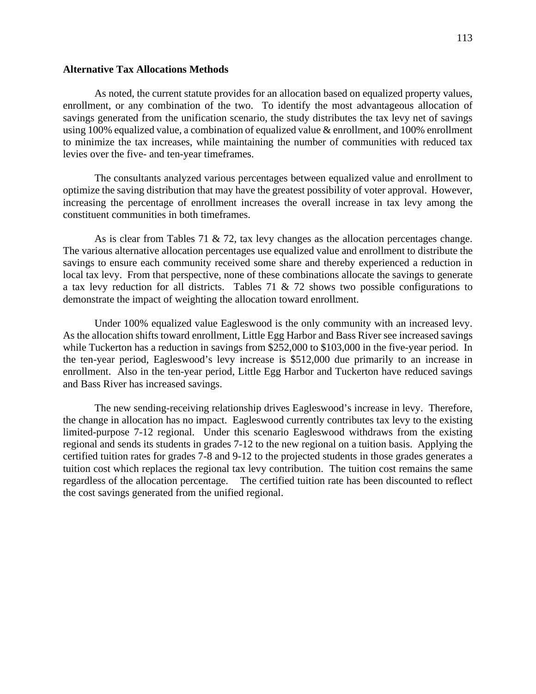## **Alternative Tax Allocations Methods**

As noted, the current statute provides for an allocation based on equalized property values, enrollment, or any combination of the two. To identify the most advantageous allocation of savings generated from the unification scenario, the study distributes the tax levy net of savings using 100% equalized value, a combination of equalized value & enrollment, and 100% enrollment to minimize the tax increases, while maintaining the number of communities with reduced tax levies over the five- and ten-year timeframes.

The consultants analyzed various percentages between equalized value and enrollment to optimize the saving distribution that may have the greatest possibility of voter approval. However, increasing the percentage of enrollment increases the overall increase in tax levy among the constituent communities in both timeframes.

As is clear from Tables 71  $\&$  72, tax levy changes as the allocation percentages change. The various alternative allocation percentages use equalized value and enrollment to distribute the savings to ensure each community received some share and thereby experienced a reduction in local tax levy. From that perspective, none of these combinations allocate the savings to generate a tax levy reduction for all districts. Tables 71  $\&$  72 shows two possible configurations to demonstrate the impact of weighting the allocation toward enrollment.

Under 100% equalized value Eagleswood is the only community with an increased levy. As the allocation shifts toward enrollment, Little Egg Harbor and Bass River see increased savings while Tuckerton has a reduction in savings from \$252,000 to \$103,000 in the five-year period. In the ten-year period, Eagleswood's levy increase is \$512,000 due primarily to an increase in enrollment. Also in the ten-year period, Little Egg Harbor and Tuckerton have reduced savings and Bass River has increased savings.

The new sending-receiving relationship drives Eagleswood's increase in levy. Therefore, the change in allocation has no impact. Eagleswood currently contributes tax levy to the existing limited-purpose 7-12 regional. Under this scenario Eagleswood withdraws from the existing regional and sends its students in grades 7-12 to the new regional on a tuition basis. Applying the certified tuition rates for grades 7-8 and 9-12 to the projected students in those grades generates a tuition cost which replaces the regional tax levy contribution. The tuition cost remains the same regardless of the allocation percentage. The certified tuition rate has been discounted to reflect the cost savings generated from the unified regional.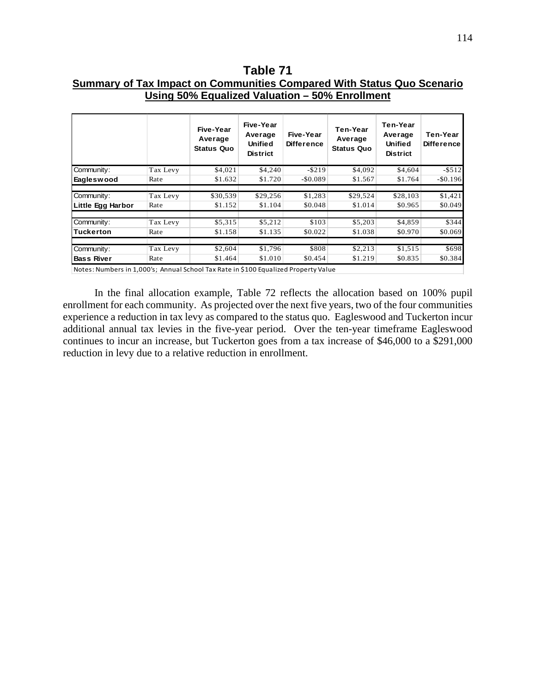**Table 71 Summary of Tax Impact on Communities Compared With Status Quo Scenario Using 50% Equalized Valuation – 50% Enrollment**

|                   |          | Five-Year<br>Average<br><b>Status Quo</b> | Five-Year<br>Average<br>Unified<br><b>District</b> | Five-Year<br><b>Difference</b> | Ten-Year<br>Average<br><b>Status Quo</b> | Ten-Year<br>Average<br><b>Unified</b><br><b>District</b> | Ten-Year<br><b>Difference</b> |
|-------------------|----------|-------------------------------------------|----------------------------------------------------|--------------------------------|------------------------------------------|----------------------------------------------------------|-------------------------------|
| Community:        | Tax Levy | \$4,021                                   | \$4,240                                            | $-$ \$219                      | \$4,092                                  | \$4,604                                                  | $- $512$                      |
| Eagleswood        | Rate     | \$1.632                                   | \$1.720                                            | $-$ \$0.089                    | \$1.567                                  | \$1.764                                                  | $-$ \$0.196                   |
| Community:        | Tax Levy | \$30,539                                  | \$29,256                                           | \$1,283                        | \$29,524                                 | \$28,103                                                 | \$1,421                       |
| Little Egg Harbor | Rate     | \$1.152                                   | \$1.104                                            | \$0.048                        | \$1.014                                  | \$0.965                                                  | \$0.049                       |
| Community:        | Tax Levy | \$5,315                                   | \$5,212                                            | \$103                          | \$5,203                                  | \$4,859                                                  | \$344                         |
| <b>Tuckerton</b>  | Rate     | \$1.158                                   | \$1.135                                            | \$0.022                        | \$1.038                                  | \$0.970                                                  | \$0.069                       |
| Community:        | Tax Levy | \$2,604                                   | \$1,796                                            | \$808                          | \$2,213                                  | \$1,515                                                  | \$698                         |
| <b>Bass River</b> | Rate     | \$1.464                                   | \$1.010                                            | \$0.454                        | \$1.219                                  | \$0.835                                                  | \$0.384                       |

Notes: Numbers in 1,000's; Annual School Tax Rate in \$100 Equalized Property Value

In the final allocation example, Table 72 reflects the allocation based on 100% pupil enrollment for each community. As projected over the next five years, two of the four communities experience a reduction in tax levy as compared to the status quo. Eagleswood and Tuckerton incur additional annual tax levies in the five-year period. Over the ten-year timeframe Eagleswood continues to incur an increase, but Tuckerton goes from a tax increase of \$46,000 to a \$291,000 reduction in levy due to a relative reduction in enrollment.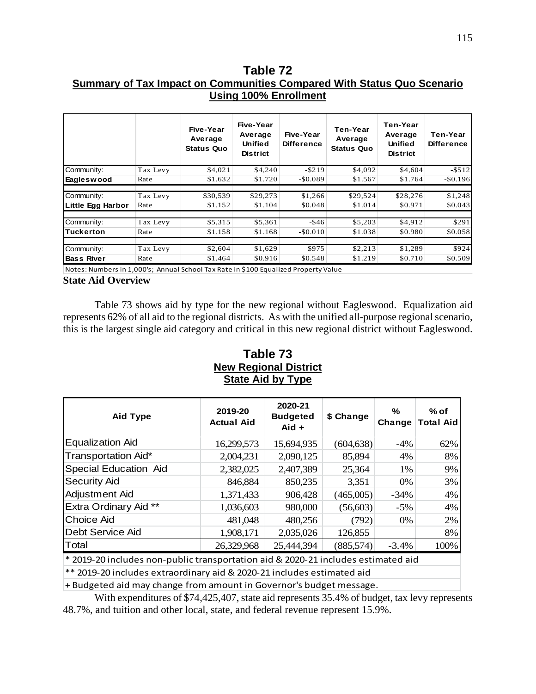# **Table 72 Summary of Tax Impact on Communities Compared With Status Quo Scenario Using 100% Enrollment**

|                   |          | Five-Year<br>Average<br><b>Status Quo</b> | Five-Year<br>Average<br><b>Unified</b><br><b>District</b> | Five-Year<br><b>Difference</b> | Ten-Year<br>Average<br><b>Status Quo</b> | Ten-Year<br>Average<br>Unified<br><b>District</b> | Ten-Year<br><b>Difference</b> |
|-------------------|----------|-------------------------------------------|-----------------------------------------------------------|--------------------------------|------------------------------------------|---------------------------------------------------|-------------------------------|
| Community:        | Tax Levy | \$4,021                                   | \$4,240                                                   | $-$ \$219                      | \$4,092                                  | \$4,604                                           | $-$ \$512                     |
| Eagleswood        | Rate     | \$1.632                                   | \$1.720                                                   | $-$0.089$                      | \$1.567                                  | \$1.764                                           | $-$0.196$                     |
|                   |          |                                           |                                                           |                                |                                          |                                                   |                               |
| Community:        | Tax Levy | \$30,539                                  | \$29,273                                                  | \$1,266                        | \$29,524                                 | \$28,276                                          | \$1,248                       |
| Little Egg Harbor | Rate     | \$1.152                                   | \$1.104                                                   | \$0.048                        | \$1.014                                  | \$0.971                                           | \$0.043                       |
|                   |          |                                           |                                                           |                                |                                          |                                                   |                               |
| Community:        | Tax Levy | \$5,315                                   | \$5,361                                                   | $-$ \$46                       | \$5,203                                  | \$4,912                                           | \$291                         |
| lTuckerton        | Rate     | \$1.158                                   | \$1.168                                                   | $-$ \$0.010                    | \$1.038                                  | \$0.980                                           | \$0.058                       |
|                   |          |                                           |                                                           |                                |                                          |                                                   |                               |
| Community:        | Tax Levy | \$2,604                                   | \$1,629                                                   | \$975                          | \$2,213                                  | \$1,289                                           | \$924                         |
| <b>Bass River</b> | Rate     | \$1.464                                   | \$0.916                                                   | \$0.548                        | \$1.219                                  | \$0.710                                           | \$0.509                       |

Notes: Numbers in 1,000's; Annual School Tax Rate in \$100 Equalized Property Value

#### **State Aid Overview**

Table 73 shows aid by type for the new regional without Eagleswood. Equalization aid represents 62% of all aid to the regional districts. As with the unified all-purpose regional scenario, this is the largest single aid category and critical in this new regional district without Eagleswood.

# **Table 73 New Regional District State Aid by Type**

| <b>Aid Type</b>              | 2019-20<br><b>Actual Aid</b> | 2020-21<br><b>Budgeted</b><br>$Aid +$ | \$ Change  | ℅<br>Change | $%$ of<br><b>Total Aid</b> |
|------------------------------|------------------------------|---------------------------------------|------------|-------------|----------------------------|
| <b>Equalization Aid</b>      | 16,299,573                   | 15,694,935                            | (604, 638) | $-4\%$      | 62%                        |
| Transportation Aid*          | 2,004,231                    | 2,090,125                             | 85,894     | 4%          | 8%                         |
| <b>Special Education Aid</b> | 2,382,025                    | 2,407,389                             | 25,364     | 1%          | 9%                         |
| <b>Security Aid</b>          | 846,884                      | 850,235                               | 3,351      | 0%          | 3%                         |
| Adjustment Aid               | 1,371,433                    | 906,428                               | (465,005)  | $-34\%$     | 4%                         |
| Extra Ordinary Aid **        | 1,036,603                    | 980,000                               | (56,603)   | $-5\%$      | 4%                         |
| <b>Choice Aid</b>            | 481,048                      | 480,256                               | (792)      | 0%          | 2%                         |
| Debt Service Aid             | 1,908,171                    | 2,035,026                             | 126,855    |             | 8%                         |
| Total                        | 26,329,968                   | 25,444,394                            | (885, 574) | $-3.4%$     | 100%                       |

\* 2019-20 includes non-public transportation aid & 2020-21 includes estimated aid

\*\* 2019-20 includes extraordinary aid & 2020-21 includes estimated aid

+ Budgeted aid may change from amount in Governor's budget message.

With expenditures of \$74,425,407, state aid represents 35.4% of budget, tax levy represents 48.7%, and tuition and other local, state, and federal revenue represent 15.9%.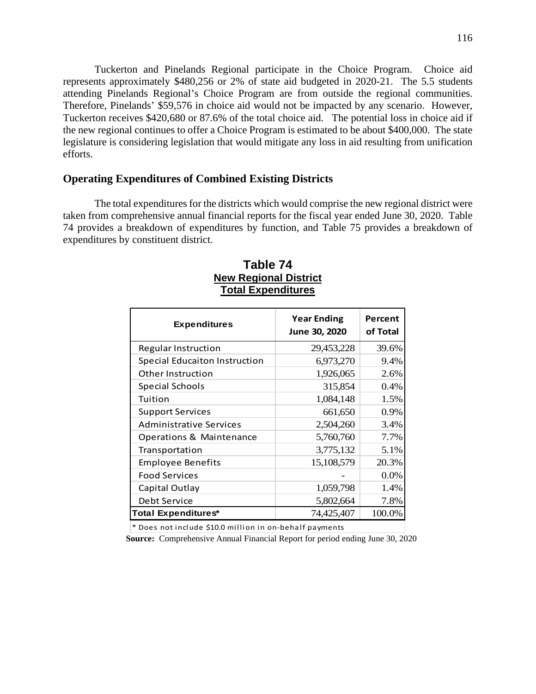Tuckerton and Pinelands Regional participate in the Choice Program. Choice aid represents approximately \$480,256 or 2% of state aid budgeted in 2020-21. The 5.5 students attending Pinelands Regional's Choice Program are from outside the regional communities. Therefore, Pinelands' \$59,576 in choice aid would not be impacted by any scenario. However, Tuckerton receives \$420,680 or 87.6% of the total choice aid. The potential loss in choice aid if the new regional continues to offer a Choice Program is estimated to be about \$400,000. The state legislature is considering legislation that would mitigate any loss in aid resulting from unification efforts.

## **Operating Expenditures of Combined Existing Districts**

The total expenditures for the districts which would comprise the new regional district were taken from comprehensive annual financial reports for the fiscal year ended June 30, 2020. Table 74 provides a breakdown of expenditures by function, and Table 75 provides a breakdown of expenditures by constituent district.

| <b>Expenditures</b>                  | <b>Year Ending</b><br>June 30, 2020 | Percent<br>of Total |
|--------------------------------------|-------------------------------------|---------------------|
| <b>Regular Instruction</b>           | 29,453,228                          | 39.6%               |
| <b>Special Educaiton Instruction</b> | 6,973,270                           | 9.4%                |
| Other Instruction                    | 1,926,065                           | 2.6%                |
| <b>Special Schools</b>               | 315,854                             | 0.4%                |
| Tuition                              | 1,084,148                           | 1.5%                |
| <b>Support Services</b>              | 661,650                             | 0.9%                |
| <b>Administrative Services</b>       | 2,504,260                           | 3.4%                |
| Operations & Maintenance             | 5,760,760                           | 7.7%                |
| Transportation                       | 3,775,132                           | 5.1%                |
| <b>Employee Benefits</b>             | 15,108,579                          | 20.3%               |
| <b>Food Services</b>                 |                                     | 0.0%                |
| Capital Outlay                       | 1,059,798                           | 1.4%                |
| Debt Service                         | 5,802,664                           | 7.8%                |
| <b>Total Expenditures*</b>           | 74,425,407                          | 100.0%              |

# **Table 74 New Regional District Total Expenditures**

\* Does not include \$10.0 million in on-behalf payments

**Source:** Comprehensive Annual Financial Report for period ending June 30, 2020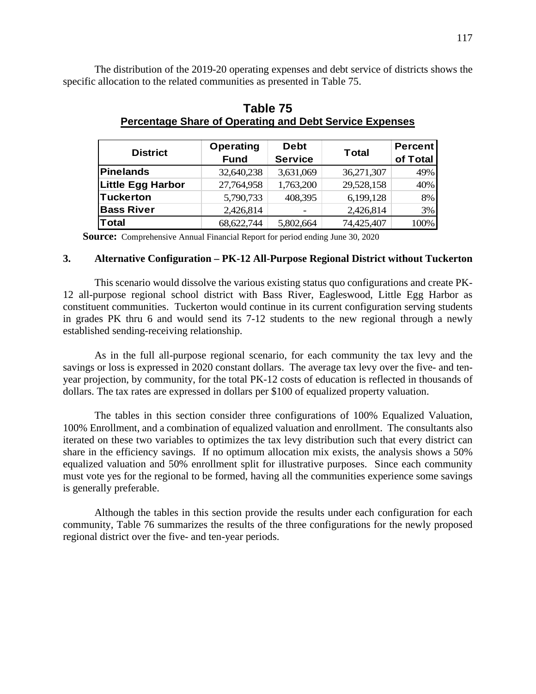The distribution of the 2019-20 operating expenses and debt service of districts shows the specific allocation to the related communities as presented in Table 75.

| <b>District</b>   | <b>Operating</b><br><b>Fund</b> | <b>Debt</b><br><b>Service</b> | <b>Total</b> | <b>Percent</b><br>of Total |
|-------------------|---------------------------------|-------------------------------|--------------|----------------------------|
| Pinelands         | 32,640,238                      | 3,631,069                     | 36,271,307   | 49%                        |
| Little Egg Harbor | 27,764,958                      | 1,763,200                     | 29,528,158   | 40%                        |
| Tuckerton         | 5,790,733                       | 408,395                       | 6,199,128    | 8%                         |
| <b>Bass River</b> | 2,426,814                       |                               | 2,426,814    | 3%                         |
| Total             | 68,622,744                      | 5,802,664                     | 74,425,407   | 100%                       |

# **Table 75 Percentage Share of Operating and Debt Service Expenses**

**Source:** Comprehensive Annual Financial Report for period ending June 30, 2020

#### **3. Alternative Configuration – PK-12 All-Purpose Regional District without Tuckerton**

This scenario would dissolve the various existing status quo configurations and create PK-12 all-purpose regional school district with Bass River, Eagleswood, Little Egg Harbor as constituent communities. Tuckerton would continue in its current configuration serving students in grades PK thru 6 and would send its 7-12 students to the new regional through a newly established sending-receiving relationship.

As in the full all-purpose regional scenario, for each community the tax levy and the savings or loss is expressed in 2020 constant dollars. The average tax levy over the five- and tenyear projection, by community, for the total PK-12 costs of education is reflected in thousands of dollars. The tax rates are expressed in dollars per \$100 of equalized property valuation.

The tables in this section consider three configurations of 100% Equalized Valuation, 100% Enrollment, and a combination of equalized valuation and enrollment. The consultants also iterated on these two variables to optimizes the tax levy distribution such that every district can share in the efficiency savings. If no optimum allocation mix exists, the analysis shows a 50% equalized valuation and 50% enrollment split for illustrative purposes. Since each community must vote yes for the regional to be formed, having all the communities experience some savings is generally preferable.

Although the tables in this section provide the results under each configuration for each community, Table 76 summarizes the results of the three configurations for the newly proposed regional district over the five- and ten-year periods.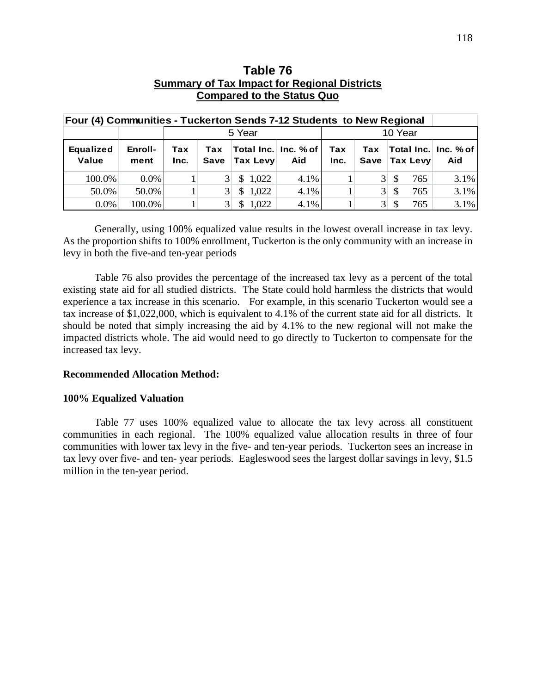| Four (4) Communities - Tuckerton Sends 7-12 Students to New Regional |                 |             |                                                                                                                |                        |      |  |                |     |                                 |      |
|----------------------------------------------------------------------|-----------------|-------------|----------------------------------------------------------------------------------------------------------------|------------------------|------|--|----------------|-----|---------------------------------|------|
|                                                                      |                 |             | 5 Year<br>10 Year                                                                                              |                        |      |  |                |     |                                 |      |
| <b>Equalized</b><br>Value                                            | Enroll-<br>ment | Tax<br>Inc. | Total Inc. Inc. % of<br>Tax<br>Tax<br>Tax<br><b>Tax Levy</b><br><b>Tax Levy</b><br>Save<br>Save<br>Aid<br>Inc. |                        |      |  |                |     | ∣Total Inc.∣ Inc. % of I<br>Aid |      |
| 100.0%                                                               | $0.0\%$         |             | 3                                                                                                              | \$1,022                | 4.1% |  | 3 <sup>1</sup> | \$. | 765                             | 3.1% |
| 50.0%                                                                | 50.0%           |             | $\mathfrak{Z}$                                                                                                 | 1,022<br>\$            | 4.1% |  | 3 <sup>1</sup> | S   | 765                             | 3.1% |
| $0.0\%$                                                              | 100.0%          |             | $\mathcal{E}$                                                                                                  | 1,022<br><sup>\$</sup> | 4.1% |  | 3 <sup>1</sup> |     | 765                             | 3.1% |

# **Table 76 Summary of Tax Impact for Regional Districts Compared to the Status Quo**

Generally, using 100% equalized value results in the lowest overall increase in tax levy. As the proportion shifts to 100% enrollment, Tuckerton is the only community with an increase in levy in both the five-and ten-year periods

Table 76 also provides the percentage of the increased tax levy as a percent of the total existing state aid for all studied districts. The State could hold harmless the districts that would experience a tax increase in this scenario. For example, in this scenario Tuckerton would see a tax increase of \$1,022,000, which is equivalent to 4.1% of the current state aid for all districts. It should be noted that simply increasing the aid by 4.1% to the new regional will not make the impacted districts whole. The aid would need to go directly to Tuckerton to compensate for the increased tax levy.

## **Recommended Allocation Method:**

#### **100% Equalized Valuation**

Table 77 uses 100% equalized value to allocate the tax levy across all constituent communities in each regional. The 100% equalized value allocation results in three of four communities with lower tax levy in the five- and ten-year periods. Tuckerton sees an increase in tax levy over five- and ten- year periods. Eagleswood sees the largest dollar savings in levy, \$1.5 million in the ten-year period.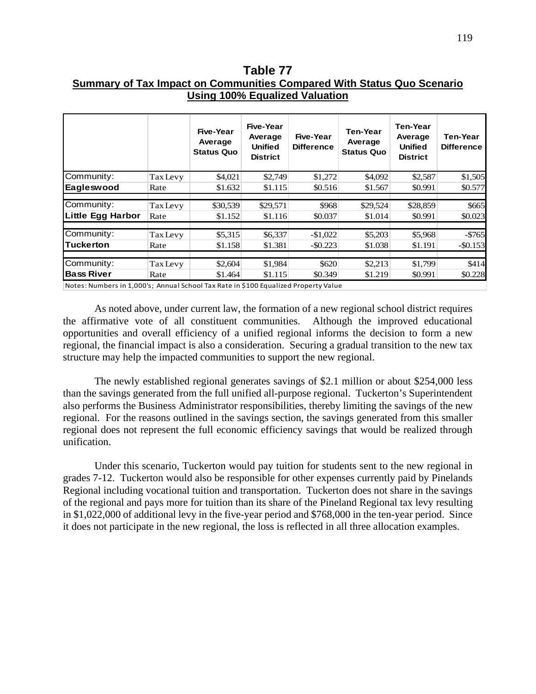**Table 77 Summary of Tax Impact on Communities Compared With Status Quo Scenario Using 100% Equalized Valuation** 

|                                                                                     |                 | Five-Year<br>Average<br><b>Status Quo</b> | Five-Year<br>Average<br><b>Unified</b><br><b>District</b> | Five-Year<br><b>Difference</b> | <b>Ten-Year</b><br>Average<br><b>Status Quo</b> | Ten-Year<br>Average<br><b>Unified</b><br><b>District</b> | <b>Ten-Year</b><br><b>Difference</b> |
|-------------------------------------------------------------------------------------|-----------------|-------------------------------------------|-----------------------------------------------------------|--------------------------------|-------------------------------------------------|----------------------------------------------------------|--------------------------------------|
| Community:                                                                          | <b>Tax Levy</b> | \$4,021                                   | \$2,749                                                   | \$1,272                        | \$4,092                                         | \$2,587                                                  | \$1,505                              |
| Eagleswood                                                                          | Rate            | \$1.632                                   | \$1.115                                                   | \$0.516                        | \$1.567                                         | \$0.991                                                  | \$0.577                              |
| Community:                                                                          | <b>Tax Levy</b> | \$30,539                                  | \$29,571                                                  | \$968                          | \$29,524                                        | \$28,859                                                 | \$665                                |
| Little Egg Harbor                                                                   | Rate            | \$1.152                                   | \$1.116                                                   | \$0.037                        | \$1.014                                         | \$0.991                                                  | \$0.023                              |
| Community:                                                                          | <b>Tax Levy</b> | \$5,315                                   | \$6,337                                                   | $-$1,022$                      | \$5,203                                         | \$5,968                                                  | $-5765$                              |
| <b>Tuckerton</b>                                                                    | Rate            | \$1.158                                   | \$1.381                                                   | $-$ \$0.223                    | \$1.038                                         | \$1.191                                                  | $-$ \$0.153                          |
| Community:                                                                          | <b>Tax Levy</b> | \$2,604                                   | \$1,984                                                   | \$620                          | \$2,213                                         | \$1,799                                                  | \$414                                |
| <b>Bass River</b>                                                                   | Rate            | \$1.464                                   | \$1.115                                                   | \$0.349                        | \$1.219                                         | \$0.991                                                  | \$0.228                              |
| Notes: Numbers in 1,000's; Annual School Tax Rate in \$100 Equalized Property Value |                 |                                           |                                                           |                                |                                                 |                                                          |                                      |

As noted above, under current law, the formation of a new regional school district requires the affirmative vote of all constituent communities. Although the improved educational opportunities and overall efficiency of a unified regional informs the decision to form a new regional, the financial impact is also a consideration. Securing a gradual transition to the new tax structure may help the impacted communities to support the new regional.

The newly established regional generates savings of \$2.1 million or about \$254,000 less than the savings generated from the full unified all-purpose regional. Tuckerton's Superintendent also performs the Business Administrator responsibilities, thereby limiting the savings of the new regional. For the reasons outlined in the savings section, the savings generated from this smaller regional does not represent the full economic efficiency savings that would be realized through unification.

Under this scenario, Tuckerton would pay tuition for students sent to the new regional in grades 7-12. Tuckerton would also be responsible for other expenses currently paid by Pinelands Regional including vocational tuition and transportation. Tuckerton does not share in the savings of the regional and pays more for tuition than its share of the Pineland Regional tax levy resulting in \$1,022,000 of additional levy in the five-year period and \$768,000 in the ten-year period. Since it does not participate in the new regional, the loss is reflected in all three allocation examples.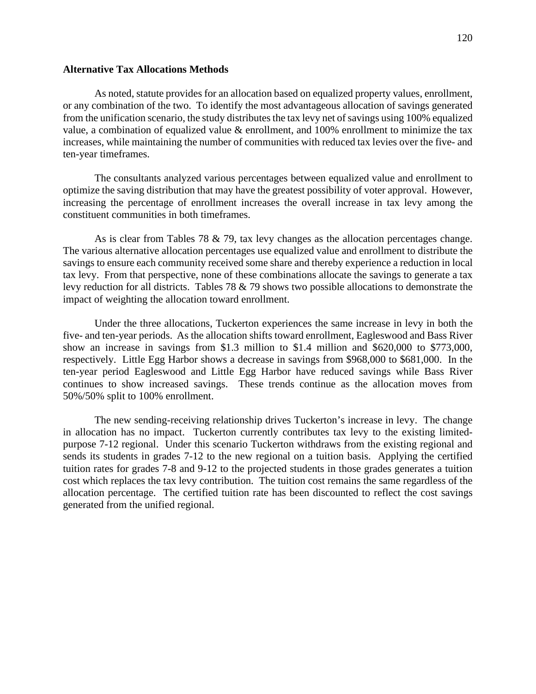## **Alternative Tax Allocations Methods**

As noted, statute provides for an allocation based on equalized property values, enrollment, or any combination of the two. To identify the most advantageous allocation of savings generated from the unification scenario, the study distributes the tax levy net of savings using 100% equalized value, a combination of equalized value & enrollment, and 100% enrollment to minimize the tax increases, while maintaining the number of communities with reduced tax levies over the five- and ten-year timeframes.

The consultants analyzed various percentages between equalized value and enrollment to optimize the saving distribution that may have the greatest possibility of voter approval. However, increasing the percentage of enrollment increases the overall increase in tax levy among the constituent communities in both timeframes.

As is clear from Tables 78  $&$  79, tax levy changes as the allocation percentages change. The various alternative allocation percentages use equalized value and enrollment to distribute the savings to ensure each community received some share and thereby experience a reduction in local tax levy. From that perspective, none of these combinations allocate the savings to generate a tax levy reduction for all districts. Tables 78 & 79 shows two possible allocations to demonstrate the impact of weighting the allocation toward enrollment.

Under the three allocations, Tuckerton experiences the same increase in levy in both the five- and ten-year periods. As the allocation shifts toward enrollment, Eagleswood and Bass River show an increase in savings from \$1.3 million to \$1.4 million and \$620,000 to \$773,000, respectively. Little Egg Harbor shows a decrease in savings from \$968,000 to \$681,000. In the ten-year period Eagleswood and Little Egg Harbor have reduced savings while Bass River continues to show increased savings. These trends continue as the allocation moves from 50%/50% split to 100% enrollment.

The new sending-receiving relationship drives Tuckerton's increase in levy. The change in allocation has no impact. Tuckerton currently contributes tax levy to the existing limitedpurpose 7-12 regional. Under this scenario Tuckerton withdraws from the existing regional and sends its students in grades 7-12 to the new regional on a tuition basis. Applying the certified tuition rates for grades 7-8 and 9-12 to the projected students in those grades generates a tuition cost which replaces the tax levy contribution. The tuition cost remains the same regardless of the allocation percentage. The certified tuition rate has been discounted to reflect the cost savings generated from the unified regional.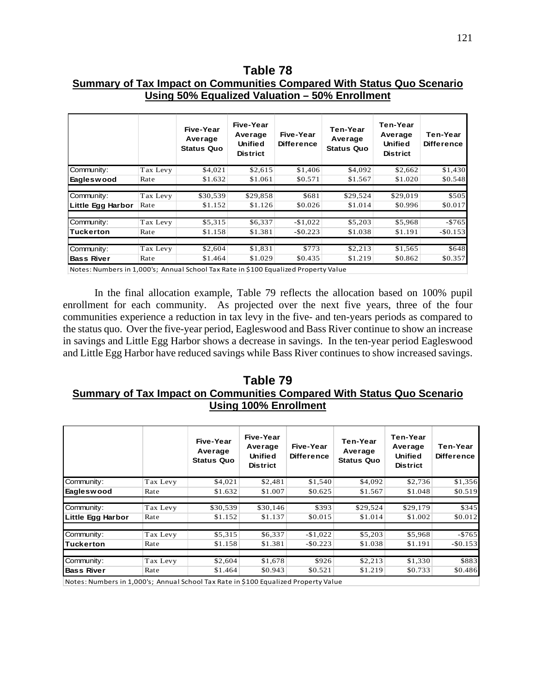**Table 78 Summary of Tax Impact on Communities Compared With Status Quo Scenario Using 50% Equalized Valuation – 50% Enrollment** 

121

|                   |          | Five-Year<br>Average<br><b>Status Quo</b> | Five-Year<br>Average<br><b>Unified</b><br><b>District</b> | Five-Year<br><b>Difference</b> | <b>Ten-Year</b><br>Average<br><b>Status Quo</b> | Ten-Year<br>Average<br><b>Unified</b><br><b>District</b> | Ten-Year<br><b>Difference</b> |  |
|-------------------|----------|-------------------------------------------|-----------------------------------------------------------|--------------------------------|-------------------------------------------------|----------------------------------------------------------|-------------------------------|--|
| Community:        | Tax Levy | \$4,021                                   | \$2,615                                                   | \$1,406                        | \$4,092                                         | \$2,662                                                  | \$1,430                       |  |
| <b>Eagleswood</b> | Rate     | \$1.632                                   | \$1.061                                                   | \$0.571                        | \$1.567                                         | \$1.020                                                  | \$0.548                       |  |
|                   |          |                                           |                                                           |                                |                                                 |                                                          |                               |  |
| Community:        | Tax Levy | \$30,539                                  | \$29,858                                                  | \$681                          | \$29,524                                        | \$29,019                                                 | \$505                         |  |
| Little Egg Harbor | Rate     | \$1.152                                   | \$1.126                                                   | \$0.026                        | \$1.014                                         | \$0.996                                                  | \$0.017                       |  |
|                   |          |                                           |                                                           |                                |                                                 |                                                          |                               |  |
| Community:        | Tax Levy | \$5,315                                   | \$6,337                                                   | $-$1,022$                      | \$5,203                                         | \$5,968                                                  | $-$765$                       |  |
| <b>Tuckerton</b>  | Rate     | \$1.158                                   | \$1.381                                                   | $-$0.223$                      | \$1.038                                         | \$1.191                                                  | $-$0.153$                     |  |
|                   |          |                                           |                                                           |                                |                                                 |                                                          |                               |  |
| Community:        | Tax Levy | \$2,604                                   | \$1,831                                                   | \$773                          | \$2,213                                         | \$1,565                                                  | \$648                         |  |
| <b>Bass River</b> | Rate     | \$1.464                                   | \$1.029                                                   | \$0.435                        | \$1.219                                         | \$0.862                                                  | \$0.357                       |  |

Notes: Numbers in 1,000's; Annual School Tax Rate in \$100 Equalized Property Value

In the final allocation example, Table 79 reflects the allocation based on 100% pupil enrollment for each community. As projected over the next five years, three of the four communities experience a reduction in tax levy in the five- and ten-years periods as compared to the status quo. Over the five-year period, Eagleswood and Bass River continue to show an increase in savings and Little Egg Harbor shows a decrease in savings. In the ten-year period Eagleswood and Little Egg Harbor have reduced savings while Bass River continues to show increased savings.

# **Table 79 Summary of Tax Impact on Communities Compared With Status Quo Scenario Using 100% Enrollment**

|                   |          | Five-Year<br>Average<br><b>Status Quo</b> | Five-Year<br>Average<br>Unified<br><b>District</b> | Five-Year<br><b>Difference</b> | Ten-Year<br>Average<br><b>Status Quo</b> | Ten-Year<br>Average<br><b>Unified</b><br><b>District</b> | Ten-Year<br><b>Difference</b> |
|-------------------|----------|-------------------------------------------|----------------------------------------------------|--------------------------------|------------------------------------------|----------------------------------------------------------|-------------------------------|
| Community:        | Tax Levy | \$4,021                                   | \$2,481                                            | \$1,540                        | \$4,092                                  | \$2,736                                                  | \$1,356                       |
| <b>Eagleswood</b> | Rate     | \$1.632                                   | \$1.007                                            | \$0.625                        | \$1.567                                  | \$1.048                                                  | \$0.519                       |
| Community:        | Tax Levy | \$30,539                                  | \$30,146                                           | \$393                          | \$29,524                                 | \$29,179                                                 | \$345                         |
| Little Egg Harbor | Rate     | \$1.152                                   | \$1.137                                            | \$0.015                        | \$1.014                                  | \$1.002                                                  | \$0.012                       |
| Community:        | Tax Levy | \$5,315                                   | \$6,337                                            | $-$1,022$                      | \$5,203                                  | \$5,968                                                  | $-$765$                       |
| Tuckerton         | Rate     | \$1.158                                   | \$1.381                                            | $-$0.223$                      | \$1.038                                  | \$1.191                                                  | $-$0.153$                     |
| Community:        | Tax Levy | \$2,604                                   | \$1,678                                            | \$926                          | \$2,213                                  | \$1,330                                                  | \$883                         |
| <b>Bass River</b> | Rate     | \$1.464                                   | \$0.943                                            | \$0.521                        | \$1.219                                  | \$0.733                                                  | \$0.486                       |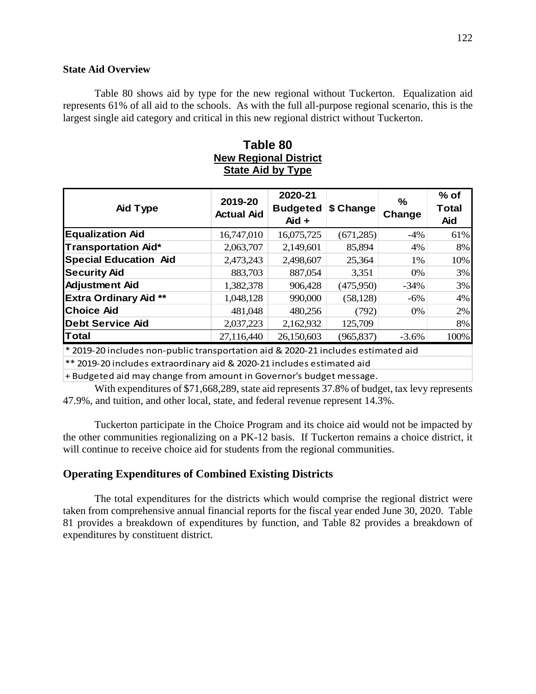#### **State Aid Overview**

Table 80 shows aid by type for the new regional without Tuckerton. Equalization aid represents 61% of all aid to the schools. As with the full all-purpose regional scenario, this is the largest single aid category and critical in this new regional district without Tuckerton.

# **Table 80 New Regional District State Aid by Type**

| Aid Type                                                                           | 2019-20<br><b>Actual Aid</b> | 2020-21<br><b>Budgeted</b><br>Aid + | \$ Change  | %<br>Change | $%$ of<br><b>Total</b><br>Aid |
|------------------------------------------------------------------------------------|------------------------------|-------------------------------------|------------|-------------|-------------------------------|
| <b>Equalization Aid</b>                                                            | 16,747,010                   | 16,075,725                          | (671,285)  | $-4\%$      | 61%                           |
| <b>Transportation Aid*</b>                                                         | 2,063,707                    | 2,149,601                           | 85,894     | 4%          | 8%                            |
| <b>Special Education Aid</b>                                                       | 2,473,243                    | 2,498,607                           | 25,364     | 1%          | 10%                           |
| <b>Security Aid</b>                                                                | 883,703                      | 887,054                             | 3,351      | $0\%$       | 3%                            |
| <b>Adjustment Aid</b>                                                              | 1,382,378                    | 906,428                             | (475,950)  | $-34\%$     | 3%                            |
| <b>Extra Ordinary Aid **</b>                                                       | 1,048,128                    | 990,000                             | (58, 128)  | $-6\%$      | 4%                            |
| <b>Choice Aid</b>                                                                  | 481,048                      | 480,256                             | (792)      | $0\%$       | $2\%$                         |
| <b>Debt Service Aid</b>                                                            | 2,037,223                    | 2,162,932                           | 125,709    |             | 8%                            |
| <b>Total</b>                                                                       | 27,116,440                   | 26,150,603                          | (965, 837) | $-3.6%$     | 100%                          |
| * 2010-20 includes non-public transportation aid 8, 2020-21 includes estimated aid |                              |                                     |            |             |                               |

\* 2019-20 includes non-public transportation aid & 2020-21 includes estimated aid

\*\* 2019-20 includes extraordinary aid & 2020-21 includes estimated aid

+ Budgeted aid may change from amount in Governor's budget message.

With expenditures of \$71,668,289, state aid represents 37.8% of budget, tax levy represents 47.9%, and tuition, and other local, state, and federal revenue represent 14.3%.

Tuckerton participate in the Choice Program and its choice aid would not be impacted by the other communities regionalizing on a PK-12 basis. If Tuckerton remains a choice district, it will continue to receive choice aid for students from the regional communities.

## **Operating Expenditures of Combined Existing Districts**

The total expenditures for the districts which would comprise the regional district were taken from comprehensive annual financial reports for the fiscal year ended June 30, 2020. Table 81 provides a breakdown of expenditures by function, and Table 82 provides a breakdown of expenditures by constituent district.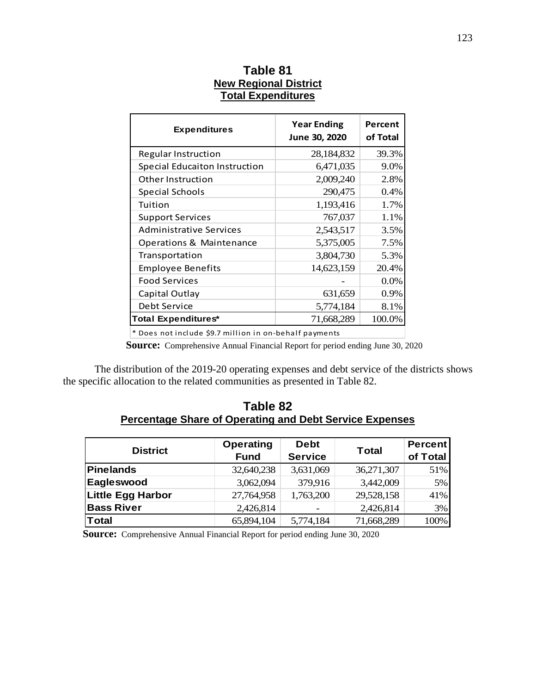| <b>Expenditures</b>                  | <b>Year Ending</b><br>June 30, 2020 | Percent<br>of Total |
|--------------------------------------|-------------------------------------|---------------------|
| <b>Regular Instruction</b>           | 28,184,832                          | 39.3%               |
| <b>Special Educaiton Instruction</b> | 6,471,035                           | 9.0%                |
| Other Instruction                    | 2,009,240                           | 2.8%                |
| <b>Special Schools</b>               | 290,475                             | 0.4%                |
| Tuition                              | 1,193,416                           | 1.7%                |
| <b>Support Services</b>              | 767,037                             | 1.1%                |
| <b>Administrative Services</b>       | 2,543,517                           | 3.5%                |
| Operations & Maintenance             | 5,375,005                           | 7.5%                |
| Transportation                       | 3,804,730                           | 5.3%                |
| <b>Employee Benefits</b>             | 14,623,159                          | 20.4%               |
| <b>Food Services</b>                 |                                     | 0.0%                |
| Capital Outlay                       | 631,659                             | $0.9\%$             |
| Debt Service                         | 5,774,184                           | 8.1%                |
| <b>Total Expenditures*</b>           | 71,668,289                          | 100.0%              |

# **Table 81 New Regional District Total Expenditures**

\* Does not include \$9.7 million in on-behalf payments

**Source:** Comprehensive Annual Financial Report for period ending June 30, 2020

The distribution of the 2019-20 operating expenses and debt service of the districts shows the specific allocation to the related communities as presented in Table 82.

# **Table 82 Percentage Share of Operating and Debt Service Expenses**

| <b>District</b>          | <b>Operating</b><br><b>Fund</b> | <b>Debt</b><br><b>Service</b> | <b>Total</b> | <b>Percent</b><br>of Total |
|--------------------------|---------------------------------|-------------------------------|--------------|----------------------------|
| Pinelands                | 32,640,238                      | 3,631,069                     | 36,271,307   | 51%                        |
| Eagleswood               | 3,062,094                       | 379,916                       | 3,442,009    | 5%                         |
| <b>Little Egg Harbor</b> | 27,764,958                      | 1,763,200                     | 29,528,158   | 41%                        |
| <b>Bass River</b>        | 2,426,814                       |                               | 2,426,814    | 3%                         |
| Total                    | 65,894,104                      | 5,774,184                     | 71,668,289   | 100%                       |

**Source:** Comprehensive Annual Financial Report for period ending June 30, 2020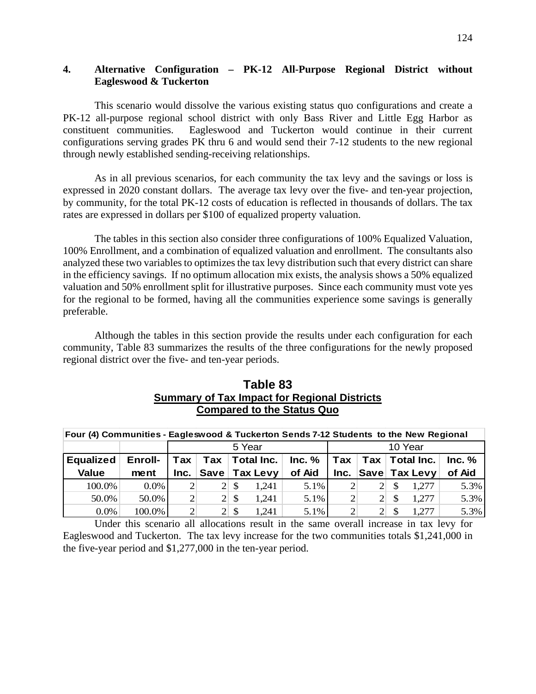## **4. Alternative Configuration – PK-12 All-Purpose Regional District without Eagleswood & Tuckerton**

This scenario would dissolve the various existing status quo configurations and create a PK-12 all-purpose regional school district with only Bass River and Little Egg Harbor as constituent communities. Eagleswood and Tuckerton would continue in their current configurations serving grades PK thru 6 and would send their 7-12 students to the new regional through newly established sending-receiving relationships.

As in all previous scenarios, for each community the tax levy and the savings or loss is expressed in 2020 constant dollars. The average tax levy over the five- and ten-year projection, by community, for the total PK-12 costs of education is reflected in thousands of dollars. The tax rates are expressed in dollars per \$100 of equalized property valuation.

The tables in this section also consider three configurations of 100% Equalized Valuation, 100% Enrollment, and a combination of equalized valuation and enrollment. The consultants also analyzed these two variables to optimizes the tax levy distribution such that every district can share in the efficiency savings. If no optimum allocation mix exists, the analysis shows a 50% equalized valuation and 50% enrollment split for illustrative purposes. Since each community must vote yes for the regional to be formed, having all the communities experience some savings is generally preferable.

Although the tables in this section provide the results under each configuration for each community, Table 83 summarizes the results of the three configurations for the newly proposed regional district over the five- and ten-year periods.

| Table 83                                            |
|-----------------------------------------------------|
| <b>Summary of Tax Impact for Regional Districts</b> |
| <b>Compared to the Status Quo</b>                   |

| Four (4) Communities - Eagleswood & Tuckerton Sends 7-12 Students to the New Regional |         |                 |                   |                     |               |          |                |                |               |                                    |        |
|---------------------------------------------------------------------------------------|---------|-----------------|-------------------|---------------------|---------------|----------|----------------|----------------|---------------|------------------------------------|--------|
|                                                                                       |         |                 | 10 Year<br>5 Year |                     |               |          |                |                |               |                                    |        |
| <b>Equalized</b>                                                                      | Enroll- | $\mathsf{T}$ ax | $\mathsf{T}$ ax   |                     | Total Inc.    | Inc. $%$ |                |                |               | $\mathsf{T}$ ax   Tax   Total Inc. | Inc. % |
| <b>Value</b>                                                                          | ment    | Inc.            |                   |                     | Save Tax Levy | of Aid   | Inc.           |                |               | Save Tax Levy                      | of Aid |
| 100.0%                                                                                | $0.0\%$ | $\overline{2}$  |                   | $2\vert S$          | 1,241         | 5.1%     | $\overline{2}$ | 2 <sup>1</sup> | -S            | 1,277                              | 5.3%   |
| 50.0%                                                                                 | 50.0%   | $\vert$ 2       |                   | $2 \mid \mathsf{S}$ | 1,241         | 5.1%     | $\overline{2}$ | 2 <sup>1</sup> | <sup>\$</sup> | 1,277                              | 5.3%   |
| $0.0\%$                                                                               | 100.0%  | $\overline{2}$  |                   | -\$                 | 1.241         | 5.1%     | $\overline{2}$ |                |               | 1,277                              | 5.3%   |

Under this scenario all allocations result in the same overall increase in tax levy for Eagleswood and Tuckerton. The tax levy increase for the two communities totals \$1,241,000 in the five-year period and \$1,277,000 in the ten-year period.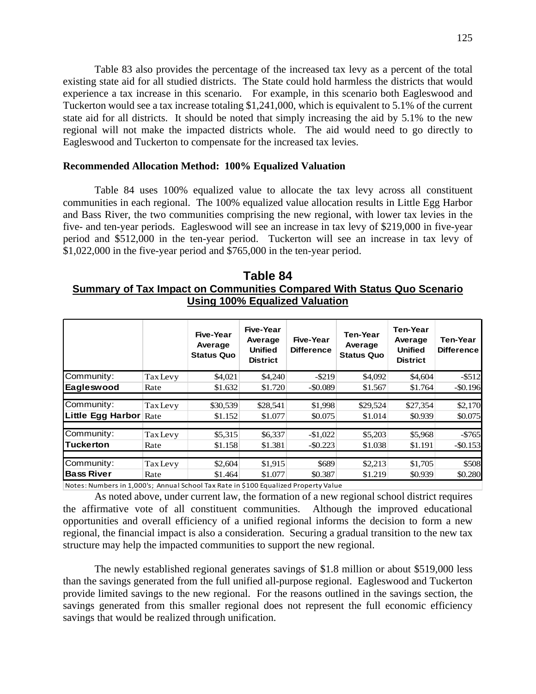Table 83 also provides the percentage of the increased tax levy as a percent of the total existing state aid for all studied districts. The State could hold harmless the districts that would experience a tax increase in this scenario. For example, in this scenario both Eagleswood and Tuckerton would see a tax increase totaling \$1,241,000, which is equivalent to 5.1% of the current state aid for all districts. It should be noted that simply increasing the aid by 5.1% to the new regional will not make the impacted districts whole. The aid would need to go directly to Eagleswood and Tuckerton to compensate for the increased tax levies.

#### **Recommended Allocation Method: 100% Equalized Valuation**

Table 84 uses 100% equalized value to allocate the tax levy across all constituent communities in each regional. The 100% equalized value allocation results in Little Egg Harbor and Bass River, the two communities comprising the new regional, with lower tax levies in the five- and ten-year periods. Eagleswood will see an increase in tax levy of \$219,000 in five-year period and \$512,000 in the ten-year period. Tuckerton will see an increase in tax levy of \$1,022,000 in the five-year period and \$765,000 in the ten-year period.

# **Table 84 Summary of Tax Impact on Communities Compared With Status Quo Scenario Using 100% Equalized Valuation**

|                   |                 | Five-Year<br>Average<br><b>Status Quo</b> | Five-Year<br>Average<br><b>Unified</b><br><b>District</b> | Five-Year<br><b>Difference</b> | <b>Ten-Year</b><br>Average<br><b>Status Quo</b> | <b>Ten-Year</b><br>Average<br><b>Unified</b><br><b>District</b> | Ten-Year<br><b>Difference</b> |
|-------------------|-----------------|-------------------------------------------|-----------------------------------------------------------|--------------------------------|-------------------------------------------------|-----------------------------------------------------------------|-------------------------------|
| Community:        | <b>Tax Levy</b> | \$4,021                                   | \$4,240                                                   | $-$ \$219                      | \$4,092                                         | \$4,604                                                         | $-$ \$512                     |
| Eagleswood        | Rate            | \$1.632                                   | \$1.720                                                   | $-$ \$0.089                    | \$1.567                                         | \$1.764                                                         | $-$ \$0.196                   |
|                   |                 |                                           |                                                           |                                |                                                 |                                                                 |                               |
| Community:        | <b>Tax Levy</b> | \$30,539                                  | \$28,541                                                  | \$1,998                        | \$29,524                                        | \$27,354                                                        | \$2,170                       |
| Little Egg Harbor | Rate            | \$1.152                                   | \$1.077                                                   | \$0.075                        | \$1.014                                         | \$0.939                                                         | \$0.075                       |
|                   |                 |                                           |                                                           |                                |                                                 |                                                                 |                               |
| Community:        | <b>Tax Levy</b> | \$5,315                                   | \$6,337                                                   | $-$1,022$                      | \$5,203                                         | \$5,968                                                         | $-5765$                       |
| <b>Tuckerton</b>  | Rate            | \$1.158                                   | \$1.381                                                   | $-$ \$0.223                    | \$1.038                                         | \$1.191                                                         | $-$ \$0.153                   |
|                   |                 |                                           |                                                           |                                |                                                 |                                                                 |                               |
| Community:        | <b>Tax Levy</b> | \$2,604                                   | \$1,915                                                   | \$689                          | \$2,213                                         | \$1,705                                                         | \$508                         |
| <b>Bass River</b> | Rate            | \$1.464                                   | \$1.077                                                   | \$0.387                        | \$1.219                                         | \$0.939                                                         | \$0.280                       |

Notes: Numbers in 1,000's; Annual School Tax Rate in \$100 Equalized Property Value

As noted above, under current law, the formation of a new regional school district requires the affirmative vote of all constituent communities. Although the improved educational opportunities and overall efficiency of a unified regional informs the decision to form a new regional, the financial impact is also a consideration. Securing a gradual transition to the new tax structure may help the impacted communities to support the new regional.

The newly established regional generates savings of \$1.8 million or about \$519,000 less than the savings generated from the full unified all-purpose regional. Eagleswood and Tuckerton provide limited savings to the new regional. For the reasons outlined in the savings section, the savings generated from this smaller regional does not represent the full economic efficiency savings that would be realized through unification.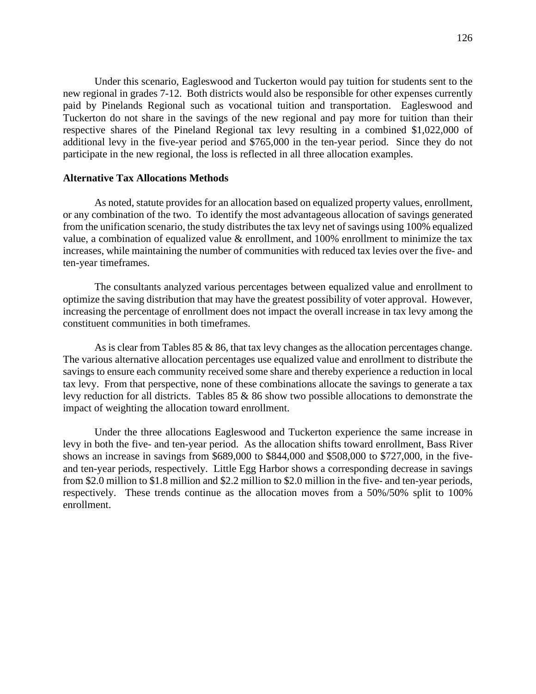Under this scenario, Eagleswood and Tuckerton would pay tuition for students sent to the new regional in grades 7-12. Both districts would also be responsible for other expenses currently paid by Pinelands Regional such as vocational tuition and transportation. Eagleswood and Tuckerton do not share in the savings of the new regional and pay more for tuition than their respective shares of the Pineland Regional tax levy resulting in a combined \$1,022,000 of additional levy in the five-year period and \$765,000 in the ten-year period. Since they do not participate in the new regional, the loss is reflected in all three allocation examples.

## **Alternative Tax Allocations Methods**

As noted, statute provides for an allocation based on equalized property values, enrollment, or any combination of the two. To identify the most advantageous allocation of savings generated from the unification scenario, the study distributes the tax levy net of savings using 100% equalized value, a combination of equalized value & enrollment, and 100% enrollment to minimize the tax increases, while maintaining the number of communities with reduced tax levies over the five- and ten-year timeframes.

The consultants analyzed various percentages between equalized value and enrollment to optimize the saving distribution that may have the greatest possibility of voter approval. However, increasing the percentage of enrollment does not impact the overall increase in tax levy among the constituent communities in both timeframes.

As is clear from Tables  $85 \& 86$ , that tax levy changes as the allocation percentages change. The various alternative allocation percentages use equalized value and enrollment to distribute the savings to ensure each community received some share and thereby experience a reduction in local tax levy. From that perspective, none of these combinations allocate the savings to generate a tax levy reduction for all districts. Tables 85 & 86 show two possible allocations to demonstrate the impact of weighting the allocation toward enrollment.

Under the three allocations Eagleswood and Tuckerton experience the same increase in levy in both the five- and ten-year period. As the allocation shifts toward enrollment, Bass River shows an increase in savings from \$689,000 to \$844,000 and \$508,000 to \$727,000, in the fiveand ten-year periods, respectively. Little Egg Harbor shows a corresponding decrease in savings from \$2.0 million to \$1.8 million and \$2.2 million to \$2.0 million in the five- and ten-year periods, respectively. These trends continue as the allocation moves from a 50%/50% split to 100% enrollment.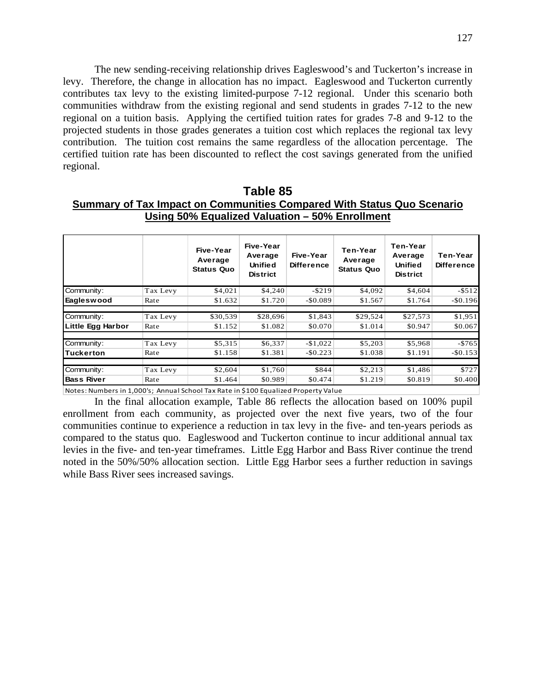The new sending-receiving relationship drives Eagleswood's and Tuckerton's increase in levy. Therefore, the change in allocation has no impact. Eagleswood and Tuckerton currently contributes tax levy to the existing limited-purpose 7-12 regional. Under this scenario both communities withdraw from the existing regional and send students in grades 7-12 to the new regional on a tuition basis. Applying the certified tuition rates for grades 7-8 and 9-12 to the projected students in those grades generates a tuition cost which replaces the regional tax levy contribution. The tuition cost remains the same regardless of the allocation percentage. The certified tuition rate has been discounted to reflect the cost savings generated from the unified regional.

| Table 85                                                               |
|------------------------------------------------------------------------|
| Summary of Tax Impact on Communities Compared With Status Quo Scenario |
| Using 50% Equalized Valuation - 50% Enrollment                         |

|                   |          | Five-Year<br>Average<br><b>Status Quo</b> | Five-Year<br>Average<br>Unified<br><b>District</b> | Five-Year<br><b>Difference</b> | Ten-Year<br>Average<br><b>Status Quo</b> | Ten-Year<br>Average<br><b>Unified</b><br><b>District</b> | Ten-Year<br><b>Difference</b> |
|-------------------|----------|-------------------------------------------|----------------------------------------------------|--------------------------------|------------------------------------------|----------------------------------------------------------|-------------------------------|
| Community:        | Tax Levy | \$4,021                                   | \$4,240                                            | $-$ \$219                      | \$4,092                                  | \$4,604                                                  | $-5512$                       |
| Eagleswood        | Rate     | \$1.632                                   | \$1.720                                            | $-$ \$0.089                    | \$1.567                                  | \$1.764                                                  | $-$0.196$                     |
|                   |          |                                           |                                                    |                                |                                          |                                                          |                               |
| Community:        | Tax Levy | \$30,539                                  | \$28,696                                           | \$1,843                        | \$29,524                                 | \$27,573                                                 | \$1,951                       |
| Little Egg Harbor | Rate     | \$1.152                                   | \$1.082                                            | \$0.070                        | \$1.014                                  | \$0.947                                                  | \$0.067                       |
|                   |          |                                           |                                                    |                                |                                          |                                                          |                               |
| Community:        | Tax Levy | \$5,315                                   | \$6,337                                            | $-$1,022$                      | \$5,203                                  | \$5,968                                                  | $-5765$                       |
| Tuckerton         | Rate     | \$1.158                                   | \$1.381                                            | $-$ \$0.223                    | \$1.038                                  | \$1.191                                                  | $-$0.153$                     |
|                   |          |                                           |                                                    |                                |                                          |                                                          |                               |
| Community:        | Tax Levy | \$2,604                                   | \$1,760                                            | \$844                          | \$2,213                                  | \$1,486                                                  | \$727                         |
| <b>Bass River</b> | Rate     | \$1.464                                   | \$0.989                                            | \$0.474                        | \$1.219                                  | \$0.819                                                  | \$0.400                       |

Notes: Numbers in 1,000's; Annual School Tax Rate in \$100 Equalized Property Value

In the final allocation example, Table 86 reflects the allocation based on 100% pupil enrollment from each community, as projected over the next five years, two of the four communities continue to experience a reduction in tax levy in the five- and ten-years periods as compared to the status quo. Eagleswood and Tuckerton continue to incur additional annual tax levies in the five- and ten-year timeframes. Little Egg Harbor and Bass River continue the trend noted in the 50%/50% allocation section. Little Egg Harbor sees a further reduction in savings while Bass River sees increased savings.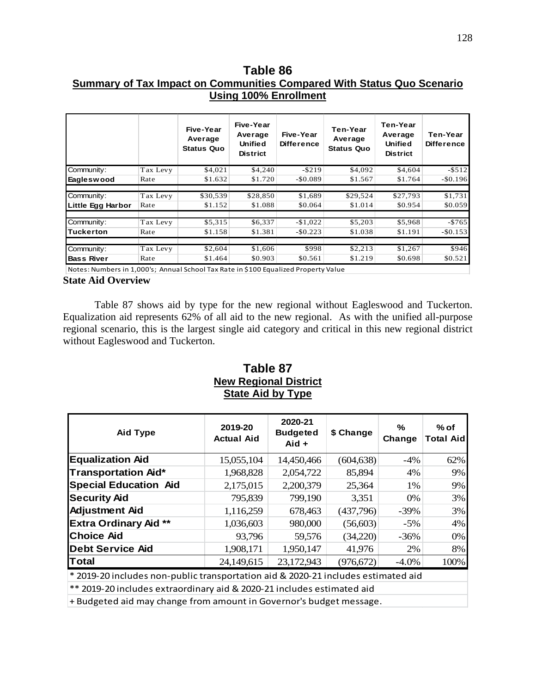# **Table 86 Summary of Tax Impact on Communities Compared With Status Quo Scenario Using 100% Enrollment**

|                   |          | Five-Year<br>Average<br><b>Status Quo</b> | Five-Year<br>Average<br><b>Unified</b><br><b>District</b> | Five-Year<br><b>Difference</b> | Ten-Year<br>Average<br><b>Status Quo</b> | Ten-Year<br>Average<br><b>Unified</b><br><b>District</b> | Ten-Year<br><b>Difference</b> |
|-------------------|----------|-------------------------------------------|-----------------------------------------------------------|--------------------------------|------------------------------------------|----------------------------------------------------------|-------------------------------|
| Community:        | Tax Levy | \$4,021                                   | \$4,240                                                   | $-$ \$219                      | \$4,092                                  | \$4,604                                                  | $-5512$                       |
| Eagleswood        | Rate     | \$1.632                                   | \$1.720                                                   | $-$0.089$                      | \$1.567                                  | \$1.764                                                  | $-$0.196$                     |
|                   |          |                                           |                                                           |                                |                                          |                                                          |                               |
| Community:        | Tax Levy | \$30,539                                  | \$28,850                                                  | \$1,689                        | \$29,524                                 | \$27,793                                                 | \$1,731                       |
| Little Egg Harbor | Rate     | \$1.152                                   | \$1.088                                                   | \$0.064                        | \$1.014                                  | \$0.954                                                  | \$0.059                       |
|                   |          |                                           |                                                           |                                |                                          |                                                          |                               |
| Community:        | Tax Levy | \$5,315                                   | \$6,337                                                   | $-$1,022$                      | \$5,203                                  | \$5,968                                                  | $-5765$                       |
| Tuckerton         | Rate     | \$1.158                                   | \$1.381                                                   | $-$0.223$                      | \$1.038                                  | \$1.191                                                  | $-$0.153$                     |
|                   |          |                                           |                                                           |                                |                                          |                                                          |                               |
| Community:        | Tax Levy | \$2,604                                   | \$1,606                                                   | \$998                          | \$2,213                                  | \$1,267                                                  | \$946                         |
| <b>Bass River</b> | Rate     | \$1.464                                   | \$0.903                                                   | \$0.561                        | \$1.219                                  | \$0.698                                                  | \$0.521                       |

Notes: Numbers in 1,000's; Annual School Tax Rate in \$100 Equalized Property Value

#### **State Aid Overview**

Table 87 shows aid by type for the new regional without Eagleswood and Tuckerton. Equalization aid represents 62% of all aid to the new regional. As with the unified all-purpose regional scenario, this is the largest single aid category and critical in this new regional district without Eagleswood and Tuckerton.

# **Table 87 New Regional District State Aid by Type**

| <b>Aid Type</b>              | 2019-20<br><b>Actual Aid</b> | 2020-21<br><b>Budgeted</b><br>$Aid +$ | \$ Change  | %<br>Change | $%$ of<br><b>Total Aid</b> |
|------------------------------|------------------------------|---------------------------------------|------------|-------------|----------------------------|
| <b>Equalization Aid</b>      | 15,055,104                   | 14,450,466                            | (604, 638) | $-4\%$      | 62%                        |
| <b>Transportation Aid*</b>   | 1,968,828                    | 2,054,722                             | 85,894     | 4%          | $9\%$                      |
| <b>Special Education Aid</b> | 2,175,015                    | 2,200,379                             | 25,364     | 1%          | $9\%$                      |
| <b>Security Aid</b>          | 795,839                      | 799,190                               | 3,351      | 0%          | 3%                         |
| <b>Adjustment Aid</b>        | 1,116,259                    | 678,463                               | (437,796)  | $-39\%$     | 3%                         |
| <b>Extra Ordinary Aid **</b> | 1,036,603                    | 980,000                               | (56,603)   | $-5\%$      | 4%                         |
| <b>Choice Aid</b>            | 93,796                       | 59,576                                | (34,220)   | $-36%$      | $0\%$                      |
| <b>Debt Service Aid</b>      | 1,908,171                    | 1,950,147                             | 41,976     | 2%          | 8%                         |
| <b>Total</b>                 | 24,149,615                   | 23,172,943                            | (976, 672) | $-4.0\%$    | 100%                       |
| $\cdots$<br>.                |                              |                                       | .          | .           |                            |

\* 2019-20 includes non-public transportation aid & 2020-21 includes estimated aid

\*\* 2019-20 includes extraordinary aid & 2020-21 includes estimated aid

+ Budgeted aid may change from amount in Governor's budget message.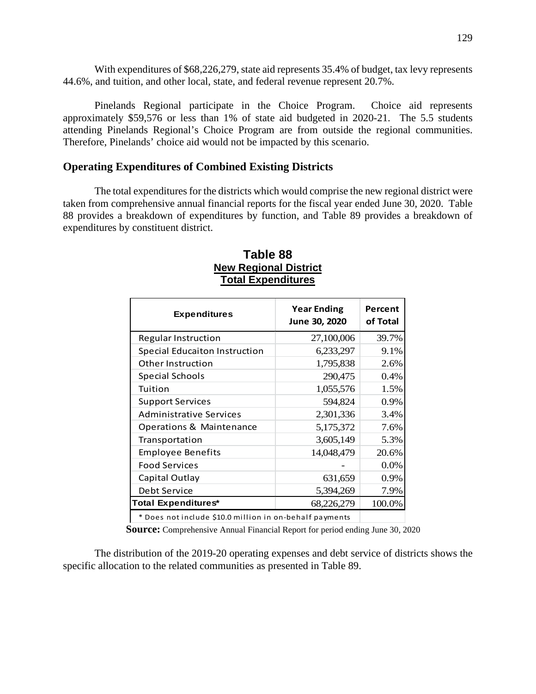With expenditures of \$68,226,279, state aid represents 35.4% of budget, tax levy represents 44.6%, and tuition, and other local, state, and federal revenue represent 20.7%.

Pinelands Regional participate in the Choice Program. Choice aid represents approximately \$59,576 or less than 1% of state aid budgeted in 2020-21. The 5.5 students attending Pinelands Regional's Choice Program are from outside the regional communities. Therefore, Pinelands' choice aid would not be impacted by this scenario.

## **Operating Expenditures of Combined Existing Districts**

The total expenditures for the districts which would comprise the new regional district were taken from comprehensive annual financial reports for the fiscal year ended June 30, 2020. Table 88 provides a breakdown of expenditures by function, and Table 89 provides a breakdown of expenditures by constituent district.

| <b>Expenditures</b>                                     | <b>Year Ending</b><br>June 30, 2020 | Percent<br>of Total |
|---------------------------------------------------------|-------------------------------------|---------------------|
| Regular Instruction                                     | 27,100,006                          | 39.7%               |
| <b>Special Educaiton Instruction</b>                    | 6,233,297                           | 9.1%                |
| Other Instruction                                       | 1,795,838                           | 2.6%                |
| <b>Special Schools</b>                                  | 290,475                             | 0.4%                |
| Tuition                                                 | 1,055,576                           | 1.5%                |
| <b>Support Services</b>                                 | 594,824                             | 0.9%                |
| <b>Administrative Services</b>                          | 2,301,336                           | 3.4%                |
| Operations & Maintenance                                | 5,175,372                           | 7.6%                |
| Transportation                                          | 3,605,149                           | 5.3%                |
| <b>Employee Benefits</b>                                | 14,048,479                          | 20.6%               |
| <b>Food Services</b>                                    |                                     | 0.0%                |
| Capital Outlay                                          | 631,659                             | 0.9%                |
| Debt Service                                            | 5,394,269                           | 7.9%                |
| <b>Total Expenditures*</b>                              | 100.0%                              |                     |
| * Does not include \$10.0 million in on-behalf payments |                                     |                     |

# **Table 88 New Regional District Total Expenditures**

**Source:** Comprehensive Annual Financial Report for period ending June 30, 2020

The distribution of the 2019-20 operating expenses and debt service of districts shows the specific allocation to the related communities as presented in Table 89.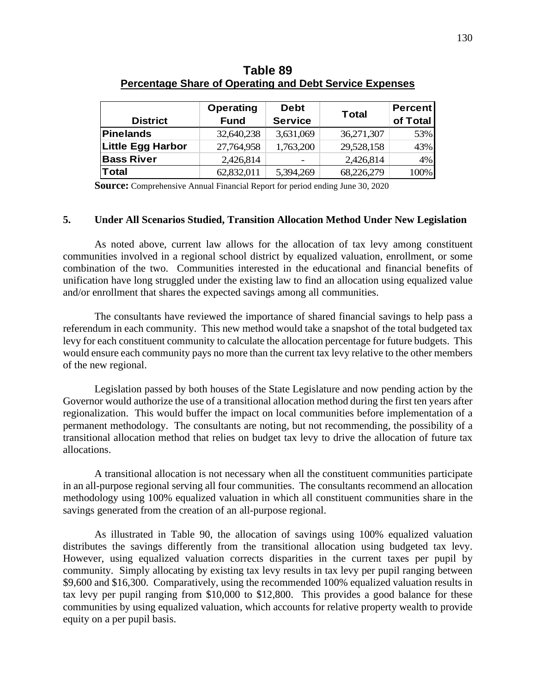|                          | Operating   | <b>Debt</b>    | <b>Total</b> | <b>Percent</b> |
|--------------------------|-------------|----------------|--------------|----------------|
| <b>District</b>          | <b>Fund</b> | <b>Service</b> |              | of Total       |
| Pinelands                | 32,640,238  | 3,631,069      | 36,271,307   | 53%            |
| <b>Little Egg Harbor</b> | 27,764,958  | 1,763,200      | 29,528,158   | 43%            |
| <b>Bass River</b>        | 2,426,814   |                | 2,426,814    | 4%             |
| Total                    | 62,832,011  | 5,394,269      | 68,226,279   | 100%           |

**Table 89 Percentage Share of Operating and Debt Service Expenses**

**Source:** Comprehensive Annual Financial Report for period ending June 30, 2020

#### **5. Under All Scenarios Studied, Transition Allocation Method Under New Legislation**

As noted above, current law allows for the allocation of tax levy among constituent communities involved in a regional school district by equalized valuation, enrollment, or some combination of the two. Communities interested in the educational and financial benefits of unification have long struggled under the existing law to find an allocation using equalized value and/or enrollment that shares the expected savings among all communities.

The consultants have reviewed the importance of shared financial savings to help pass a referendum in each community. This new method would take a snapshot of the total budgeted tax levy for each constituent community to calculate the allocation percentage for future budgets. This would ensure each community pays no more than the current tax levy relative to the other members of the new regional.

Legislation passed by both houses of the State Legislature and now pending action by the Governor would authorize the use of a transitional allocation method during the first ten years after regionalization. This would buffer the impact on local communities before implementation of a permanent methodology. The consultants are noting, but not recommending, the possibility of a transitional allocation method that relies on budget tax levy to drive the allocation of future tax allocations.

A transitional allocation is not necessary when all the constituent communities participate in an all-purpose regional serving all four communities. The consultants recommend an allocation methodology using 100% equalized valuation in which all constituent communities share in the savings generated from the creation of an all-purpose regional.

As illustrated in Table 90, the allocation of savings using 100% equalized valuation distributes the savings differently from the transitional allocation using budgeted tax levy. However, using equalized valuation corrects disparities in the current taxes per pupil by community. Simply allocating by existing tax levy results in tax levy per pupil ranging between \$9,600 and \$16,300. Comparatively, using the recommended 100% equalized valuation results in tax levy per pupil ranging from \$10,000 to \$12,800. This provides a good balance for these communities by using equalized valuation, which accounts for relative property wealth to provide equity on a per pupil basis.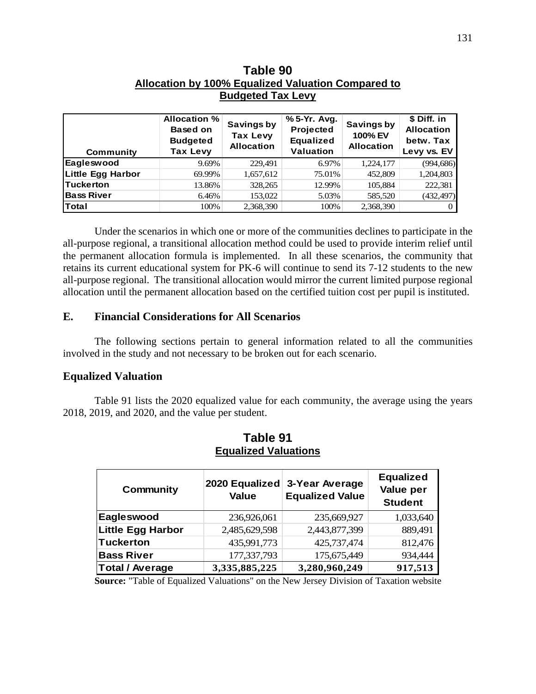| Table 90                                           |  |  |  |  |
|----------------------------------------------------|--|--|--|--|
| Allocation by 100% Equalized Valuation Compared to |  |  |  |  |
| <b>Budgeted Tax Levy</b>                           |  |  |  |  |

| Community         | <b>Allocation %</b><br><b>Based on</b><br><b>Budgeted</b><br><b>Tax Levy</b> | <b>Savings by</b><br><b>Tax Levy</b><br><b>Allocation</b> | % 5-Yr. Avg.<br>Projected<br><b>Equalized</b><br><b>Valuation</b> | Savings by<br>100% EV<br><b>Allocation</b> | \$ Diff. in<br><b>Allocation</b><br>betw. Tax<br>Levy vs. EV |
|-------------------|------------------------------------------------------------------------------|-----------------------------------------------------------|-------------------------------------------------------------------|--------------------------------------------|--------------------------------------------------------------|
| Eagleswood        | 9.69%                                                                        | 229,491                                                   | 6.97%                                                             | 1,224,177                                  | (994, 686)                                                   |
| Little Egg Harbor | 69.99%                                                                       | 1,657,612                                                 | 75.01%                                                            | 452,809                                    | 1,204,803                                                    |
| <b>Tuckerton</b>  | 13.86%                                                                       | 328,265                                                   | 12.99%                                                            | 105,884                                    | 222,381                                                      |
| <b>Bass River</b> | 6.46%                                                                        | 153,022                                                   | 5.03%                                                             | 585,520                                    | (432, 497)                                                   |
| Total             | 100%                                                                         | 2,368,390                                                 | 100%                                                              | 2,368,390                                  | $\Omega$                                                     |

Under the scenarios in which one or more of the communities declines to participate in the all-purpose regional, a transitional allocation method could be used to provide interim relief until the permanent allocation formula is implemented. In all these scenarios, the community that retains its current educational system for PK-6 will continue to send its 7-12 students to the new all-purpose regional. The transitional allocation would mirror the current limited purpose regional allocation until the permanent allocation based on the certified tuition cost per pupil is instituted.

## **E. Financial Considerations for All Scenarios**

The following sections pertain to general information related to all the communities involved in the study and not necessary to be broken out for each scenario.

## **Equalized Valuation**

Table 91 lists the 2020 equalized value for each community, the average using the years 2018, 2019, and 2020, and the value per student.

| Community                | 2020 Equalized<br><b>Value</b> | 3-Year Average<br><b>Equalized Value</b> | <b>Equalized</b><br>Value per<br><b>Student</b> |
|--------------------------|--------------------------------|------------------------------------------|-------------------------------------------------|
| Eagleswood               | 236,926,061                    | 235,669,927                              | 1,033,640                                       |
| <b>Little Egg Harbor</b> | 2,485,629,598                  | 2,443,877,399                            | 889,491                                         |
| <b>Tuckerton</b>         | 435,991,773                    | 425,737,474                              | 812,476                                         |
| <b>Bass River</b>        | 177,337,793                    | 175,675,449                              | 934,444                                         |
| <b>Total / Average</b>   | 3,335,885,225                  | 3,280,960,249                            | 917,513                                         |

# **Table 91 Equalized Valuations**

**Source:** "Table of Equalized Valuations" on the New Jersey Division of Taxation website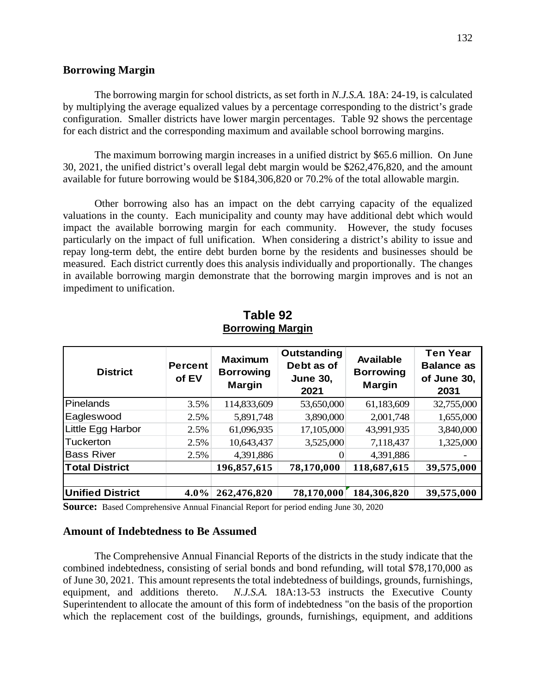## **Borrowing Margin**

The borrowing margin for school districts, as set forth in *N.J.S.A.* 18A: 24-19, is calculated by multiplying the average equalized values by a percentage corresponding to the district's grade configuration. Smaller districts have lower margin percentages. Table 92 shows the percentage for each district and the corresponding maximum and available school borrowing margins.

The maximum borrowing margin increases in a unified district by \$65.6 million. On June 30, 2021, the unified district's overall legal debt margin would be \$262,476,820, and the amount available for future borrowing would be \$184,306,820 or 70.2% of the total allowable margin.

Other borrowing also has an impact on the debt carrying capacity of the equalized valuations in the county. Each municipality and county may have additional debt which would impact the available borrowing margin for each community. However, the study focuses particularly on the impact of full unification. When considering a district's ability to issue and repay long-term debt, the entire debt burden borne by the residents and businesses should be measured. Each district currently does this analysis individually and proportionally. The changes in available borrowing margin demonstrate that the borrowing margin improves and is not an impediment to unification.

| <b>District</b>         | <b>Percent</b><br>of EV | <b>Maximum</b><br><b>Borrowing</b><br><b>Margin</b> | Outstanding<br>Debt as of<br><b>June 30,</b><br>2021 | Available<br><b>Borrowing</b><br><b>Margin</b> | <b>Ten Year</b><br><b>Balance as</b><br>of June 30,<br>2031 |
|-------------------------|-------------------------|-----------------------------------------------------|------------------------------------------------------|------------------------------------------------|-------------------------------------------------------------|
| Pinelands               | 3.5%                    | 114,833,609                                         | 53,650,000                                           | 61,183,609                                     | 32,755,000                                                  |
| Eagleswood              | 2.5%                    | 5,891,748                                           | 3,890,000                                            | 2,001,748                                      | 1,655,000                                                   |
| Little Egg Harbor       | 2.5%                    | 61,096,935                                          | 17,105,000                                           | 43,991,935                                     | 3,840,000                                                   |
| Tuckerton               | 2.5%                    | 10,643,437                                          | 3,525,000                                            | 7,118,437                                      | 1,325,000                                                   |
| <b>Bass River</b>       | 2.5%                    | 4,391,886                                           | 0                                                    | 4,391,886                                      |                                                             |
| <b>Total District</b>   |                         | 196,857,615                                         | 78,170,000                                           | 118,687,615                                    | 39,575,000                                                  |
| <b>Unified District</b> | $4.0\%$                 | 262,476,820                                         | 78,170,000                                           | 184,306,820                                    | 39,575,000                                                  |

# **Table 92 Borrowing Margin**

**Source:** Based Comprehensive Annual Financial Report for period ending June 30, 2020

## **Amount of Indebtedness to Be Assumed**

The Comprehensive Annual Financial Reports of the districts in the study indicate that the combined indebtedness, consisting of serial bonds and bond refunding, will total \$78,170,000 as of June 30, 2021. This amount represents the total indebtedness of buildings, grounds, furnishings, equipment, and additions thereto. *N.J.S.A.* 18A:13-53 instructs the Executive County Superintendent to allocate the amount of this form of indebtedness "on the basis of the proportion which the replacement cost of the buildings, grounds, furnishings, equipment, and additions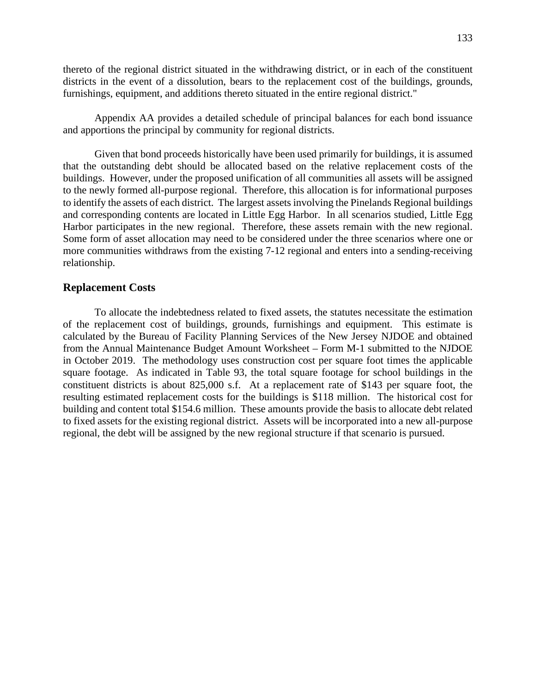thereto of the regional district situated in the withdrawing district, or in each of the constituent districts in the event of a dissolution, bears to the replacement cost of the buildings, grounds, furnishings, equipment, and additions thereto situated in the entire regional district."

Appendix AA provides a detailed schedule of principal balances for each bond issuance and apportions the principal by community for regional districts.

Given that bond proceeds historically have been used primarily for buildings, it is assumed that the outstanding debt should be allocated based on the relative replacement costs of the buildings. However, under the proposed unification of all communities all assets will be assigned to the newly formed all-purpose regional. Therefore, this allocation is for informational purposes to identify the assets of each district. The largest assets involving the Pinelands Regional buildings and corresponding contents are located in Little Egg Harbor. In all scenarios studied, Little Egg Harbor participates in the new regional. Therefore, these assets remain with the new regional. Some form of asset allocation may need to be considered under the three scenarios where one or more communities withdraws from the existing 7-12 regional and enters into a sending-receiving relationship.

#### **Replacement Costs**

To allocate the indebtedness related to fixed assets, the statutes necessitate the estimation of the replacement cost of buildings, grounds, furnishings and equipment. This estimate is calculated by the Bureau of Facility Planning Services of the New Jersey NJDOE and obtained from the Annual Maintenance Budget Amount Worksheet – Form M-1 submitted to the NJDOE in October 2019. The methodology uses construction cost per square foot times the applicable square footage. As indicated in Table 93, the total square footage for school buildings in the constituent districts is about 825,000 s.f. At a replacement rate of \$143 per square foot, the resulting estimated replacement costs for the buildings is \$118 million. The historical cost for building and content total \$154.6 million. These amounts provide the basis to allocate debt related to fixed assets for the existing regional district. Assets will be incorporated into a new all-purpose regional, the debt will be assigned by the new regional structure if that scenario is pursued.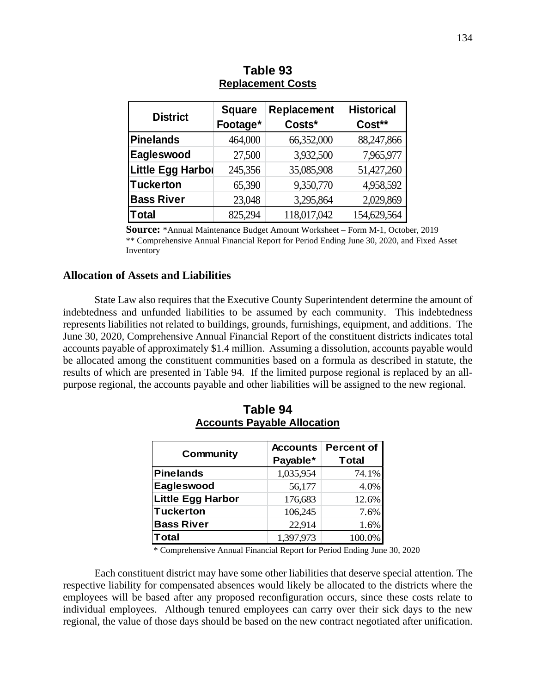| <b>District</b>          | <b>Square</b> | Replacement | <b>Historical</b> |  |
|--------------------------|---------------|-------------|-------------------|--|
|                          | Footage*      | Costs*      | Cost**            |  |
| <b>Pinelands</b>         | 464,000       | 66,352,000  | 88,247,866        |  |
| Eagleswood               | 27,500        | 3,932,500   | 7,965,977         |  |
| <b>Little Egg Harbor</b> | 245,356       | 35,085,908  | 51,427,260        |  |
| Tuckerton                | 65,390        | 9,350,770   | 4,958,592         |  |
| <b>Bass River</b>        | 23,048        | 3,295,864   | 2,029,869         |  |
| Total                    | 825,294       | 118,017,042 | 154,629,564       |  |

# **Table 93 Replacement Costs**

**Source:** \*Annual Maintenance Budget Amount Worksheet – Form M-1, October, 2019 \*\* Comprehensive Annual Financial Report for Period Ending June 30, 2020, and Fixed Asset Inventory

## **Allocation of Assets and Liabilities**

State Law also requires that the Executive County Superintendent determine the amount of indebtedness and unfunded liabilities to be assumed by each community. This indebtedness represents liabilities not related to buildings, grounds, furnishings, equipment, and additions. The June 30, 2020, Comprehensive Annual Financial Report of the constituent districts indicates total accounts payable of approximately \$1.4 million. Assuming a dissolution, accounts payable would be allocated among the constituent communities based on a formula as described in statute, the results of which are presented in Table 94. If the limited purpose regional is replaced by an allpurpose regional, the accounts payable and other liabilities will be assigned to the new regional.

|                          | <b>Accounts</b> | Percent of   |  |
|--------------------------|-----------------|--------------|--|
| <b>Community</b>         | Payable*        | <b>Total</b> |  |
| Pinelands                | 1,035,954       | 74.1%        |  |
| Eagleswood               | 56,177          | 4.0%         |  |
| <b>Little Egg Harbor</b> | 176,683         | 12.6%        |  |
| Tuckerton                | 106,245         | 7.6%         |  |
| <b>Bass River</b>        | 22,914          | 1.6%         |  |
| Total                    | 1,397,973       | 100.0%       |  |

**Table 94 Accounts Payable Allocation** 

\* Comprehensive Annual Financial Report for Period Ending June 30, 2020

Each constituent district may have some other liabilities that deserve special attention. The respective liability for compensated absences would likely be allocated to the districts where the employees will be based after any proposed reconfiguration occurs, since these costs relate to individual employees. Although tenured employees can carry over their sick days to the new regional, the value of those days should be based on the new contract negotiated after unification.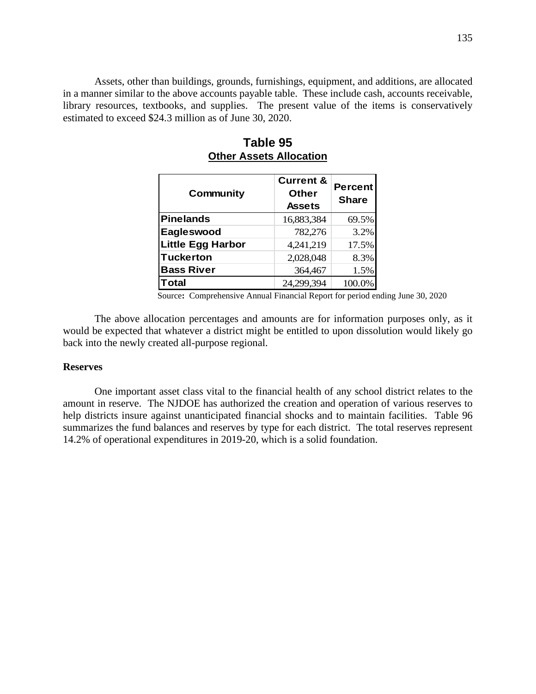Assets, other than buildings, grounds, furnishings, equipment, and additions, are allocated in a manner similar to the above accounts payable table. These include cash, accounts receivable, library resources, textbooks, and supplies. The present value of the items is conservatively estimated to exceed \$24.3 million as of June 30, 2020.

| <b>Community</b>         | <b>Current &amp;</b><br><b>Other</b><br><b>Assets</b> | <b>Percent</b><br><b>Share</b> |
|--------------------------|-------------------------------------------------------|--------------------------------|
| Pinelands                | 16,883,384                                            | 69.5%                          |
| Eagleswood               | 782,276                                               | 3.2%                           |
| <b>Little Egg Harbor</b> | 4,241,219                                             | 17.5%                          |
| <b>Tuckerton</b>         | 2,028,048                                             | 8.3%                           |
| <b>Bass River</b>        | 364,467                                               | 1.5%                           |
| Total                    | 24,299,394                                            | 100.0%                         |

# **Table 95 Other Assets Allocation**

Source**:** Comprehensive Annual Financial Report for period ending June 30, 2020

The above allocation percentages and amounts are for information purposes only, as it would be expected that whatever a district might be entitled to upon dissolution would likely go back into the newly created all-purpose regional.

#### **Reserves**

One important asset class vital to the financial health of any school district relates to the amount in reserve. The NJDOE has authorized the creation and operation of various reserves to help districts insure against unanticipated financial shocks and to maintain facilities. Table 96 summarizes the fund balances and reserves by type for each district. The total reserves represent 14.2% of operational expenditures in 2019-20, which is a solid foundation.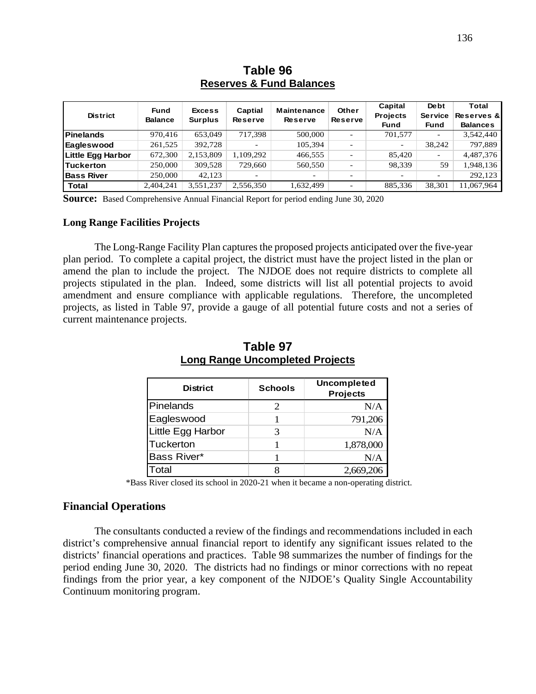| <b>District</b>          | <b>Fund</b><br><b>Balance</b> | <b>Excess</b><br><b>Surplus</b> | Captial<br><b>Reserve</b> | <b>Maintenance</b><br><b>Reserve</b> | Other<br><b>Reserve</b> | Capital<br><b>Projects</b><br>Fund | <b>De bt</b><br><b>Service</b><br>Fund | Total<br><b>Reserves &amp;</b><br><b>Balances</b> |
|--------------------------|-------------------------------|---------------------------------|---------------------------|--------------------------------------|-------------------------|------------------------------------|----------------------------------------|---------------------------------------------------|
| <b>Pinelands</b>         | 970,416                       | 653,049                         | 717,398                   | 500,000                              |                         | 701,577                            | ۰                                      | 3,542,440                                         |
| Eagleswood               | 261,525                       | 392,728                         | -                         | 105,394                              |                         | ۰.                                 | 38,242                                 | 797.889                                           |
| <b>Little Egg Harbor</b> | 672,300                       | 2,153,809                       | 1,109,292                 | 466,555                              |                         | 85,420                             |                                        | 4,487,376                                         |
| <b>Tuckerton</b>         | 250,000                       | 309,528                         | 729,660                   | 560,550                              |                         | 98,339                             | 59                                     | 1,948,136                                         |
| <b>Bass River</b>        | 250,000                       | 42.123                          | -                         | $\overline{\phantom{0}}$             | ۰                       |                                    |                                        | 292,123                                           |
| <b>Total</b>             | 2,404,241                     | 3,551,237                       | 2,556,350                 | 1.632.499                            |                         | 885,336                            | 38,301                                 | 11,067,964                                        |

# **Table 96 Reserves & Fund Balances**

**Source:** Based Comprehensive Annual Financial Report for period ending June 30, 2020

#### **Long Range Facilities Projects**

The Long-Range Facility Plan captures the proposed projects anticipated over the five-year plan period. To complete a capital project, the district must have the project listed in the plan or amend the plan to include the project. The NJDOE does not require districts to complete all projects stipulated in the plan. Indeed, some districts will list all potential projects to avoid amendment and ensure compliance with applicable regulations. Therefore, the uncompleted projects, as listed in Table 97, provide a gauge of all potential future costs and not a series of current maintenance projects.

| <b>District</b>   | <b>Schools</b> | Uncompleted<br><b>Projects</b> |
|-------------------|----------------|--------------------------------|
| Pinelands         |                | N/A                            |
| Eagleswood        |                | 791,206                        |
| Little Egg Harbor | 3              | N/A                            |
| Tuckerton         |                | 1,878,000                      |
| Bass River*       |                | N/A                            |
| Total             |                | 2,669,206                      |

**Table 97 Long Range Uncompleted Projects**

\*Bass River closed its school in 2020-21 when it became a non-operating district.

## **Financial Operations**

The consultants conducted a review of the findings and recommendations included in each district's comprehensive annual financial report to identify any significant issues related to the districts' financial operations and practices. Table 98 summarizes the number of findings for the period ending June 30, 2020. The districts had no findings or minor corrections with no repeat findings from the prior year, a key component of the NJDOE's Quality Single Accountability Continuum monitoring program.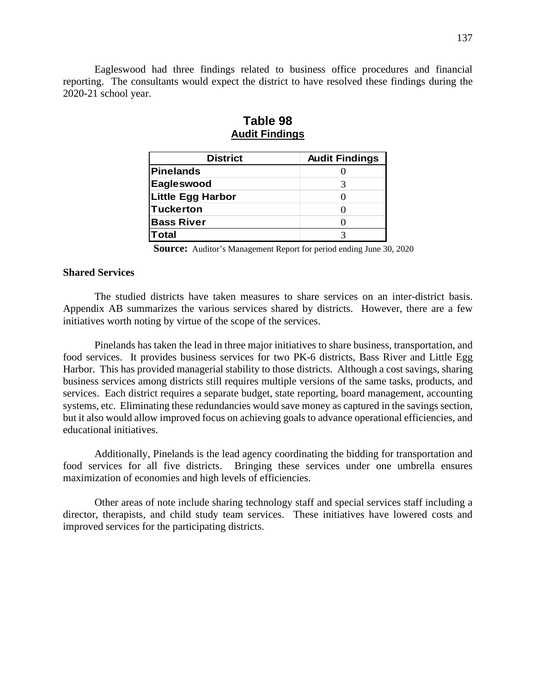Eagleswood had three findings related to business office procedures and financial reporting. The consultants would expect the district to have resolved these findings during the 2020-21 school year.

| <b>District</b>          | <b>Audit Findings</b> |
|--------------------------|-----------------------|
| <b>Pinelands</b>         |                       |
| Eagleswood               | 3                     |
| <b>Little Egg Harbor</b> |                       |
| Tuckerton                |                       |
| <b>Bass River</b>        |                       |
| <b>Total</b>             |                       |

# **Table 98 Audit Findings**

**Source:** Auditor's Management Report for period ending June 30, 2020

## **Shared Services**

The studied districts have taken measures to share services on an inter-district basis. Appendix AB summarizes the various services shared by districts. However, there are a few initiatives worth noting by virtue of the scope of the services.

Pinelands has taken the lead in three major initiatives to share business, transportation, and food services. It provides business services for two PK-6 districts, Bass River and Little Egg Harbor. This has provided managerial stability to those districts. Although a cost savings, sharing business services among districts still requires multiple versions of the same tasks, products, and services. Each district requires a separate budget, state reporting, board management, accounting systems, etc. Eliminating these redundancies would save money as captured in the savings section, but it also would allow improved focus on achieving goals to advance operational efficiencies, and educational initiatives.

Additionally, Pinelands is the lead agency coordinating the bidding for transportation and food services for all five districts. Bringing these services under one umbrella ensures maximization of economies and high levels of efficiencies.

Other areas of note include sharing technology staff and special services staff including a director, therapists, and child study team services. These initiatives have lowered costs and improved services for the participating districts.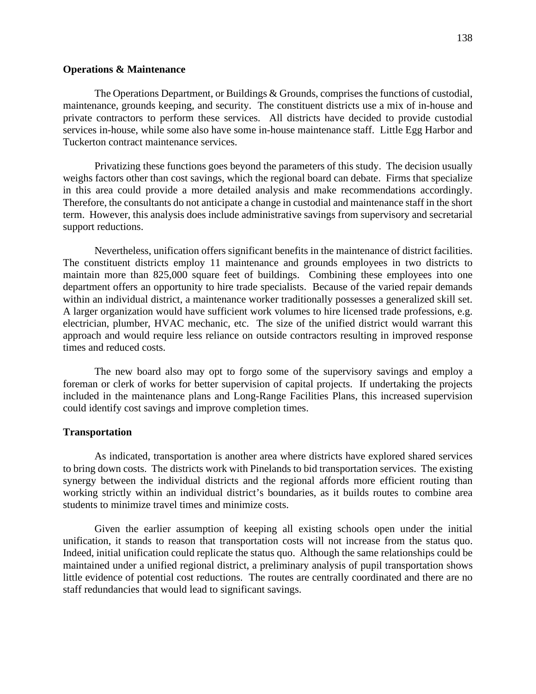#### **Operations & Maintenance**

The Operations Department, or Buildings & Grounds, comprises the functions of custodial, maintenance, grounds keeping, and security. The constituent districts use a mix of in-house and private contractors to perform these services. All districts have decided to provide custodial services in-house, while some also have some in-house maintenance staff. Little Egg Harbor and Tuckerton contract maintenance services.

Privatizing these functions goes beyond the parameters of this study. The decision usually weighs factors other than cost savings, which the regional board can debate. Firms that specialize in this area could provide a more detailed analysis and make recommendations accordingly. Therefore, the consultants do not anticipate a change in custodial and maintenance staff in the short term. However, this analysis does include administrative savings from supervisory and secretarial support reductions.

Nevertheless, unification offers significant benefits in the maintenance of district facilities. The constituent districts employ 11 maintenance and grounds employees in two districts to maintain more than 825,000 square feet of buildings. Combining these employees into one department offers an opportunity to hire trade specialists. Because of the varied repair demands within an individual district, a maintenance worker traditionally possesses a generalized skill set. A larger organization would have sufficient work volumes to hire licensed trade professions, e.g. electrician, plumber, HVAC mechanic, etc. The size of the unified district would warrant this approach and would require less reliance on outside contractors resulting in improved response times and reduced costs.

The new board also may opt to forgo some of the supervisory savings and employ a foreman or clerk of works for better supervision of capital projects. If undertaking the projects included in the maintenance plans and Long-Range Facilities Plans, this increased supervision could identify cost savings and improve completion times.

#### **Transportation**

As indicated, transportation is another area where districts have explored shared services to bring down costs. The districts work with Pinelands to bid transportation services. The existing synergy between the individual districts and the regional affords more efficient routing than working strictly within an individual district's boundaries, as it builds routes to combine area students to minimize travel times and minimize costs.

Given the earlier assumption of keeping all existing schools open under the initial unification, it stands to reason that transportation costs will not increase from the status quo. Indeed, initial unification could replicate the status quo. Although the same relationships could be maintained under a unified regional district, a preliminary analysis of pupil transportation shows little evidence of potential cost reductions. The routes are centrally coordinated and there are no staff redundancies that would lead to significant savings.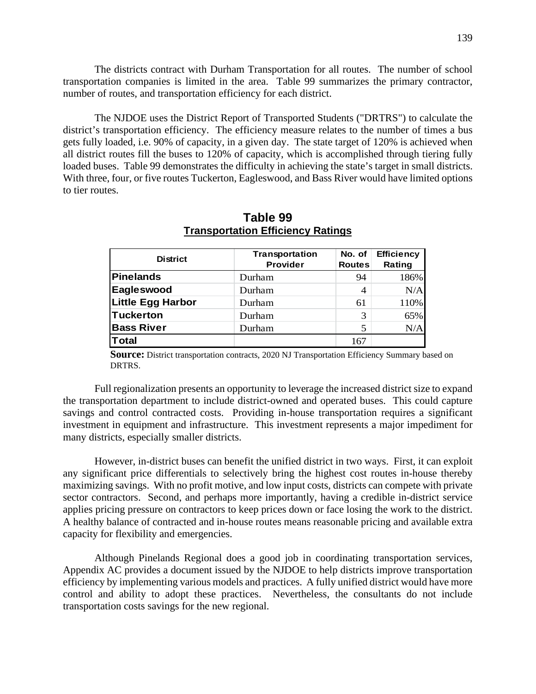The districts contract with Durham Transportation for all routes. The number of school transportation companies is limited in the area. Table 99 summarizes the primary contractor, number of routes, and transportation efficiency for each district.

The NJDOE uses the District Report of Transported Students ("DRTRS") to calculate the district's transportation efficiency. The efficiency measure relates to the number of times a bus gets fully loaded, i.e. 90% of capacity, in a given day. The state target of 120% is achieved when all district routes fill the buses to 120% of capacity, which is accomplished through tiering fully loaded buses. Table 99 demonstrates the difficulty in achieving the state's target in small districts. With three, four, or five routes Tuckerton, Eagleswood, and Bass River would have limited options to tier routes.

| <b>District</b>          | Transportation<br>Provider | No. of<br><b>Routes</b> | <b>Efficiency</b><br>Rating |
|--------------------------|----------------------------|-------------------------|-----------------------------|
| <b>Pinelands</b>         | Durham                     | 94                      | 186%                        |
| Eagleswood               | Durham                     | 4                       | N/A                         |
| <b>Little Egg Harbor</b> | Durham                     | 61                      | 110%                        |
| <b>Tuckerton</b>         | Durham                     | 3                       | 65%                         |
| <b>Bass River</b>        | Durham                     | 5                       | N/A                         |
| <b>Total</b>             |                            | 167                     |                             |

**Table 99 Transportation Efficiency Ratings** 

**Source:** District transportation contracts, 2020 NJ Transportation Efficiency Summary based on DRTRS.

Full regionalization presents an opportunity to leverage the increased district size to expand the transportation department to include district-owned and operated buses. This could capture savings and control contracted costs. Providing in-house transportation requires a significant investment in equipment and infrastructure. This investment represents a major impediment for many districts, especially smaller districts.

However, in-district buses can benefit the unified district in two ways. First, it can exploit any significant price differentials to selectively bring the highest cost routes in-house thereby maximizing savings. With no profit motive, and low input costs, districts can compete with private sector contractors. Second, and perhaps more importantly, having a credible in-district service applies pricing pressure on contractors to keep prices down or face losing the work to the district. A healthy balance of contracted and in-house routes means reasonable pricing and available extra capacity for flexibility and emergencies.

Although Pinelands Regional does a good job in coordinating transportation services, Appendix AC provides a document issued by the NJDOE to help districts improve transportation efficiency by implementing various models and practices. A fully unified district would have more control and ability to adopt these practices. Nevertheless, the consultants do not include transportation costs savings for the new regional.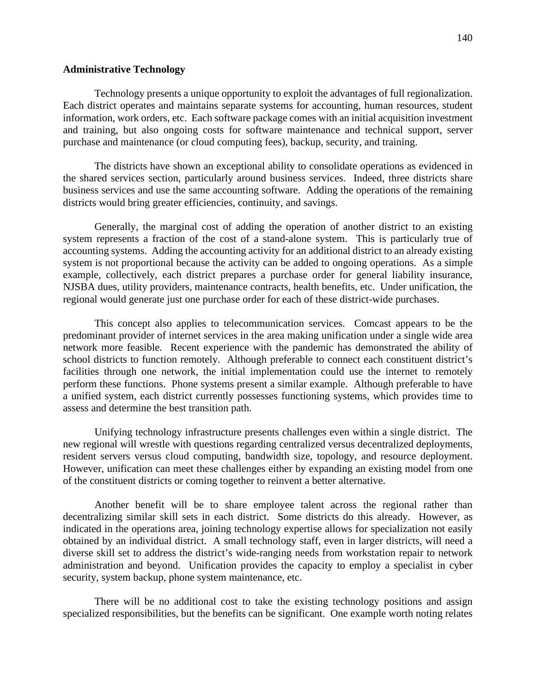#### **Administrative Technology**

Technology presents a unique opportunity to exploit the advantages of full regionalization. Each district operates and maintains separate systems for accounting, human resources, student information, work orders, etc. Each software package comes with an initial acquisition investment and training, but also ongoing costs for software maintenance and technical support, server purchase and maintenance (or cloud computing fees), backup, security, and training.

The districts have shown an exceptional ability to consolidate operations as evidenced in the shared services section, particularly around business services. Indeed, three districts share business services and use the same accounting software. Adding the operations of the remaining districts would bring greater efficiencies, continuity, and savings.

Generally, the marginal cost of adding the operation of another district to an existing system represents a fraction of the cost of a stand-alone system. This is particularly true of accounting systems. Adding the accounting activity for an additional district to an already existing system is not proportional because the activity can be added to ongoing operations. As a simple example, collectively, each district prepares a purchase order for general liability insurance, NJSBA dues, utility providers, maintenance contracts, health benefits, etc. Under unification, the regional would generate just one purchase order for each of these district-wide purchases.

This concept also applies to telecommunication services. Comcast appears to be the predominant provider of internet services in the area making unification under a single wide area network more feasible. Recent experience with the pandemic has demonstrated the ability of school districts to function remotely. Although preferable to connect each constituent district's facilities through one network, the initial implementation could use the internet to remotely perform these functions. Phone systems present a similar example. Although preferable to have a unified system, each district currently possesses functioning systems, which provides time to assess and determine the best transition path.

Unifying technology infrastructure presents challenges even within a single district. The new regional will wrestle with questions regarding centralized versus decentralized deployments, resident servers versus cloud computing, bandwidth size, topology, and resource deployment. However, unification can meet these challenges either by expanding an existing model from one of the constituent districts or coming together to reinvent a better alternative.

Another benefit will be to share employee talent across the regional rather than decentralizing similar skill sets in each district. Some districts do this already. However, as indicated in the operations area, joining technology expertise allows for specialization not easily obtained by an individual district. A small technology staff, even in larger districts, will need a diverse skill set to address the district's wide-ranging needs from workstation repair to network administration and beyond. Unification provides the capacity to employ a specialist in cyber security, system backup, phone system maintenance, etc.

There will be no additional cost to take the existing technology positions and assign specialized responsibilities, but the benefits can be significant. One example worth noting relates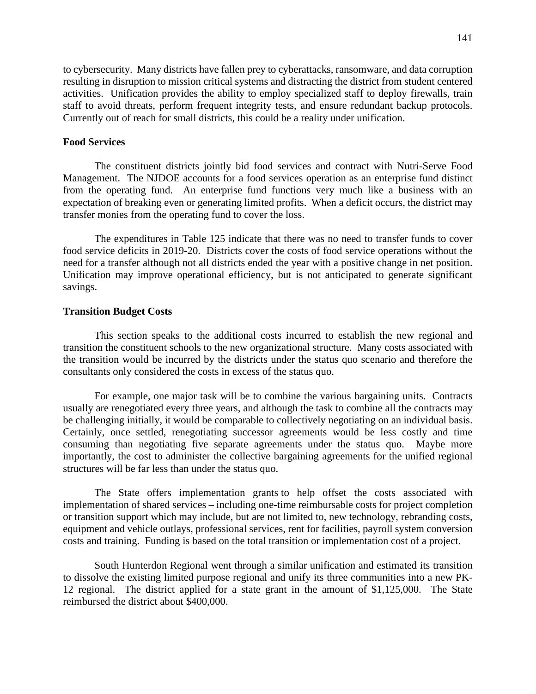to cybersecurity. Many districts have fallen prey to cyberattacks, ransomware, and data corruption resulting in disruption to mission critical systems and distracting the district from student centered activities. Unification provides the ability to employ specialized staff to deploy firewalls, train staff to avoid threats, perform frequent integrity tests, and ensure redundant backup protocols. Currently out of reach for small districts, this could be a reality under unification.

#### **Food Services**

The constituent districts jointly bid food services and contract with Nutri-Serve Food Management. The NJDOE accounts for a food services operation as an enterprise fund distinct from the operating fund. An enterprise fund functions very much like a business with an expectation of breaking even or generating limited profits. When a deficit occurs, the district may transfer monies from the operating fund to cover the loss.

The expenditures in Table 125 indicate that there was no need to transfer funds to cover food service deficits in 2019-20. Districts cover the costs of food service operations without the need for a transfer although not all districts ended the year with a positive change in net position. Unification may improve operational efficiency, but is not anticipated to generate significant savings.

#### **Transition Budget Costs**

This section speaks to the additional costs incurred to establish the new regional and transition the constituent schools to the new organizational structure. Many costs associated with the transition would be incurred by the districts under the status quo scenario and therefore the consultants only considered the costs in excess of the status quo.

For example, one major task will be to combine the various bargaining units. Contracts usually are renegotiated every three years, and although the task to combine all the contracts may be challenging initially, it would be comparable to collectively negotiating on an individual basis. Certainly, once settled, renegotiating successor agreements would be less costly and time consuming than negotiating five separate agreements under the status quo. Maybe more importantly, the cost to administer the collective bargaining agreements for the unified regional structures will be far less than under the status quo.

The State offers implementation grants to help offset the costs associated with implementation of shared services – including one-time reimbursable costs for project completion or transition support which may include, but are not limited to, new technology, rebranding costs, equipment and vehicle outlays, professional services, rent for facilities, payroll system conversion costs and training. Funding is based on the total transition or implementation cost of a project.

South Hunterdon Regional went through a similar unification and estimated its transition to dissolve the existing limited purpose regional and unify its three communities into a new PK-12 regional. The district applied for a state grant in the amount of \$1,125,000. The State reimbursed the district about \$400,000.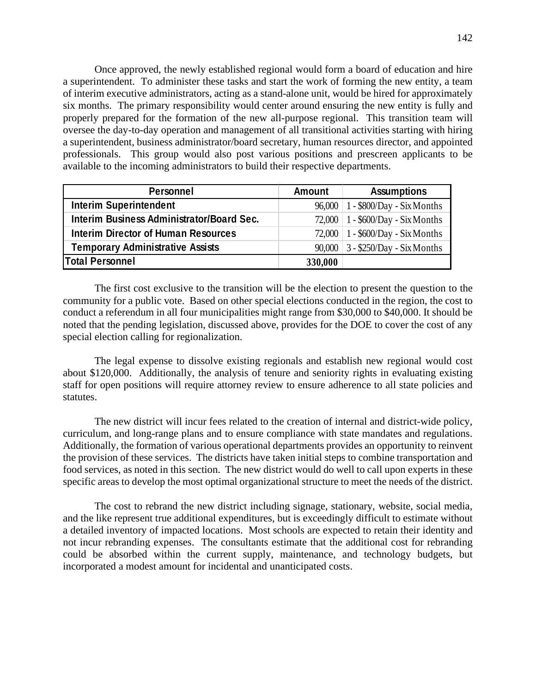Once approved, the newly established regional would form a board of education and hire a superintendent. To administer these tasks and start the work of forming the new entity, a team of interim executive administrators, acting as a stand-alone unit, would be hired for approximately six months. The primary responsibility would center around ensuring the new entity is fully and properly prepared for the formation of the new all-purpose regional. This transition team will oversee the day-to-day operation and management of all transitional activities starting with hiring a superintendent, business administrator/board secretary, human resources director, and appointed professionals. This group would also post various positions and prescreen applicants to be available to the incoming administrators to build their respective departments.

| Personnel                                  | <b>Amount</b> | <b>Assumptions</b>                    |
|--------------------------------------------|---------------|---------------------------------------|
| <b>Interim Superintendent</b>              |               | 96,000   1 - \$800/Day - Six Months   |
| Interim Business Administrator/Board Sec.  |               | 72,000   $1 - $600/Day - Six months$  |
| <b>Interim Director of Human Resources</b> |               | 72,000   $1 - $600/Day - Six months$  |
| <b>Temporary Administrative Assists</b>    |               | $90,000$   3 - \$250/Day - Six Months |
| Total Personnel                            | 330,000       |                                       |

The first cost exclusive to the transition will be the election to present the question to the community for a public vote. Based on other special elections conducted in the region, the cost to conduct a referendum in all four municipalities might range from \$30,000 to \$40,000. It should be noted that the pending legislation, discussed above, provides for the DOE to cover the cost of any special election calling for regionalization.

The legal expense to dissolve existing regionals and establish new regional would cost about \$120,000. Additionally, the analysis of tenure and seniority rights in evaluating existing staff for open positions will require attorney review to ensure adherence to all state policies and statutes.

The new district will incur fees related to the creation of internal and district-wide policy, curriculum, and long-range plans and to ensure compliance with state mandates and regulations. Additionally, the formation of various operational departments provides an opportunity to reinvent the provision of these services. The districts have taken initial steps to combine transportation and food services, as noted in this section. The new district would do well to call upon experts in these specific areas to develop the most optimal organizational structure to meet the needs of the district.

The cost to rebrand the new district including signage, stationary, website, social media, and the like represent true additional expenditures, but is exceedingly difficult to estimate without a detailed inventory of impacted locations. Most schools are expected to retain their identity and not incur rebranding expenses. The consultants estimate that the additional cost for rebranding could be absorbed within the current supply, maintenance, and technology budgets, but incorporated a modest amount for incidental and unanticipated costs.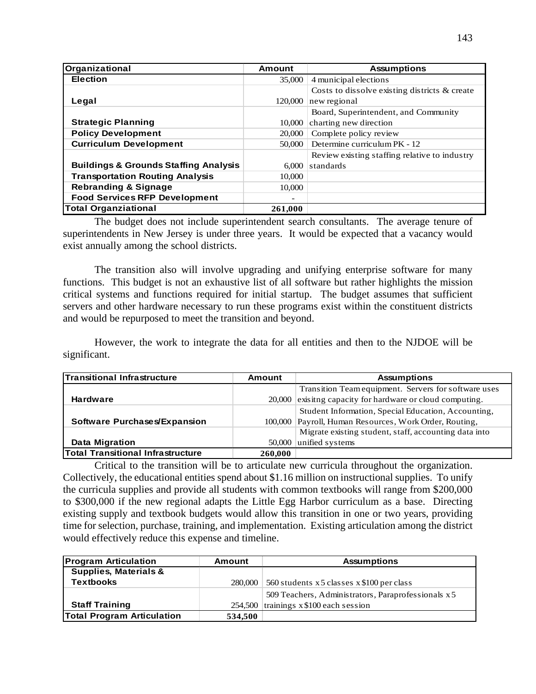| Organizational                                   | <b>Amount</b> | <b>Assumptions</b>                            |
|--------------------------------------------------|---------------|-----------------------------------------------|
| <b>Election</b>                                  | 35,000        | 4 municipal elections                         |
|                                                  |               | Costs to dissolve existing districts & create |
| Legal                                            | 120,000       | new regional                                  |
|                                                  |               | Board, Superintendent, and Community          |
| <b>Strategic Planning</b>                        | 10,000        | charting new direction                        |
| <b>Policy Development</b>                        | 20,000        | Complete policy review                        |
| <b>Curriculum Development</b>                    | 50,000        | Determine curriculum PK - 12                  |
|                                                  |               | Review existing staffing relative to industry |
| <b>Buildings &amp; Grounds Staffing Analysis</b> | 6.000         | standards                                     |
| <b>Transportation Routing Analysis</b>           | 10,000        |                                               |
| <b>Rebranding &amp; Signage</b>                  | 10,000        |                                               |
| <b>Food Services RFP Development</b>             |               |                                               |
| <b>Total Organziational</b>                      | 261.000       |                                               |

The budget does not include superintendent search consultants. The average tenure of superintendents in New Jersey is under three years. It would be expected that a vacancy would exist annually among the school districts.

The transition also will involve upgrading and unifying enterprise software for many functions. This budget is not an exhaustive list of all software but rather highlights the mission critical systems and functions required for initial startup. The budget assumes that sufficient servers and other hardware necessary to run these programs exist within the constituent districts and would be repurposed to meet the transition and beyond.

However, the work to integrate the data for all entities and then to the NJDOE will be significant.

| Transitional Infrastructure              | Amount  | <b>Assumptions</b>                                     |
|------------------------------------------|---------|--------------------------------------------------------|
|                                          |         | Transition Team equipment. Servers for software uses   |
| <b>Hardware</b>                          | 20,000  | exisitng capacity for hardware or cloud computing.     |
|                                          |         | Student Information, Special Education, Accounting,    |
| Software Purchases/Expansion             |         | 100,000 Payroll, Human Resources, Work Order, Routing, |
|                                          |         | Migrate existing student, staff, accounting data into  |
| Data Migration                           | 50,000  | unified systems                                        |
| <b>Total Transitional Infrastructure</b> | 260,000 |                                                        |

Critical to the transition will be to articulate new curricula throughout the organization. Collectively, the educational entities spend about \$1.16 million on instructional supplies. To unify the curricula supplies and provide all students with common textbooks will range from \$200,000 to \$300,000 if the new regional adapts the Little Egg Harbor curriculum as a base. Directing existing supply and textbook budgets would allow this transition in one or two years, providing time for selection, purchase, training, and implementation. Existing articulation among the district would effectively reduce this expense and timeline.

| <b>Program Articulation</b>       | Amount  | <b>Assumptions</b>                                 |
|-----------------------------------|---------|----------------------------------------------------|
| <b>Supplies, Materials &amp;</b>  |         |                                                    |
| <b>Textbooks</b>                  | 280,000 | 560 students x 5 classes x \$100 per class         |
|                                   |         | 509 Teachers, Administrators, Paraprofessionals x5 |
| <b>Staff Training</b>             | 254,500 | trainings $x$ \$100 each session                   |
| <b>Total Program Articulation</b> | 534,500 |                                                    |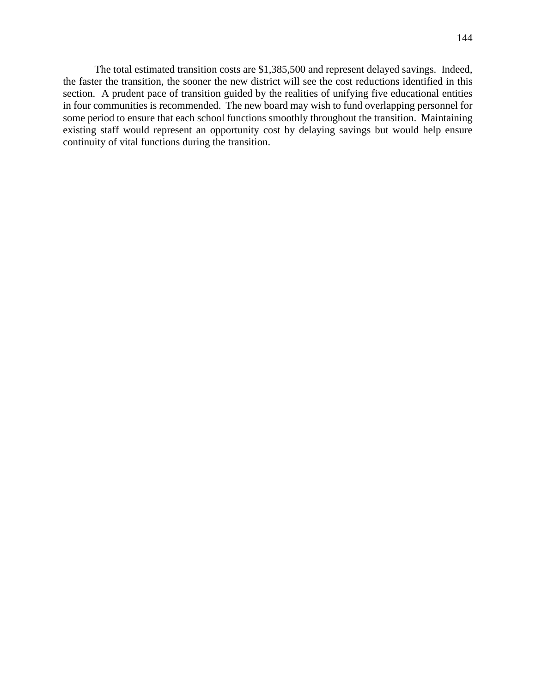The total estimated transition costs are \$1,385,500 and represent delayed savings. Indeed, the faster the transition, the sooner the new district will see the cost reductions identified in this section. A prudent pace of transition guided by the realities of unifying five educational entities in four communities is recommended. The new board may wish to fund overlapping personnel for some period to ensure that each school functions smoothly throughout the transition. Maintaining existing staff would represent an opportunity cost by delaying savings but would help ensure continuity of vital functions during the transition.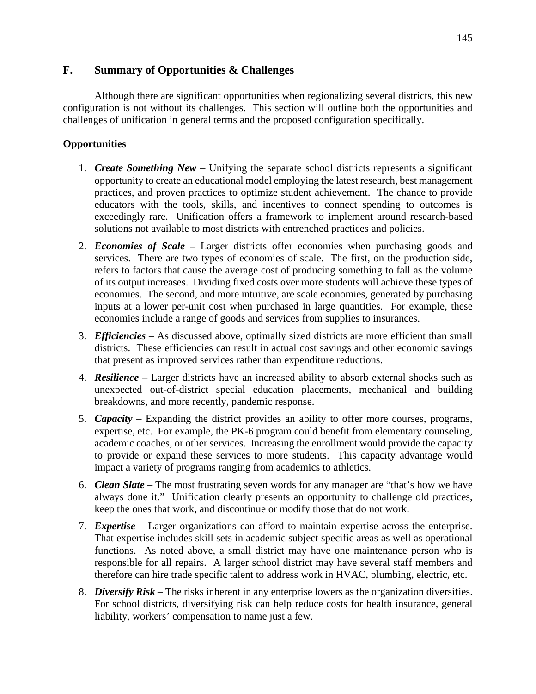### **F. Summary of Opportunities & Challenges**

Although there are significant opportunities when regionalizing several districts, this new configuration is not without its challenges. This section will outline both the opportunities and challenges of unification in general terms and the proposed configuration specifically.

### **Opportunities**

- 1. *Create Something New* Unifying the separate school districts represents a significant opportunity to create an educational model employing the latest research, best management practices, and proven practices to optimize student achievement. The chance to provide educators with the tools, skills, and incentives to connect spending to outcomes is exceedingly rare. Unification offers a framework to implement around research-based solutions not available to most districts with entrenched practices and policies.
- 2. *Economies of Scale* Larger districts offer economies when purchasing goods and services. There are two types of economies of scale. The first, on the production side, refers to factors that cause the average cost of producing something to fall as the volume of its output increases. Dividing fixed costs over more students will achieve these types of economies. The second, and more intuitive, are scale economies, generated by purchasing inputs at a lower per-unit cost when purchased in large quantities. For example, these economies include a range of goods and services from supplies to insurances.
- 3. *Efficiencies* As discussed above, optimally sized districts are more efficient than small districts. These efficiencies can result in actual cost savings and other economic savings that present as improved services rather than expenditure reductions.
- 4. *Resilience* Larger districts have an increased ability to absorb external shocks such as unexpected out-of-district special education placements, mechanical and building breakdowns, and more recently, pandemic response.
- 5. *Capacity* Expanding the district provides an ability to offer more courses, programs, expertise, etc. For example, the PK-6 program could benefit from elementary counseling, academic coaches, or other services. Increasing the enrollment would provide the capacity to provide or expand these services to more students. This capacity advantage would impact a variety of programs ranging from academics to athletics.
- 6. *Clean Slate* The most frustrating seven words for any manager are "that's how we have always done it." Unification clearly presents an opportunity to challenge old practices, keep the ones that work, and discontinue or modify those that do not work.
- 7. *Expertise* Larger organizations can afford to maintain expertise across the enterprise. That expertise includes skill sets in academic subject specific areas as well as operational functions. As noted above, a small district may have one maintenance person who is responsible for all repairs. A larger school district may have several staff members and therefore can hire trade specific talent to address work in HVAC, plumbing, electric, etc.
- 8. *Diversify Risk* The risks inherent in any enterprise lowers as the organization diversifies. For school districts, diversifying risk can help reduce costs for health insurance, general liability, workers' compensation to name just a few.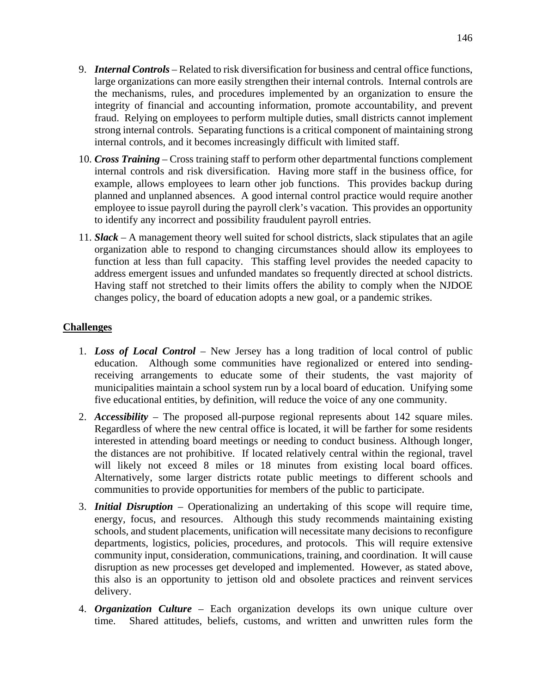- 9. *Internal Controls* Related to risk diversification for business and central office functions, large organizations can more easily strengthen their internal controls. Internal controls are the mechanisms, rules, and procedures implemented by an organization to ensure the integrity of financial and accounting information, promote accountability, and prevent fraud. Relying on employees to perform multiple duties, small districts cannot implement strong internal controls. Separating functions is a critical component of maintaining strong internal controls, and it becomes increasingly difficult with limited staff.
- 10. *Cross Training* Cross training staff to perform other departmental functions complement internal controls and risk diversification. Having more staff in the business office, for example, allows employees to learn other job functions. This provides backup during planned and unplanned absences. A good internal control practice would require another employee to issue payroll during the payroll clerk's vacation. This provides an opportunity to identify any incorrect and possibility fraudulent payroll entries.
- 11. *Slack* A management theory well suited for school districts, slack stipulates that an agile organization able to respond to changing circumstances should allow its employees to function at less than full capacity. This staffing level provides the needed capacity to address emergent issues and unfunded mandates so frequently directed at school districts. Having staff not stretched to their limits offers the ability to comply when the NJDOE changes policy, the board of education adopts a new goal, or a pandemic strikes.

### **Challenges**

- 1. *Loss of Local Control* New Jersey has a long tradition of local control of public education. Although some communities have regionalized or entered into sendingreceiving arrangements to educate some of their students, the vast majority of municipalities maintain a school system run by a local board of education. Unifying some five educational entities, by definition, will reduce the voice of any one community.
- 2. *Accessibility* The proposed all-purpose regional represents about 142 square miles. Regardless of where the new central office is located, it will be farther for some residents interested in attending board meetings or needing to conduct business. Although longer, the distances are not prohibitive. If located relatively central within the regional, travel will likely not exceed 8 miles or 18 minutes from existing local board offices. Alternatively, some larger districts rotate public meetings to different schools and communities to provide opportunities for members of the public to participate.
- 3. *Initial Disruption* Operationalizing an undertaking of this scope will require time, energy, focus, and resources. Although this study recommends maintaining existing schools, and student placements, unification will necessitate many decisions to reconfigure departments, logistics, policies, procedures, and protocols. This will require extensive community input, consideration, communications, training, and coordination. It will cause disruption as new processes get developed and implemented. However, as stated above, this also is an opportunity to jettison old and obsolete practices and reinvent services delivery.
- 4. *Organization Culture* Each organization develops its own unique culture over time. Shared attitudes, beliefs, customs, and written and unwritten rules form the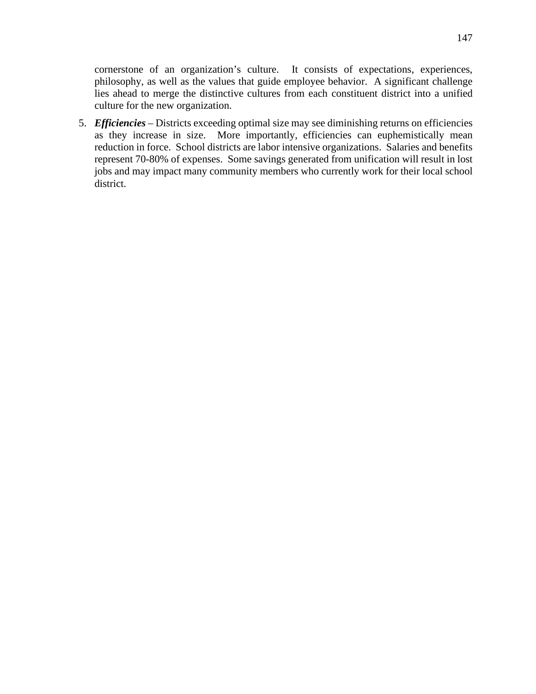cornerstone of an organization's culture. It consists of expectations, experiences, philosophy, as well as the values that guide employee behavior. A significant challenge lies ahead to merge the distinctive cultures from each constituent district into a unified culture for the new organization.

5. *Efficiencies* – Districts exceeding optimal size may see diminishing returns on efficiencies as they increase in size. More importantly, efficiencies can euphemistically mean reduction in force. School districts are labor intensive organizations. Salaries and benefits represent 70-80% of expenses. Some savings generated from unification will result in lost jobs and may impact many community members who currently work for their local school district.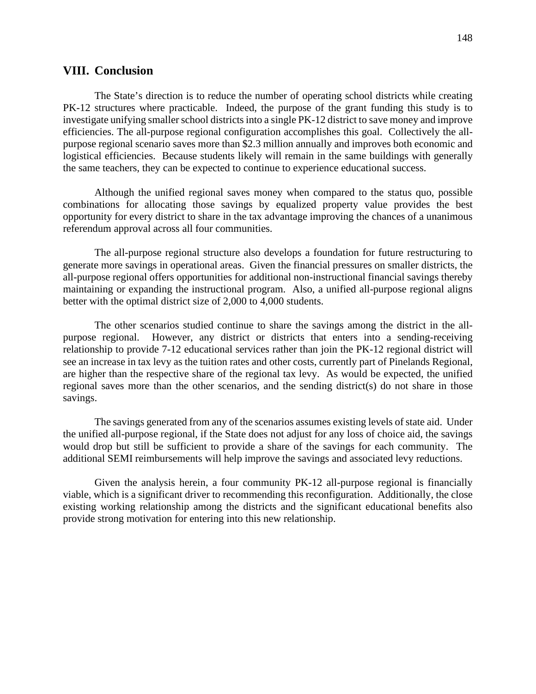### **VIII. Conclusion**

The State's direction is to reduce the number of operating school districts while creating PK-12 structures where practicable. Indeed, the purpose of the grant funding this study is to investigate unifying smaller school districts into a single PK-12 district to save money and improve efficiencies. The all-purpose regional configuration accomplishes this goal. Collectively the allpurpose regional scenario saves more than \$2.3 million annually and improves both economic and logistical efficiencies. Because students likely will remain in the same buildings with generally the same teachers, they can be expected to continue to experience educational success.

Although the unified regional saves money when compared to the status quo, possible combinations for allocating those savings by equalized property value provides the best opportunity for every district to share in the tax advantage improving the chances of a unanimous referendum approval across all four communities.

The all-purpose regional structure also develops a foundation for future restructuring to generate more savings in operational areas. Given the financial pressures on smaller districts, the all-purpose regional offers opportunities for additional non-instructional financial savings thereby maintaining or expanding the instructional program. Also, a unified all-purpose regional aligns better with the optimal district size of 2,000 to 4,000 students.

The other scenarios studied continue to share the savings among the district in the allpurpose regional. However, any district or districts that enters into a sending-receiving relationship to provide 7-12 educational services rather than join the PK-12 regional district will see an increase in tax levy as the tuition rates and other costs, currently part of Pinelands Regional, are higher than the respective share of the regional tax levy. As would be expected, the unified regional saves more than the other scenarios, and the sending district(s) do not share in those savings.

The savings generated from any of the scenarios assumes existing levels of state aid. Under the unified all-purpose regional, if the State does not adjust for any loss of choice aid, the savings would drop but still be sufficient to provide a share of the savings for each community. The additional SEMI reimbursements will help improve the savings and associated levy reductions.

Given the analysis herein, a four community PK-12 all-purpose regional is financially viable, which is a significant driver to recommending this reconfiguration. Additionally, the close existing working relationship among the districts and the significant educational benefits also provide strong motivation for entering into this new relationship.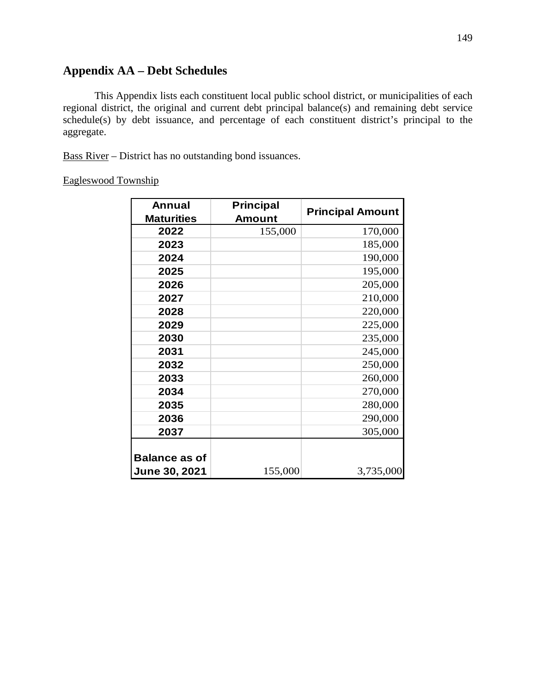# **Appendix AA – Debt Schedules**

This Appendix lists each constituent local public school district, or municipalities of each regional district, the original and current debt principal balance(s) and remaining debt service schedule(s) by debt issuance, and percentage of each constituent district's principal to the aggregate.

Bass River – District has no outstanding bond issuances.

### Eagleswood Township

| <b>Annual</b>        | <b>Principal</b> | <b>Principal Amount</b> |
|----------------------|------------------|-------------------------|
| <b>Maturities</b>    | <b>Amount</b>    |                         |
| 2022                 | 155,000          | 170,000                 |
| 2023                 |                  | 185,000                 |
| 2024                 |                  | 190,000                 |
| 2025                 |                  | 195,000                 |
| 2026                 |                  | 205,000                 |
| 2027                 |                  | 210,000                 |
| 2028                 |                  | 220,000                 |
| 2029                 |                  | 225,000                 |
| 2030                 |                  | 235,000                 |
| 2031                 |                  | 245,000                 |
| 2032                 |                  | 250,000                 |
| 2033                 |                  | 260,000                 |
| 2034                 |                  | 270,000                 |
| 2035                 |                  | 280,000                 |
| 2036                 |                  | 290,000                 |
| 2037                 |                  | 305,000                 |
|                      |                  |                         |
| <b>Balance as of</b> |                  |                         |
| <b>June 30, 2021</b> | 155,000          | 3,735,000               |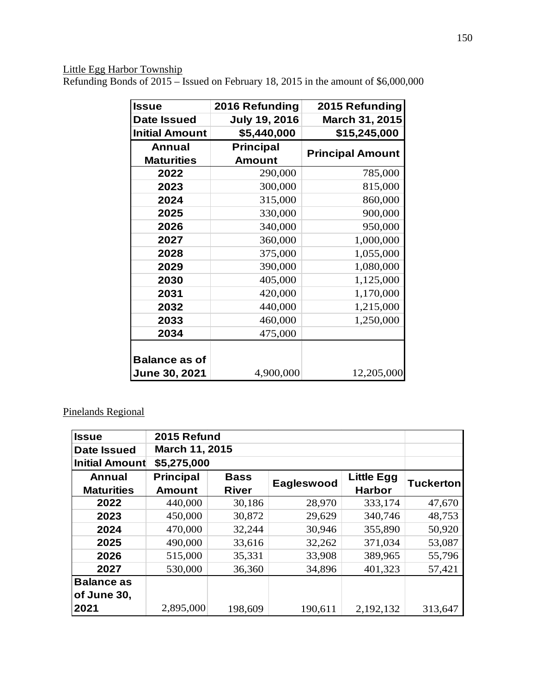### Little Egg Harbor Township

Refunding Bonds of 2015 – Issued on February 18, 2015 in the amount of \$6,000,000

| <b>Issue</b>          | 2016 Refunding       | 2015 Refunding          |
|-----------------------|----------------------|-------------------------|
| <b>Date Issued</b>    | <b>July 19, 2016</b> | March 31, 2015          |
| <b>Initial Amount</b> | \$5,440,000          | \$15,245,000            |
| <b>Annual</b>         | <b>Principal</b>     |                         |
| <b>Maturities</b>     | <b>Amount</b>        | <b>Principal Amount</b> |
| 2022                  | 290,000              | 785,000                 |
| 2023                  | 300,000              | 815,000                 |
| 2024                  | 315,000              | 860,000                 |
| 2025                  | 330,000              | 900,000                 |
| 2026                  | 340,000              | 950,000                 |
| 2027                  | 360,000              | 1,000,000               |
| 2028                  | 375,000              | 1,055,000               |
| 2029                  | 390,000              | 1,080,000               |
| 2030                  | 405,000              | 1,125,000               |
| 2031                  | 420,000              | 1,170,000               |
| 2032                  | 440,000              | 1,215,000               |
| 2033                  | 460,000              | 1,250,000               |
| 2034                  | 475,000              |                         |
|                       |                      |                         |
| <b>Balance as of</b>  |                      |                         |
| <b>June 30, 2021</b>  | 4,900,000            | 12,205,000              |

# Pinelands Regional

| <b>Issue</b>          | 2015 Refund           |              |            |                   |                  |
|-----------------------|-----------------------|--------------|------------|-------------------|------------------|
| <b>Date Issued</b>    | <b>March 11, 2015</b> |              |            |                   |                  |
| <b>Initial Amount</b> | \$5,275,000           |              |            |                   |                  |
| <b>Annual</b>         | <b>Principal</b>      | <b>Bass</b>  |            | <b>Little Egg</b> | <b>Tuckerton</b> |
| <b>Maturities</b>     | <b>Amount</b>         | <b>River</b> | Eagleswood | <b>Harbor</b>     |                  |
| 2022                  | 440,000               | 30,186       | 28,970     | 333,174           | 47,670           |
| 2023                  | 450,000               | 30,872       | 29,629     | 340,746           | 48,753           |
| 2024                  | 470,000               | 32,244       | 30,946     | 355,890           | 50,920           |
| 2025                  | 490,000               | 33,616       | 32,262     | 371,034           | 53,087           |
| 2026                  | 515,000               | 35,331       | 33,908     | 389,965           | 55,796           |
| 2027                  | 530,000               | 36,360       | 34,896     | 401,323           | 57,421           |
| <b>Balance as</b>     |                       |              |            |                   |                  |
| of June 30,           |                       |              |            |                   |                  |
| 2021                  | 2,895,000             | 198,609      | 190,611    | 2,192,132         | 313,647          |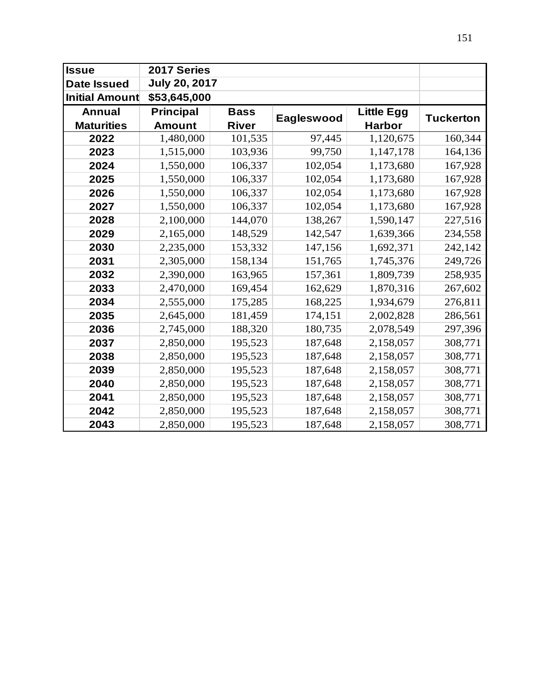| <b>Issue</b>          | 2017 Series          |              |            |                   |                  |
|-----------------------|----------------------|--------------|------------|-------------------|------------------|
| <b>Date Issued</b>    | <b>July 20, 2017</b> |              |            |                   |                  |
| <b>Initial Amount</b> | \$53,645,000         |              |            |                   |                  |
| <b>Annual</b>         | <b>Principal</b>     | <b>Bass</b>  | Eagleswood | <b>Little Egg</b> | <b>Tuckerton</b> |
| <b>Maturities</b>     | <b>Amount</b>        | <b>River</b> |            | <b>Harbor</b>     |                  |
| 2022                  | 1,480,000            | 101,535      | 97,445     | 1,120,675         | 160,344          |
| 2023                  | 1,515,000            | 103,936      | 99,750     | 1,147,178         | 164,136          |
| 2024                  | 1,550,000            | 106,337      | 102,054    | 1,173,680         | 167,928          |
| 2025                  | 1,550,000            | 106,337      | 102,054    | 1,173,680         | 167,928          |
| 2026                  | 1,550,000            | 106,337      | 102,054    | 1,173,680         | 167,928          |
| 2027                  | 1,550,000            | 106,337      | 102,054    | 1,173,680         | 167,928          |
| 2028                  | 2,100,000            | 144,070      | 138,267    | 1,590,147         | 227,516          |
| 2029                  | 2,165,000            | 148,529      | 142,547    | 1,639,366         | 234,558          |
| 2030                  | 2,235,000            | 153,332      | 147,156    | 1,692,371         | 242,142          |
| 2031                  | 2,305,000            | 158,134      | 151,765    | 1,745,376         | 249,726          |
| 2032                  | 2,390,000            | 163,965      | 157,361    | 1,809,739         | 258,935          |
| 2033                  | 2,470,000            | 169,454      | 162,629    | 1,870,316         | 267,602          |
| 2034                  | 2,555,000            | 175,285      | 168,225    | 1,934,679         | 276,811          |
| 2035                  | 2,645,000            | 181,459      | 174,151    | 2,002,828         | 286,561          |
| 2036                  | 2,745,000            | 188,320      | 180,735    | 2,078,549         | 297,396          |
| 2037                  | 2,850,000            | 195,523      | 187,648    | 2,158,057         | 308,771          |
| 2038                  | 2,850,000            | 195,523      | 187,648    | 2,158,057         | 308,771          |
| 2039                  | 2,850,000            | 195,523      | 187,648    | 2,158,057         | 308,771          |
| 2040                  | 2,850,000            | 195,523      | 187,648    | 2,158,057         | 308,771          |
| 2041                  | 2,850,000            | 195,523      | 187,648    | 2,158,057         | 308,771          |
| 2042                  | 2,850,000            | 195,523      | 187,648    | 2,158,057         | 308,771          |
| 2043                  | 2,850,000            | 195,523      | 187,648    | 2,158,057         | 308,771          |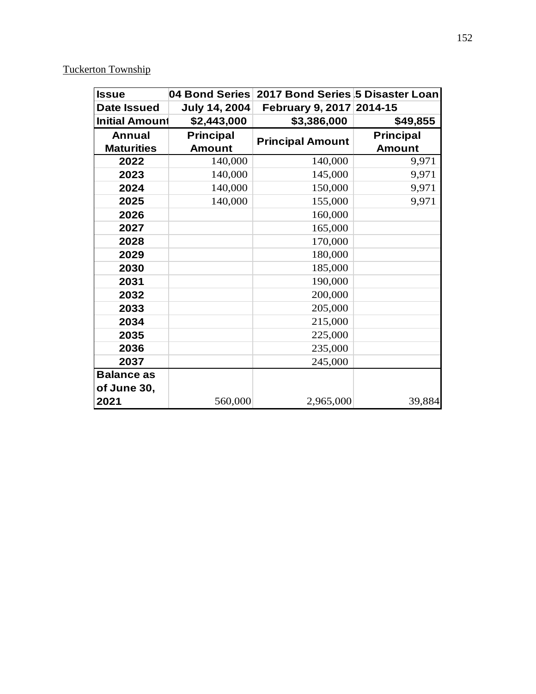# Tuckerton Township

| <b>Issue</b>          | 04 Bond Series       | 2017 Bond Series 5 Disaster Loan |                  |
|-----------------------|----------------------|----------------------------------|------------------|
| Date Issued           | <b>July 14, 2004</b> | February 9, 2017 2014-15         |                  |
| <b>Initial Amount</b> | \$2,443,000          | \$3,386,000                      | \$49,855         |
| <b>Annual</b>         | <b>Principal</b>     | <b>Principal Amount</b>          | <b>Principal</b> |
| <b>Maturities</b>     | <b>Amount</b>        |                                  | <b>Amount</b>    |
| 2022                  | 140,000              | 140,000                          | 9,971            |
| 2023                  | 140,000              | 145,000                          | 9,971            |
| 2024                  | 140,000              | 150,000                          | 9,971            |
| 2025                  | 140,000              | 155,000                          | 9,971            |
| 2026                  |                      | 160,000                          |                  |
| 2027                  |                      | 165,000                          |                  |
| 2028                  |                      | 170,000                          |                  |
| 2029                  |                      | 180,000                          |                  |
| 2030                  |                      | 185,000                          |                  |
| 2031                  |                      | 190,000                          |                  |
| 2032                  |                      | 200,000                          |                  |
| 2033                  |                      | 205,000                          |                  |
| 2034                  |                      | 215,000                          |                  |
| 2035                  |                      | 225,000                          |                  |
| 2036                  |                      | 235,000                          |                  |
| 2037                  |                      | 245,000                          |                  |
| <b>Balance as</b>     |                      |                                  |                  |
| of June 30,           |                      |                                  |                  |
| 2021                  | 560,000              | 2,965,000                        | 39,884           |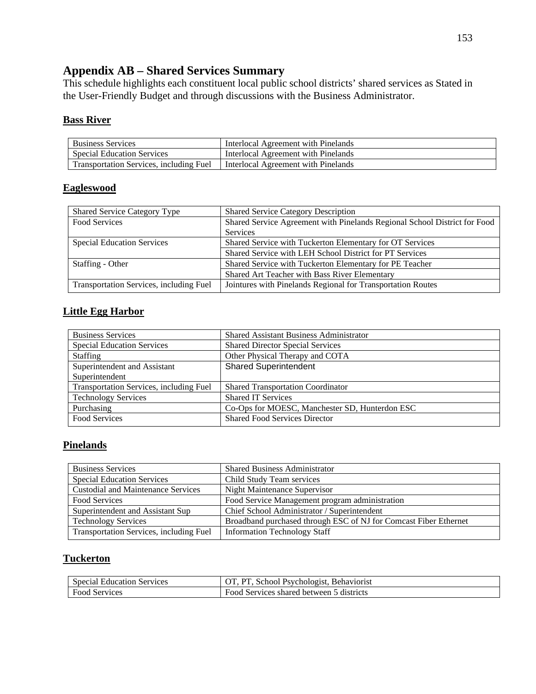# **Appendix AB – Shared Services Summary**

This schedule highlights each constituent local public school districts' shared services as Stated in the User-Friendly Budget and through discussions with the Business Administrator.

### **Bass River**

| <b>Business Services</b>                | Interlocal Agreement with Pinelands |
|-----------------------------------------|-------------------------------------|
| <b>Special Education Services</b>       | Interlocal Agreement with Pinelands |
| Transportation Services, including Fuel | Interlocal Agreement with Pinelands |

### **Eagleswood**

| <b>Shared Service Category Type</b>            | <b>Shared Service Category Description</b>                                |
|------------------------------------------------|---------------------------------------------------------------------------|
| Food Services                                  | Shared Service Agreement with Pinelands Regional School District for Food |
|                                                | Services                                                                  |
| <b>Special Education Services</b>              | Shared Service with Tuckerton Elementary for OT Services                  |
|                                                | Shared Service with LEH School District for PT Services                   |
| Staffing - Other                               | Shared Service with Tuckerton Elementary for PE Teacher                   |
|                                                | Shared Art Teacher with Bass River Elementary                             |
| <b>Transportation Services, including Fuel</b> | Jointures with Pinelands Regional for Transportation Routes               |

### **Little Egg Harbor**

| <b>Business Services</b>                       | <b>Shared Assistant Business Administrator</b> |  |  |  |
|------------------------------------------------|------------------------------------------------|--|--|--|
| <b>Special Education Services</b>              | <b>Shared Director Special Services</b>        |  |  |  |
| <b>Staffing</b>                                | Other Physical Therapy and COTA                |  |  |  |
| Superintendent and Assistant                   | <b>Shared Superintendent</b>                   |  |  |  |
| Superintendent                                 |                                                |  |  |  |
| <b>Transportation Services, including Fuel</b> | <b>Shared Transportation Coordinator</b>       |  |  |  |
| <b>Technology Services</b>                     | <b>Shared IT Services</b>                      |  |  |  |
| Purchasing                                     | Co-Ops for MOESC, Manchester SD, Hunterdon ESC |  |  |  |
| Food Services                                  | <b>Shared Food Services Director</b>           |  |  |  |

### **Pinelands**

| <b>Business Services</b>                  | <b>Shared Business Administrator</b>                             |  |  |  |
|-------------------------------------------|------------------------------------------------------------------|--|--|--|
| <b>Special Education Services</b>         | Child Study Team services                                        |  |  |  |
| <b>Custodial and Maintenance Services</b> | Night Maintenance Supervisor                                     |  |  |  |
| Food Services                             | Food Service Management program administration                   |  |  |  |
| Superintendent and Assistant Sup          | Chief School Administrator / Superintendent                      |  |  |  |
| <b>Technology Services</b>                | Broadband purchased through ESC of NJ for Comcast Fiber Ethernet |  |  |  |
| Transportation Services, including Fuel   | <b>Information Technology Staff</b>                              |  |  |  |

### **Tuckerton**

| <b>Special Education Services</b> | <b>Behaviorist</b><br>School Psychologist.                |
|-----------------------------------|-----------------------------------------------------------|
| <b>Food Services</b>              | $_{\text{Food}}$ .<br>Services shared between 5 districts |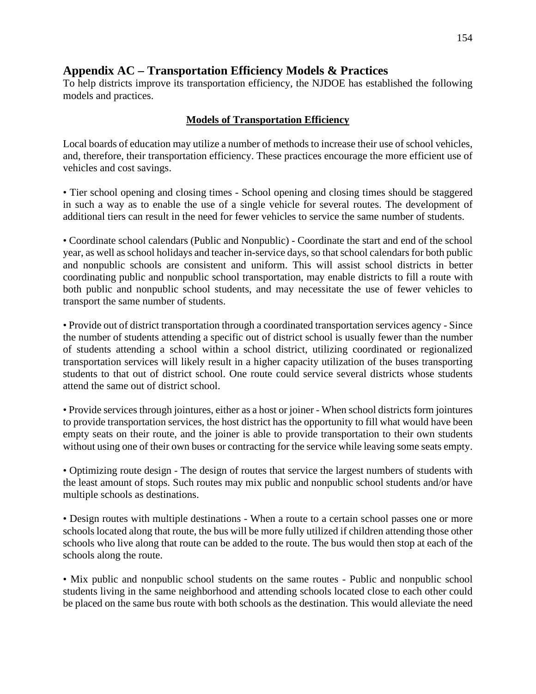## **Appendix AC – Transportation Efficiency Models & Practices**

To help districts improve its transportation efficiency, the NJDOE has established the following models and practices.

### **Models of Transportation Efficiency**

Local boards of education may utilize a number of methods to increase their use of school vehicles, and, therefore, their transportation efficiency. These practices encourage the more efficient use of vehicles and cost savings.

• Tier school opening and closing times - School opening and closing times should be staggered in such a way as to enable the use of a single vehicle for several routes. The development of additional tiers can result in the need for fewer vehicles to service the same number of students.

• Coordinate school calendars (Public and Nonpublic) - Coordinate the start and end of the school year, as well as school holidays and teacher in-service days, so that school calendars for both public and nonpublic schools are consistent and uniform. This will assist school districts in better coordinating public and nonpublic school transportation, may enable districts to fill a route with both public and nonpublic school students, and may necessitate the use of fewer vehicles to transport the same number of students.

• Provide out of district transportation through a coordinated transportation services agency - Since the number of students attending a specific out of district school is usually fewer than the number of students attending a school within a school district, utilizing coordinated or regionalized transportation services will likely result in a higher capacity utilization of the buses transporting students to that out of district school. One route could service several districts whose students attend the same out of district school.

• Provide services through jointures, either as a host or joiner - When school districts form jointures to provide transportation services, the host district has the opportunity to fill what would have been empty seats on their route, and the joiner is able to provide transportation to their own students without using one of their own buses or contracting for the service while leaving some seats empty.

• Optimizing route design - The design of routes that service the largest numbers of students with the least amount of stops. Such routes may mix public and nonpublic school students and/or have multiple schools as destinations.

• Design routes with multiple destinations - When a route to a certain school passes one or more schools located along that route, the bus will be more fully utilized if children attending those other schools who live along that route can be added to the route. The bus would then stop at each of the schools along the route.

• Mix public and nonpublic school students on the same routes - Public and nonpublic school students living in the same neighborhood and attending schools located close to each other could be placed on the same bus route with both schools as the destination. This would alleviate the need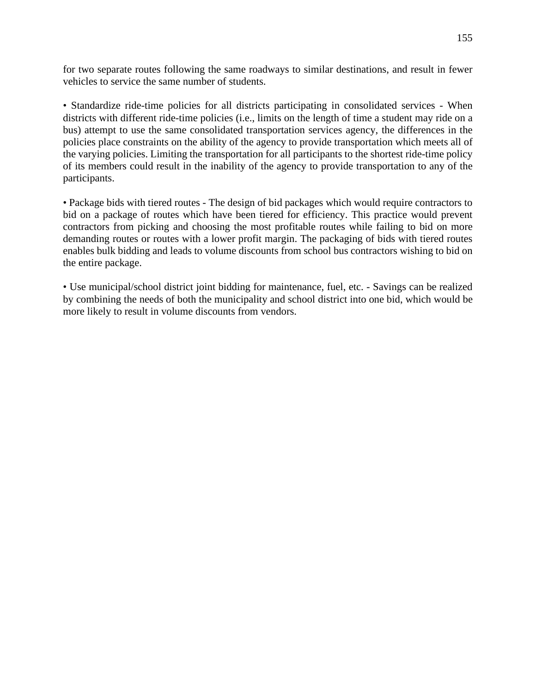for two separate routes following the same roadways to similar destinations, and result in fewer vehicles to service the same number of students.

• Standardize ride-time policies for all districts participating in consolidated services - When districts with different ride-time policies (i.e., limits on the length of time a student may ride on a bus) attempt to use the same consolidated transportation services agency, the differences in the policies place constraints on the ability of the agency to provide transportation which meets all of the varying policies. Limiting the transportation for all participants to the shortest ride-time policy of its members could result in the inability of the agency to provide transportation to any of the participants.

• Package bids with tiered routes - The design of bid packages which would require contractors to bid on a package of routes which have been tiered for efficiency. This practice would prevent contractors from picking and choosing the most profitable routes while failing to bid on more demanding routes or routes with a lower profit margin. The packaging of bids with tiered routes enables bulk bidding and leads to volume discounts from school bus contractors wishing to bid on the entire package.

• Use municipal/school district joint bidding for maintenance, fuel, etc. - Savings can be realized by combining the needs of both the municipality and school district into one bid, which would be more likely to result in volume discounts from vendors.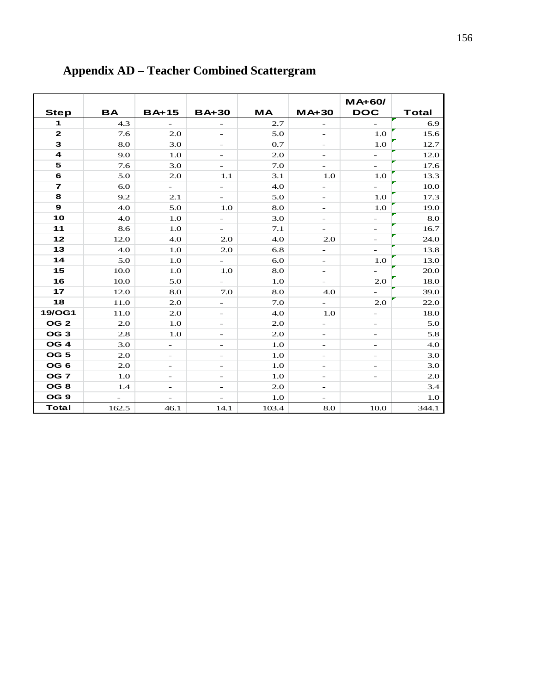|                 |           |                          |                          |           |                          | <b>MA+60/</b>            |              |
|-----------------|-----------|--------------------------|--------------------------|-----------|--------------------------|--------------------------|--------------|
| <b>Step</b>     | <b>BA</b> | <b>BA+15</b>             | <b>BA+30</b>             | <b>MA</b> | $MA+30$                  | <b>DOC</b>               | <b>Total</b> |
| 1               | 4.3       |                          |                          | 2.7       |                          | $\overline{\phantom{0}}$ | 6.9          |
| $\mathbf{z}$    | 7.6       | 2.0                      | -                        | 5.0       | $\qquad \qquad -$        | 1.0                      | 15.6         |
| 3               | 8.0       | 3.0                      | $\qquad \qquad -$        | 0.7       | $\overline{\phantom{a}}$ | 1.0                      | 12.7         |
| 4               | 9.0       | 1.0                      | $\overline{\phantom{0}}$ | 2.0       | $\overline{\phantom{0}}$ | $\overline{\phantom{0}}$ | 12.0         |
| 5               | 7.6       | 3.0                      | $\overline{\phantom{0}}$ | 7.0       |                          |                          | 17.6         |
| 6               | 5.0       | 2.0                      | 1.1                      | 3.1       | 1.O                      | $1.0\,$                  | 13.3         |
| $\overline{7}$  | 6.0       | $\overline{\phantom{0}}$ | -                        | 4.0       | $\qquad \qquad -$        | $\overline{\phantom{0}}$ | 10.0         |
| 8               | 9.2       | 2.1                      | $\overline{\phantom{0}}$ | 5.0       | $\overline{\phantom{0}}$ | $1.0\,$                  | 17.3         |
| $\mathbf{9}$    | 4.0       | 5.0                      | 1.0                      | 8.0       | $\overline{\phantom{0}}$ | 1.0                      | 19.0         |
| 10              | 4.0       | 1.O                      | $\overline{\phantom{a}}$ | 3.0       | $\qquad \qquad -$        | $\overline{\phantom{0}}$ | 8.0          |
| 11              | 8.6       | 1.0                      | -                        | 7.1       | -                        | -                        | 16.7         |
| 12              | 12.0      | 4.0                      | 2.0                      | 4.0       | 2.0                      | -                        | 24.0         |
| 13              | 4.0       | 1.0                      | 2.0                      | 6.8       | $\overline{\phantom{0}}$ | $\overline{a}$           | 13.8         |
| 14              | 5.0       | 1.0                      | $\overline{\phantom{0}}$ | 6.0       | $\qquad \qquad -$        | $1.0\,$                  | 13.0         |
| 15              | 10.0      | 1.O                      | 1.0                      | 8.0       | $\qquad \qquad -$        | $\overline{\phantom{0}}$ | 20.0         |
| 16              | 10.0      | 5.0                      | $\overline{a}$           | 1.0       | $\qquad \qquad -$        | 2.0                      | 18.0         |
| 17              | 12.0      | 8.0                      | 7.0                      | 8.0       | 4.0                      | $\overline{\phantom{0}}$ | 39.0         |
| 18              | 11.0      | 2.0                      | $\overline{\phantom{0}}$ | 7.0       | $\overline{a}$           | 2.0                      | 22.0         |
| <b>19/OG1</b>   | 11.0      | 2.0                      | -                        | 4.0       | 1.0                      | -                        | 18.0         |
| OG <sub>2</sub> | 2.0       | 1.0                      | -                        | 2.0       | $\overline{\phantom{0}}$ |                          | 5.0          |
| OG <sub>3</sub> | 2.8       | 1.O                      | $\qquad \qquad -$        | 2.0       | $\qquad \qquad -$        | $\overline{\phantom{0}}$ | 5.8          |
| OG <sub>4</sub> | 3.0       | $\overline{\phantom{0}}$ | $\overline{\phantom{0}}$ | 1.0       | $\overline{\phantom{0}}$ | $\overline{a}$           | 4.0          |
| OG <sub>5</sub> | 2.0       | $\overline{\phantom{0}}$ | -                        | 1.0       | $\qquad \qquad -$        | $\overline{a}$           | 3.0          |
| OG <sub>6</sub> | 2.0       | $\overline{\phantom{0}}$ | $\overline{\phantom{0}}$ | 1.0       | $\qquad \qquad -$        |                          | 3.0          |
| OG <sub>7</sub> | 1.O       | $\overline{\phantom{a}}$ | $\qquad \qquad -$        | 1.0       | -                        | -                        | 2.0          |
| OG <sub>8</sub> | 1.4       | $\overline{\phantom{a}}$ | $\overline{\phantom{a}}$ | 2.0       | $\qquad \qquad -$        |                          | 3.4          |
| OG <sub>9</sub> |           |                          |                          | 1.0       |                          |                          | 1.0          |
| <b>Total</b>    | 162.5     | 46.1                     | 14.1                     | 103.4     | 8.0                      | 10.0                     | 344.1        |

# **Appendix AD – Teacher Combined Scattergram**